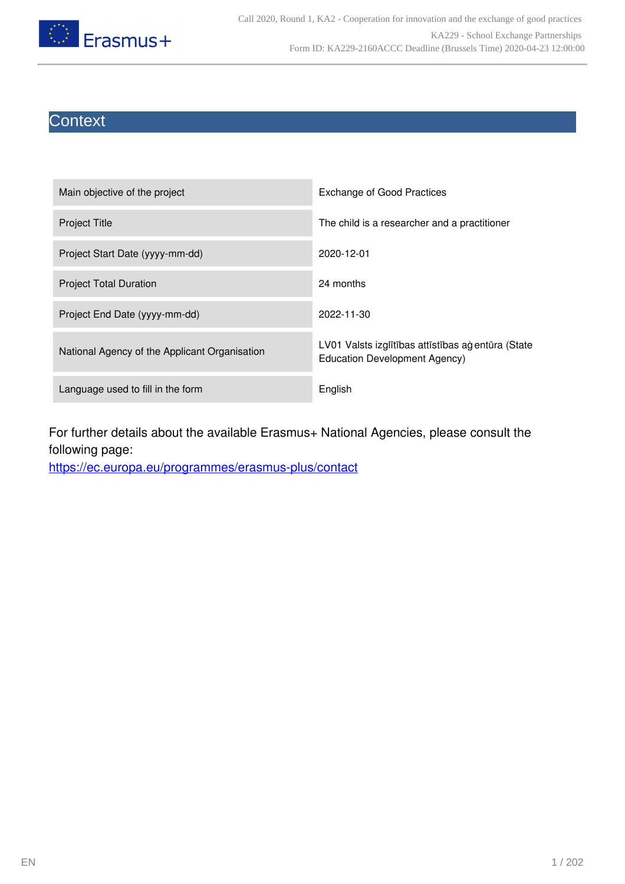

### **Context**

| Main objective of the project                 | <b>Exchange of Good Practices</b>                                                         |
|-----------------------------------------------|-------------------------------------------------------------------------------------------|
| <b>Project Title</b>                          | The child is a researcher and a practitioner                                              |
| Project Start Date (yyyy-mm-dd)               | 2020-12-01                                                                                |
| <b>Project Total Duration</b>                 | 24 months                                                                                 |
| Project End Date (yyyy-mm-dd)                 | 2022-11-30                                                                                |
| National Agency of the Applicant Organisation | LV01 Valsts izglītības attīstības aģentūra (State<br><b>Education Development Agency)</b> |
| Language used to fill in the form             | English                                                                                   |

For further details about the available Erasmus+ National Agencies, please consult the following page:

<https://ec.europa.eu/programmes/erasmus-plus/contact>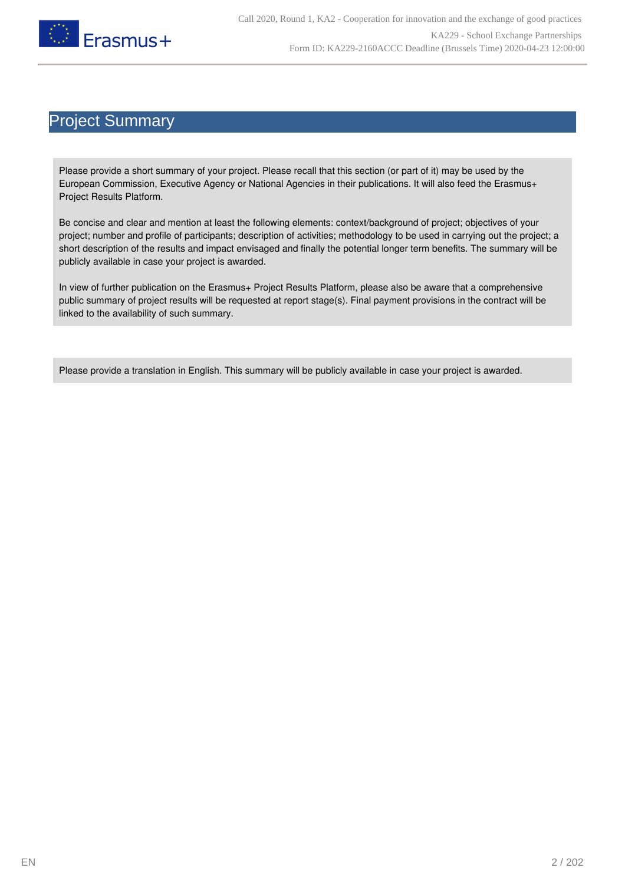

### Project Summary

Please provide a short summary of your project. Please recall that this section (or part of it) may be used by the European Commission, Executive Agency or National Agencies in their publications. It will also feed the Erasmus+ Project Results Platform.

Be concise and clear and mention at least the following elements: context/background of project; objectives of your project; number and profile of participants; description of activities; methodology to be used in carrying out the project; a short description of the results and impact envisaged and finally the potential longer term benefits. The summary will be publicly available in case your project is awarded.

In view of further publication on the Erasmus+ Project Results Platform, please also be aware that a comprehensive public summary of project results will be requested at report stage(s). Final payment provisions in the contract will be linked to the availability of such summary.

Please provide a translation in English. This summary will be publicly available in case your project is awarded.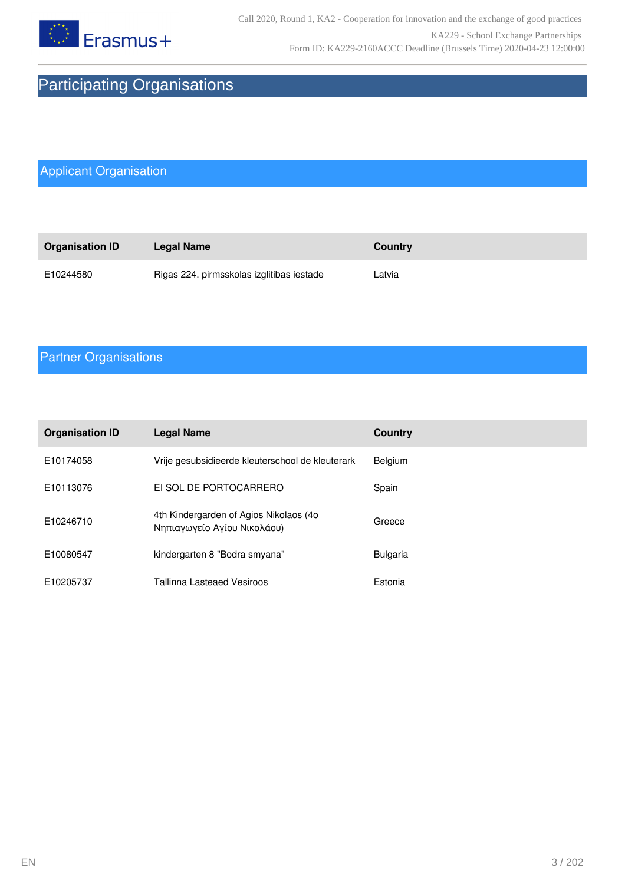

# Participating Organisations

### Applicant Organisation

| <b>Organisation ID</b> | Legal Name                                | <b>Country</b> |
|------------------------|-------------------------------------------|----------------|
| E10244580              | Rigas 224. pirmsskolas izglitibas iestade | Latvia         |

### Partner Organisations

| <b>Organisation ID</b> | <b>Legal Name</b>                                                     | <b>Country</b>  |
|------------------------|-----------------------------------------------------------------------|-----------------|
| E10174058              | Vrije gesubsidieerde kleuterschool de kleuterark                      | Belgium         |
| E10113076              | EI SOL DE PORTOCARRERO                                                | Spain           |
| E10246710              | 4th Kindergarden of Agios Nikolaos (4o<br>Νηπιαγωγείο Αγίου Νικολάου) | Greece          |
| E10080547              | kindergarten 8 "Bodra smyana"                                         | <b>Bulgaria</b> |
| E10205737              | Tallinna Lasteaed Vesiroos                                            | Estonia         |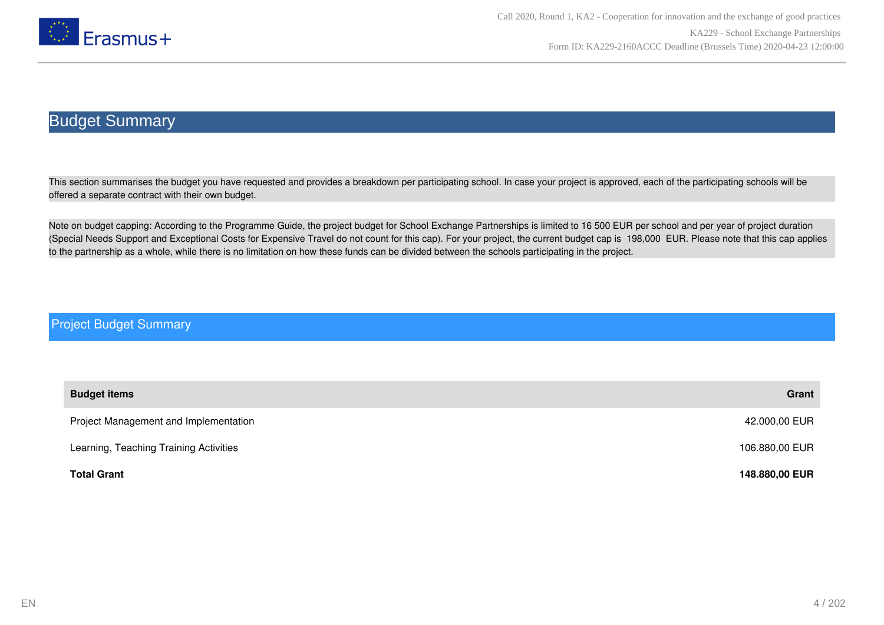

### Budget Summary

This section summarises the budget you have requested and provides a breakdown per participating school. In case your project is approved, each of the participating schools will be offered a separate contract with their own budget.

Note on budget capping: According to the Programme Guide, the project budget for School Exchange Partnerships is limited to 16 500 EUR per school and per year of project duration (Special Needs Support and Exceptional Costs for Expensive Travel do not count for this cap). For your project, the current budget cap is 198,000 EUR. Please note that this cap applies to the partnership as a whole, while there is no limitation on how these funds can be divided between the schools participating in the project.

#### Project Budget Summary

| <b>Budget items</b>                    | Grant          |
|----------------------------------------|----------------|
| Project Management and Implementation  | 42.000,00 EUR  |
| Learning, Teaching Training Activities | 106.880,00 EUR |
| <b>Total Grant</b>                     | 148.880,00 EUR |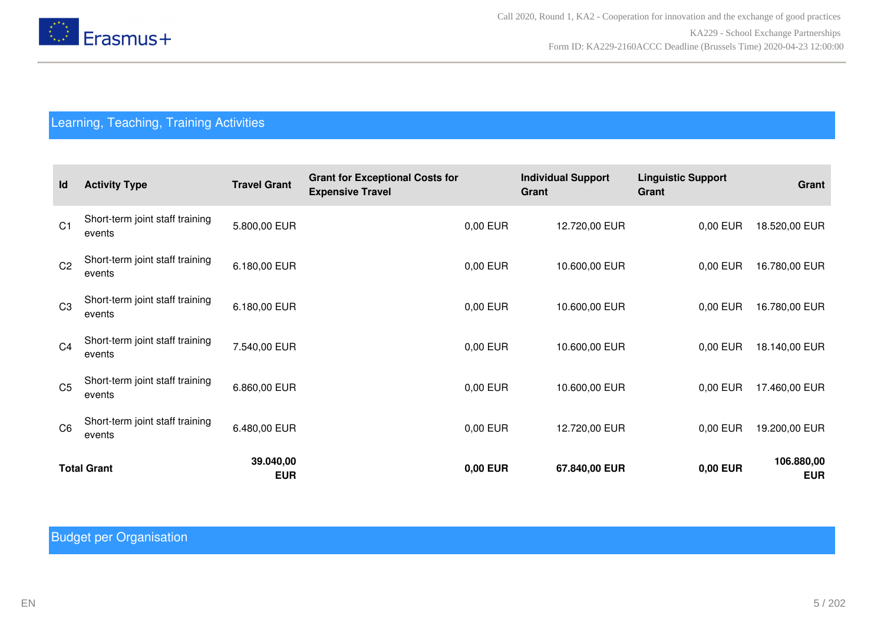

### Learning, Teaching, Training Activities

| <b>Id</b>      | <b>Activity Type</b>                      | <b>Travel Grant</b>     | <b>Grant for Exceptional Costs for</b><br><b>Expensive Travel</b> | <b>Individual Support</b><br>Grant | <b>Linguistic Support</b><br>Grant | Grant                    |
|----------------|-------------------------------------------|-------------------------|-------------------------------------------------------------------|------------------------------------|------------------------------------|--------------------------|
| C <sub>1</sub> | Short-term joint staff training<br>events | 5.800,00 EUR            | 0,00 EUR                                                          | 12.720,00 EUR                      | 0,00 EUR                           | 18.520,00 EUR            |
| C <sub>2</sub> | Short-term joint staff training<br>events | 6.180,00 EUR            | 0,00 EUR                                                          | 10.600,00 EUR                      | 0,00 EUR                           | 16.780,00 EUR            |
| C <sub>3</sub> | Short-term joint staff training<br>events | 6.180,00 EUR            | 0,00 EUR                                                          | 10.600,00 EUR                      | 0,00 EUR                           | 16.780,00 EUR            |
| C <sub>4</sub> | Short-term joint staff training<br>events | 7.540,00 EUR            | 0,00 EUR                                                          | 10.600,00 EUR                      | 0,00 EUR                           | 18.140,00 EUR            |
| C <sub>5</sub> | Short-term joint staff training<br>events | 6.860,00 EUR            | 0,00 EUR                                                          | 10.600,00 EUR                      | 0.00 EUR                           | 17.460,00 EUR            |
| C <sub>6</sub> | Short-term joint staff training<br>events | 6.480,00 EUR            | 0,00 EUR                                                          | 12.720,00 EUR                      | 0,00 EUR                           | 19.200,00 EUR            |
|                | <b>Total Grant</b>                        | 39.040,00<br><b>EUR</b> | 0,00 EUR                                                          | 67.840,00 EUR                      | 0,00 EUR                           | 106.880,00<br><b>EUR</b> |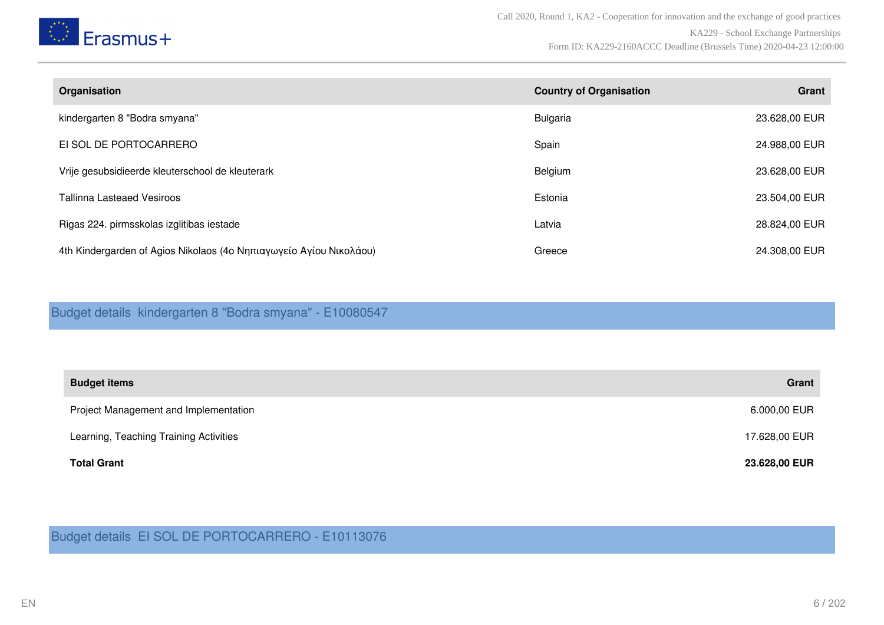

| Organisation                                                       | <b>Country of Organisation</b> | Grant         |
|--------------------------------------------------------------------|--------------------------------|---------------|
| kindergarten 8 "Bodra smyana"                                      | <b>Bulgaria</b>                | 23.628,00 EUR |
| EI SOL DE PORTOCARRERO                                             | Spain                          | 24.988,00 EUR |
| Vrije gesubsidieerde kleuterschool de kleuterark                   | Belgium                        | 23.628,00 EUR |
| <b>Tallinna Lasteaed Vesiroos</b>                                  | Estonia                        | 23.504,00 EUR |
| Rigas 224. pirmsskolas izglitibas iestade                          | Latvia                         | 28.824.00 EUR |
| 4th Kindergarden of Agios Nikolaos (4ο Νηπιαγωγείο Αγίου Νικολάου) | Greece                         | 24.308,00 EUR |

### Budget details kindergarten 8 "Bodra smyana" - E10080547

| <b>Budget items</b>                    | Grant         |
|----------------------------------------|---------------|
| Project Management and Implementation  | 6.000,00 EUR  |
| Learning, Teaching Training Activities | 17.628,00 EUR |
| <b>Total Grant</b>                     | 23.628,00 EUR |

Budget details EI SOL DE PORTOCARRERO - E10113076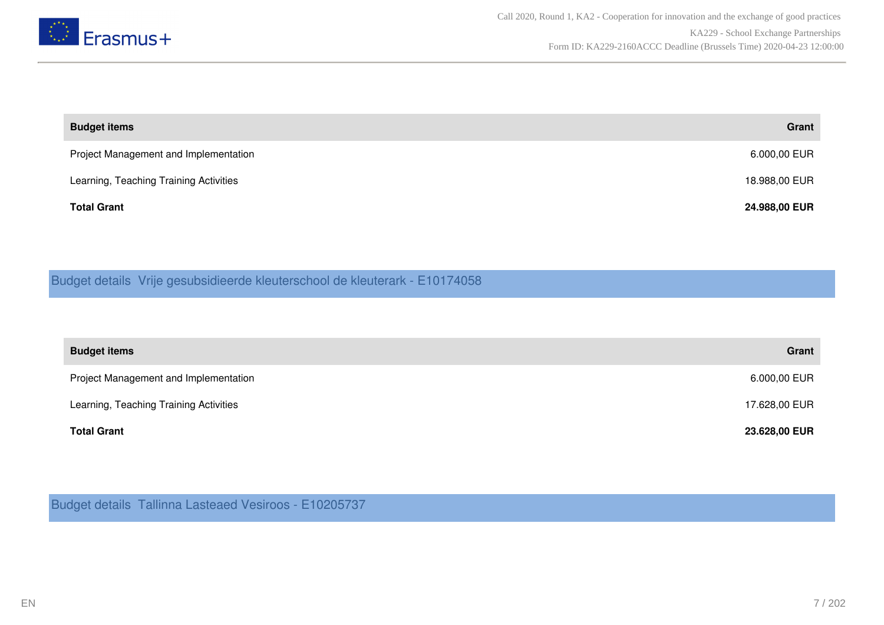

| <b>Budget items</b>                    | Grant         |
|----------------------------------------|---------------|
| Project Management and Implementation  | 6.000,00 EUR  |
| Learning, Teaching Training Activities | 18.988,00 EUR |
| <b>Total Grant</b>                     | 24.988,00 EUR |

Budget details Vrije gesubsidieerde kleuterschool de kleuterark - E10174058

| <b>Budget items</b>                    | Grant         |
|----------------------------------------|---------------|
| Project Management and Implementation  | 6.000,00 EUR  |
| Learning, Teaching Training Activities | 17.628,00 EUR |
| <b>Total Grant</b>                     | 23.628,00 EUR |

Budget details Tallinna Lasteaed Vesiroos - E10205737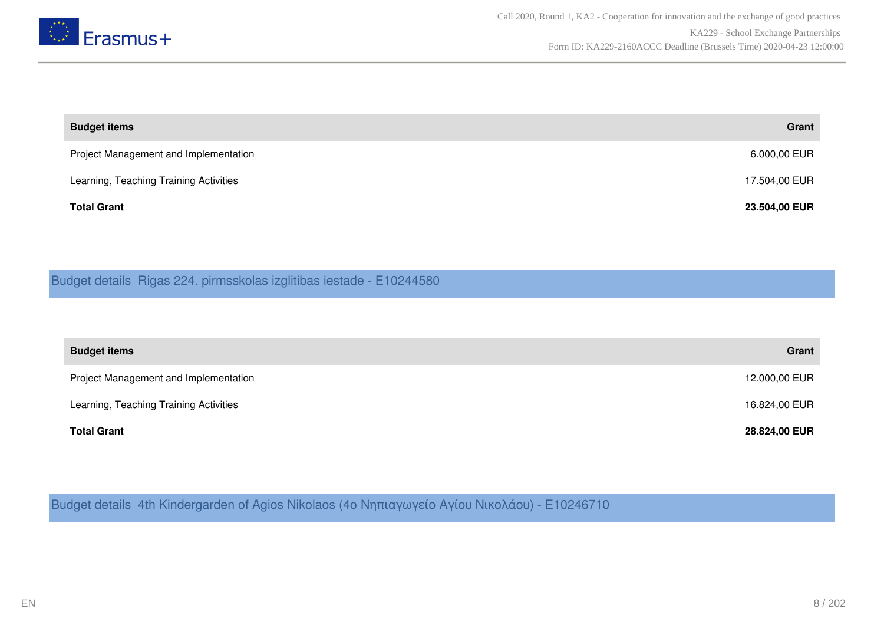

| <b>Budget items</b>                    | Grant         |
|----------------------------------------|---------------|
| Project Management and Implementation  | 6.000,00 EUR  |
| Learning, Teaching Training Activities | 17.504,00 EUR |
| <b>Total Grant</b>                     | 23.504,00 EUR |

Budget details Rigas 224. pirmsskolas izglitibas iestade - E10244580

| <b>Budget items</b>                    | Grant         |
|----------------------------------------|---------------|
| Project Management and Implementation  | 12.000,00 EUR |
| Learning, Teaching Training Activities | 16.824,00 EUR |
| <b>Total Grant</b>                     | 28.824,00 EUR |

Budget details 4th Kindergarden of Agios Nikolaos (4ο Νηπιαγωγείο Αγίου Νικολάου) - E10246710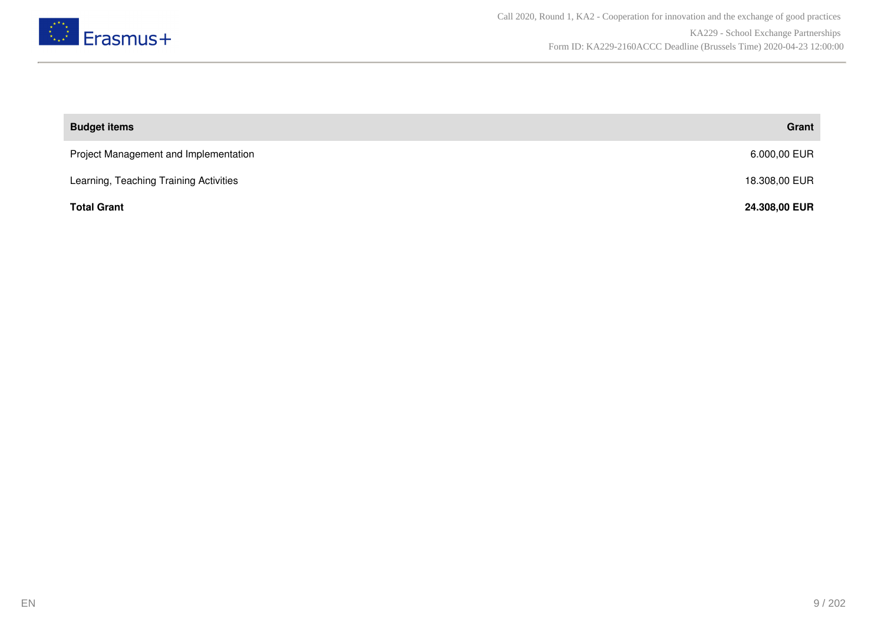

| <b>Budget items</b>                    | Grant         |
|----------------------------------------|---------------|
| Project Management and Implementation  | 6.000,00 EUR  |
| Learning, Teaching Training Activities | 18.308,00 EUR |
| <b>Total Grant</b>                     | 24.308,00 EUR |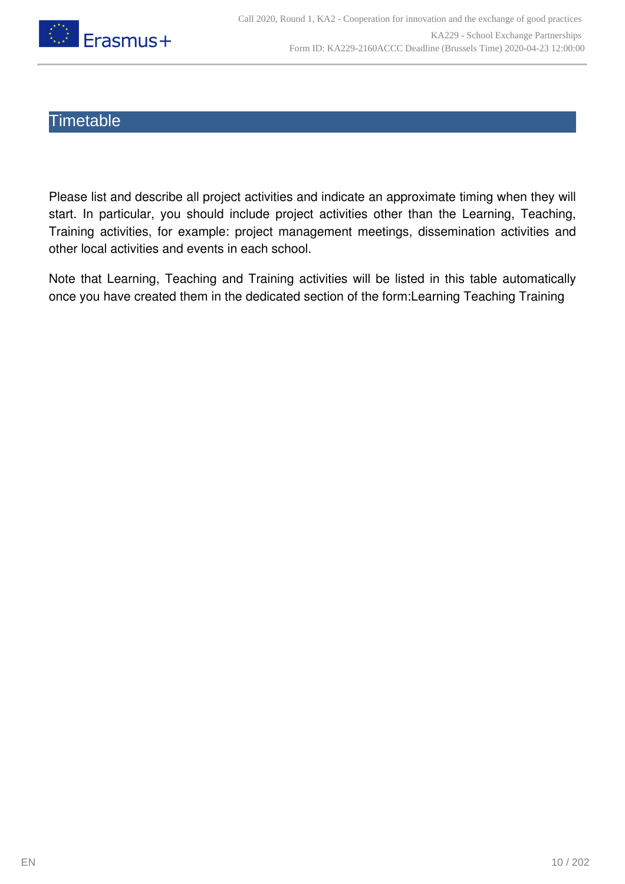

### **Timetable**

Please list and describe all project activities and indicate an approximate timing when they will start. In particular, you should include project activities other than the Learning, Teaching, Training activities, for example: project management meetings, dissemination activities and other local activities and events in each school.

Note that Learning, Teaching and Training activities will be listed in this table automatically once you have created them in the dedicated section of the form:Learning Teaching Training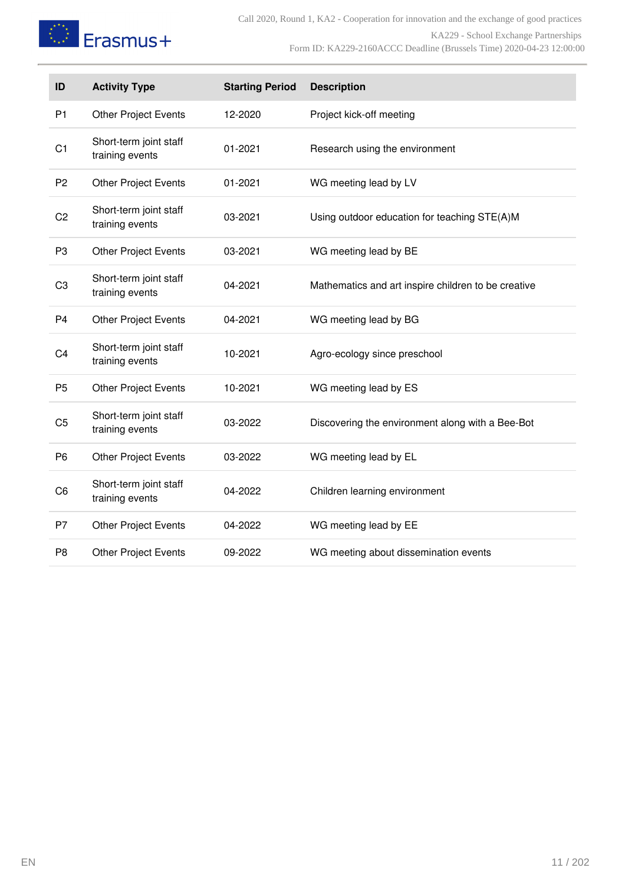

Form ID: KA229-2160ACCC Deadline (Brussels Time) 2020-04-23 12:00:00

| ID             | <b>Activity Type</b>                      | <b>Starting Period</b> | <b>Description</b>                                  |
|----------------|-------------------------------------------|------------------------|-----------------------------------------------------|
| P <sub>1</sub> | <b>Other Project Events</b>               | 12-2020                | Project kick-off meeting                            |
| C1             | Short-term joint staff<br>training events | 01-2021                | Research using the environment                      |
| P <sub>2</sub> | Other Project Events                      | 01-2021                | WG meeting lead by LV                               |
| C <sub>2</sub> | Short-term joint staff<br>training events | 03-2021                | Using outdoor education for teaching STE(A)M        |
| P <sub>3</sub> | <b>Other Project Events</b>               | 03-2021                | WG meeting lead by BE                               |
| C <sub>3</sub> | Short-term joint staff<br>training events | 04-2021                | Mathematics and art inspire children to be creative |
| P <sub>4</sub> | Other Project Events                      | 04-2021                | WG meeting lead by BG                               |
| C <sub>4</sub> | Short-term joint staff<br>training events | 10-2021                | Agro-ecology since preschool                        |
| P <sub>5</sub> | <b>Other Project Events</b>               | 10-2021                | WG meeting lead by ES                               |
| C <sub>5</sub> | Short-term joint staff<br>training events | 03-2022                | Discovering the environment along with a Bee-Bot    |
| P <sub>6</sub> | <b>Other Project Events</b>               | 03-2022                | WG meeting lead by EL                               |
| C <sub>6</sub> | Short-term joint staff<br>training events | 04-2022                | Children learning environment                       |
| P7             | <b>Other Project Events</b>               | 04-2022                | WG meeting lead by EE                               |
| P <sub>8</sub> | <b>Other Project Events</b>               | 09-2022                | WG meeting about dissemination events               |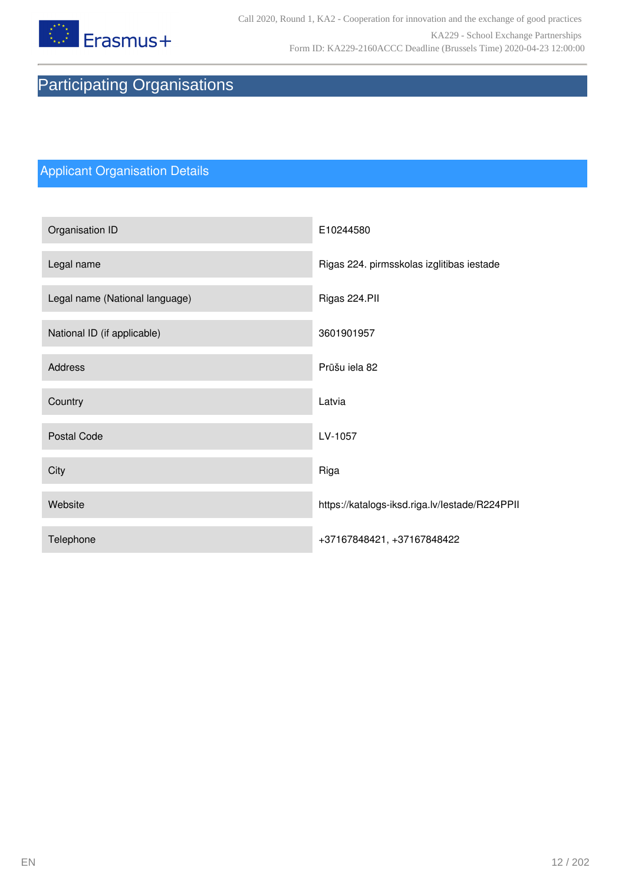

# Participating Organisations

### Applicant Organisation Details

| Organisation ID                | E10244580                                      |  |
|--------------------------------|------------------------------------------------|--|
| Legal name                     | Rigas 224. pirmsskolas izglitibas iestade      |  |
| Legal name (National language) | Rigas 224.PII                                  |  |
| National ID (if applicable)    | 3601901957                                     |  |
| Address                        | Prūšu iela 82                                  |  |
| Country                        | Latvia                                         |  |
| Postal Code                    | LV-1057                                        |  |
| City                           | Riga                                           |  |
| Website                        | https://katalogs-iksd.riga.lv/lestade/R224PPII |  |
| Telephone                      | +37167848421, +37167848422                     |  |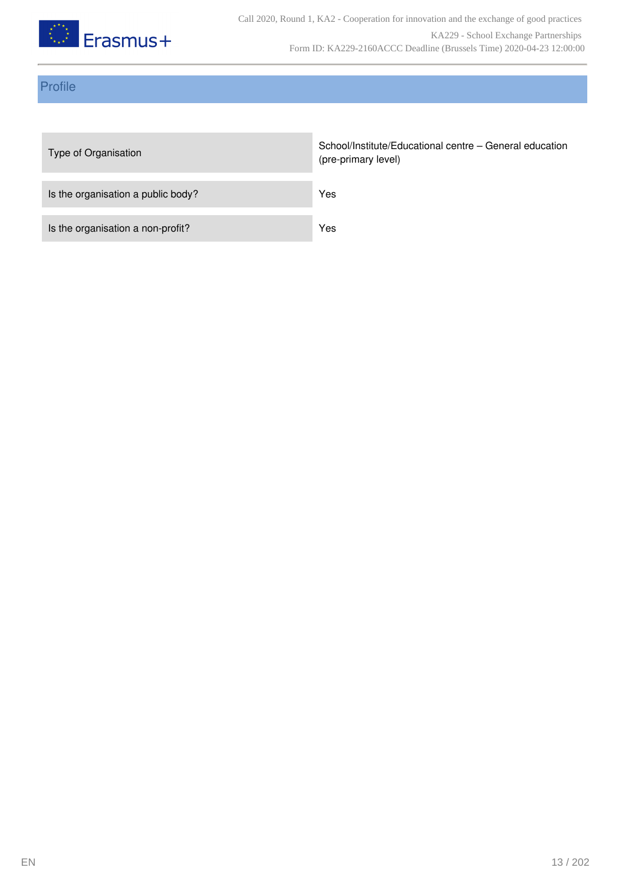

### Profile

| Type of Organisation               | School/Institute/Educational centre – General education<br>(pre-primary level) |
|------------------------------------|--------------------------------------------------------------------------------|
| Is the organisation a public body? | Yes                                                                            |
| Is the organisation a non-profit?  | Yes                                                                            |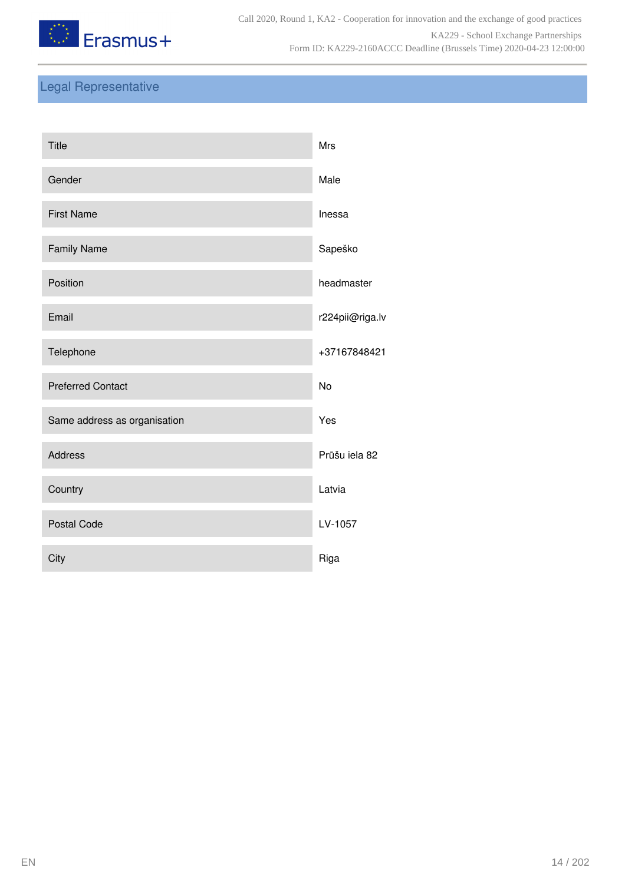

### Legal Representative

| <b>Title</b>                 | <b>Mrs</b>      |
|------------------------------|-----------------|
| Gender                       | Male            |
| <b>First Name</b>            | Inessa          |
| <b>Family Name</b>           | Sapeško         |
| Position                     | headmaster      |
| Email                        | r224pii@riga.lv |
| Telephone                    | +37167848421    |
| <b>Preferred Contact</b>     | <b>No</b>       |
| Same address as organisation | Yes             |
| Address                      | Prūšu iela 82   |
| Country                      | Latvia          |
| <b>Postal Code</b>           | LV-1057         |
| City                         | Riga            |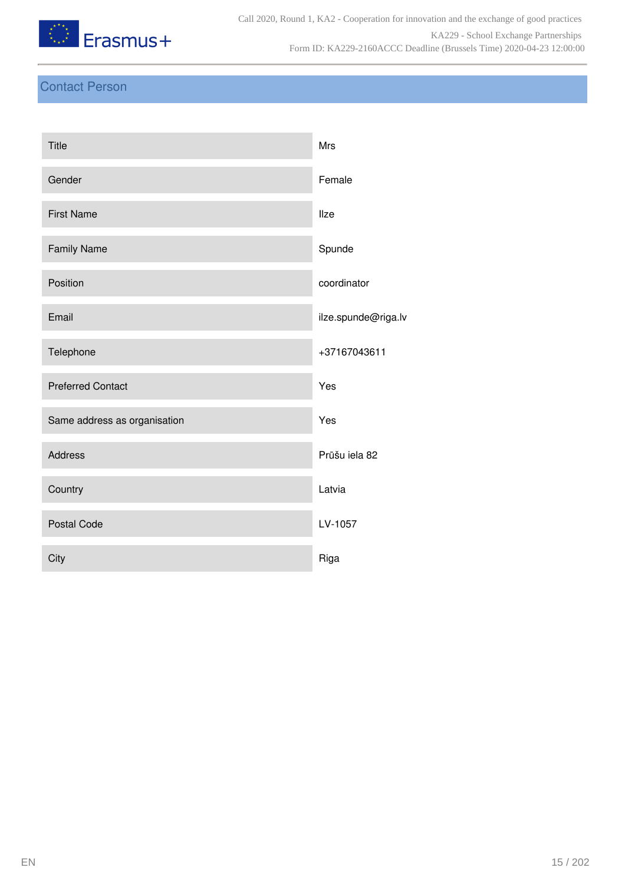

### Contact Person

| <b>Title</b>                 | <b>Mrs</b>          |
|------------------------------|---------------------|
| Gender                       | Female              |
| <b>First Name</b>            | llze                |
| <b>Family Name</b>           | Spunde              |
| Position                     | coordinator         |
| Email                        | ilze.spunde@riga.lv |
| Telephone                    | +37167043611        |
| <b>Preferred Contact</b>     | Yes                 |
| Same address as organisation | Yes                 |
| <b>Address</b>               | Prūšu iela 82       |
| Country                      | Latvia              |
| <b>Postal Code</b>           | LV-1057             |
| City                         | Riga                |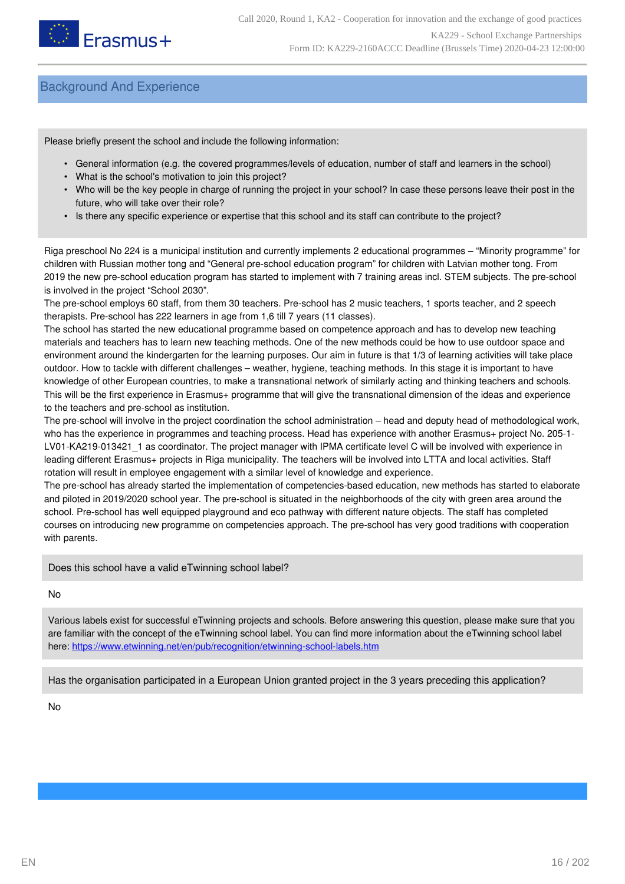

Form ID: KA229-2160ACCC Deadline (Brussels Time) 2020-04-23 12:00:00

#### Background And Experience

Please briefly present the school and include the following information:

- General information (e.g. the covered programmes/levels of education, number of staff and learners in the school)
- What is the school's motivation to join this project?
- Who will be the key people in charge of running the project in your school? In case these persons leave their post in the future, who will take over their role?
- Is there any specific experience or expertise that this school and its staff can contribute to the project?

Riga preschool No 224 is a municipal institution and currently implements 2 educational programmes – "Minority programme" for children with Russian mother tong and "General pre-school education program" for children with Latvian mother tong. From 2019 the new pre-school education program has started to implement with 7 training areas incl. STEM subjects. The pre-school is involved in the project "School 2030".

The pre-school employs 60 staff, from them 30 teachers. Pre-school has 2 music teachers, 1 sports teacher, and 2 speech therapists. Pre-school has 222 learners in age from 1,6 till 7 years (11 classes).

The school has started the new educational programme based on competence approach and has to develop new teaching materials and teachers has to learn new teaching methods. One of the new methods could be how to use outdoor space and environment around the kindergarten for the learning purposes. Our aim in future is that 1/3 of learning activities will take place outdoor. How to tackle with different challenges – weather, hygiene, teaching methods. In this stage it is important to have knowledge of other European countries, to make a transnational network of similarly acting and thinking teachers and schools. This will be the first experience in Erasmus+ programme that will give the transnational dimension of the ideas and experience to the teachers and pre-school as institution.

The pre-school will involve in the project coordination the school administration – head and deputy head of methodological work, who has the experience in programmes and teaching process. Head has experience with another Erasmus+ project No. 205-1-LV01-KA219-013421\_1 as coordinator. The project manager with IPMA certificate level C will be involved with experience in leading different Erasmus+ projects in Riga municipality. The teachers will be involved into LTTA and local activities. Staff rotation will result in employee engagement with a similar level of knowledge and experience.

The pre-school has already started the implementation of competencies-based education, new methods has started to elaborate and piloted in 2019/2020 school year. The pre-school is situated in the neighborhoods of the city with green area around the school. Pre-school has well equipped playground and eco pathway with different nature objects. The staff has completed courses on introducing new programme on competencies approach. The pre-school has very good traditions with cooperation with parents.

Does this school have a valid eTwinning school label?

#### No

Various labels exist for successful eTwinning projects and schools. Before answering this question, please make sure that you are familiar with the concept of the eTwinning school label. You can find more information about the eTwinning school label here: <https://www.etwinning.net/en/pub/recognition/etwinning-school-labels.htm>

Has the organisation participated in a European Union granted project in the 3 years preceding this application?

No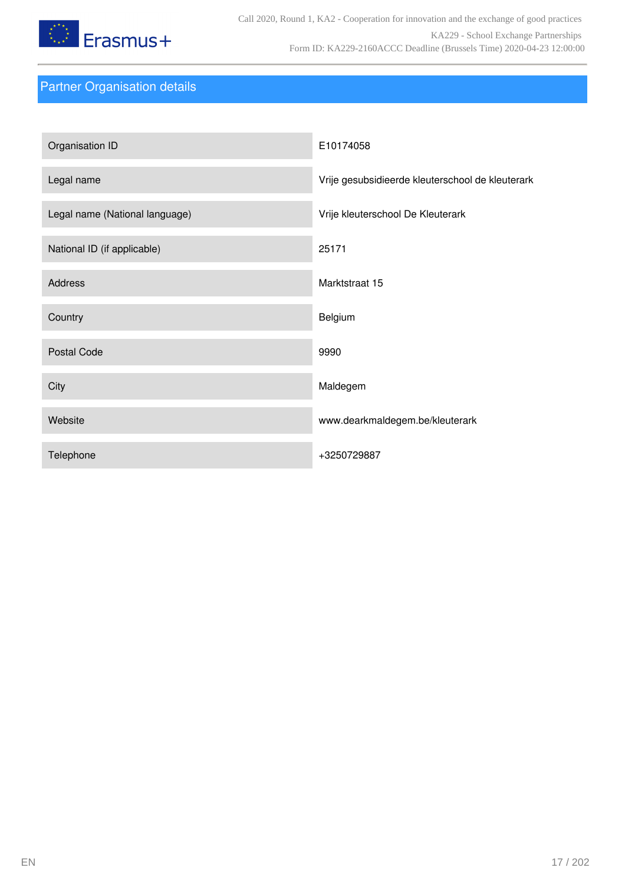

### Partner Organisation details

| Organisation ID                | E10174058                                        |
|--------------------------------|--------------------------------------------------|
| Legal name                     | Vrije gesubsidieerde kleuterschool de kleuterark |
| Legal name (National language) | Vrije kleuterschool De Kleuterark                |
| National ID (if applicable)    | 25171                                            |
| Address                        | Marktstraat 15                                   |
| Country                        | Belgium                                          |
| <b>Postal Code</b>             | 9990                                             |
| City                           | Maldegem                                         |
| Website                        | www.dearkmaldegem.be/kleuterark                  |
| Telephone                      | +3250729887                                      |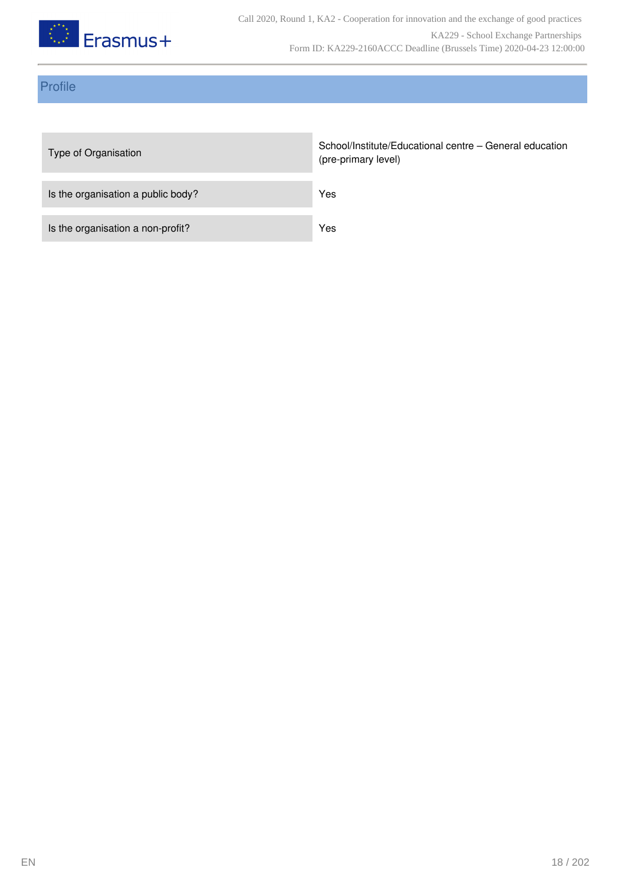

### Profile

| Type of Organisation               | School/Institute/Educational centre – General education<br>(pre-primary level) |
|------------------------------------|--------------------------------------------------------------------------------|
| Is the organisation a public body? | Yes                                                                            |
| Is the organisation a non-profit?  | Yes                                                                            |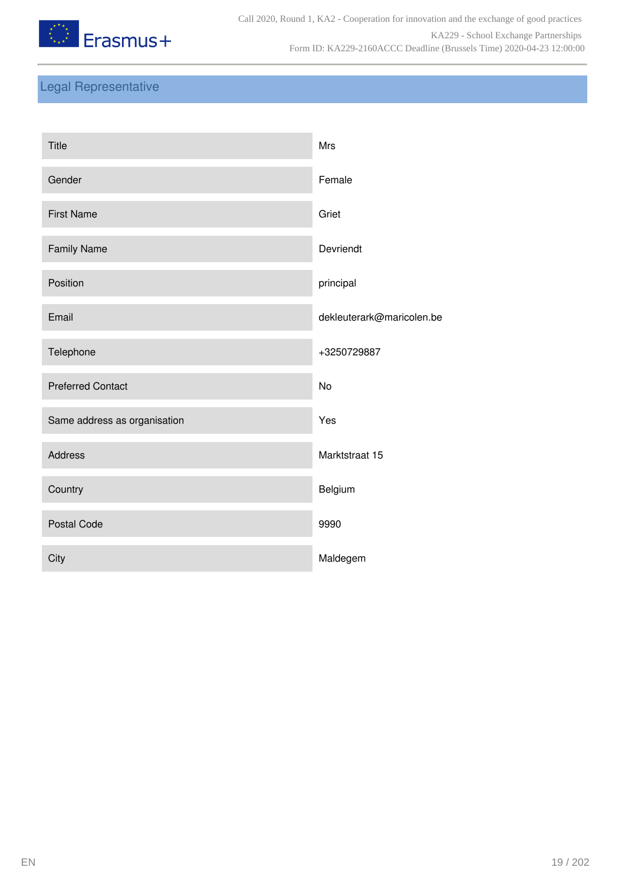

### Legal Representative

| Title                        | Mrs                       |
|------------------------------|---------------------------|
| Gender                       | Female                    |
| <b>First Name</b>            | Griet                     |
| <b>Family Name</b>           | Devriendt                 |
| Position                     | principal                 |
| Email                        | dekleuterark@maricolen.be |
| Telephone                    | +3250729887               |
| <b>Preferred Contact</b>     | <b>No</b>                 |
| Same address as organisation | Yes                       |
| Address                      | Marktstraat 15            |
| Country                      | Belgium                   |
| <b>Postal Code</b>           | 9990                      |
| City                         | Maldegem                  |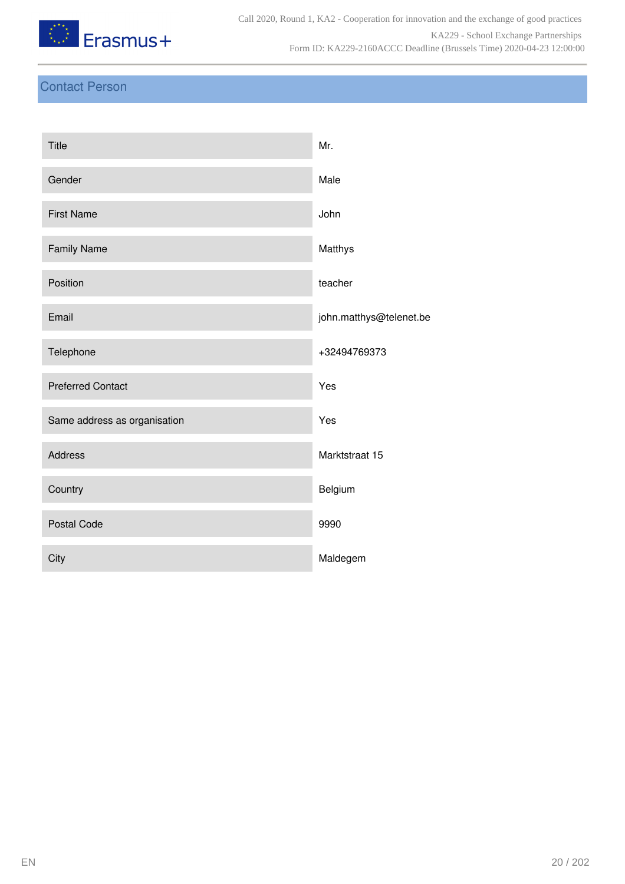

### Contact Person

| Title                        | Mr.                     |
|------------------------------|-------------------------|
| Gender                       | Male                    |
| <b>First Name</b>            | John                    |
| <b>Family Name</b>           | Matthys                 |
| Position                     | teacher                 |
| Email                        | john.matthys@telenet.be |
| Telephone                    | +32494769373            |
| <b>Preferred Contact</b>     | Yes                     |
| Same address as organisation | Yes                     |
| <b>Address</b>               | Marktstraat 15          |
| Country                      | Belgium                 |
| <b>Postal Code</b>           | 9990                    |
| City                         | Maldegem                |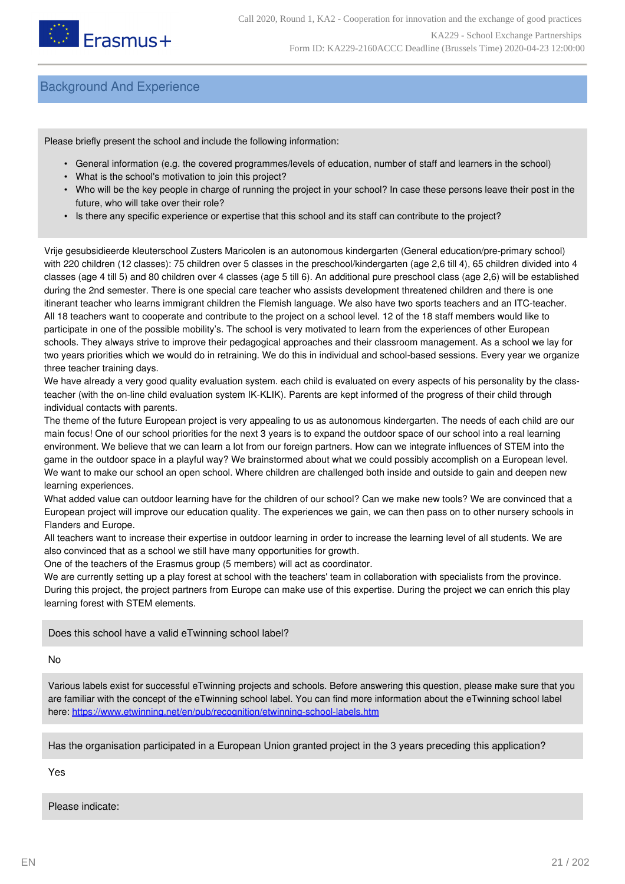

Form ID: KA229-2160ACCC Deadline (Brussels Time) 2020-04-23 12:00:00

#### Background And Experience

Please briefly present the school and include the following information:

- General information (e.g. the covered programmes/levels of education, number of staff and learners in the school)
- What is the school's motivation to join this project?
- Who will be the key people in charge of running the project in your school? In case these persons leave their post in the future, who will take over their role?
- Is there any specific experience or expertise that this school and its staff can contribute to the project?

Vrije gesubsidieerde kleuterschool Zusters Maricolen is an autonomous kindergarten (General education/pre-primary school) with 220 children (12 classes): 75 children over 5 classes in the preschool/kindergarten (age 2,6 till 4), 65 children divided into 4 classes (age 4 till 5) and 80 children over 4 classes (age 5 till 6). An additional pure preschool class (age 2,6) will be established during the 2nd semester. There is one special care teacher who assists development threatened children and there is one itinerant teacher who learns immigrant children the Flemish language. We also have two sports teachers and an ITC-teacher. All 18 teachers want to cooperate and contribute to the project on a school level. 12 of the 18 staff members would like to participate in one of the possible mobility's. The school is very motivated to learn from the experiences of other European schools. They always strive to improve their pedagogical approaches and their classroom management. As a school we lay for two years priorities which we would do in retraining. We do this in individual and school-based sessions. Every year we organize three teacher training days.

We have already a very good quality evaluation system. each child is evaluated on every aspects of his personality by the classteacher (with the on-line child evaluation system IK-KLIK). Parents are kept informed of the progress of their child through individual contacts with parents.

The theme of the future European project is very appealing to us as autonomous kindergarten. The needs of each child are our main focus! One of our school priorities for the next 3 years is to expand the outdoor space of our school into a real learning environment. We believe that we can learn a lot from our foreign partners. How can we integrate influences of STEM into the game in the outdoor space in a playful way? We brainstormed about what we could possibly accomplish on a European level. We want to make our school an open school. Where children are challenged both inside and outside to gain and deepen new learning experiences.

What added value can outdoor learning have for the children of our school? Can we make new tools? We are convinced that a European project will improve our education quality. The experiences we gain, we can then pass on to other nursery schools in Flanders and Europe.

All teachers want to increase their expertise in outdoor learning in order to increase the learning level of all students. We are also convinced that as a school we still have many opportunities for growth.

One of the teachers of the Erasmus group (5 members) will act as coordinator.

We are currently setting up a play forest at school with the teachers' team in collaboration with specialists from the province. During this project, the project partners from Europe can make use of this expertise. During the project we can enrich this play learning forest with STEM elements.

Does this school have a valid eTwinning school label?

No

Various labels exist for successful eTwinning projects and schools. Before answering this question, please make sure that you are familiar with the concept of the eTwinning school label. You can find more information about the eTwinning school label here: <https://www.etwinning.net/en/pub/recognition/etwinning-school-labels.htm>

Has the organisation participated in a European Union granted project in the 3 years preceding this application?

Yes

Please indicate: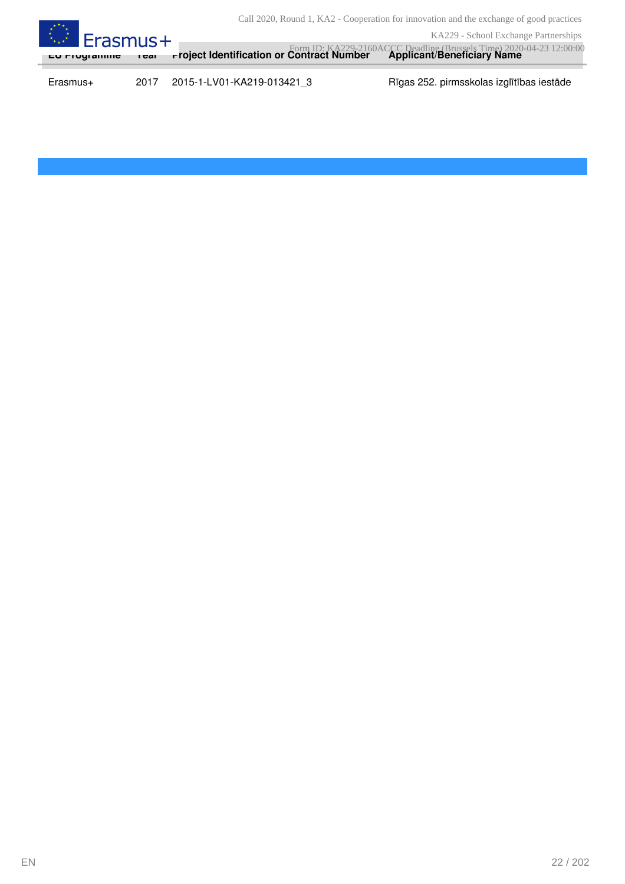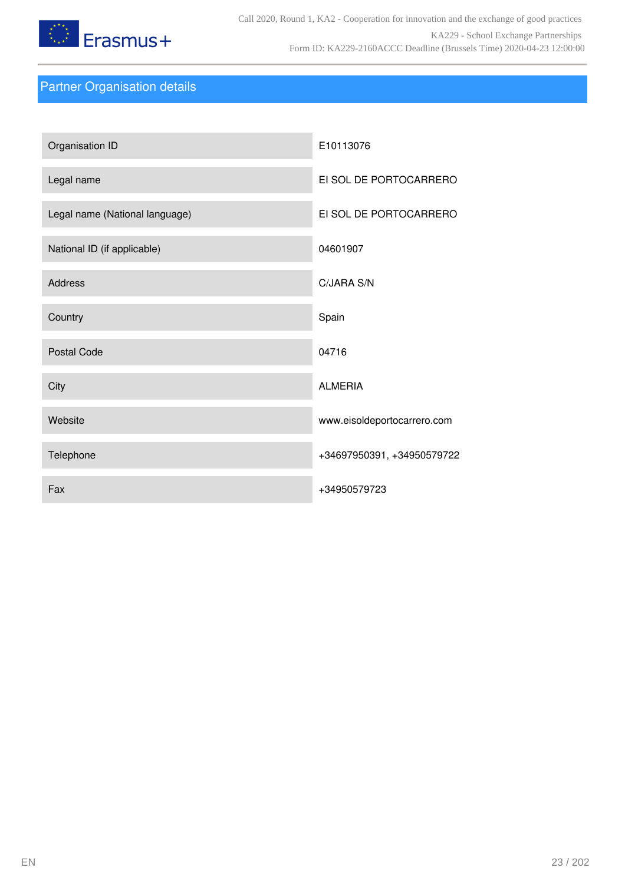

## Partner Organisation details

| Organisation ID                | E10113076                   |
|--------------------------------|-----------------------------|
| Legal name                     | EI SOL DE PORTOCARRERO      |
| Legal name (National language) | EI SOL DE PORTOCARRERO      |
| National ID (if applicable)    | 04601907                    |
| <b>Address</b>                 | C/JARA S/N                  |
| Country                        | Spain                       |
| <b>Postal Code</b>             | 04716                       |
| City                           | <b>ALMERIA</b>              |
| Website                        | www.eisoldeportocarrero.com |
| Telephone                      | +34697950391, +34950579722  |
| Fax                            | +34950579723                |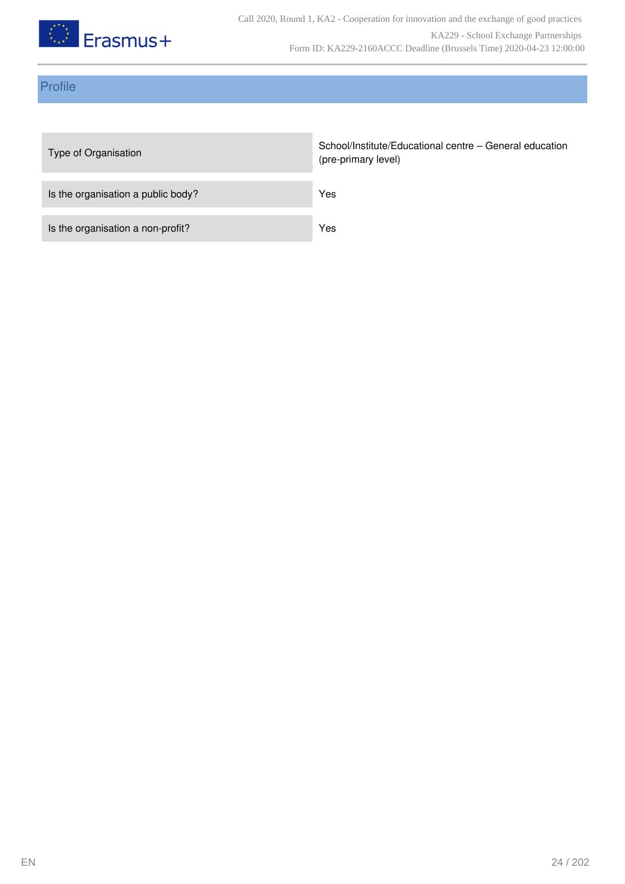

### Profile

| Type of Organisation               | School/Institute/Educational centre – General education<br>(pre-primary level) |
|------------------------------------|--------------------------------------------------------------------------------|
| Is the organisation a public body? | Yes                                                                            |
| Is the organisation a non-profit?  | Yes                                                                            |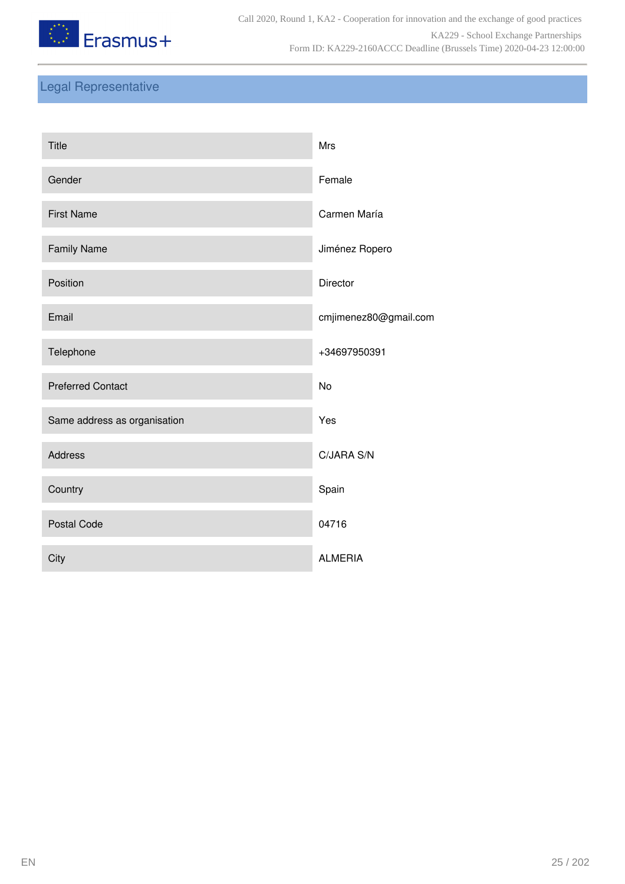

### Legal Representative

| <b>Title</b>                 | <b>Mrs</b>            |
|------------------------------|-----------------------|
| Gender                       | Female                |
| <b>First Name</b>            | Carmen María          |
| <b>Family Name</b>           | Jiménez Ropero        |
| Position                     | Director              |
| Email                        | cmjimenez80@gmail.com |
| Telephone                    | +34697950391          |
| <b>Preferred Contact</b>     | <b>No</b>             |
| Same address as organisation | Yes                   |
| <b>Address</b>               | C/JARA S/N            |
| Country                      | Spain                 |
| <b>Postal Code</b>           | 04716                 |
| City                         | <b>ALMERIA</b>        |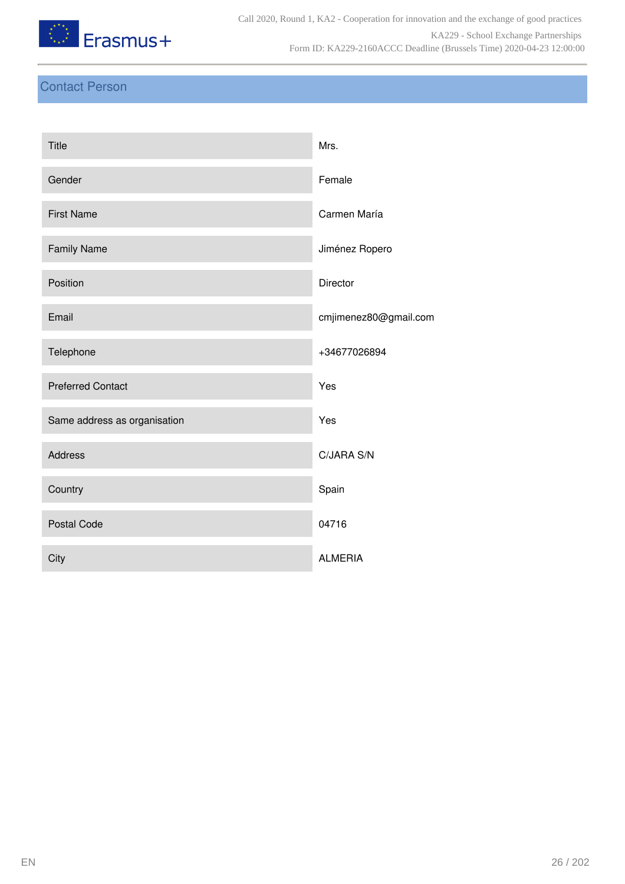

### Contact Person

| <b>Title</b>                 | Mrs.                  |
|------------------------------|-----------------------|
| Gender                       | Female                |
| <b>First Name</b>            | Carmen María          |
| <b>Family Name</b>           | Jiménez Ropero        |
| Position                     | Director              |
| Email                        | cmjimenez80@gmail.com |
| Telephone                    | +34677026894          |
| <b>Preferred Contact</b>     | Yes                   |
| Same address as organisation | Yes                   |
| <b>Address</b>               | C/JARA S/N            |
| Country                      | Spain                 |
| <b>Postal Code</b>           | 04716                 |
| City                         | <b>ALMERIA</b>        |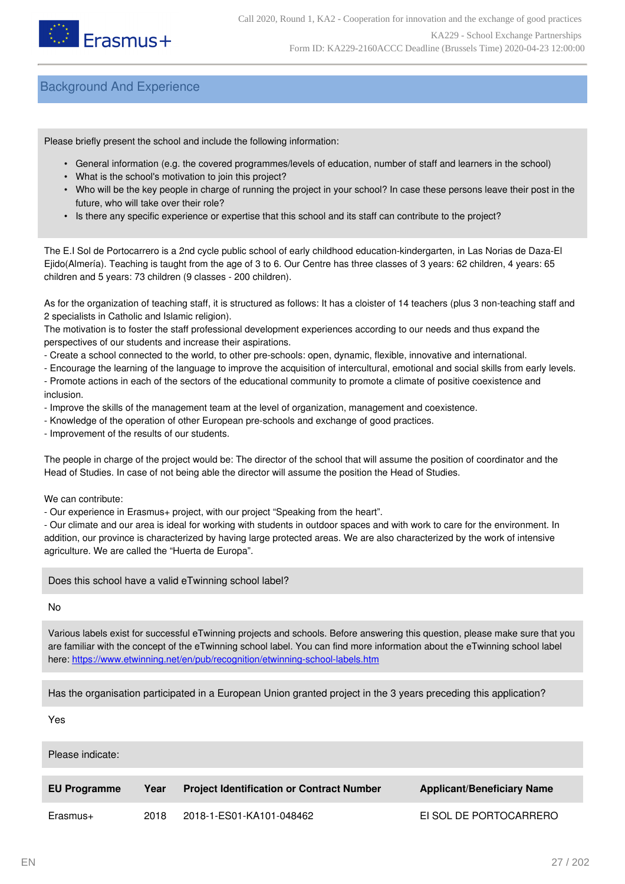

Form ID: KA229-2160ACCC Deadline (Brussels Time) 2020-04-23 12:00:00

#### Background And Experience

Please briefly present the school and include the following information:

- General information (e.g. the covered programmes/levels of education, number of staff and learners in the school)
- What is the school's motivation to join this project?
- Who will be the key people in charge of running the project in your school? In case these persons leave their post in the future, who will take over their role?
- Is there any specific experience or expertise that this school and its staff can contribute to the project?

The E.I Sol de Portocarrero is a 2nd cycle public school of early childhood education-kindergarten, in Las Norias de Daza-El Ejido(Almería). Teaching is taught from the age of 3 to 6. Our Centre has three classes of 3 years: 62 children, 4 years: 65 children and 5 years: 73 children (9 classes - 200 children).

As for the organization of teaching staff, it is structured as follows: It has a cloister of 14 teachers (plus 3 non-teaching staff and 2 specialists in Catholic and Islamic religion).

The motivation is to foster the staff professional development experiences according to our needs and thus expand the perspectives of our students and increase their aspirations.

- Create a school connected to the world, to other pre-schools: open, dynamic, flexible, innovative and international.

- Encourage the learning of the language to improve the acquisition of intercultural, emotional and social skills from early levels.

- Promote actions in each of the sectors of the educational community to promote a climate of positive coexistence and inclusion.

- Improve the skills of the management team at the level of organization, management and coexistence.

- Knowledge of the operation of other European pre-schools and exchange of good practices.

- Improvement of the results of our students.

The people in charge of the project would be: The director of the school that will assume the position of coordinator and the Head of Studies. In case of not being able the director will assume the position the Head of Studies.

We can contribute:

- Our experience in Erasmus+ project, with our project "Speaking from the heart".

- Our climate and our area is ideal for working with students in outdoor spaces and with work to care for the environment. In addition, our province is characterized by having large protected areas. We are also characterized by the work of intensive agriculture. We are called the "Huerta de Europa".

Does this school have a valid eTwinning school label?

#### No

Various labels exist for successful eTwinning projects and schools. Before answering this question, please make sure that you are familiar with the concept of the eTwinning school label. You can find more information about the eTwinning school label here: <https://www.etwinning.net/en/pub/recognition/etwinning-school-labels.htm>

Has the organisation participated in a European Union granted project in the 3 years preceding this application?

Yes

Please indicate:

| <b>EU Programme</b> | Year | <b>Project Identification or Contract Number</b> | <b>Applicant/Beneficiary Name</b> |
|---------------------|------|--------------------------------------------------|-----------------------------------|
| Erasmus+            | 2018 | 2018-1-ES01-KA101-048462                         | EI SOL DE PORTOCARRERO            |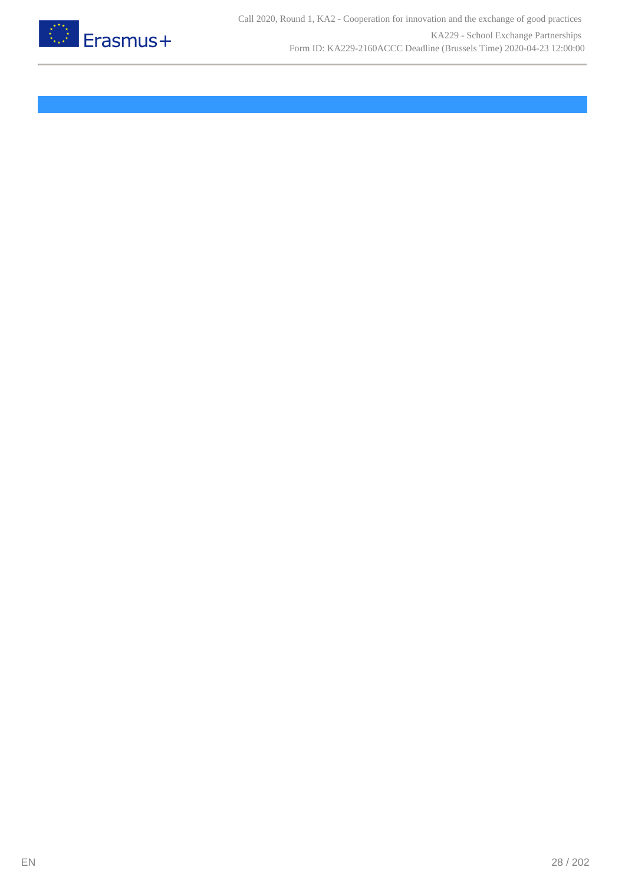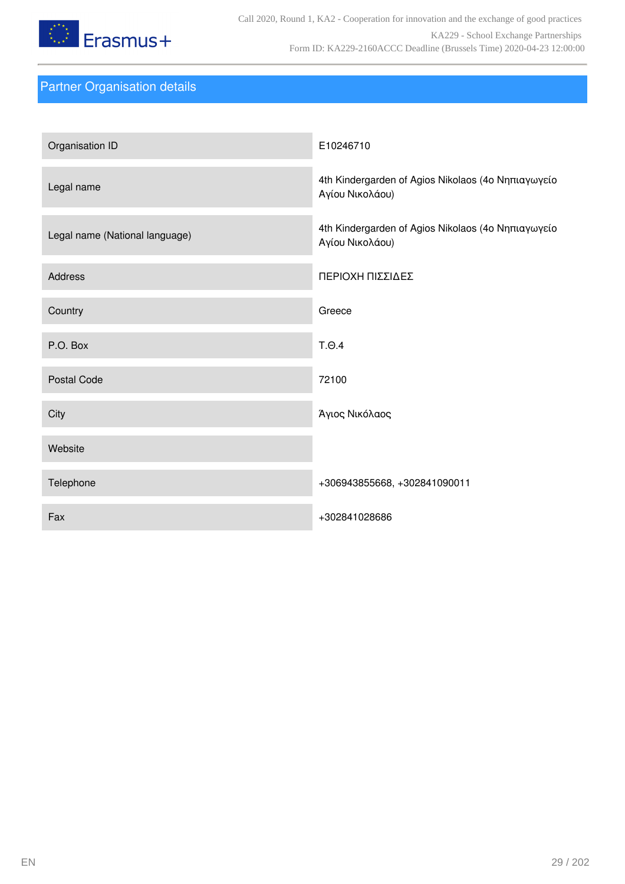

## Partner Organisation details

| Organisation ID                | E10246710                                                             |
|--------------------------------|-----------------------------------------------------------------------|
| Legal name                     | 4th Kindergarden of Agios Nikolaos (4ο Νηπιαγωγείο<br>Αγίου Νικολάου) |
| Legal name (National language) | 4th Kindergarden of Agios Nikolaos (4ο Νηπιαγωγείο<br>Αγίου Νικολάου) |
| Address                        | ΠΕΡΙΟΧΗ ΠΙΣΣΙΔΕΣ                                                      |
| Country                        | Greece                                                                |
| P.O. Box                       | $T.\Theta.4$                                                          |
| <b>Postal Code</b>             | 72100                                                                 |
| City                           | Άγιος Νικόλαος                                                        |
| Website                        |                                                                       |
| Telephone                      | +306943855668, +302841090011                                          |
| Fax                            | +302841028686                                                         |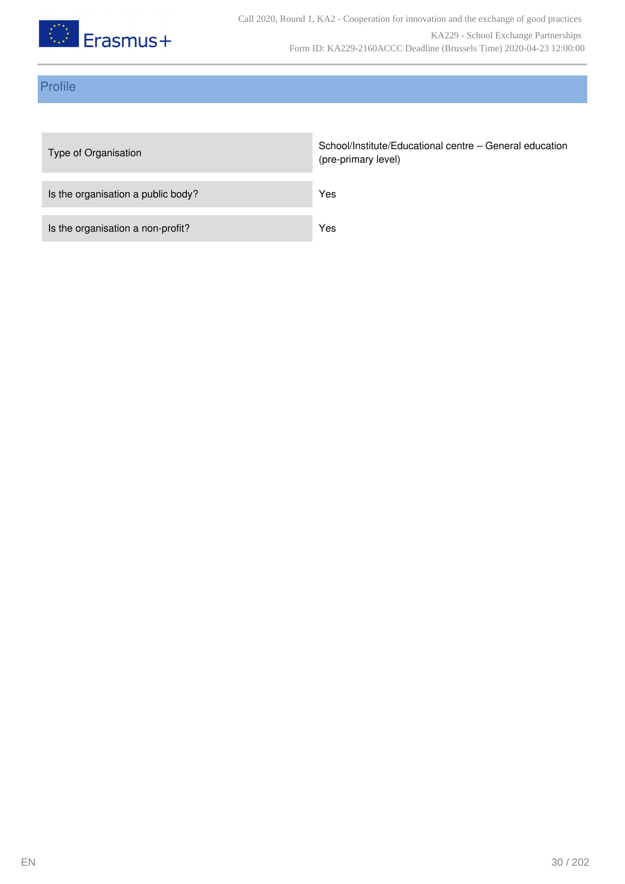

### Profile

| Type of Organisation               | School/Institute/Educational centre – General education<br>(pre-primary level) |
|------------------------------------|--------------------------------------------------------------------------------|
| Is the organisation a public body? | Yes                                                                            |
| Is the organisation a non-profit?  | Yes                                                                            |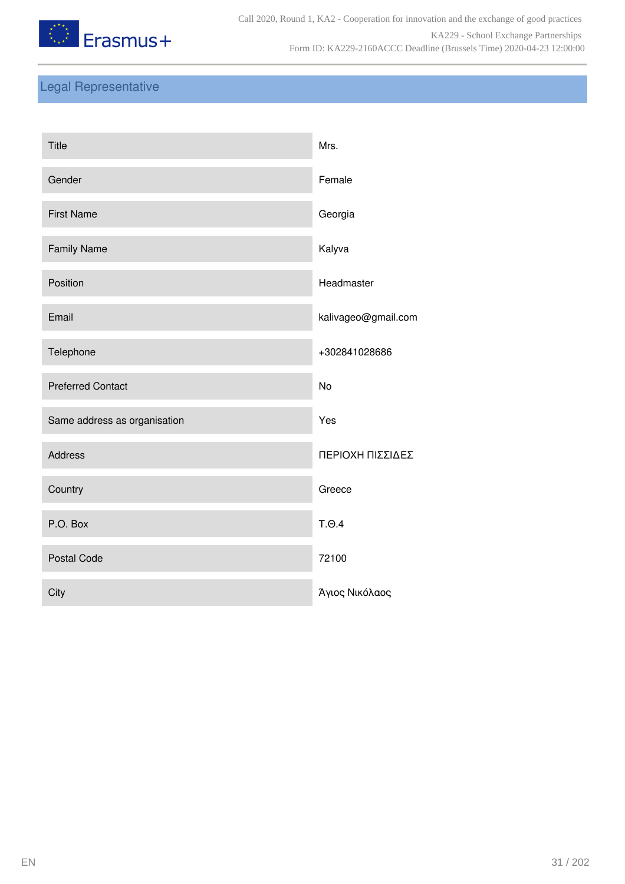

### Legal Representative

| <b>Title</b>                 | Mrs.                |
|------------------------------|---------------------|
| Gender                       | Female              |
| <b>First Name</b>            | Georgia             |
| <b>Family Name</b>           | Kalyva              |
| Position                     | Headmaster          |
| Email                        | kalivageo@gmail.com |
| Telephone                    | +302841028686       |
|                              |                     |
| <b>Preferred Contact</b>     | No                  |
| Same address as organisation | Yes                 |
| Address                      | ΠΕΡΙΟΧΗ ΠΙΣΣΙΔΕΣ    |
| Country                      | Greece              |
| P.O. Box                     | $T.\Theta.4$        |
| <b>Postal Code</b>           | 72100               |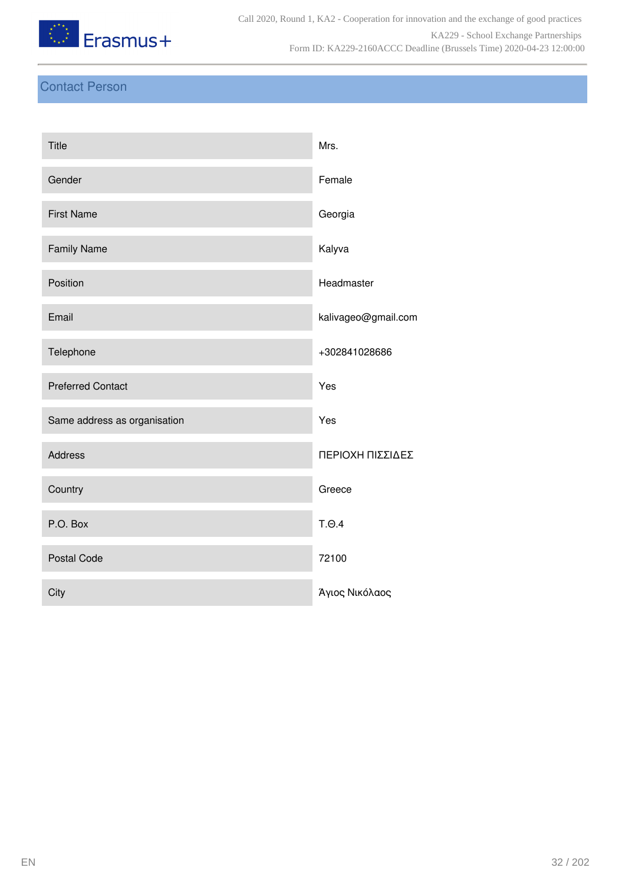

### Contact Person

| <b>Title</b>                 | Mrs.                |
|------------------------------|---------------------|
| Gender                       | Female              |
| <b>First Name</b>            | Georgia             |
| <b>Family Name</b>           | Kalyva              |
| Position                     | Headmaster          |
| Email                        | kalivageo@gmail.com |
| Telephone                    | +302841028686       |
| <b>Preferred Contact</b>     | Yes                 |
| Same address as organisation | Yes                 |
| <b>Address</b>               | ΠΕΡΙΟΧΗ ΠΙΣΣΙΔΕΣ    |
| Country                      | Greece              |
| P.O. Box                     | $T.\Theta.4$        |
| <b>Postal Code</b>           | 72100               |
| City                         | Άγιος Νικόλαος      |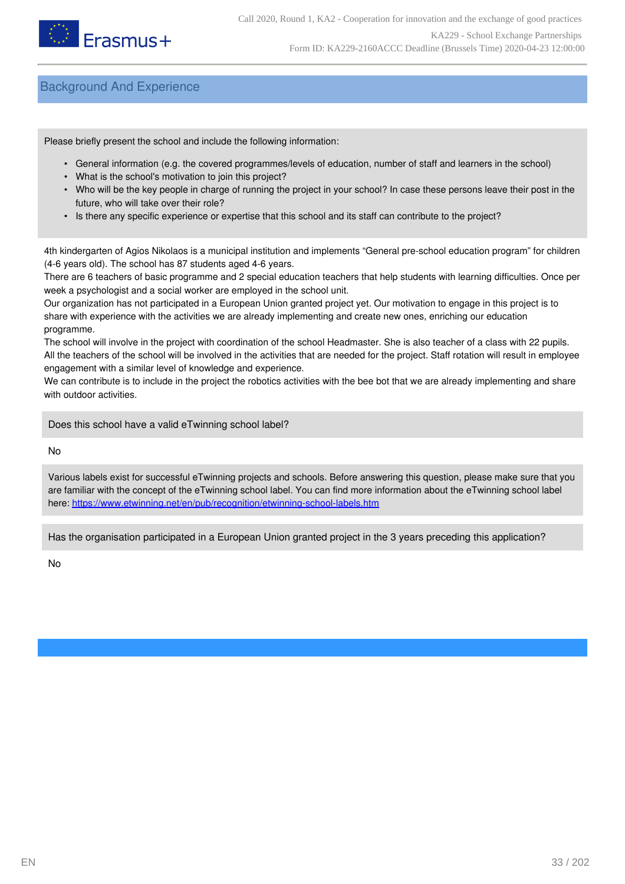

Form ID: KA229-2160ACCC Deadline (Brussels Time) 2020-04-23 12:00:00

#### Background And Experience

Please briefly present the school and include the following information:

- General information (e.g. the covered programmes/levels of education, number of staff and learners in the school)
- What is the school's motivation to join this project?
- Who will be the key people in charge of running the project in your school? In case these persons leave their post in the future, who will take over their role?
- Is there any specific experience or expertise that this school and its staff can contribute to the project?

4th kindergarten of Agios Nikolaos is a municipal institution and implements "General pre-school education program" for children (4-6 years old). The school has 87 students aged 4-6 years.

There are 6 teachers of basic programme and 2 special education teachers that help students with learning difficulties. Once per week a psychologist and a social worker are employed in the school unit.

Our organization has not participated in a European Union granted project yet. Our motivation to engage in this project is to share with experience with the activities we are already implementing and create new ones, enriching our education programme.

The school will involve in the project with coordination of the school Headmaster. She is also teacher of a class with 22 pupils. All the teachers of the school will be involved in the activities that are needed for the project. Staff rotation will result in employee engagement with a similar level of knowledge and experience.

We can contribute is to include in the project the robotics activities with the bee bot that we are already implementing and share with outdoor activities.

Does this school have a valid eTwinning school label?

No

Various labels exist for successful eTwinning projects and schools. Before answering this question, please make sure that you are familiar with the concept of the eTwinning school label. You can find more information about the eTwinning school label here: <https://www.etwinning.net/en/pub/recognition/etwinning-school-labels.htm>

Has the organisation participated in a European Union granted project in the 3 years preceding this application?

No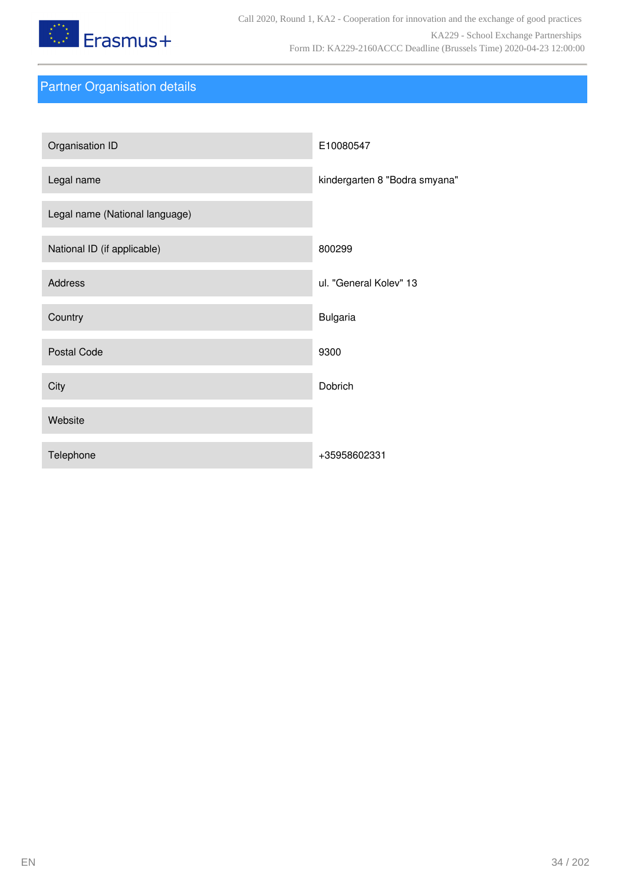

## Partner Organisation details

| Organisation ID                | E10080547                     |
|--------------------------------|-------------------------------|
| Legal name                     | kindergarten 8 "Bodra smyana" |
| Legal name (National language) |                               |
| National ID (if applicable)    | 800299                        |
| Address                        | ul. "General Kolev" 13        |
| Country                        | <b>Bulgaria</b>               |
| <b>Postal Code</b>             | 9300                          |
| City                           | Dobrich                       |
| Website                        |                               |
| Telephone                      | +35958602331                  |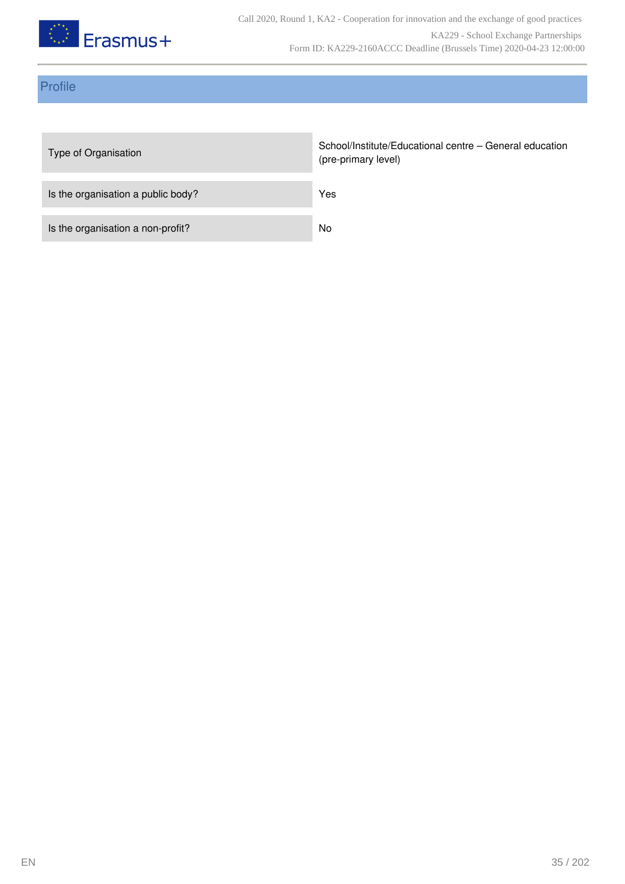

### Profile

| Type of Organisation               | School/Institute/Educational centre - General education<br>(pre-primary level) |
|------------------------------------|--------------------------------------------------------------------------------|
| Is the organisation a public body? | Yes                                                                            |
| Is the organisation a non-profit?  | No                                                                             |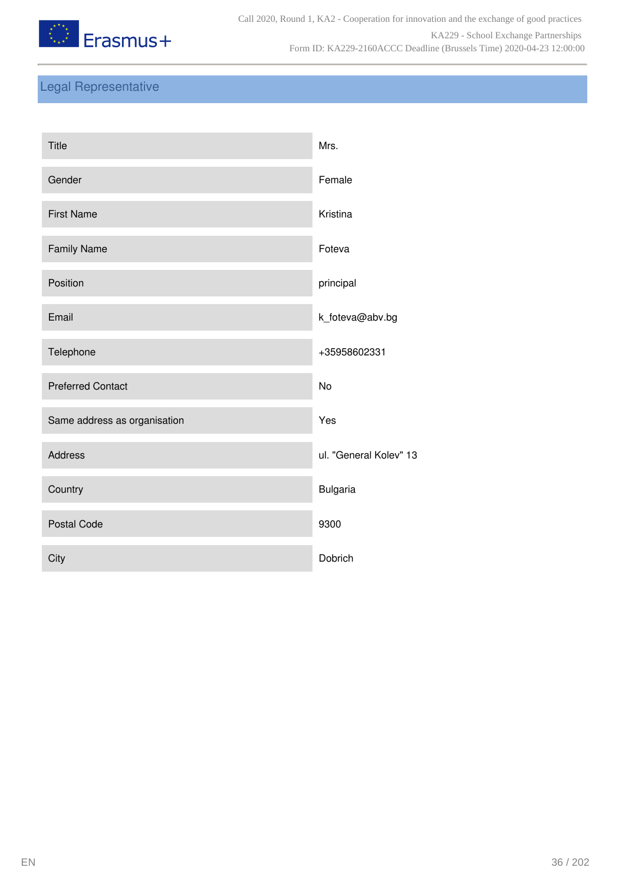

### Legal Representative

| <b>Title</b>                 | Mrs.                   |
|------------------------------|------------------------|
| Gender                       | Female                 |
| <b>First Name</b>            | Kristina               |
| <b>Family Name</b>           | Foteva                 |
| Position                     | principal              |
| Email                        | k_foteva@abv.bg        |
| Telephone                    | +35958602331           |
| <b>Preferred Contact</b>     | No                     |
| Same address as organisation | Yes                    |
| <b>Address</b>               | ul. "General Kolev" 13 |
| Country                      | <b>Bulgaria</b>        |
| <b>Postal Code</b>           | 9300                   |
| City                         | Dobrich                |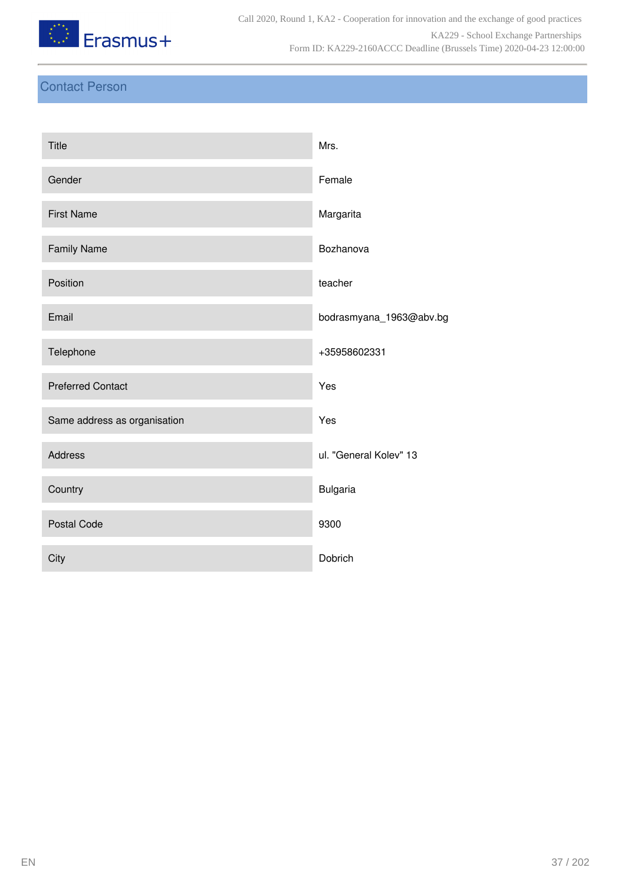

# Contact Person

| <b>Title</b>                 | Mrs.                    |
|------------------------------|-------------------------|
| Gender                       | Female                  |
| <b>First Name</b>            | Margarita               |
| <b>Family Name</b>           | Bozhanova               |
| Position                     | teacher                 |
| Email                        | bodrasmyana_1963@abv.bg |
| Telephone                    | +35958602331            |
| <b>Preferred Contact</b>     | Yes                     |
| Same address as organisation | Yes                     |
| <b>Address</b>               | ul. "General Kolev" 13  |
| Country                      | <b>Bulgaria</b>         |
| <b>Postal Code</b>           | 9300                    |
| City                         | Dobrich                 |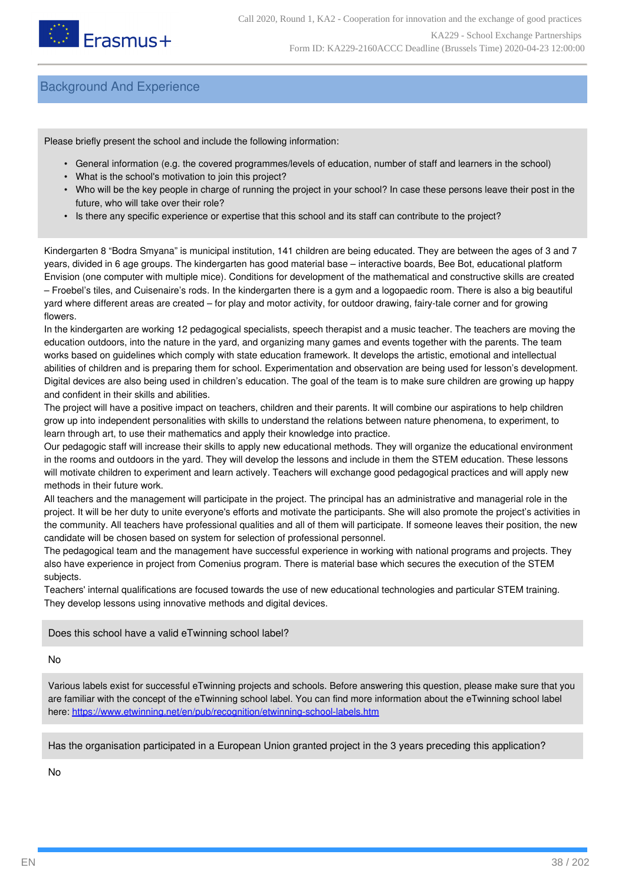

Form ID: KA229-2160ACCC Deadline (Brussels Time) 2020-04-23 12:00:00

### Background And Experience

Please briefly present the school and include the following information:

- General information (e.g. the covered programmes/levels of education, number of staff and learners in the school)
- What is the school's motivation to join this project?
- Who will be the key people in charge of running the project in your school? In case these persons leave their post in the future, who will take over their role?
- Is there any specific experience or expertise that this school and its staff can contribute to the project?

Kindergarten 8 "Bodra Smyana" is municipal institution, 141 children are being educated. They are between the ages of 3 and 7 years, divided in 6 age groups. The kindergarten has good material base – interactive boards, Bee Bot, educational platform Envision (one computer with multiple mice). Conditions for development of the mathematical and constructive skills are created – Froebel's tiles, and Cuisenaire's rods. In the kindergarten there is a gym and a logopaedic room. There is also a big beautiful yard where different areas are created – for play and motor activity, for outdoor drawing, fairy-tale corner and for growing flowers.

In the kindergarten are working 12 pedagogical specialists, speech therapist and a music teacher. The teachers are moving the education outdoors, into the nature in the yard, and organizing many games and events together with the parents. The team works based on guidelines which comply with state education framework. It develops the artistic, emotional and intellectual abilities of children and is preparing them for school. Experimentation and observation are being used for lesson's development. Digital devices are also being used in children's education. The goal of the team is to make sure children are growing up happy and confident in their skills and abilities.

The project will have a positive impact on teachers, children and their parents. It will combine our aspirations to help children grow up into independent personalities with skills to understand the relations between nature phenomena, to experiment, to learn through art, to use their mathematics and apply their knowledge into practice.

Our pedagogic staff will increase their skills to apply new educational methods. They will organize the educational environment in the rooms and outdoors in the yard. They will develop the lessons and include in them the STEM education. These lessons will motivate children to experiment and learn actively. Teachers will exchange good pedagogical practices and will apply new methods in their future work.

All teachers and the management will participate in the project. The principal has an administrative and managerial role in the project. It will be her duty to unite everyone's efforts and motivate the participants. She will also promote the project's activities in the community. All teachers have professional qualities and all of them will participate. If someone leaves their position, the new candidate will be chosen based on system for selection of professional personnel.

The pedagogical team and the management have successful experience in working with national programs and projects. They also have experience in project from Comenius program. There is material base which secures the execution of the STEM subjects.

Teachers' internal qualifications are focused towards the use of new educational technologies and particular STEM training. They develop lessons using innovative methods and digital devices.

Does this school have a valid eTwinning school label?

No

Various labels exist for successful eTwinning projects and schools. Before answering this question, please make sure that you are familiar with the concept of the eTwinning school label. You can find more information about the eTwinning school label here: <https://www.etwinning.net/en/pub/recognition/etwinning-school-labels.htm>

Has the organisation participated in a European Union granted project in the 3 years preceding this application?

No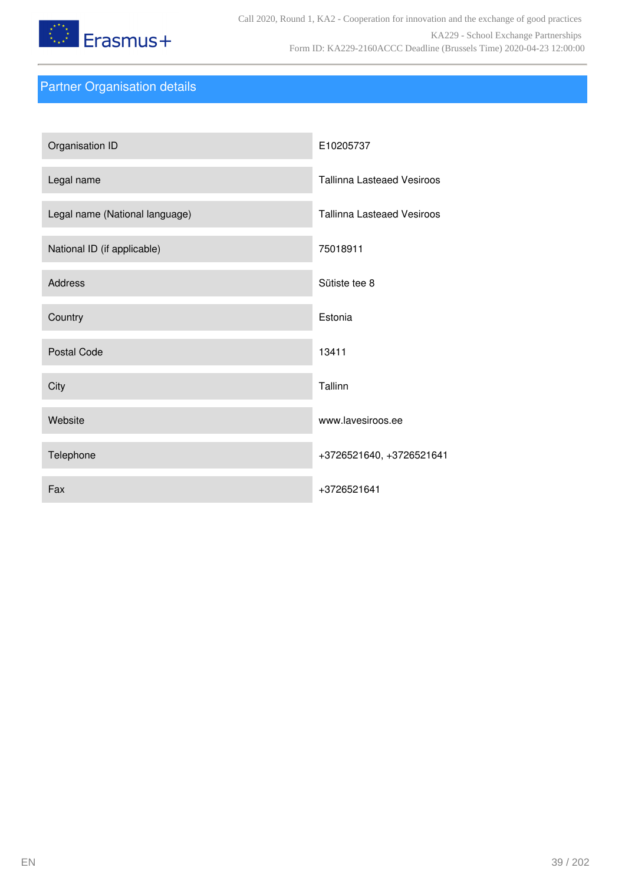

# Partner Organisation details

| Organisation ID                | E10205737                         |
|--------------------------------|-----------------------------------|
| Legal name                     | <b>Tallinna Lasteaed Vesiroos</b> |
| Legal name (National language) | <b>Tallinna Lasteaed Vesiroos</b> |
| National ID (if applicable)    | 75018911                          |
| Address                        | Sütiste tee 8                     |
| Country                        | Estonia                           |
| <b>Postal Code</b>             | 13411                             |
| City                           | Tallinn                           |
| Website                        | www.lavesiroos.ee                 |
| Telephone                      | +3726521640, +3726521641          |
| Fax                            | +3726521641                       |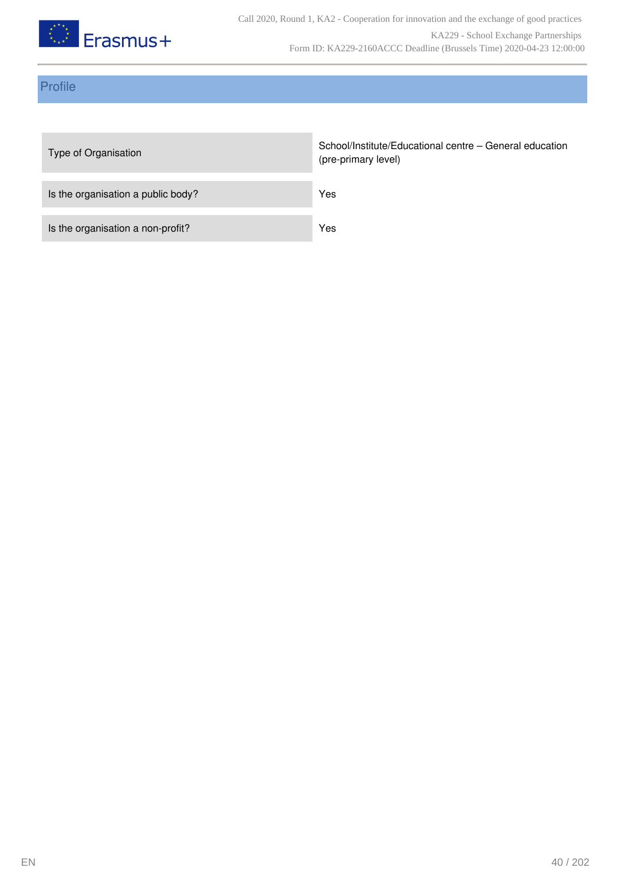

# Profile

| Type of Organisation               | School/Institute/Educational centre – General education<br>(pre-primary level) |
|------------------------------------|--------------------------------------------------------------------------------|
| Is the organisation a public body? | Yes                                                                            |
| Is the organisation a non-profit?  | Yes                                                                            |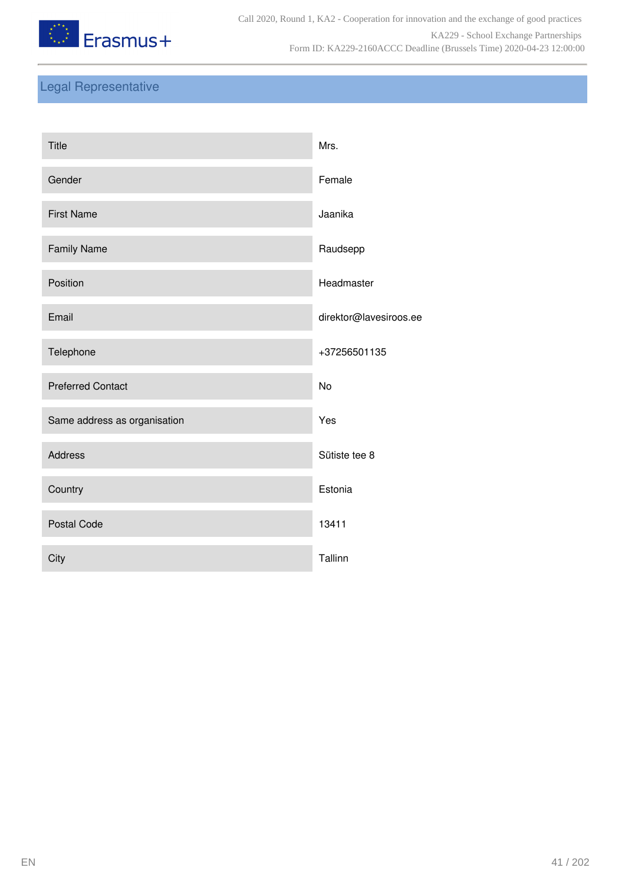

# Legal Representative

| <b>Title</b>                 | Mrs.                   |
|------------------------------|------------------------|
| Gender                       | Female                 |
| <b>First Name</b>            | Jaanika                |
| <b>Family Name</b>           | Raudsepp               |
| Position                     | Headmaster             |
| Email                        | direktor@lavesiroos.ee |
| Telephone                    | +37256501135           |
| <b>Preferred Contact</b>     | <b>No</b>              |
| Same address as organisation | Yes                    |
| Address                      | Sütiste tee 8          |
| Country                      | Estonia                |
| <b>Postal Code</b>           | 13411                  |
| City                         | Tallinn                |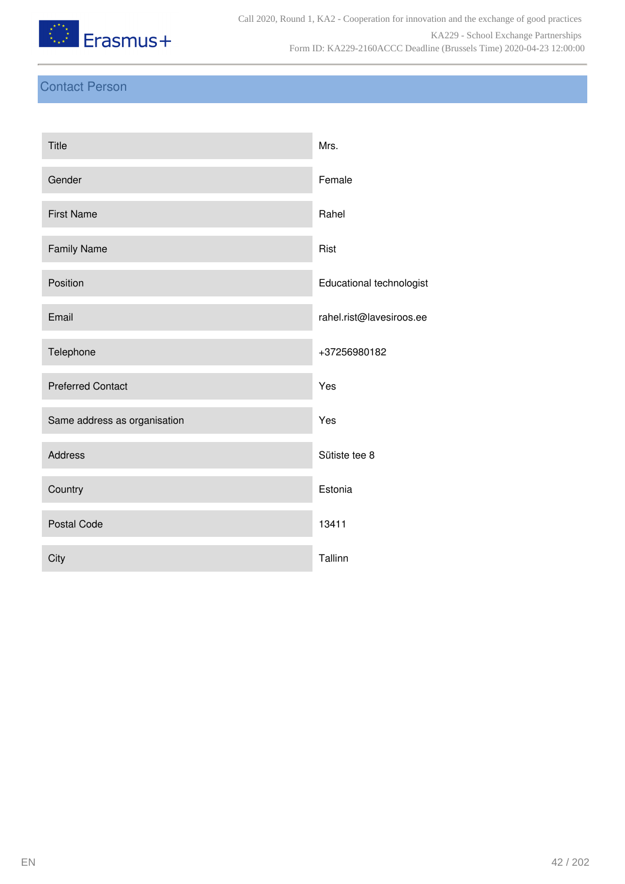

# Contact Person

| <b>Title</b>                 | Mrs.                     |
|------------------------------|--------------------------|
| Gender                       | Female                   |
| <b>First Name</b>            | Rahel                    |
| <b>Family Name</b>           | Rist                     |
| Position                     | Educational technologist |
| Email                        | rahel.rist@lavesiroos.ee |
| Telephone                    | +37256980182             |
| <b>Preferred Contact</b>     | Yes                      |
| Same address as organisation | Yes                      |
| Address                      | Sütiste tee 8            |
| Country                      | Estonia                  |
| <b>Postal Code</b>           | 13411                    |
| City                         | Tallinn                  |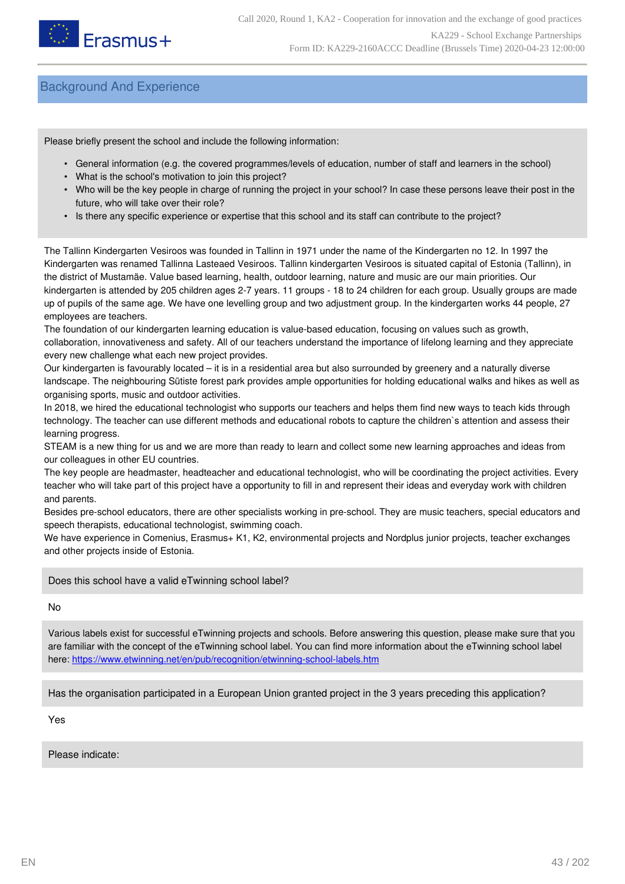

Form ID: KA229-2160ACCC Deadline (Brussels Time) 2020-04-23 12:00:00

### Background And Experience

Please briefly present the school and include the following information:

- General information (e.g. the covered programmes/levels of education, number of staff and learners in the school)
- What is the school's motivation to join this project?
- Who will be the key people in charge of running the project in your school? In case these persons leave their post in the future, who will take over their role?
- Is there any specific experience or expertise that this school and its staff can contribute to the project?

The Tallinn Kindergarten Vesiroos was founded in Tallinn in 1971 under the name of the Kindergarten no 12. In 1997 the Kindergarten was renamed Tallinna Lasteaed Vesiroos. Tallinn kindergarten Vesiroos is situated capital of Estonia (Tallinn), in the district of Mustamäe. Value based learning, health, outdoor learning, nature and music are our main priorities. Our kindergarten is attended by 205 children ages 2-7 years. 11 groups - 18 to 24 children for each group. Usually groups are made up of pupils of the same age. We have one levelling group and two adjustment group. In the kindergarten works 44 people, 27 employees are teachers.

The foundation of our kindergarten learning education is value-based education, focusing on values such as growth, collaboration, innovativeness and safety. All of our teachers understand the importance of lifelong learning and they appreciate every new challenge what each new project provides.

Our kindergarten is favourably located – it is in a residential area but also surrounded by greenery and a naturally diverse landscape. The neighbouring Sütiste forest park provides ample opportunities for holding educational walks and hikes as well as organising sports, music and outdoor activities.

In 2018, we hired the educational technologist who supports our teachers and helps them find new ways to teach kids through technology. The teacher can use different methods and educational robots to capture the children`s attention and assess their learning progress.

STEAM is a new thing for us and we are more than ready to learn and collect some new learning approaches and ideas from our colleagues in other EU countries.

The key people are headmaster, headteacher and educational technologist, who will be coordinating the project activities. Every teacher who will take part of this project have a opportunity to fill in and represent their ideas and everyday work with children and parents.

Besides pre-school educators, there are other specialists working in pre-school. They are music teachers, special educators and speech therapists, educational technologist, swimming coach.

We have experience in Comenius, Erasmus+ K1, K2, environmental projects and Nordplus junior projects, teacher exchanges and other projects inside of Estonia.

Does this school have a valid eTwinning school label?

### No

Various labels exist for successful eTwinning projects and schools. Before answering this question, please make sure that you are familiar with the concept of the eTwinning school label. You can find more information about the eTwinning school label here: <https://www.etwinning.net/en/pub/recognition/etwinning-school-labels.htm>

Has the organisation participated in a European Union granted project in the 3 years preceding this application?

Yes

Please indicate: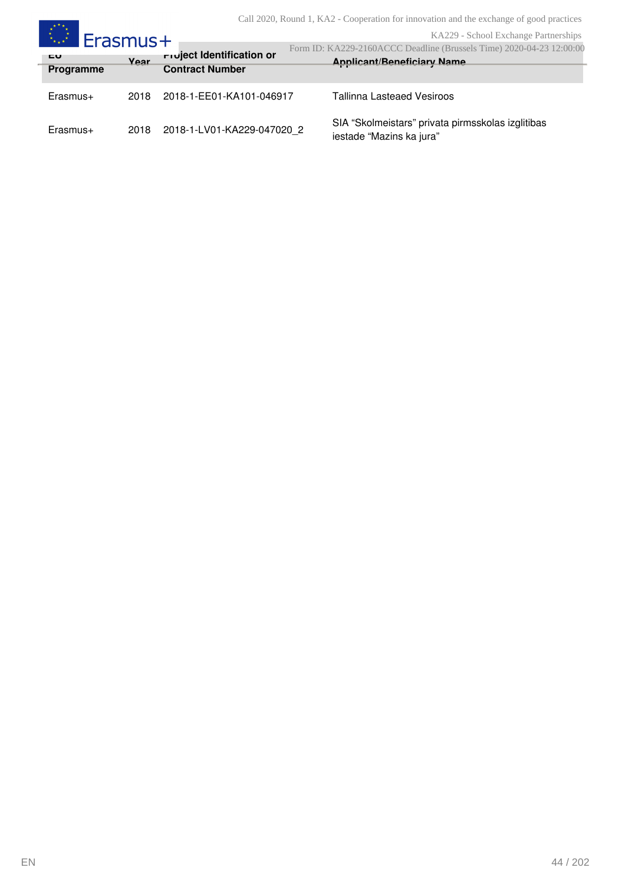|  | KA229 - School Exchange Par |  |
|--|-----------------------------|--|
|  |                             |  |

| ▲ Erasmus+<br>$\mathbf{r}$ $\mathbf{r}$ |      | KA229 - School Exchange Partnerships |                                                                               |  |
|-----------------------------------------|------|--------------------------------------|-------------------------------------------------------------------------------|--|
| cυ                                      |      | rioject Identification or            | Form ID: KA229-2160ACCC Deadline (Brussels Time) 2020-04-23 12:00:00          |  |
| Programme                               | Year | <b>Contract Number</b>               | <b>Applicant/Beneficiary Name</b>                                             |  |
| $E$ rasmus+                             | 2018 | 2018-1-EE01-KA101-046917             | Tallinna Lasteaed Vesiroos                                                    |  |
| $E$ rasmus+                             | 2018 | 2018-1-LV01-KA229-047020 2           | SIA "Skolmeistars" privata pirmsskolas izglitibas<br>iestade "Mazins ka jura" |  |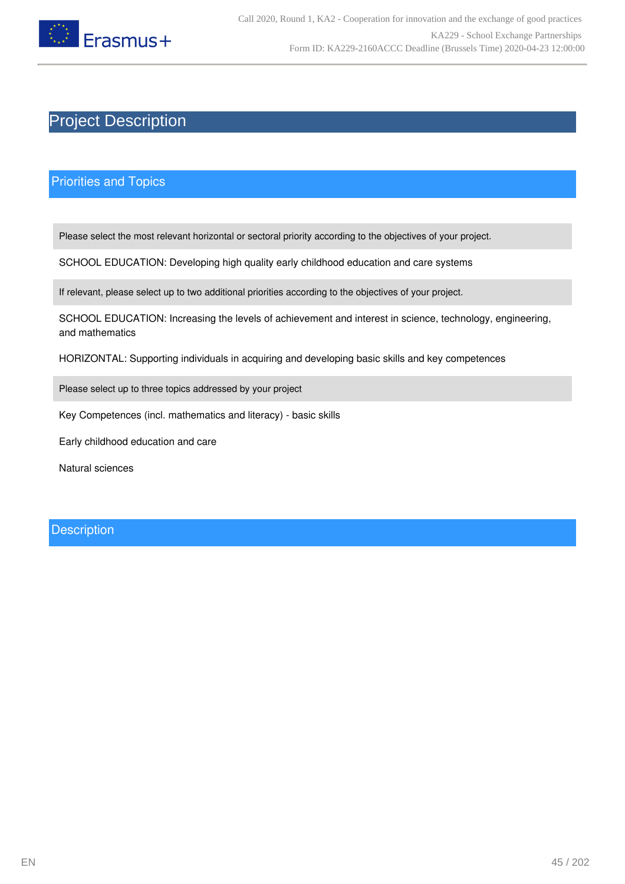

# Project Description

### Priorities and Topics

Please select the most relevant horizontal or sectoral priority according to the objectives of your project.

SCHOOL EDUCATION: Developing high quality early childhood education and care systems

If relevant, please select up to two additional priorities according to the objectives of your project.

SCHOOL EDUCATION: Increasing the levels of achievement and interest in science, technology, engineering, and mathematics

HORIZONTAL: Supporting individuals in acquiring and developing basic skills and key competences

Please select up to three topics addressed by your project

Key Competences (incl. mathematics and literacy) - basic skills

Early childhood education and care

Natural sciences

**Description**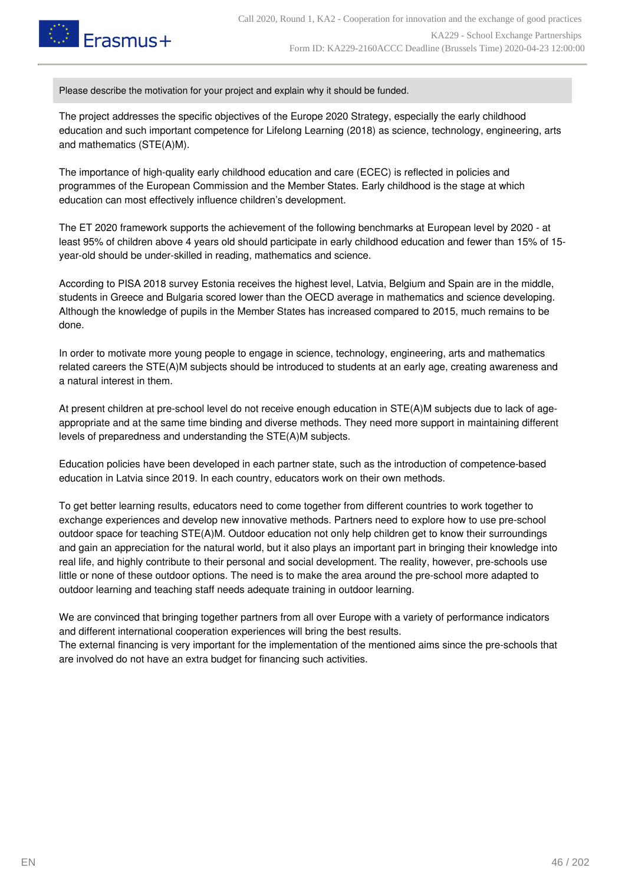

Please describe the motivation for your project and explain why it should be funded.

The project addresses the specific objectives of the Europe 2020 Strategy, especially the early childhood education and such important competence for Lifelong Learning (2018) as science, technology, engineering, arts and mathematics (STE(A)M).

The importance of high-quality early childhood education and care (ECEC) is reflected in policies and programmes of the European Commission and the Member States. Early childhood is the stage at which education can most effectively influence children's development.

The ET 2020 framework supports the achievement of the following benchmarks at European level by 2020 - at least 95% of children above 4 years old should participate in early childhood education and fewer than 15% of 15 year-old should be under-skilled in reading, mathematics and science.

According to PISA 2018 survey Estonia receives the highest level, Latvia, Belgium and Spain are in the middle, students in Greece and Bulgaria scored lower than the OECD average in mathematics and science developing. Although the knowledge of pupils in the Member States has increased compared to 2015, much remains to be done.

In order to motivate more young people to engage in science, technology, engineering, arts and mathematics related careers the STE(A)M subjects should be introduced to students at an early age, creating awareness and a natural interest in them.

At present children at pre-school level do not receive enough education in STE(A)M subjects due to lack of ageappropriate and at the same time binding and diverse methods. They need more support in maintaining different levels of preparedness and understanding the STE(A)M subjects.

Education policies have been developed in each partner state, such as the introduction of competence-based education in Latvia since 2019. In each country, educators work on their own methods.

To get better learning results, educators need to come together from different countries to work together to exchange experiences and develop new innovative methods. Partners need to explore how to use pre-school outdoor space for teaching STE(A)M. Outdoor education not only help children get to know their surroundings and gain an appreciation for the natural world, but it also plays an important part in bringing their knowledge into real life, and highly contribute to their personal and social development. The reality, however, pre-schools use little or none of these outdoor options. The need is to make the area around the pre-school more adapted to outdoor learning and teaching staff needs adequate training in outdoor learning.

We are convinced that bringing together partners from all over Europe with a variety of performance indicators and different international cooperation experiences will bring the best results.

The external financing is very important for the implementation of the mentioned aims since the pre-schools that are involved do not have an extra budget for financing such activities.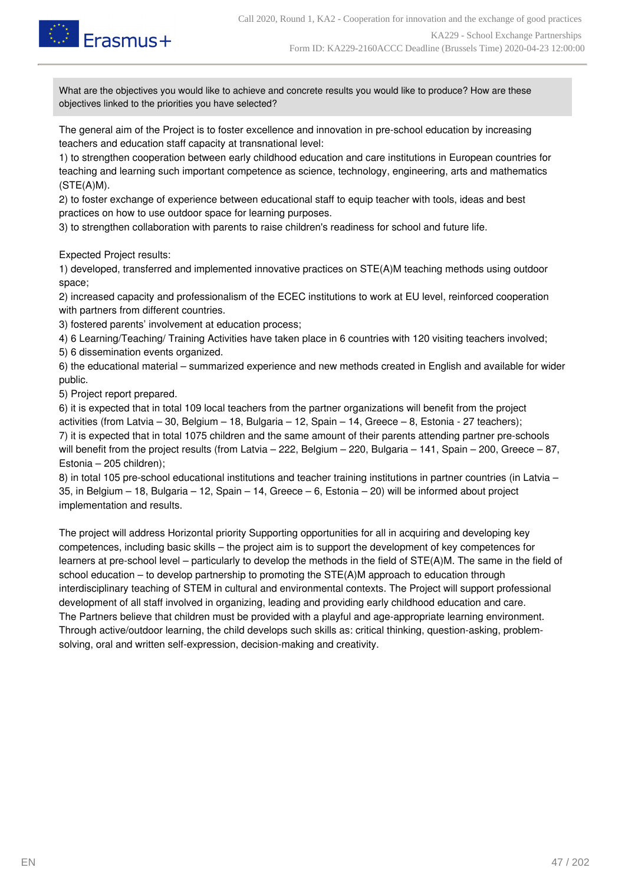

What are the objectives you would like to achieve and concrete results you would like to produce? How are these objectives linked to the priorities you have selected?

The general aim of the Project is to foster excellence and innovation in pre-school education by increasing teachers and education staff capacity at transnational level:

1) to strengthen cooperation between early childhood education and care institutions in European countries for teaching and learning such important competence as science, technology, engineering, arts and mathematics  $(STE(A)M)$ .

2) to foster exchange of experience between educational staff to equip teacher with tools, ideas and best practices on how to use outdoor space for learning purposes.

3) to strengthen collaboration with parents to raise children's readiness for school and future life.

Expected Project results:

1) developed, transferred and implemented innovative practices on STE(A)M teaching methods using outdoor space;

2) increased capacity and professionalism of the ECEC institutions to work at EU level, reinforced cooperation with partners from different countries.

3) fostered parents' involvement at education process;

4) 6 Learning/Teaching/ Training Activities have taken place in 6 countries with 120 visiting teachers involved;

5) 6 dissemination events organized.

6) the educational material – summarized experience and new methods created in English and available for wider public.

5) Project report prepared.

6) it is expected that in total 109 local teachers from the partner organizations will benefit from the project activities (from Latvia – 30, Belgium – 18, Bulgaria – 12, Spain – 14, Greece – 8, Estonia - 27 teachers); 7) it is expected that in total 1075 children and the same amount of their parents attending partner pre-schools will benefit from the project results (from Latvia – 222, Belgium – 220, Bulgaria – 141, Spain – 200, Greece – 87, Estonia – 205 children);

8) in total 105 pre-school educational institutions and teacher training institutions in partner countries (in Latvia – 35, in Belgium – 18, Bulgaria – 12, Spain – 14, Greece – 6, Estonia – 20) will be informed about project implementation and results.

The project will address Horizontal priority Supporting opportunities for all in acquiring and developing key competences, including basic skills – the project aim is to support the development of key competences for learners at pre-school level – particularly to develop the methods in the field of STE(A)M. The same in the field of school education – to develop partnership to promoting the STE(A)M approach to education through interdisciplinary teaching of STEM in cultural and environmental contexts. The Project will support professional development of all staff involved in organizing, leading and providing early childhood education and care. The Partners believe that children must be provided with a playful and age-appropriate learning environment. Through active/outdoor learning, the child develops such skills as: critical thinking, question-asking, problemsolving, oral and written self-expression, decision-making and creativity.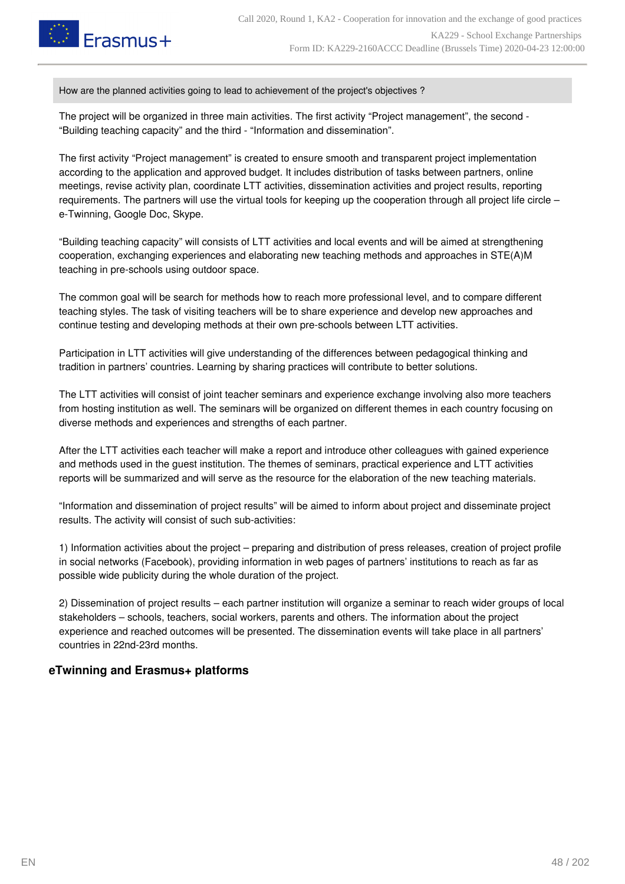

How are the planned activities going to lead to achievement of the project's objectives ?

The project will be organized in three main activities. The first activity "Project management", the second - "Building teaching capacity" and the third - "Information and dissemination".

The first activity "Project management" is created to ensure smooth and transparent project implementation according to the application and approved budget. It includes distribution of tasks between partners, online meetings, revise activity plan, coordinate LTT activities, dissemination activities and project results, reporting requirements. The partners will use the virtual tools for keeping up the cooperation through all project life circle – e-Twinning, Google Doc, Skype.

"Building teaching capacity" will consists of LTT activities and local events and will be aimed at strengthening cooperation, exchanging experiences and elaborating new teaching methods and approaches in STE(A)M teaching in pre-schools using outdoor space.

The common goal will be search for methods how to reach more professional level, and to compare different teaching styles. The task of visiting teachers will be to share experience and develop new approaches and continue testing and developing methods at their own pre-schools between LTT activities.

Participation in LTT activities will give understanding of the differences between pedagogical thinking and tradition in partners' countries. Learning by sharing practices will contribute to better solutions.

The LTT activities will consist of joint teacher seminars and experience exchange involving also more teachers from hosting institution as well. The seminars will be organized on different themes in each country focusing on diverse methods and experiences and strengths of each partner.

After the LTT activities each teacher will make a report and introduce other colleagues with gained experience and methods used in the guest institution. The themes of seminars, practical experience and LTT activities reports will be summarized and will serve as the resource for the elaboration of the new teaching materials.

"Information and dissemination of project results" will be aimed to inform about project and disseminate project results. The activity will consist of such sub-activities:

1) Information activities about the project – preparing and distribution of press releases, creation of project profile in social networks (Facebook), providing information in web pages of partners' institutions to reach as far as possible wide publicity during the whole duration of the project.

2) Dissemination of project results – each partner institution will organize a seminar to reach wider groups of local stakeholders – schools, teachers, social workers, parents and others. The information about the project experience and reached outcomes will be presented. The dissemination events will take place in all partners' countries in 22nd-23rd months.

### **eTwinning and Erasmus+ platforms**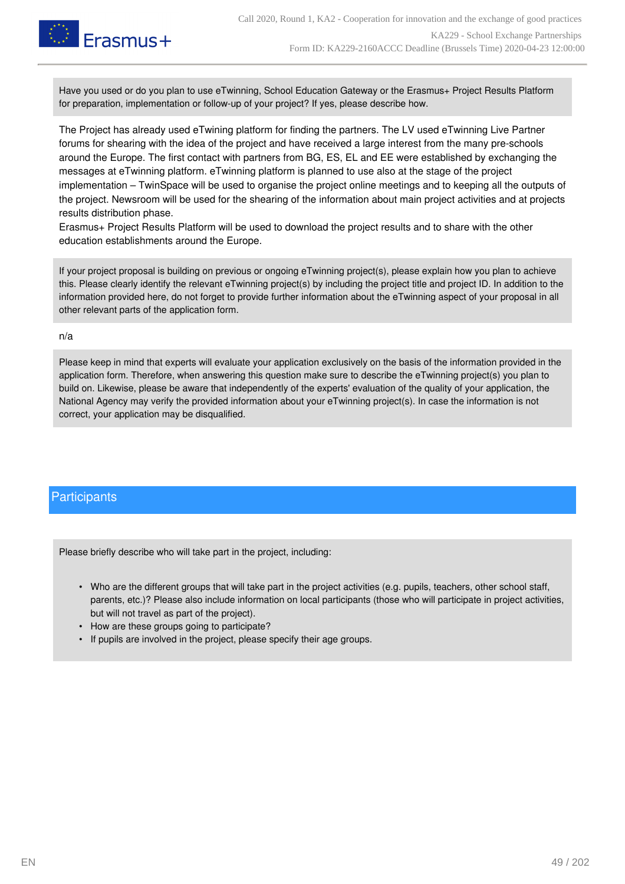

Have you used or do you plan to use eTwinning, School Education Gateway or the Erasmus+ Project Results Platform for preparation, implementation or follow-up of your project? If yes, please describe how.

The Project has already used eTwining platform for finding the partners. The LV used eTwinning Live Partner forums for shearing with the idea of the project and have received a large interest from the many pre-schools around the Europe. The first contact with partners from BG, ES, EL and EE were established by exchanging the messages at eTwinning platform. eTwinning platform is planned to use also at the stage of the project implementation – TwinSpace will be used to organise the project online meetings and to keeping all the outputs of the project. Newsroom will be used for the shearing of the information about main project activities and at projects results distribution phase.

Erasmus+ Project Results Platform will be used to download the project results and to share with the other education establishments around the Europe.

If your project proposal is building on previous or ongoing eTwinning project(s), please explain how you plan to achieve this. Please clearly identify the relevant eTwinning project(s) by including the project title and project ID. In addition to the information provided here, do not forget to provide further information about the eTwinning aspect of your proposal in all other relevant parts of the application form.

#### n/a

Please keep in mind that experts will evaluate your application exclusively on the basis of the information provided in the application form. Therefore, when answering this question make sure to describe the eTwinning project(s) you plan to build on. Likewise, please be aware that independently of the experts' evaluation of the quality of your application, the National Agency may verify the provided information about your eTwinning project(s). In case the information is not correct, your application may be disqualified.

### **Participants**

Please briefly describe who will take part in the project, including:

- Who are the different groups that will take part in the project activities (e.g. pupils, teachers, other school staff, parents, etc.)? Please also include information on local participants (those who will participate in project activities, but will not travel as part of the project).
- How are these groups going to participate?
- If pupils are involved in the project, please specify their age groups.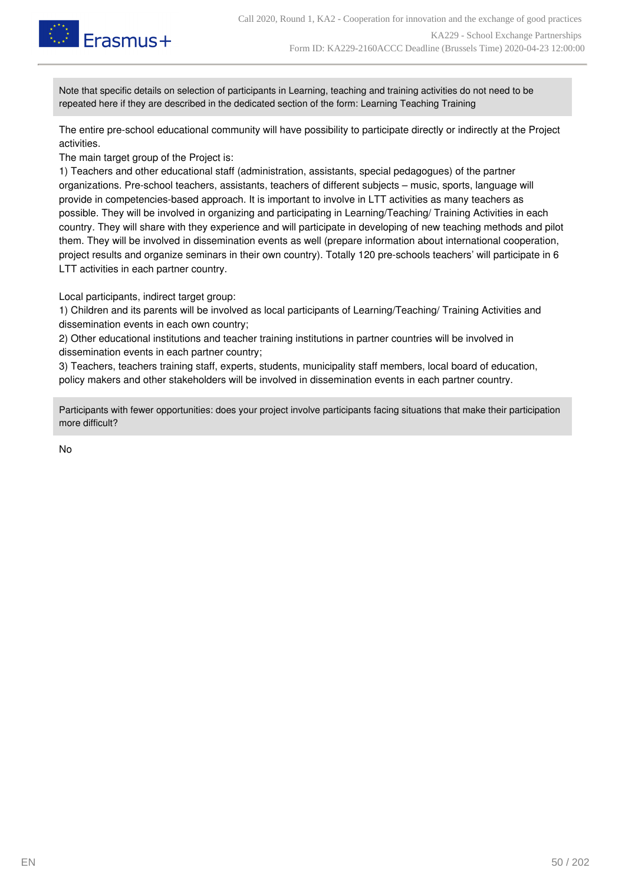

Note that specific details on selection of participants in Learning, teaching and training activities do not need to be repeated here if they are described in the dedicated section of the form: Learning Teaching Training

The entire pre-school educational community will have possibility to participate directly or indirectly at the Project activities.

The main target group of the Project is:

1) Teachers and other educational staff (administration, assistants, special pedagogues) of the partner organizations. Pre-school teachers, assistants, teachers of different subjects – music, sports, language will provide in competencies-based approach. It is important to involve in LTT activities as many teachers as possible. They will be involved in organizing and participating in Learning/Teaching/ Training Activities in each country. They will share with they experience and will participate in developing of new teaching methods and pilot them. They will be involved in dissemination events as well (prepare information about international cooperation, project results and organize seminars in their own country). Totally 120 pre-schools teachers' will participate in 6 LTT activities in each partner country.

Local participants, indirect target group:

1) Children and its parents will be involved as local participants of Learning/Teaching/ Training Activities and dissemination events in each own country;

2) Other educational institutions and teacher training institutions in partner countries will be involved in dissemination events in each partner country;

3) Teachers, teachers training staff, experts, students, municipality staff members, local board of education, policy makers and other stakeholders will be involved in dissemination events in each partner country.

Participants with fewer opportunities: does your project involve participants facing situations that make their participation more difficult?

No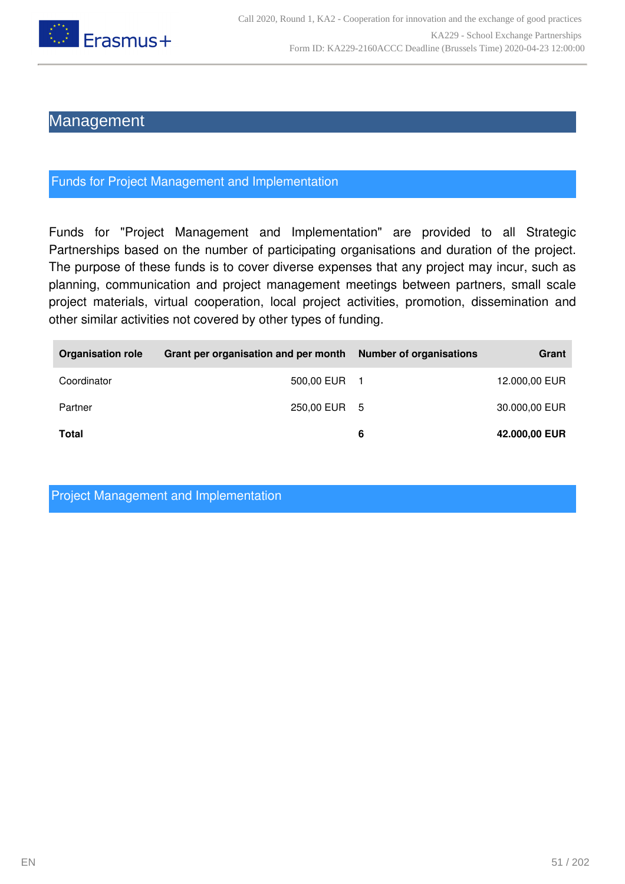

# Management

## Funds for Project Management and Implementation

Funds for "Project Management and Implementation" are provided to all Strategic Partnerships based on the number of participating organisations and duration of the project. The purpose of these funds is to cover diverse expenses that any project may incur, such as planning, communication and project management meetings between partners, small scale project materials, virtual cooperation, local project activities, promotion, dissemination and other similar activities not covered by other types of funding.

| <b>Organisation role</b> | Grant per organisation and per month Number of organisations |   | Grant         |
|--------------------------|--------------------------------------------------------------|---|---------------|
| Coordinator              | 500,00 EUR                                                   |   | 12.000,00 EUR |
| Partner                  | 250,00 EUR 5                                                 |   | 30.000,00 EUR |
| <b>Total</b>             |                                                              | 6 | 42.000,00 EUR |

Project Management and Implementation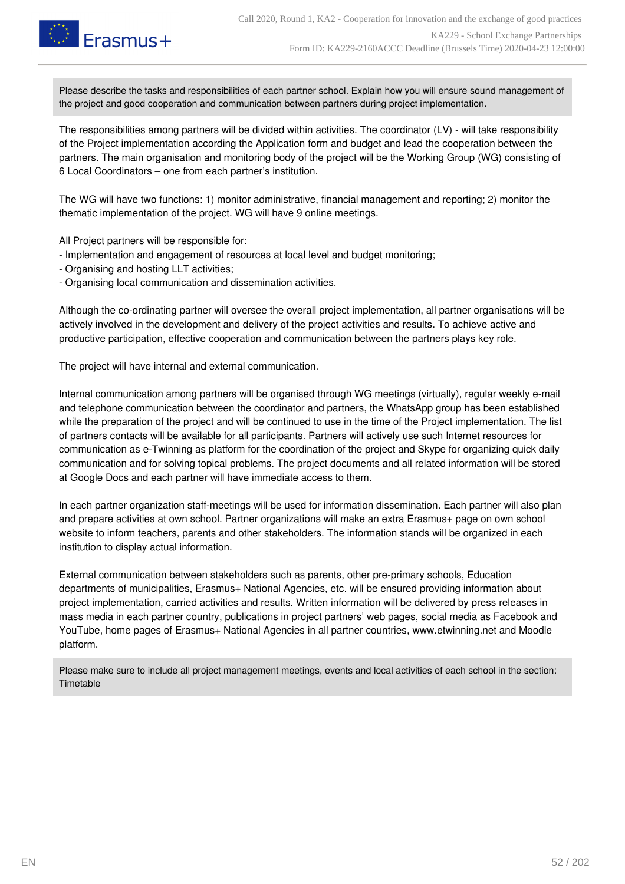

Please describe the tasks and responsibilities of each partner school. Explain how you will ensure sound management of the project and good cooperation and communication between partners during project implementation.

The responsibilities among partners will be divided within activities. The coordinator (LV) - will take responsibility of the Project implementation according the Application form and budget and lead the cooperation between the partners. The main organisation and monitoring body of the project will be the Working Group (WG) consisting of 6 Local Coordinators – one from each partner's institution.

The WG will have two functions: 1) monitor administrative, financial management and reporting; 2) monitor the thematic implementation of the project. WG will have 9 online meetings.

All Project partners will be responsible for:

- Implementation and engagement of resources at local level and budget monitoring;
- Organising and hosting LLT activities;
- Organising local communication and dissemination activities.

Although the co-ordinating partner will oversee the overall project implementation, all partner organisations will be actively involved in the development and delivery of the project activities and results. To achieve active and productive participation, effective cooperation and communication between the partners plays key role.

The project will have internal and external communication.

Internal communication among partners will be organised through WG meetings (virtually), regular weekly e-mail and telephone communication between the coordinator and partners, the WhatsApp group has been established while the preparation of the project and will be continued to use in the time of the Project implementation. The list of partners contacts will be available for all participants. Partners will actively use such Internet resources for communication as e-Twinning as platform for the coordination of the project and Skype for organizing quick daily communication and for solving topical problems. The project documents and all related information will be stored at Google Docs and each partner will have immediate access to them.

In each partner organization staff-meetings will be used for information dissemination. Each partner will also plan and prepare activities at own school. Partner organizations will make an extra Erasmus+ page on own school website to inform teachers, parents and other stakeholders. The information stands will be organized in each institution to display actual information.

External communication between stakeholders such as parents, other pre-primary schools, Education departments of municipalities, Erasmus+ National Agencies, etc. will be ensured providing information about project implementation, carried activities and results. Written information will be delivered by press releases in mass media in each partner country, publications in project partners' web pages, social media as Facebook and YouTube, home pages of Erasmus+ National Agencies in all partner countries, www.etwinning.net and Moodle platform.

Please make sure to include all project management meetings, events and local activities of each school in the section: **Timetable**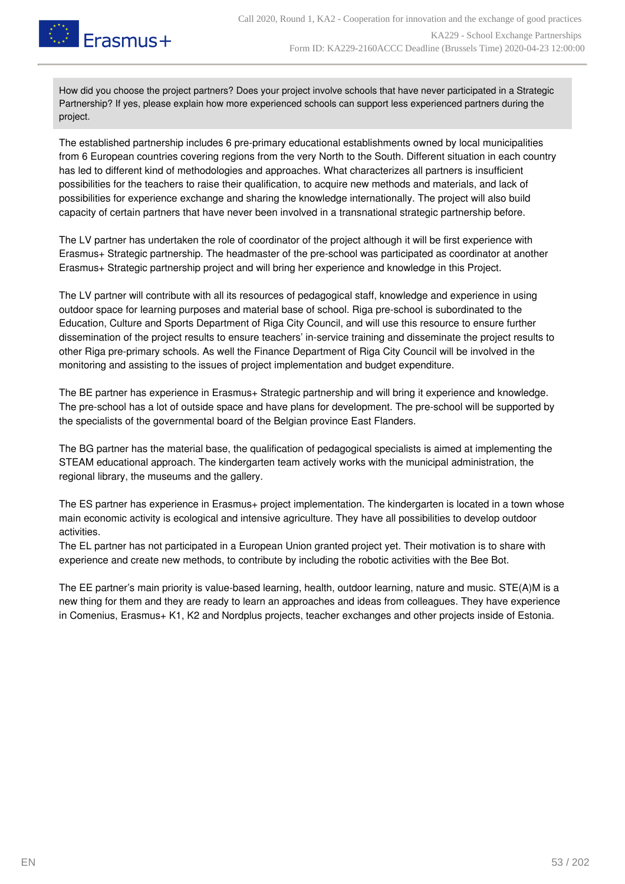

How did you choose the project partners? Does your project involve schools that have never participated in a Strategic Partnership? If yes, please explain how more experienced schools can support less experienced partners during the project.

The established partnership includes 6 pre-primary educational establishments owned by local municipalities from 6 European countries covering regions from the very North to the South. Different situation in each country has led to different kind of methodologies and approaches. What characterizes all partners is insufficient possibilities for the teachers to raise their qualification, to acquire new methods and materials, and lack of possibilities for experience exchange and sharing the knowledge internationally. The project will also build capacity of certain partners that have never been involved in a transnational strategic partnership before.

The LV partner has undertaken the role of coordinator of the project although it will be first experience with Erasmus+ Strategic partnership. The headmaster of the pre-school was participated as coordinator at another Erasmus+ Strategic partnership project and will bring her experience and knowledge in this Project.

The LV partner will contribute with all its resources of pedagogical staff, knowledge and experience in using outdoor space for learning purposes and material base of school. Riga pre-school is subordinated to the Education, Culture and Sports Department of Riga City Council, and will use this resource to ensure further dissemination of the project results to ensure teachers' in-service training and disseminate the project results to other Riga pre-primary schools. As well the Finance Department of Riga City Council will be involved in the monitoring and assisting to the issues of project implementation and budget expenditure.

The BE partner has experience in Erasmus+ Strategic partnership and will bring it experience and knowledge. The pre-school has a lot of outside space and have plans for development. The pre-school will be supported by the specialists of the governmental board of the Belgian province East Flanders.

The BG partner has the material base, the qualification of pedagogical specialists is aimed at implementing the STEAM educational approach. The kindergarten team actively works with the municipal administration, the regional library, the museums and the gallery.

The ES partner has experience in Erasmus+ project implementation. The kindergarten is located in a town whose main economic activity is ecological and intensive agriculture. They have all possibilities to develop outdoor activities.

The EL partner has not participated in a European Union granted project yet. Their motivation is to share with experience and create new methods, to contribute by including the robotic activities with the Bee Bot.

The EE partner's main priority is value-based learning, health, outdoor learning, nature and music. STE(A)M is a new thing for them and they are ready to learn an approaches and ideas from colleagues. They have experience in Comenius, Erasmus+ K1, K2 and Nordplus projects, teacher exchanges and other projects inside of Estonia.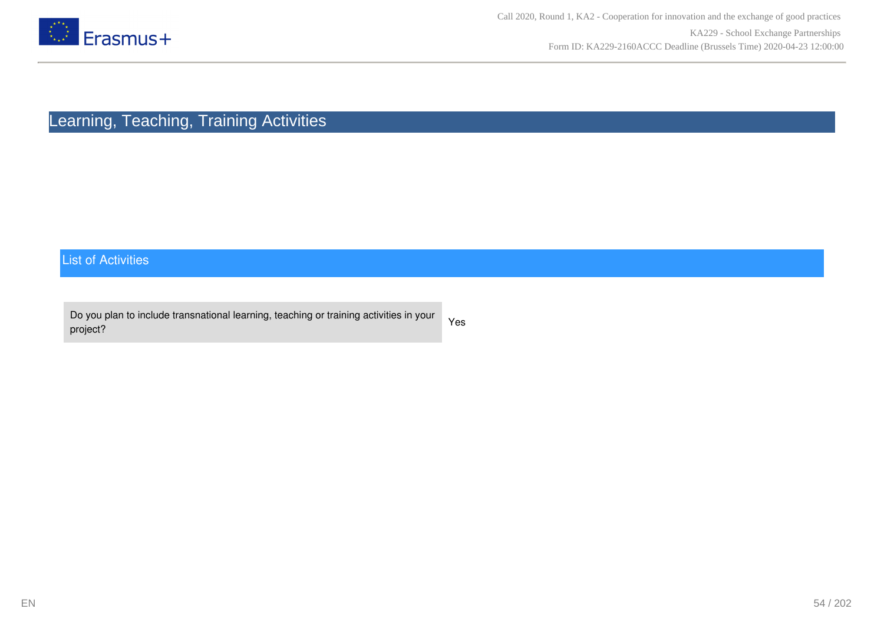

# Learning, Teaching, Training Activities

# List of Activities

Do you plan to include transnational learning, teaching or training activities in your project? Yes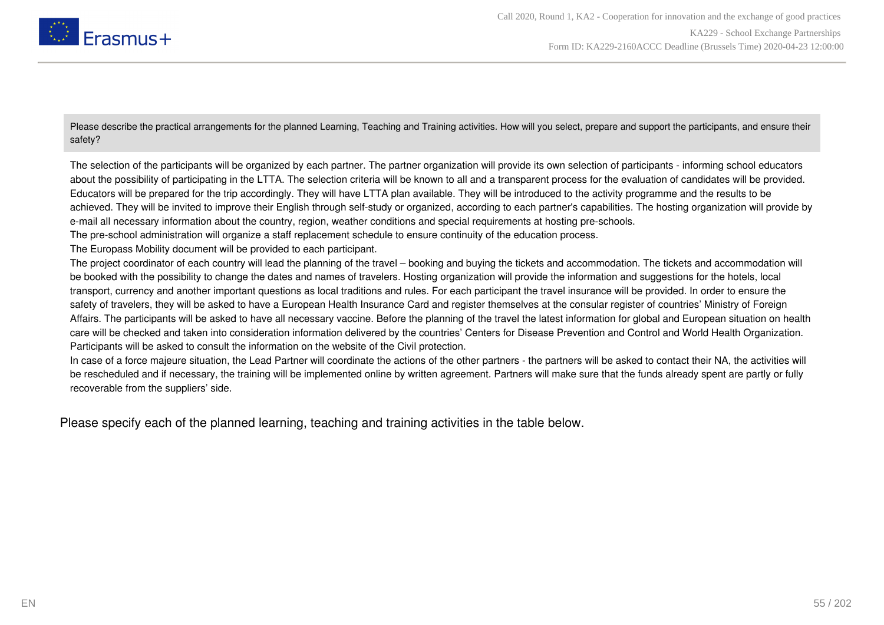

Please describe the practical arrangements for the planned Learning, Teaching and Training activities. How will you select, prepare and support the participants, and ensure their safety?

The selection of the participants will be organized by each partner. The partner organization will provide its own selection of participants - informing school educators about the possibility of participating in the LTTA. The selection criteria will be known to all and a transparent process for the evaluation of candidates will be provided. Educators will be prepared for the trip accordingly. They will have LTTA plan available. They will be introduced to the activity programme and the results to be achieved. They will be invited to improve their English through self-study or organized, according to each partner's capabilities. The hosting organization will provide by e-mail all necessary information about the country, region, weather conditions and special requirements at hosting pre-schools.

The pre-school administration will organize a staff replacement schedule to ensure continuity of the education process.

The Europass Mobility document will be provided to each participant.

The project coordinator of each country will lead the planning of the travel – booking and buying the tickets and accommodation. The tickets and accommodation will be booked with the possibility to change the dates and names of travelers. Hosting organization will provide the information and suggestions for the hotels, local transport, currency and another important questions as local traditions and rules. For each participant the travel insurance will be provided. In order to ensure the safety of travelers, they will be asked to have a European Health Insurance Card and register themselves at the consular register of countries' Ministry of Foreign Affairs. The participants will be asked to have all necessary vaccine. Before the planning of the travel the latest information for global and European situation on health care will be checked and taken into consideration information delivered by the countries' Centers for Disease Prevention and Control and World Health Organization. Participants will be asked to consult the information on the website of the Civil protection.

In case of a force majeure situation, the Lead Partner will coordinate the actions of the other partners - the partners will be asked to contact their NA, the activities will be rescheduled and if necessary, the training will be implemented online by written agreement. Partners will make sure that the funds already spent are partly or fully recoverable from the suppliers' side.

Please specify each of the planned learning, teaching and training activities in the table below.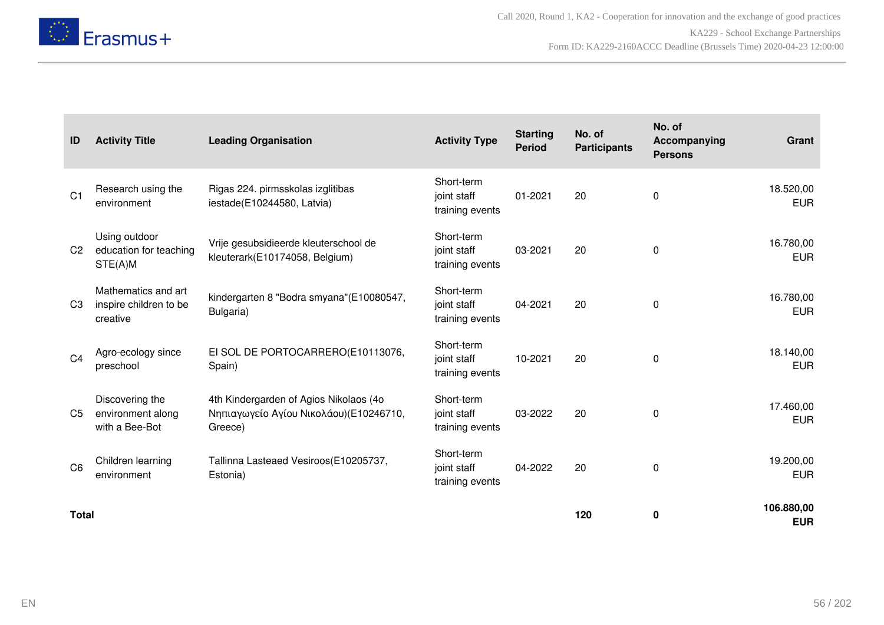

| ID             | <b>Activity Title</b>                                     | <b>Leading Organisation</b>                                                                  | <b>Activity Type</b>                         | <b>Starting</b><br><b>Period</b> | No. of<br><b>Participants</b> | No. of<br>Accompanying<br><b>Persons</b> | Grant                    |
|----------------|-----------------------------------------------------------|----------------------------------------------------------------------------------------------|----------------------------------------------|----------------------------------|-------------------------------|------------------------------------------|--------------------------|
| C <sub>1</sub> | Research using the<br>environment                         | Rigas 224. pirmsskolas izglitibas<br>iestade(E10244580, Latvia)                              | Short-term<br>joint staff<br>training events | $01 - 2021$                      | 20                            | $\pmb{0}$                                | 18.520,00<br><b>EUR</b>  |
| C <sub>2</sub> | Using outdoor<br>education for teaching<br>STE(A)M        | Vrije gesubsidieerde kleuterschool de<br>kleuterark(E10174058, Belgium)                      | Short-term<br>joint staff<br>training events | 03-2021                          | 20                            | 0                                        | 16.780,00<br><b>EUR</b>  |
| C <sub>3</sub> | Mathematics and art<br>inspire children to be<br>creative | kindergarten 8 "Bodra smyana"(E10080547,<br>Bulgaria)                                        | Short-term<br>joint staff<br>training events | 04-2021                          | 20                            | $\mathbf 0$                              | 16.780,00<br><b>EUR</b>  |
| C <sub>4</sub> | Agro-ecology since<br>preschool                           | EI SOL DE PORTOCARRERO(E10113076,<br>Spain)                                                  | Short-term<br>joint staff<br>training events | 10-2021                          | 20                            | $\pmb{0}$                                | 18.140,00<br><b>EUR</b>  |
| C5             | Discovering the<br>environment along<br>with a Bee-Bot    | 4th Kindergarden of Agios Nikolaos (4o<br>Νηπιαγωγείο Αγίου Νικολάου) (Ε10246710,<br>Greece) | Short-term<br>joint staff<br>training events | 03-2022                          | 20                            | $\pmb{0}$                                | 17.460,00<br><b>EUR</b>  |
| C <sub>6</sub> | Children learning<br>environment                          | Tallinna Lasteaed Vesiroos(E10205737,<br>Estonia)                                            | Short-term<br>joint staff<br>training events | 04-2022                          | 20                            | $\pmb{0}$                                | 19.200,00<br><b>EUR</b>  |
| <b>Total</b>   |                                                           |                                                                                              |                                              |                                  | 120                           | 0                                        | 106.880,00<br><b>EUR</b> |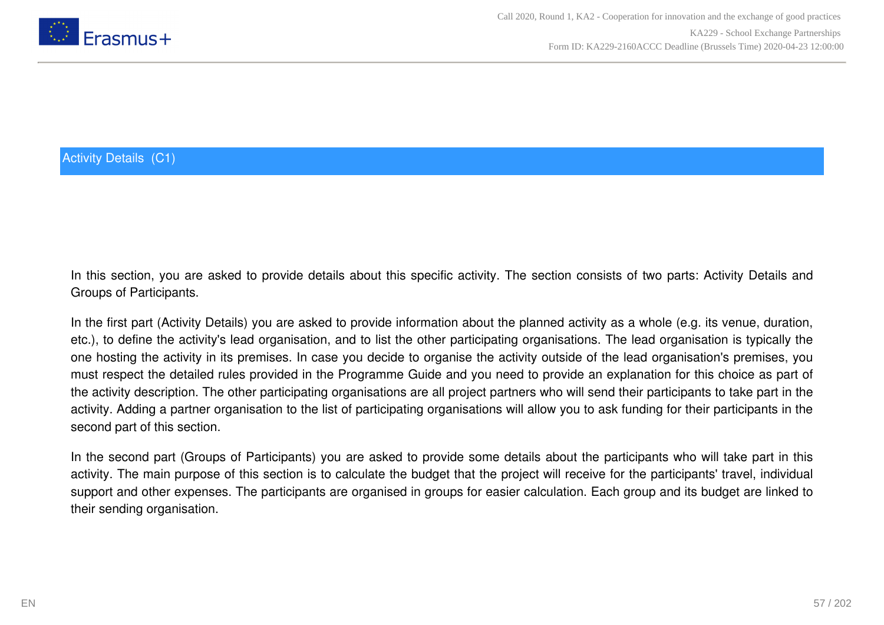

### Activity Details (C1)

In this section, you are asked to provide details about this specific activity. The section consists of two parts: Activity Details and Groups of Participants.

In the first part (Activity Details) you are asked to provide information about the planned activity as a whole (e.g. its venue, duration, etc.), to define the activity's lead organisation, and to list the other participating organisations. The lead organisation is typically the one hosting the activity in its premises. In case you decide to organise the activity outside of the lead organisation's premises, you must respect the detailed rules provided in the Programme Guide and you need to provide an explanation for this choice as part of the activity description. The other participating organisations are all project partners who will send their participants to take part in the activity. Adding a partner organisation to the list of participating organisations will allow you to ask funding for their participants in the second part of this section.

In the second part (Groups of Participants) you are asked to provide some details about the participants who will take part in this activity. The main purpose of this section is to calculate the budget that the project will receive for the participants' travel, individual support and other expenses. The participants are organised in groups for easier calculation. Each group and its budget are linked to their sending organisation.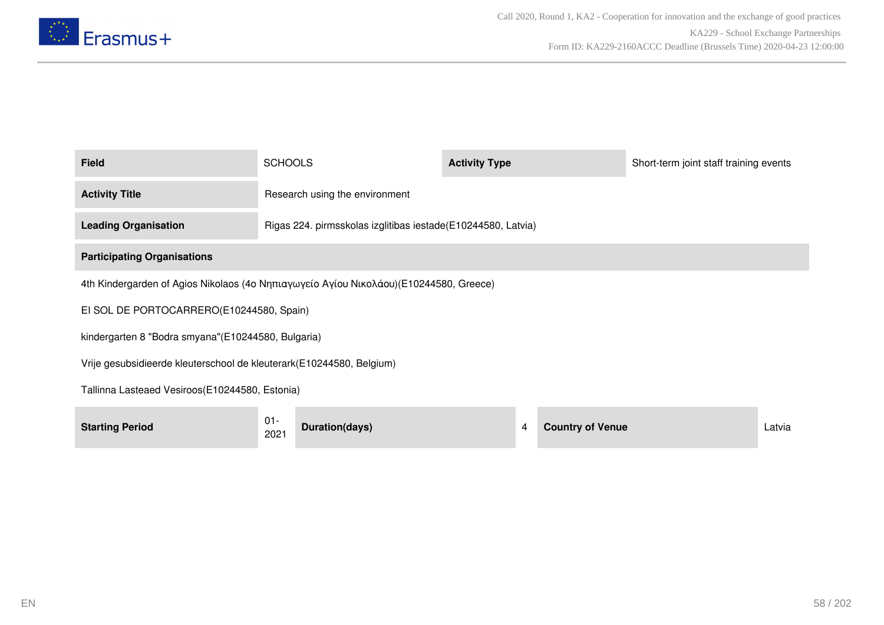

| <b>Field</b>                                                                           | <b>SCHOOLS</b> |                                                              | <b>Activity Type</b> |   |                         | Short-term joint staff training events |        |
|----------------------------------------------------------------------------------------|----------------|--------------------------------------------------------------|----------------------|---|-------------------------|----------------------------------------|--------|
| <b>Activity Title</b>                                                                  |                | Research using the environment                               |                      |   |                         |                                        |        |
| <b>Leading Organisation</b>                                                            |                | Rigas 224. pirmsskolas izglitibas iestade(E10244580, Latvia) |                      |   |                         |                                        |        |
| <b>Participating Organisations</b>                                                     |                |                                                              |                      |   |                         |                                        |        |
| 4th Kindergarden of Agios Nikolaos (4ο Νηπιαγωγείο Αγίου Νικολάου) (Ε10244580, Greece) |                |                                                              |                      |   |                         |                                        |        |
| EI SOL DE PORTOCARRERO(E10244580, Spain)                                               |                |                                                              |                      |   |                         |                                        |        |
| kindergarten 8 "Bodra smyana" (E10244580, Bulgaria)                                    |                |                                                              |                      |   |                         |                                        |        |
| Vrije gesubsidieerde kleuterschool de kleuterark(E10244580, Belgium)                   |                |                                                              |                      |   |                         |                                        |        |
| Tallinna Lasteaed Vesiroos(E10244580, Estonia)                                         |                |                                                              |                      |   |                         |                                        |        |
| <b>Starting Period</b>                                                                 | $01 -$<br>2021 | Duration(days)                                               |                      | 4 | <b>Country of Venue</b> |                                        | Latvia |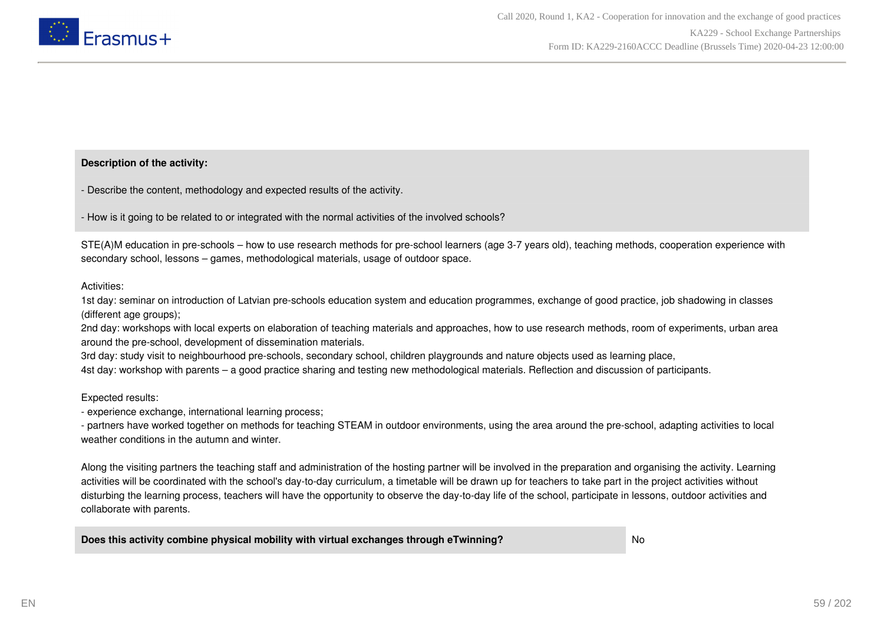

### **Description of the activity:**

- Describe the content, methodology and expected results of the activity.

- How is it going to be related to or integrated with the normal activities of the involved schools?

STE(A)M education in pre-schools – how to use research methods for pre-school learners (age 3-7 years old), teaching methods, cooperation experience with secondary school, lessons – games, methodological materials, usage of outdoor space.

#### Activities:

1st day: seminar on introduction of Latvian pre-schools education system and education programmes, exchange of good practice, job shadowing in classes (different age groups);

2nd day: workshops with local experts on elaboration of teaching materials and approaches, how to use research methods, room of experiments, urban area around the pre-school, development of dissemination materials.

3rd day: study visit to neighbourhood pre-schools, secondary school, children playgrounds and nature objects used as learning place,

4st day: workshop with parents – a good practice sharing and testing new methodological materials. Reflection and discussion of participants.

### Expected results:

- experience exchange, international learning process;

- partners have worked together on methods for teaching STEAM in outdoor environments, using the area around the pre-school, adapting activities to local weather conditions in the autumn and winter.

Along the visiting partners the teaching staff and administration of the hosting partner will be involved in the preparation and organising the activity. Learning activities will be coordinated with the school's day-to-day curriculum, a timetable will be drawn up for teachers to take part in the project activities without disturbing the learning process, teachers will have the opportunity to observe the day-to-day life of the school, participate in lessons, outdoor activities and collaborate with parents.

**Does this activity combine physical mobility with virtual exchanges through eTwinning?** No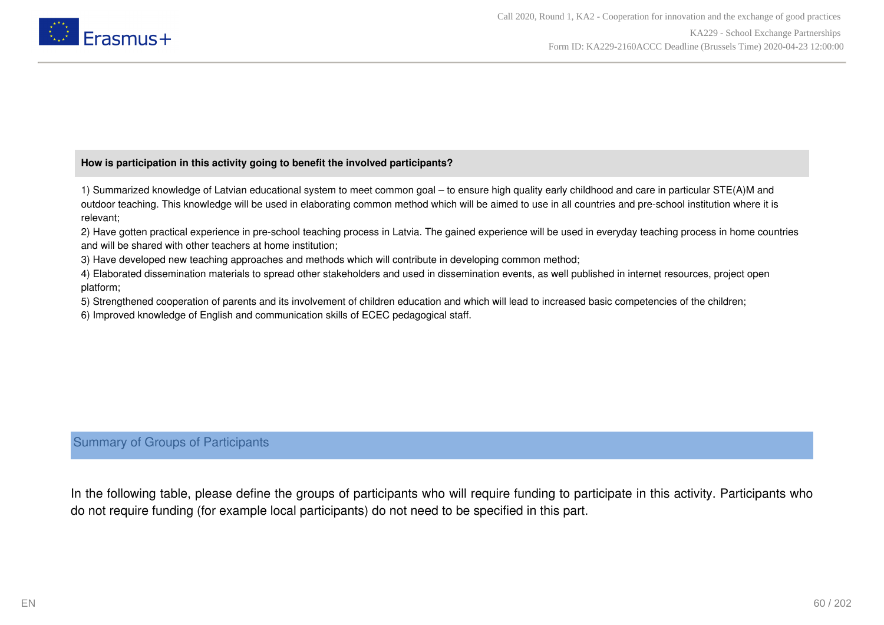

### **How is participation in this activity going to benefit the involved participants?**

1) Summarized knowledge of Latvian educational system to meet common goal – to ensure high quality early childhood and care in particular STE(A)M and outdoor teaching. This knowledge will be used in elaborating common method which will be aimed to use in all countries and pre-school institution where it is relevant;

2) Have gotten practical experience in pre-school teaching process in Latvia. The gained experience will be used in everyday teaching process in home countries and will be shared with other teachers at home institution;

3) Have developed new teaching approaches and methods which will contribute in developing common method;

4) Elaborated dissemination materials to spread other stakeholders and used in dissemination events, as well published in internet resources, project open platform;

5) Strengthened cooperation of parents and its involvement of children education and which will lead to increased basic competencies of the children;

6) Improved knowledge of English and communication skills of ECEC pedagogical staff.

## Summary of Groups of Participants

In the following table, please define the groups of participants who will require funding to participate in this activity. Participants who do not require funding (for example local participants) do not need to be specified in this part.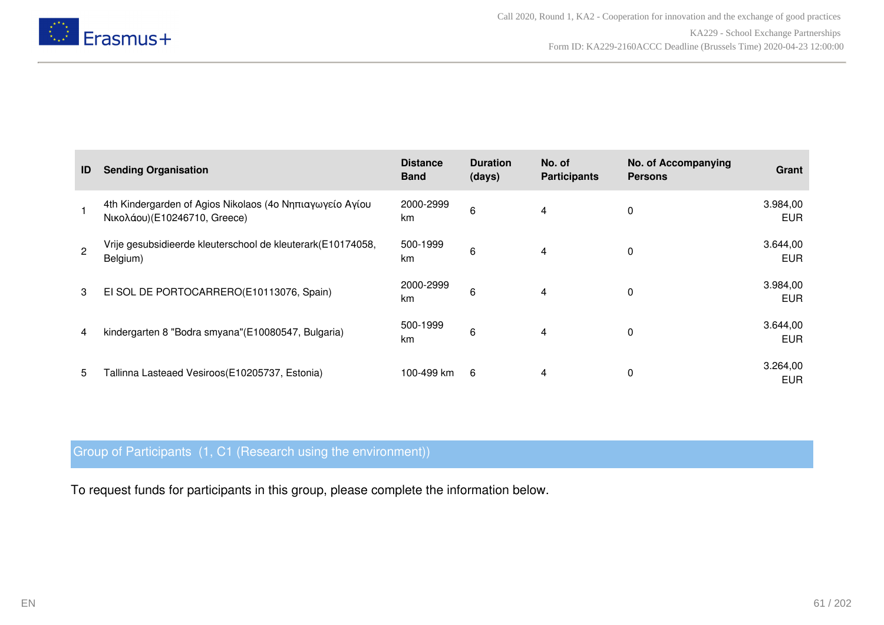

| ID             | <b>Sending Organisation</b>                                                               | <b>Distance</b><br><b>Band</b> | <b>Duration</b><br>(days) | No. of<br><b>Participants</b> | No. of Accompanying<br><b>Persons</b> | Grant                  |
|----------------|-------------------------------------------------------------------------------------------|--------------------------------|---------------------------|-------------------------------|---------------------------------------|------------------------|
|                | 4th Kindergarden of Agios Nikolaos (4ο Νηπιαγωγείο Αγίου<br>Νικολάου) (Ε10246710, Greece) | 2000-2999<br>km                | 6                         | 4                             | 0                                     | 3.984,00<br><b>EUR</b> |
| $\overline{2}$ | Vrije gesubsidieerde kleuterschool de kleuterark(E10174058,<br>Belgium)                   | 500-1999<br>km                 | 6                         | 4                             | 0                                     | 3.644,00<br><b>EUR</b> |
| 3              | EI SOL DE PORTOCARRERO(E10113076, Spain)                                                  | 2000-2999<br>km                | $\,6$                     | 4                             | 0                                     | 3.984,00<br><b>EUR</b> |
| 4              | kindergarten 8 "Bodra smyana" (E10080547, Bulgaria)                                       | 500-1999<br>km                 | 6                         | 4                             | 0                                     | 3.644,00<br><b>EUR</b> |
| 5.             | Tallinna Lasteaed Vesiroos (E10205737, Estonia)                                           | 100-499 km                     | 6                         | 4                             | 0                                     | 3.264,00<br><b>EUR</b> |

# Group of Participants (1, C1 (Research using the environment))

To request funds for participants in this group, please complete the information below.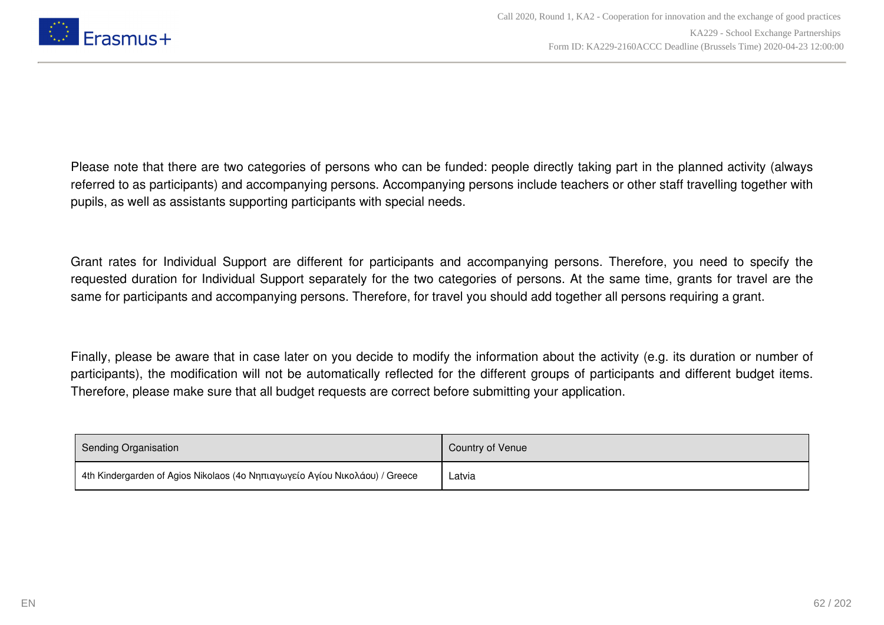

Please note that there are two categories of persons who can be funded: people directly taking part in the planned activity (always referred to as participants) and accompanying persons. Accompanying persons include teachers or other staff travelling together with pupils, as well as assistants supporting participants with special needs.

Grant rates for Individual Support are different for participants and accompanying persons. Therefore, you need to specify the requested duration for Individual Support separately for the two categories of persons. At the same time, grants for travel are the same for participants and accompanying persons. Therefore, for travel you should add together all persons requiring a grant.

Finally, please be aware that in case later on you decide to modify the information about the activity (e.g. its duration or number of participants), the modification will not be automatically reflected for the different groups of participants and different budget items. Therefore, please make sure that all budget requests are correct before submitting your application.

| Sending Organisation                                                        | Country of Venue |
|-----------------------------------------------------------------------------|------------------|
| 4th Kindergarden of Agios Nikolaos (4ο Νηπιαγωγείο Αγίου Νικολάου) / Greece | Latvia           |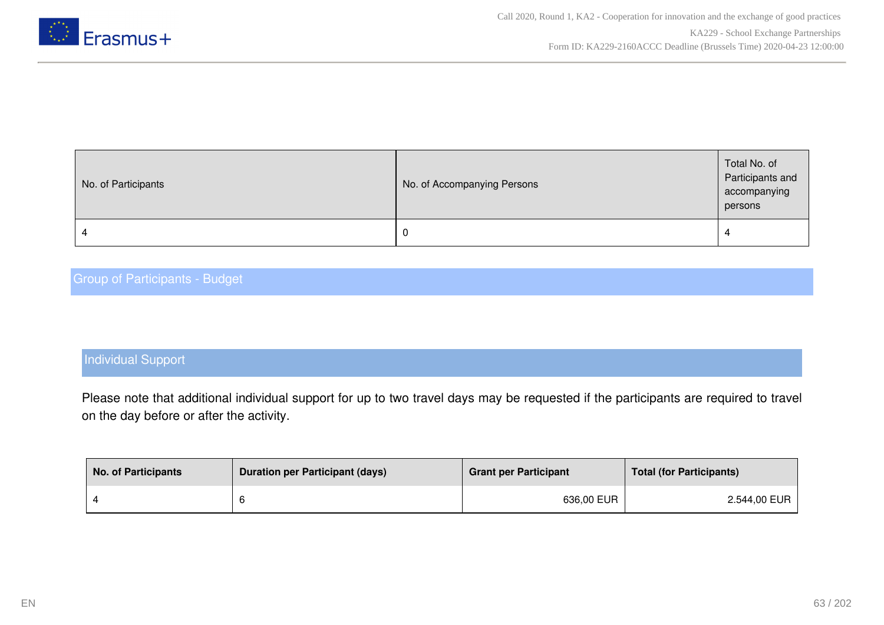

| No. of Participants | No. of Accompanying Persons | Total No. of<br>Participants and<br>accompanying<br>persons |
|---------------------|-----------------------------|-------------------------------------------------------------|
|                     | 0                           |                                                             |

Group of Participants - Budget

# Individual Support

Please note that additional individual support for up to two travel days may be requested if the participants are required to travel on the day before or after the activity.

| <b>No. of Participants</b> | <b>Duration per Participant (days)</b> | <b>Grant per Participant</b> | <b>Total (for Participants)</b> |
|----------------------------|----------------------------------------|------------------------------|---------------------------------|
|                            |                                        | 636,00 EUR                   | 2.544,00 EUR                    |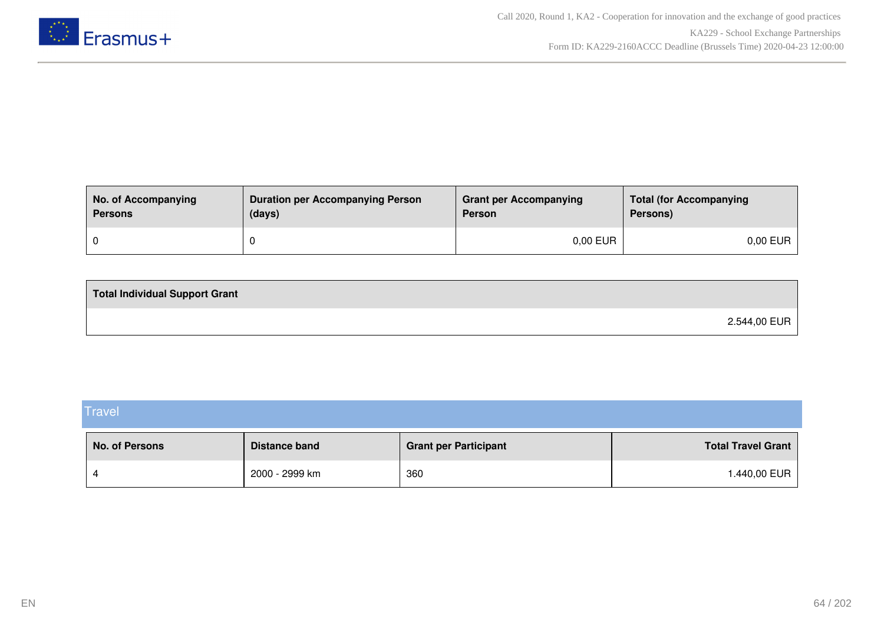

| No. of Accompanying | Duration per Accompanying Person | <b>Grant per Accompanying</b> | <b>Total (for Accompanying</b> |
|---------------------|----------------------------------|-------------------------------|--------------------------------|
| <b>Persons</b>      | (days)                           | <b>Person</b>                 | Persons)                       |
|                     |                                  | 0,00 EUR                      | $0,00$ EUR                     |

| Total Individual Support Grant |              |
|--------------------------------|--------------|
|                                | 2.544,00 EUR |

| <b>Travel</b>         |                      |                              |                           |
|-----------------------|----------------------|------------------------------|---------------------------|
| <b>No. of Persons</b> | <b>Distance band</b> | <b>Grant per Participant</b> | <b>Total Travel Grant</b> |
|                       | 2000 - 2999 km       | 360                          | 1.440,00 EUR              |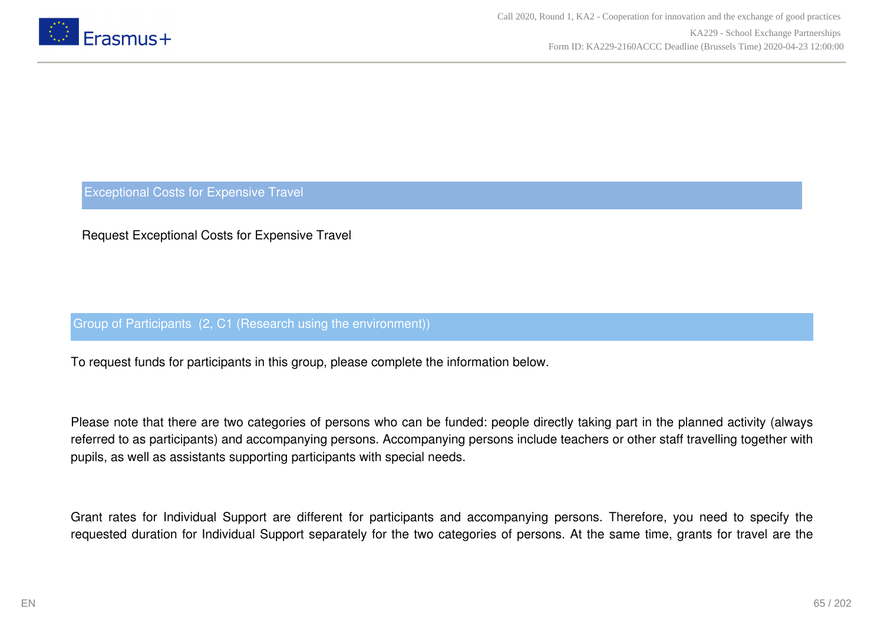

Exceptional Costs for Expensive Travel

Request Exceptional Costs for Expensive Travel

## Group of Participants (2, C1 (Research using the environment))

To request funds for participants in this group, please complete the information below.

Please note that there are two categories of persons who can be funded: people directly taking part in the planned activity (always referred to as participants) and accompanying persons. Accompanying persons include teachers or other staff travelling together with pupils, as well as assistants supporting participants with special needs.

Grant rates for Individual Support are different for participants and accompanying persons. Therefore, you need to specify the requested duration for Individual Support separately for the two categories of persons. At the same time, grants for travel are the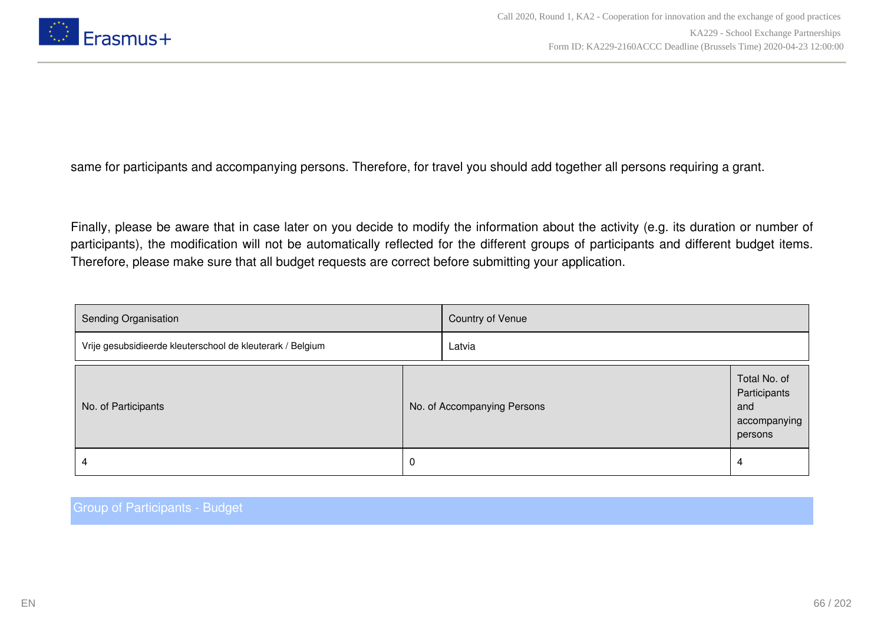

same for participants and accompanying persons. Therefore, for travel you should add together all persons requiring a grant.

Finally, please be aware that in case later on you decide to modify the information about the activity (e.g. its duration or number of participants), the modification will not be automatically reflected for the different groups of participants and different budget items. Therefore, please make sure that all budget requests are correct before submitting your application.

| Sending Organisation                                       |   | Country of Venue            |                                                                |
|------------------------------------------------------------|---|-----------------------------|----------------------------------------------------------------|
| Vrije gesubsidieerde kleuterschool de kleuterark / Belgium |   | Latvia                      |                                                                |
| No. of Participants                                        |   | No. of Accompanying Persons | Total No. of<br>Participants<br>and<br>accompanying<br>persons |
| 4                                                          | 0 |                             | 4                                                              |

| <b>Group of Participants - Budget</b> |  |  |
|---------------------------------------|--|--|
|                                       |  |  |
|                                       |  |  |
|                                       |  |  |
|                                       |  |  |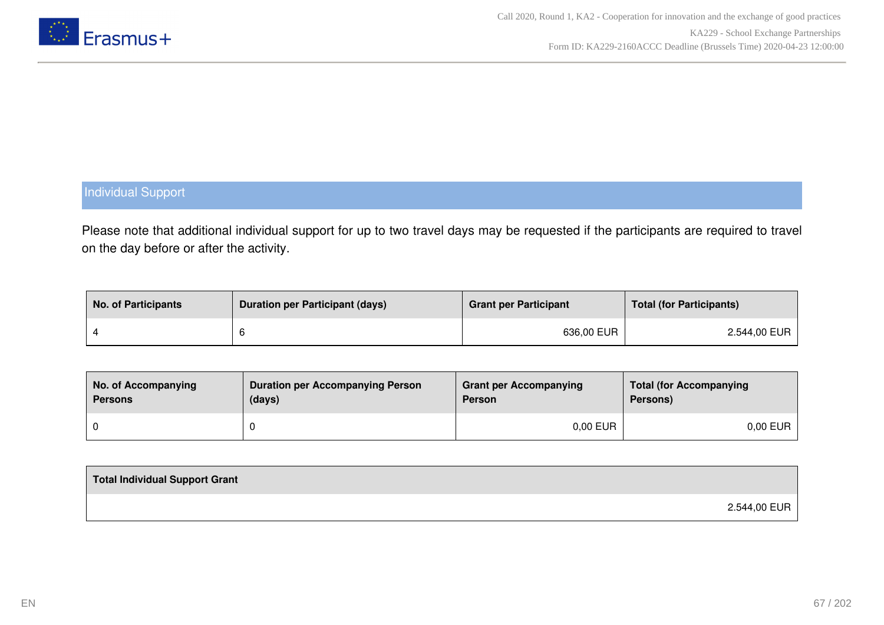

# Individual Support

Please note that additional individual support for up to two travel days may be requested if the participants are required to travel on the day before or after the activity.

| <b>No. of Participants</b> | Duration per Participant (days) | <b>Grant per Participant</b> | Total (for Participants) |
|----------------------------|---------------------------------|------------------------------|--------------------------|
|                            |                                 | 636.00 EUR                   | 2.544,00 EUR             |

| No. of Accompanying | Duration per Accompanying Person | <b>Grant per Accompanying</b> | <b>Total (for Accompanying</b> |
|---------------------|----------------------------------|-------------------------------|--------------------------------|
| <b>Persons</b>      | (days)                           | <b>Person</b>                 | Persons)                       |
|                     |                                  | 0,00 EUR                      | $0,00$ EUR                     |

| Total Individual Support Grant |              |
|--------------------------------|--------------|
|                                | 2.544,00 EUR |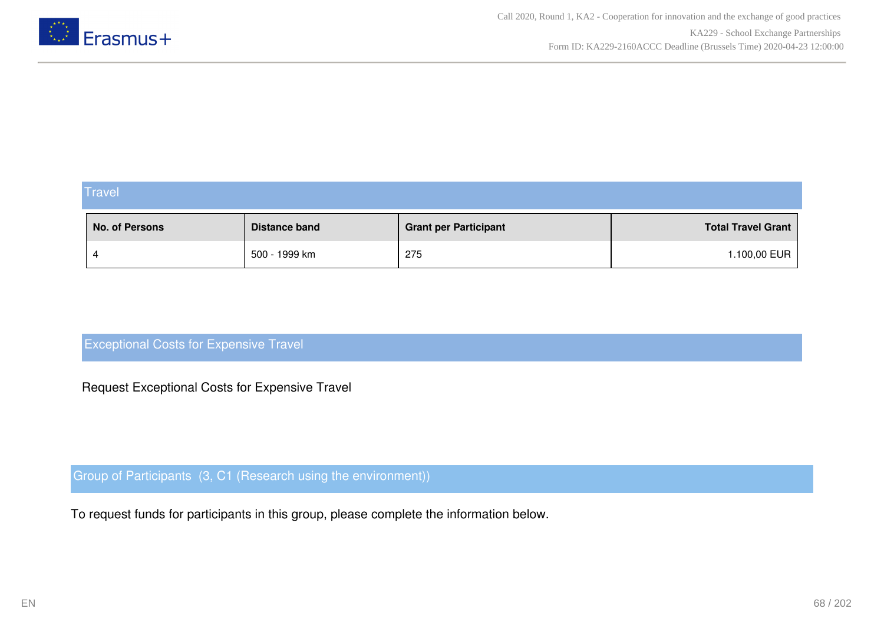

| <b>Travel</b>         |                      |                              |                           |
|-----------------------|----------------------|------------------------------|---------------------------|
| <b>No. of Persons</b> | <b>Distance band</b> | <b>Grant per Participant</b> | <b>Total Travel Grant</b> |
| 4                     | 500 - 1999 km        | 275                          | 1.100,00 EUR              |

Exceptional Costs for Expensive Travel

Request Exceptional Costs for Expensive Travel

Group of Participants (3, C1 (Research using the environment))

To request funds for participants in this group, please complete the information below.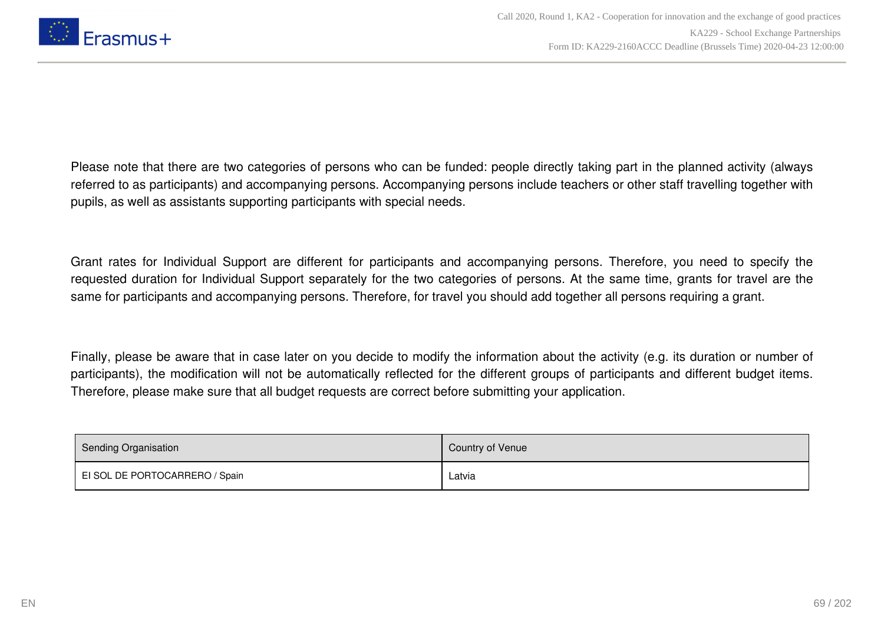

Please note that there are two categories of persons who can be funded: people directly taking part in the planned activity (always referred to as participants) and accompanying persons. Accompanying persons include teachers or other staff travelling together with pupils, as well as assistants supporting participants with special needs.

Grant rates for Individual Support are different for participants and accompanying persons. Therefore, you need to specify the requested duration for Individual Support separately for the two categories of persons. At the same time, grants for travel are the same for participants and accompanying persons. Therefore, for travel you should add together all persons requiring a grant.

Finally, please be aware that in case later on you decide to modify the information about the activity (e.g. its duration or number of participants), the modification will not be automatically reflected for the different groups of participants and different budget items. Therefore, please make sure that all budget requests are correct before submitting your application.

| <b>Sending Organisation</b>    | Country of Venue |
|--------------------------------|------------------|
| EI SOL DE PORTOCARRERO / Spain | Latvia           |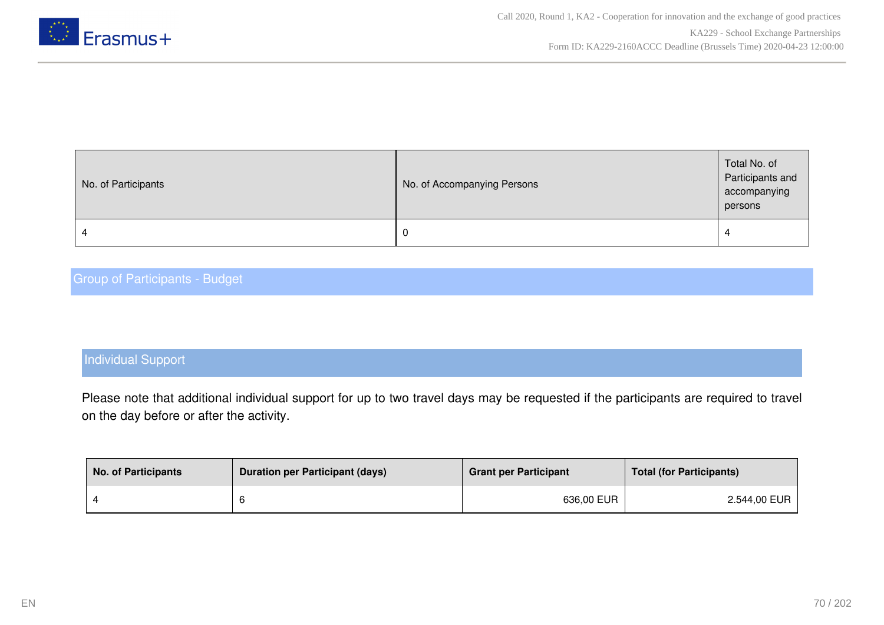

| No. of Participants | No. of Accompanying Persons | Total No. of<br>Participants and<br>accompanying<br>persons |
|---------------------|-----------------------------|-------------------------------------------------------------|
|                     | c<br>U                      |                                                             |

Group of Participants - Budget

# Individual Support

Please note that additional individual support for up to two travel days may be requested if the participants are required to travel on the day before or after the activity.

| <b>No. of Participants</b> | <b>Duration per Participant (days)</b> | <b>Grant per Participant</b> | <b>Total (for Participants)</b> |
|----------------------------|----------------------------------------|------------------------------|---------------------------------|
|                            |                                        | 636,00 EUR                   | 2.544,00 EUR                    |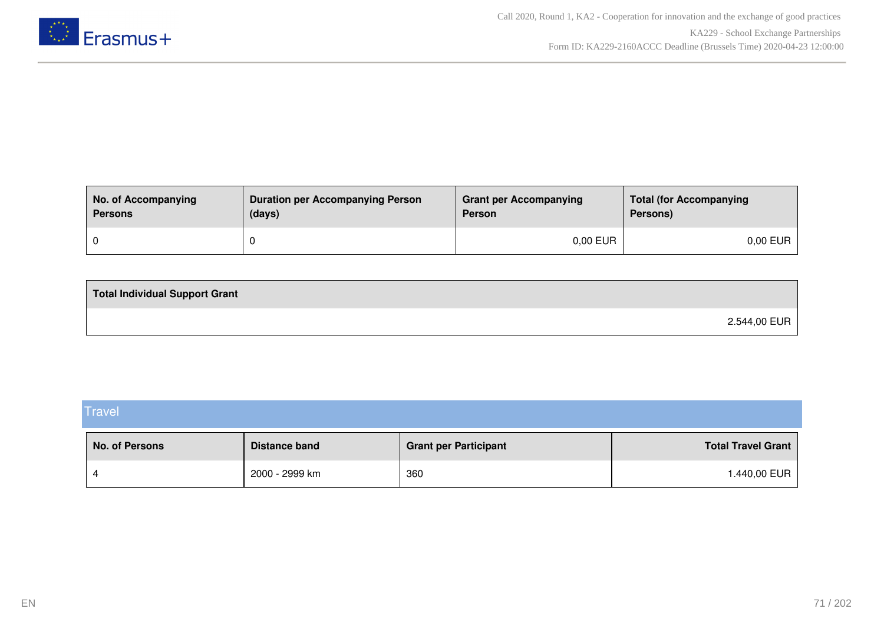

| No. of Accompanying | Duration per Accompanying Person | <b>Grant per Accompanying</b> | <b>Total (for Accompanying</b> |
|---------------------|----------------------------------|-------------------------------|--------------------------------|
| <b>Persons</b>      | (days)                           | <b>Person</b>                 | Persons)                       |
|                     |                                  | 0,00 EUR                      | 0,00 EUR                       |

| <b>Total Individual Support Grant</b> |              |
|---------------------------------------|--------------|
|                                       | 2.544,00 EUR |

| <b>Travel</b>         |                      |                              |                           |
|-----------------------|----------------------|------------------------------|---------------------------|
| <b>No. of Persons</b> | <b>Distance band</b> | <b>Grant per Participant</b> | <b>Total Travel Grant</b> |
|                       | 2000 - 2999 km       | 360                          | 1.440,00 EUR              |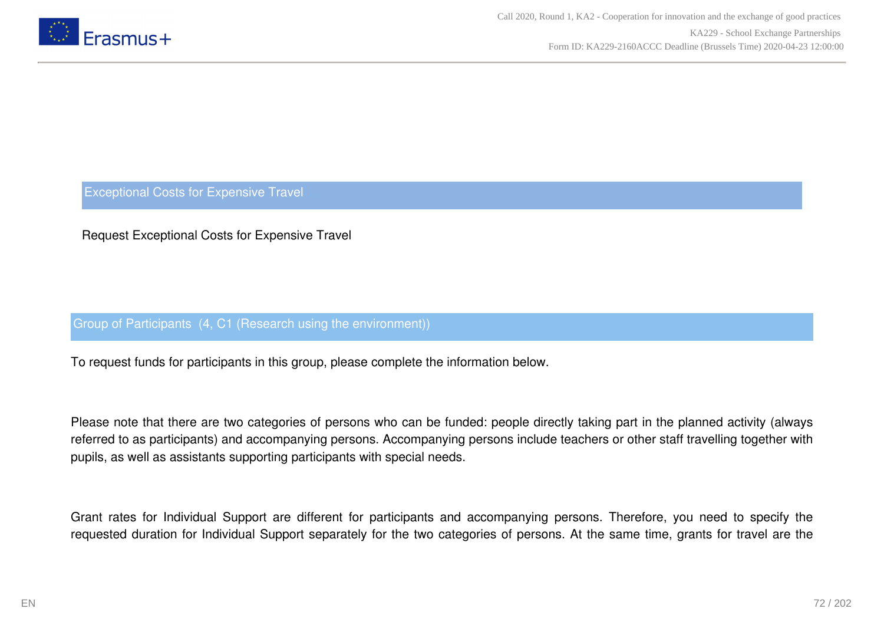

Exceptional Costs for Expensive Travel

Request Exceptional Costs for Expensive Travel

## Group of Participants (4, C1 (Research using the environment))

To request funds for participants in this group, please complete the information below.

Please note that there are two categories of persons who can be funded: people directly taking part in the planned activity (always referred to as participants) and accompanying persons. Accompanying persons include teachers or other staff travelling together with pupils, as well as assistants supporting participants with special needs.

Grant rates for Individual Support are different for participants and accompanying persons. Therefore, you need to specify the requested duration for Individual Support separately for the two categories of persons. At the same time, grants for travel are the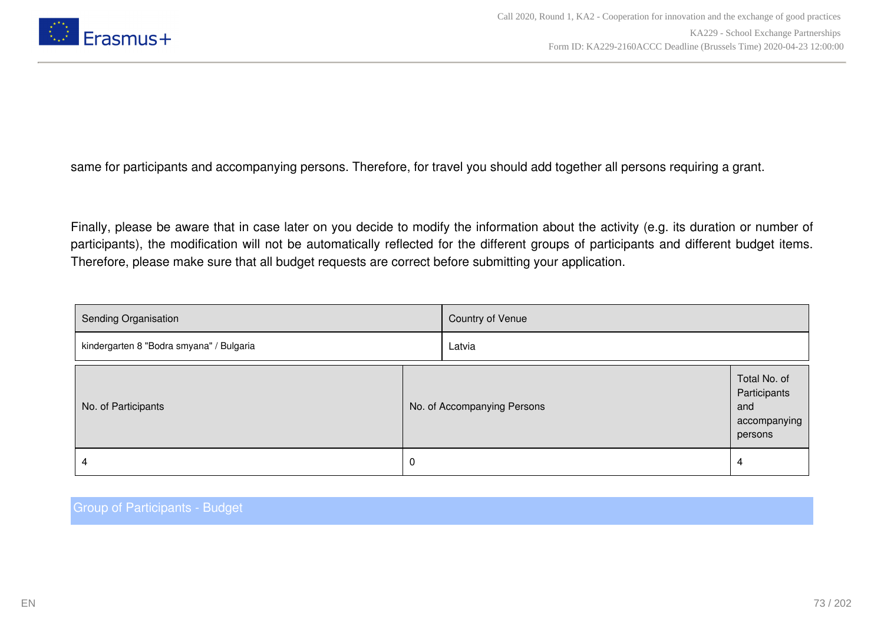

same for participants and accompanying persons. Therefore, for travel you should add together all persons requiring a grant.

| <b>Sending Organisation</b>              |   | Country of Venue            |                                                                |
|------------------------------------------|---|-----------------------------|----------------------------------------------------------------|
| kindergarten 8 "Bodra smyana" / Bulgaria |   | Latvia                      |                                                                |
| No. of Participants                      |   | No. of Accompanying Persons | Total No. of<br>Participants<br>and<br>accompanying<br>persons |
| 4                                        | 0 |                             | 4                                                              |

| <b>Group of Participants - Budget</b> |  |  |
|---------------------------------------|--|--|
|                                       |  |  |
|                                       |  |  |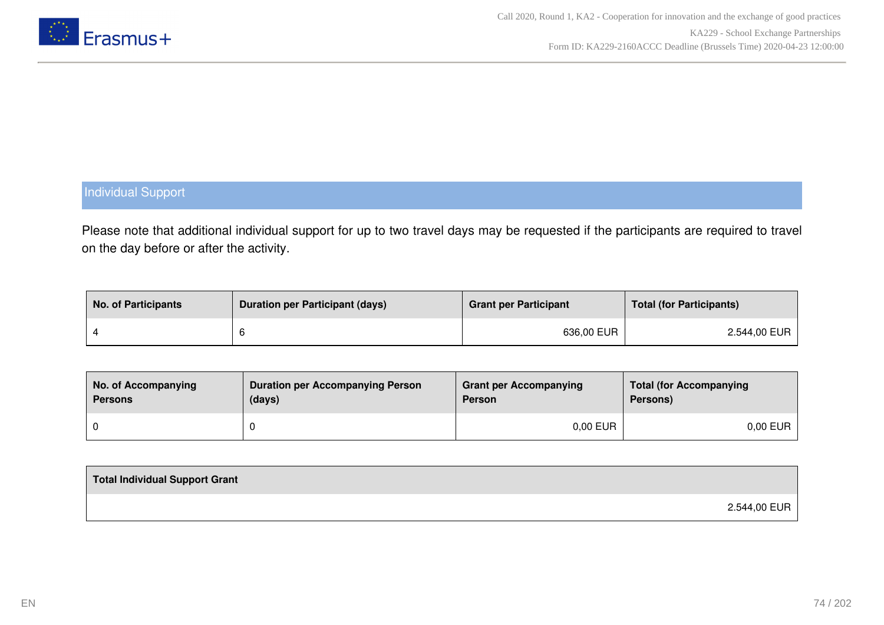

## Individual Support

| <b>No. of Participants</b> | <b>Duration per Participant (days)</b> | <b>Grant per Participant</b> | Total (for Participants) |
|----------------------------|----------------------------------------|------------------------------|--------------------------|
|                            |                                        | 636.00 EUR                   | 2.544,00 EUR             |

| No. of Accompanying | Duration per Accompanying Person | <b>Grant per Accompanying</b> | <b>Total (for Accompanying</b> |
|---------------------|----------------------------------|-------------------------------|--------------------------------|
| <b>Persons</b>      | (days)                           | <b>Person</b>                 | Persons)                       |
|                     |                                  | 0,00 EUR                      | $0,00$ EUR                     |

| Total Individual Support Grant |              |
|--------------------------------|--------------|
|                                | 2.544,00 EUR |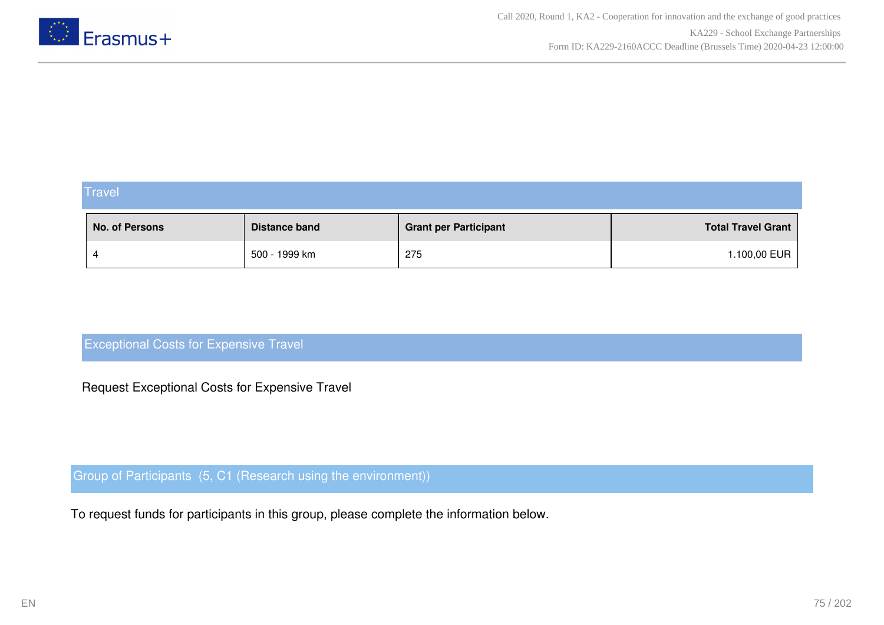

| <b>Travel</b>         |                      |                              |                           |
|-----------------------|----------------------|------------------------------|---------------------------|
| <b>No. of Persons</b> | <b>Distance band</b> | <b>Grant per Participant</b> | <b>Total Travel Grant</b> |
| 4                     | 500 - 1999 km        | 275                          | 1.100,00 EUR              |

Request Exceptional Costs for Expensive Travel

Group of Participants (5, C1 (Research using the environment))

To request funds for participants in this group, please complete the information below.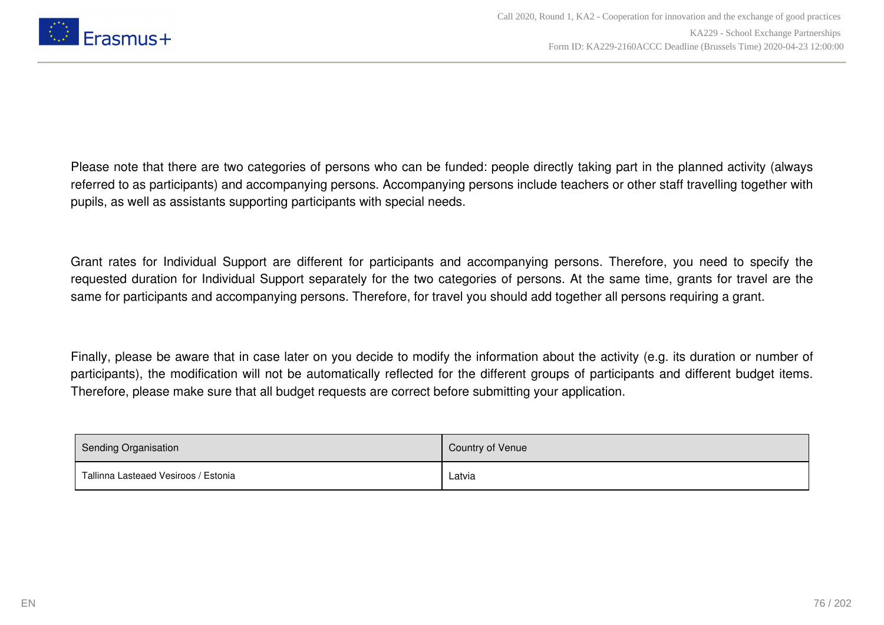

Please note that there are two categories of persons who can be funded: people directly taking part in the planned activity (always referred to as participants) and accompanying persons. Accompanying persons include teachers or other staff travelling together with pupils, as well as assistants supporting participants with special needs.

Grant rates for Individual Support are different for participants and accompanying persons. Therefore, you need to specify the requested duration for Individual Support separately for the two categories of persons. At the same time, grants for travel are the same for participants and accompanying persons. Therefore, for travel you should add together all persons requiring a grant.

| <b>Sending Organisation</b>          | Country of Venue |
|--------------------------------------|------------------|
| Tallinna Lasteaed Vesiroos / Estonia | Latvia           |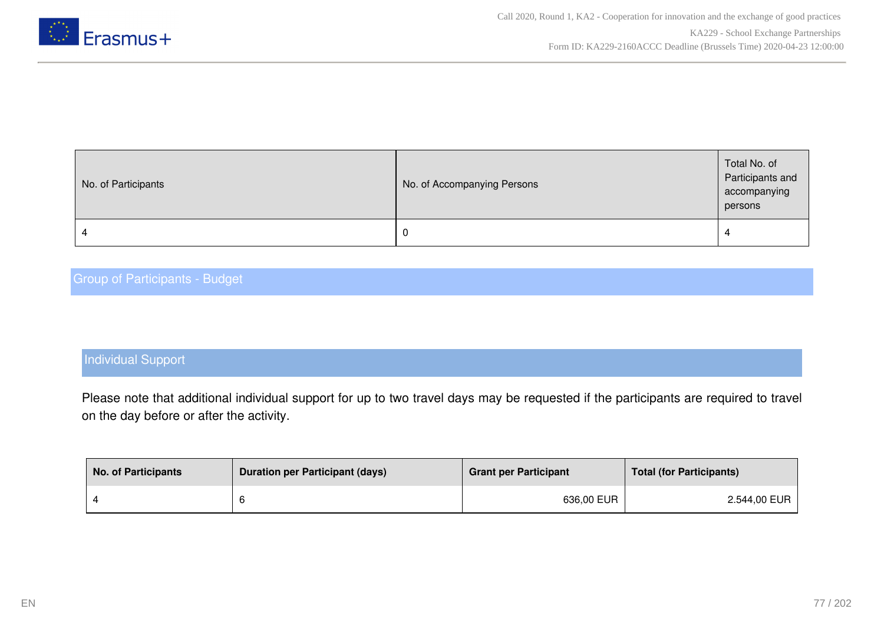

| No. of Participants | No. of Accompanying Persons | Total No. of<br>Participants and<br>accompanying<br>persons |
|---------------------|-----------------------------|-------------------------------------------------------------|
|                     | c<br>U                      |                                                             |

Group of Participants - Budget

## Individual Support

| <b>No. of Participants</b> | <b>Duration per Participant (days)</b> | <b>Grant per Participant</b> | <b>Total (for Participants)</b> |
|----------------------------|----------------------------------------|------------------------------|---------------------------------|
|                            |                                        | 636,00 EUR                   | 2.544,00 EUR                    |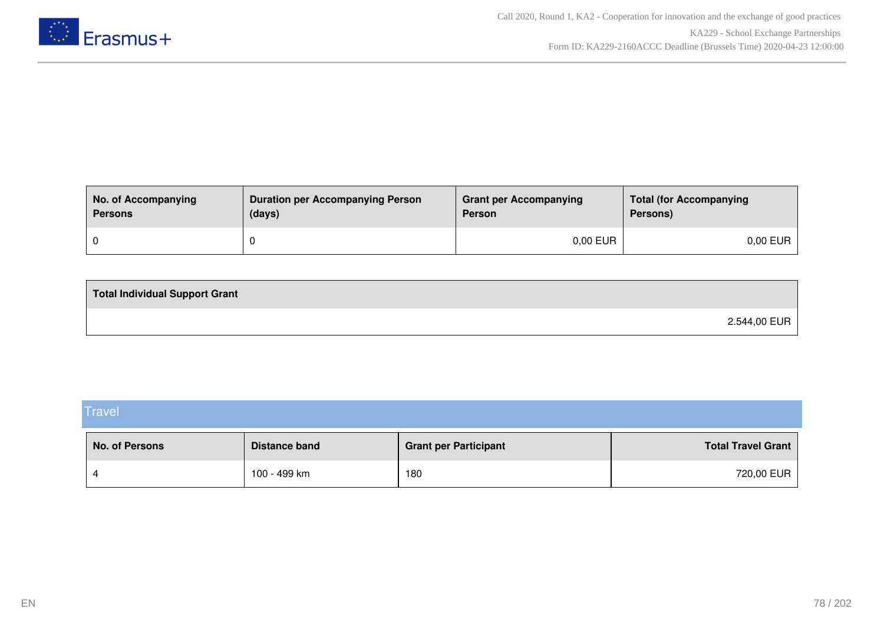

| No. of Accompanying | Duration per Accompanying Person | <b>Grant per Accompanying</b> | <b>Total (for Accompanying</b> |
|---------------------|----------------------------------|-------------------------------|--------------------------------|
| <b>Persons</b>      | (days)                           | <b>Person</b>                 | Persons)                       |
|                     |                                  | 0,00 EUR                      | 0,00 EUR                       |

| <b>Total Individual Support Grant</b> |              |
|---------------------------------------|--------------|
|                                       | 2.544,00 EUR |

| <b>Travel</b>         |               |                              |                           |
|-----------------------|---------------|------------------------------|---------------------------|
| <b>No. of Persons</b> | Distance band | <b>Grant per Participant</b> | <b>Total Travel Grant</b> |
|                       | 100 - 499 km  | 180                          | 720,00 EUR                |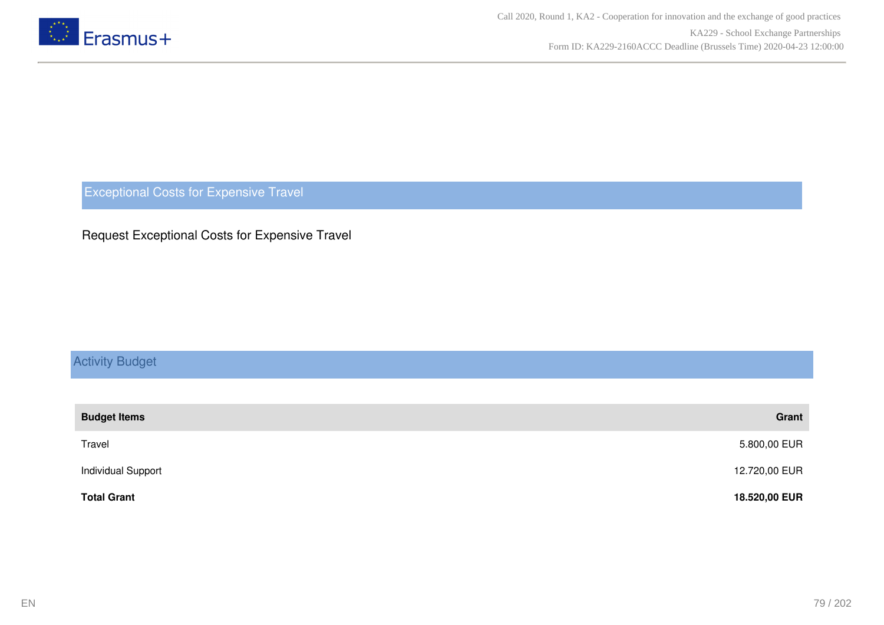

Request Exceptional Costs for Expensive Travel

# Activity Budget

| <b>Budget Items</b> | Grant         |
|---------------------|---------------|
| Travel              | 5.800,00 EUR  |
| Individual Support  | 12.720,00 EUR |
| <b>Total Grant</b>  | 18.520,00 EUR |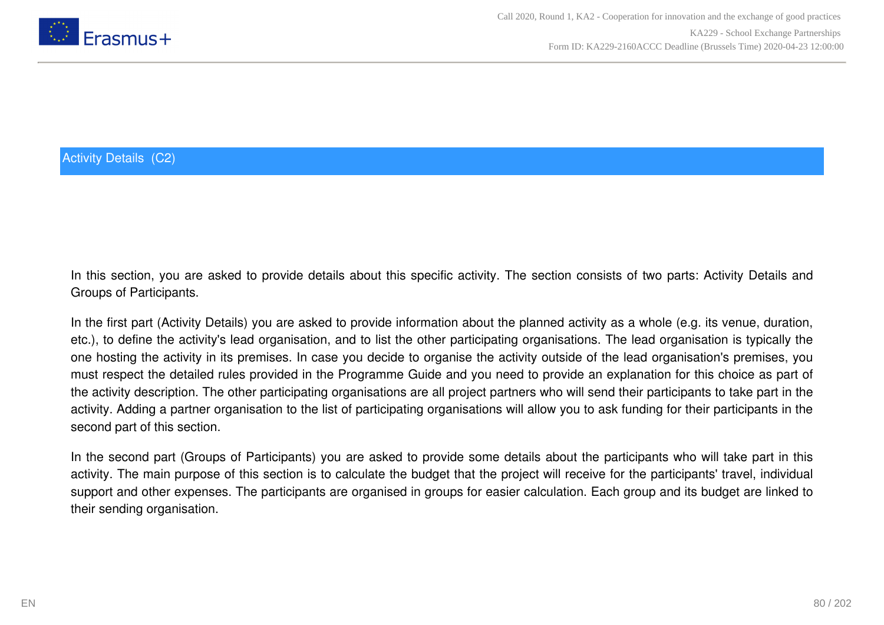

### Activity Details (C2)

In this section, you are asked to provide details about this specific activity. The section consists of two parts: Activity Details and Groups of Participants.

In the first part (Activity Details) you are asked to provide information about the planned activity as a whole (e.g. its venue, duration, etc.), to define the activity's lead organisation, and to list the other participating organisations. The lead organisation is typically the one hosting the activity in its premises. In case you decide to organise the activity outside of the lead organisation's premises, you must respect the detailed rules provided in the Programme Guide and you need to provide an explanation for this choice as part of the activity description. The other participating organisations are all project partners who will send their participants to take part in the activity. Adding a partner organisation to the list of participating organisations will allow you to ask funding for their participants in the second part of this section.

In the second part (Groups of Participants) you are asked to provide some details about the participants who will take part in this activity. The main purpose of this section is to calculate the budget that the project will receive for the participants' travel, individual support and other expenses. The participants are organised in groups for easier calculation. Each group and its budget are linked to their sending organisation.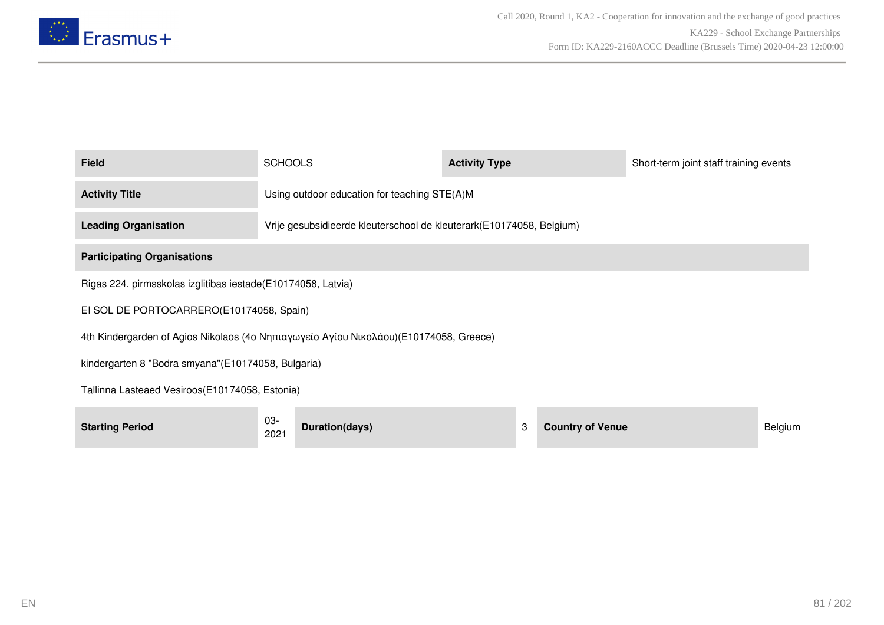

| <b>Field</b>                                                                           | <b>SCHOOLS</b> |                                                                      | <b>Activity Type</b> |   |                         | Short-term joint staff training events |         |
|----------------------------------------------------------------------------------------|----------------|----------------------------------------------------------------------|----------------------|---|-------------------------|----------------------------------------|---------|
| <b>Activity Title</b>                                                                  |                | Using outdoor education for teaching STE(A)M                         |                      |   |                         |                                        |         |
| <b>Leading Organisation</b>                                                            |                | Vrije gesubsidieerde kleuterschool de kleuterark(E10174058, Belgium) |                      |   |                         |                                        |         |
| <b>Participating Organisations</b>                                                     |                |                                                                      |                      |   |                         |                                        |         |
| Rigas 224. pirmsskolas izglitibas iestade(E10174058, Latvia)                           |                |                                                                      |                      |   |                         |                                        |         |
| EI SOL DE PORTOCARRERO(E10174058, Spain)                                               |                |                                                                      |                      |   |                         |                                        |         |
| 4th Kindergarden of Agios Nikolaos (4ο Νηπιαγωγείο Αγίου Νικολάου) (Ε10174058, Greece) |                |                                                                      |                      |   |                         |                                        |         |
| kindergarten 8 "Bodra smyana" (E10174058, Bulgaria)                                    |                |                                                                      |                      |   |                         |                                        |         |
| Tallinna Lasteaed Vesiroos(E10174058, Estonia)                                         |                |                                                                      |                      |   |                         |                                        |         |
| <b>Starting Period</b>                                                                 | $03 -$<br>2021 | Duration(days)                                                       |                      | 3 | <b>Country of Venue</b> |                                        | Belgium |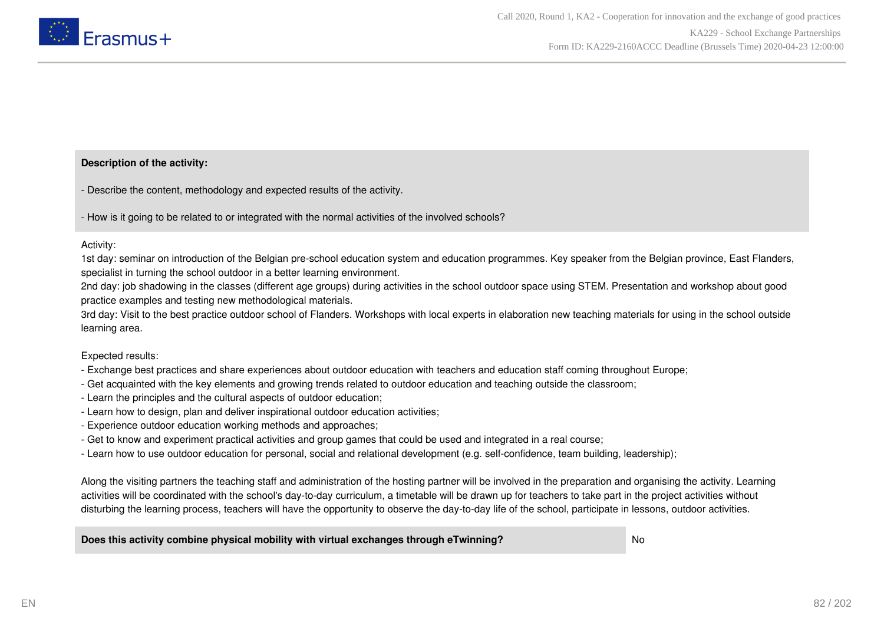

#### **Description of the activity:**

- Describe the content, methodology and expected results of the activity.

- How is it going to be related to or integrated with the normal activities of the involved schools?

#### Activity:

1st day: seminar on introduction of the Belgian pre-school education system and education programmes. Key speaker from the Belgian province, East Flanders, specialist in turning the school outdoor in a better learning environment.

2nd day: job shadowing in the classes (different age groups) during activities in the school outdoor space using STEM. Presentation and workshop about good practice examples and testing new methodological materials.

3rd day: Visit to the best practice outdoor school of Flanders. Workshops with local experts in elaboration new teaching materials for using in the school outside learning area.

#### Expected results:

- Exchange best practices and share experiences about outdoor education with teachers and education staff coming throughout Europe;
- Get acquainted with the key elements and growing trends related to outdoor education and teaching outside the classroom;
- Learn the principles and the cultural aspects of outdoor education;
- Learn how to design, plan and deliver inspirational outdoor education activities;
- Experience outdoor education working methods and approaches;
- Get to know and experiment practical activities and group games that could be used and integrated in a real course;
- Learn how to use outdoor education for personal, social and relational development (e.g. self-confidence, team building, leadership);

Along the visiting partners the teaching staff and administration of the hosting partner will be involved in the preparation and organising the activity. Learning activities will be coordinated with the school's day-to-day curriculum, a timetable will be drawn up for teachers to take part in the project activities without disturbing the learning process, teachers will have the opportunity to observe the day-to-day life of the school, participate in lessons, outdoor activities.

#### **Does this activity combine physical mobility with virtual exchanges through eTwinning?** No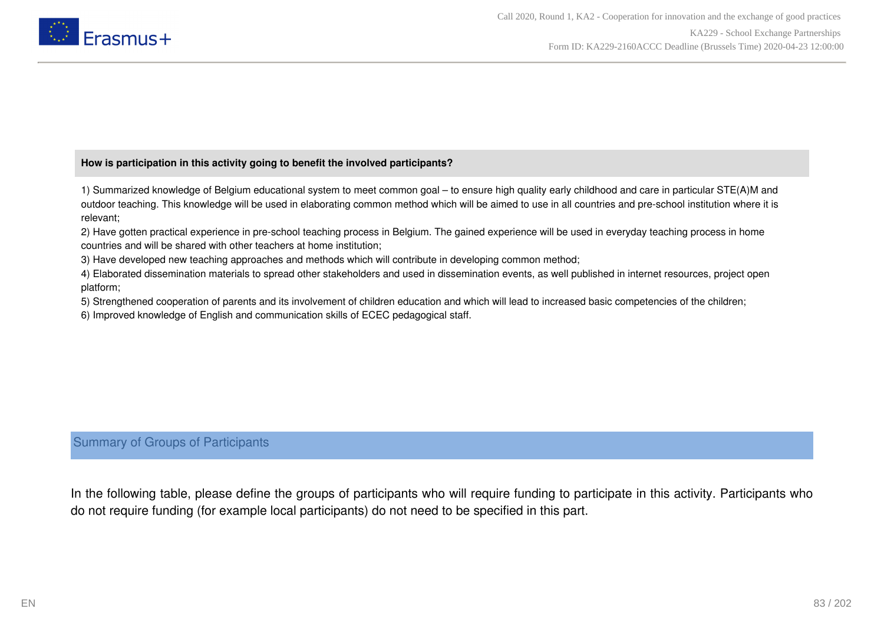

#### **How is participation in this activity going to benefit the involved participants?**

1) Summarized knowledge of Belgium educational system to meet common goal – to ensure high quality early childhood and care in particular STE(A)M and outdoor teaching. This knowledge will be used in elaborating common method which will be aimed to use in all countries and pre-school institution where it is relevant;

2) Have gotten practical experience in pre-school teaching process in Belgium. The gained experience will be used in everyday teaching process in home countries and will be shared with other teachers at home institution;

3) Have developed new teaching approaches and methods which will contribute in developing common method;

4) Elaborated dissemination materials to spread other stakeholders and used in dissemination events, as well published in internet resources, project open platform;

5) Strengthened cooperation of parents and its involvement of children education and which will lead to increased basic competencies of the children;

6) Improved knowledge of English and communication skills of ECEC pedagogical staff.

### Summary of Groups of Participants

In the following table, please define the groups of participants who will require funding to participate in this activity. Participants who do not require funding (for example local participants) do not need to be specified in this part.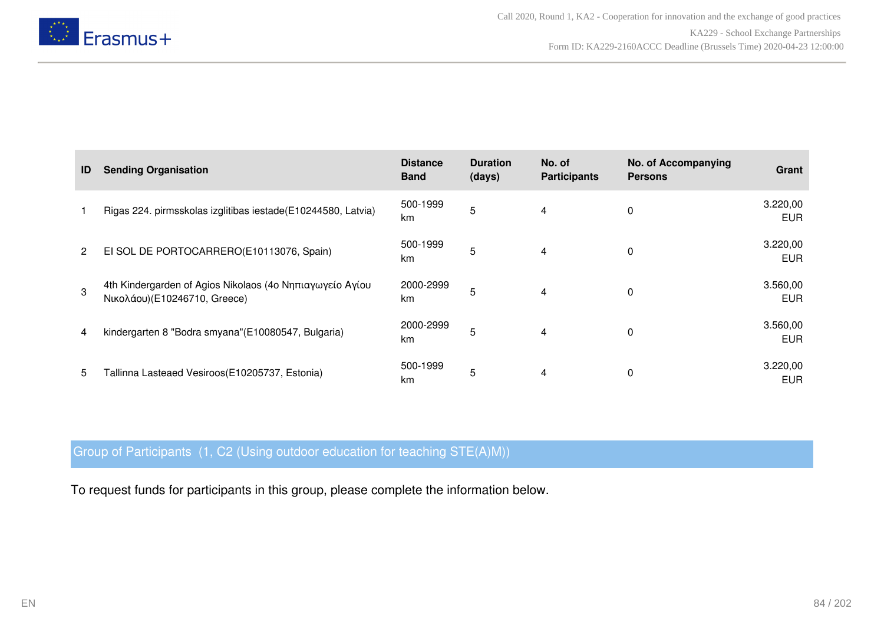

| ID             | <b>Sending Organisation</b>                                                               | <b>Distance</b><br><b>Band</b> | <b>Duration</b><br>(days) | No. of<br><b>Participants</b> | No. of Accompanying<br><b>Persons</b> | Grant                  |
|----------------|-------------------------------------------------------------------------------------------|--------------------------------|---------------------------|-------------------------------|---------------------------------------|------------------------|
|                | Rigas 224. pirmsskolas izglitibas iestade(E10244580, Latvia)                              | 500-1999<br>km                 | 5                         | 4                             | $\mathbf 0$                           | 3.220,00<br><b>EUR</b> |
| $\overline{2}$ | EI SOL DE PORTOCARRERO(E10113076, Spain)                                                  | 500-1999<br>km                 | 5                         | 4                             | 0                                     | 3.220,00<br><b>EUR</b> |
| 3              | 4th Kindergarden of Agios Nikolaos (4ο Νηπιαγωγείο Αγίου<br>Νικολάου) (Ε10246710, Greece) | 2000-2999<br>km                | 5                         | 4                             | 0                                     | 3.560,00<br><b>EUR</b> |
| $\overline{4}$ | kindergarten 8 "Bodra smyana" (E10080547, Bulgaria)                                       | 2000-2999<br>km                | 5                         | 4                             | $\mathbf 0$                           | 3.560,00<br><b>EUR</b> |
| 5              | Tallinna Lasteaed Vesiroos (E10205737, Estonia)                                           | 500-1999<br>km                 | 5                         | 4                             | 0                                     | 3.220,00<br><b>EUR</b> |

## Group of Participants (1, C2 (Using outdoor education for teaching STE(A)M))

To request funds for participants in this group, please complete the information below.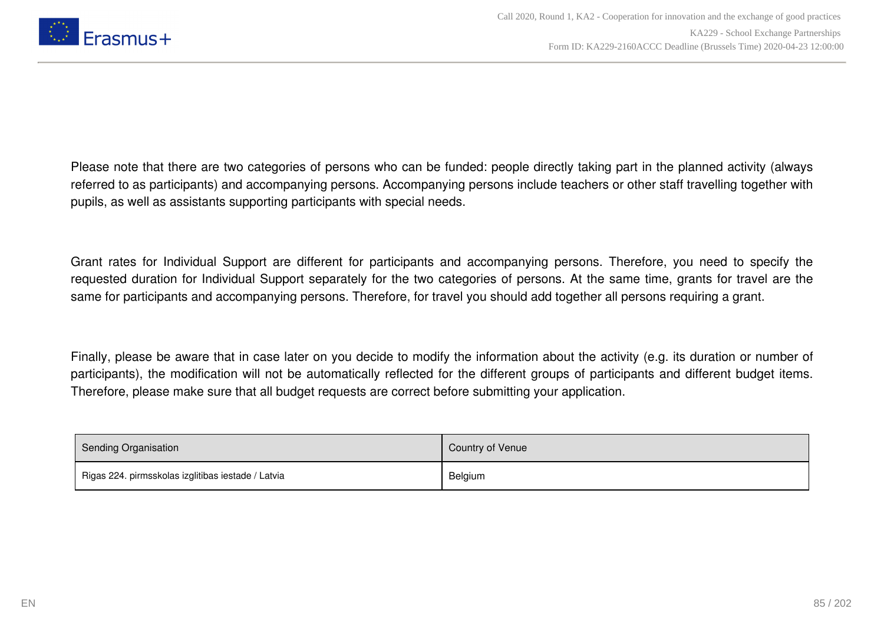

Please note that there are two categories of persons who can be funded: people directly taking part in the planned activity (always referred to as participants) and accompanying persons. Accompanying persons include teachers or other staff travelling together with pupils, as well as assistants supporting participants with special needs.

Grant rates for Individual Support are different for participants and accompanying persons. Therefore, you need to specify the requested duration for Individual Support separately for the two categories of persons. At the same time, grants for travel are the same for participants and accompanying persons. Therefore, for travel you should add together all persons requiring a grant.

| <b>Sending Organisation</b>                        | Country of Venue |
|----------------------------------------------------|------------------|
| Rigas 224. pirmsskolas izglitibas iestade / Latvia | Belgium          |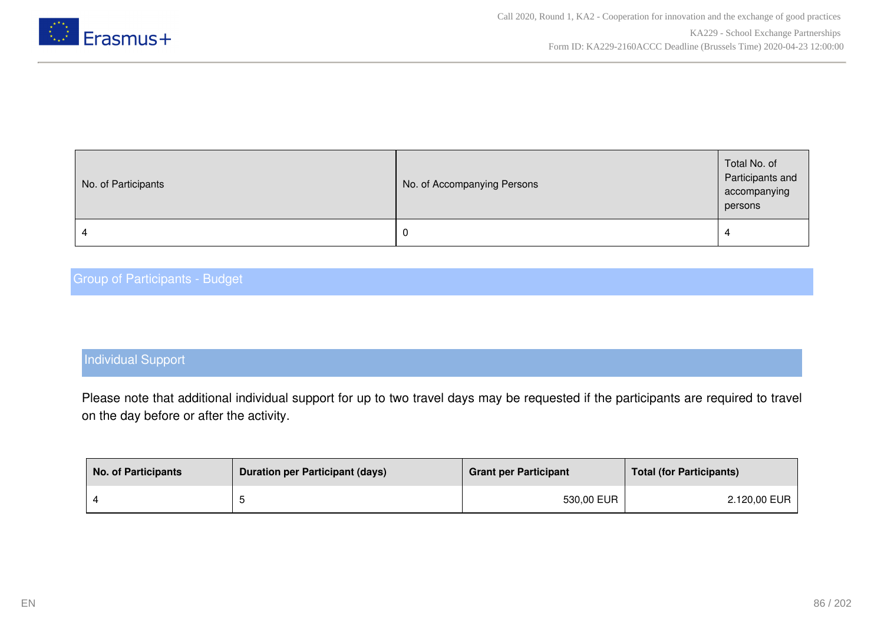

| No. of Participants | No. of Accompanying Persons | Total No. of<br>Participants and<br>accompanying<br>persons |
|---------------------|-----------------------------|-------------------------------------------------------------|
|                     | c<br>U                      |                                                             |

Group of Participants - Budget

## Individual Support

| <b>No. of Participants</b> | <b>Duration per Participant (days)</b> | <b>Grant per Participant</b> | <b>Total (for Participants)</b> |
|----------------------------|----------------------------------------|------------------------------|---------------------------------|
|                            |                                        | 530,00 EUR                   | 2.120,00 EUR                    |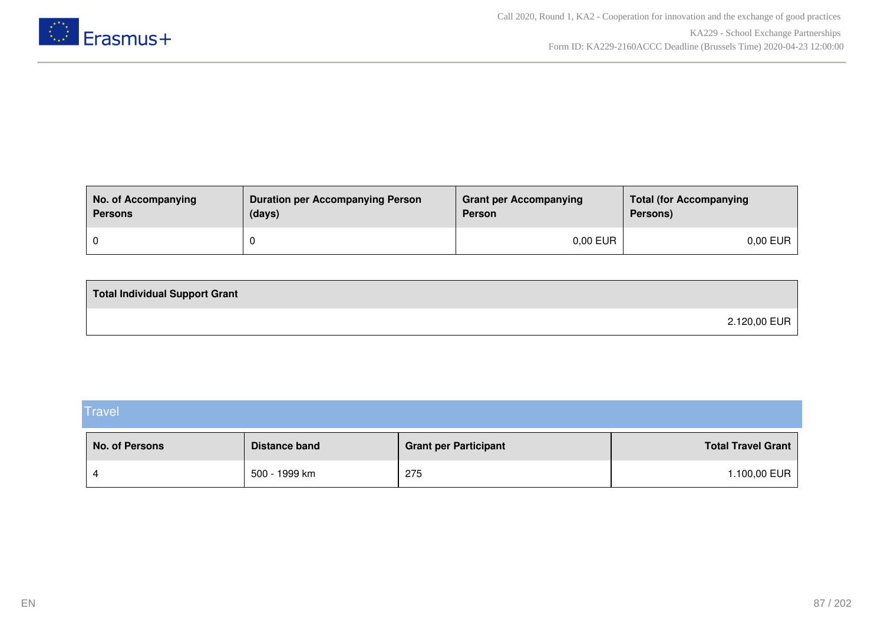

| No. of Accompanying | Duration per Accompanying Person | <b>Grant per Accompanying</b> | <b>Total (for Accompanying</b> |
|---------------------|----------------------------------|-------------------------------|--------------------------------|
| <b>Persons</b>      | (days)                           | <b>Person</b>                 | Persons)                       |
|                     |                                  | 0,00 EUR                      | 0.00 EUR                       |

| <b>Total Individual Support Grant</b> |              |
|---------------------------------------|--------------|
|                                       | 2.120,00 EUR |

| <b>Travel</b>         |               |                              |                           |  |  |
|-----------------------|---------------|------------------------------|---------------------------|--|--|
| <b>No. of Persons</b> | Distance band | <b>Grant per Participant</b> | <b>Total Travel Grant</b> |  |  |
|                       | 500 - 1999 km | 275                          | 1.100,00 EUR              |  |  |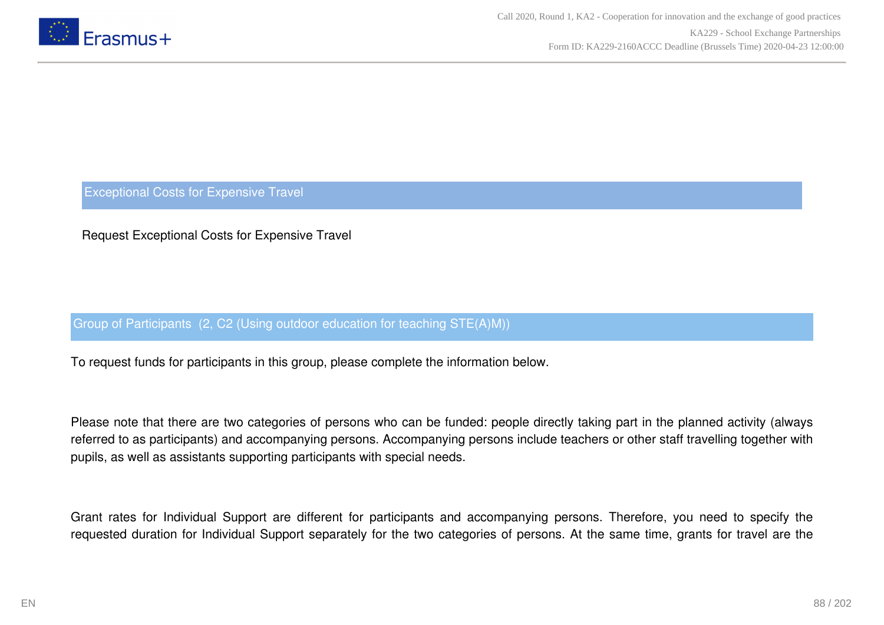

Request Exceptional Costs for Expensive Travel

### Group of Participants (2, C2 (Using outdoor education for teaching STE(A)M))

To request funds for participants in this group, please complete the information below.

Please note that there are two categories of persons who can be funded: people directly taking part in the planned activity (always referred to as participants) and accompanying persons. Accompanying persons include teachers or other staff travelling together with pupils, as well as assistants supporting participants with special needs.

Grant rates for Individual Support are different for participants and accompanying persons. Therefore, you need to specify the requested duration for Individual Support separately for the two categories of persons. At the same time, grants for travel are the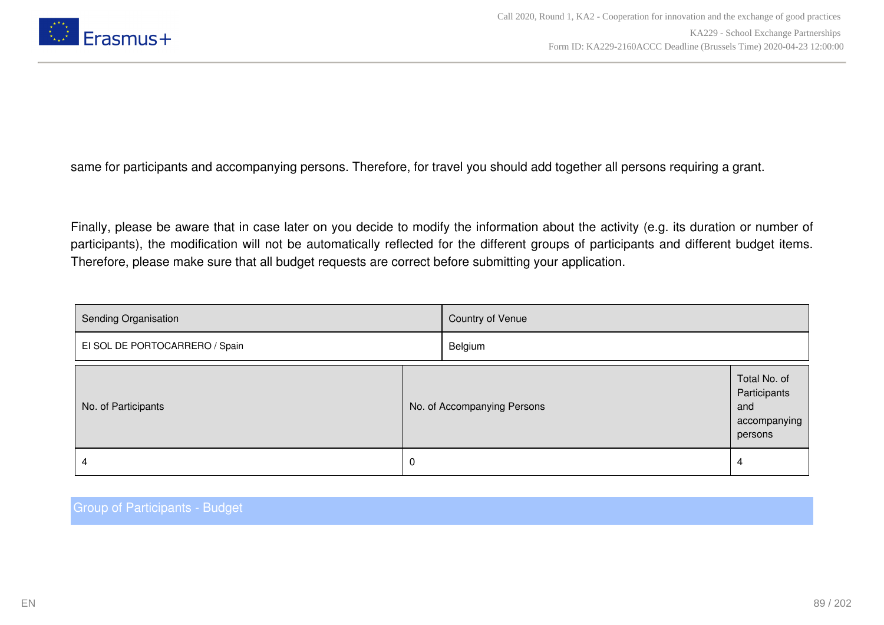

same for participants and accompanying persons. Therefore, for travel you should add together all persons requiring a grant.

| Sending Organisation           |   | Country of Venue            |                                                                |
|--------------------------------|---|-----------------------------|----------------------------------------------------------------|
| EI SOL DE PORTOCARRERO / Spain |   | Belgium                     |                                                                |
| No. of Participants            |   | No. of Accompanying Persons | Total No. of<br>Participants<br>and<br>accompanying<br>persons |
| 4                              | 0 |                             | 4                                                              |

| <b>Group of Participants - Budget</b> |  |  |
|---------------------------------------|--|--|
|                                       |  |  |
|                                       |  |  |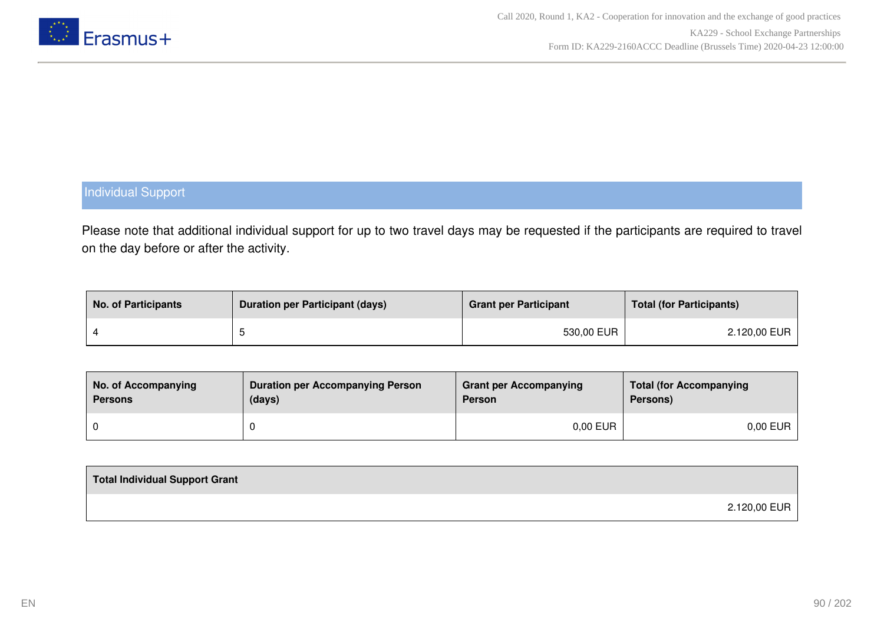

## Individual Support

| <b>No. of Participants</b> | <b>Duration per Participant (days)</b> | <b>Grant per Participant</b> | Total (for Participants) |
|----------------------------|----------------------------------------|------------------------------|--------------------------|
|                            |                                        | 530.00 EUR                   | 2.120,00 EUR             |

| No. of Accompanying | Duration per Accompanying Person | <b>Grant per Accompanying</b> | ↑ Total (for Accompanying |
|---------------------|----------------------------------|-------------------------------|---------------------------|
| <b>Persons</b>      | (days)                           | <b>Person</b>                 | Persons)                  |
|                     |                                  | 0,00 EUR                      | $0,00$ EUR                |

| Total Individual Support Grant |              |
|--------------------------------|--------------|
|                                | 2.120,00 EUR |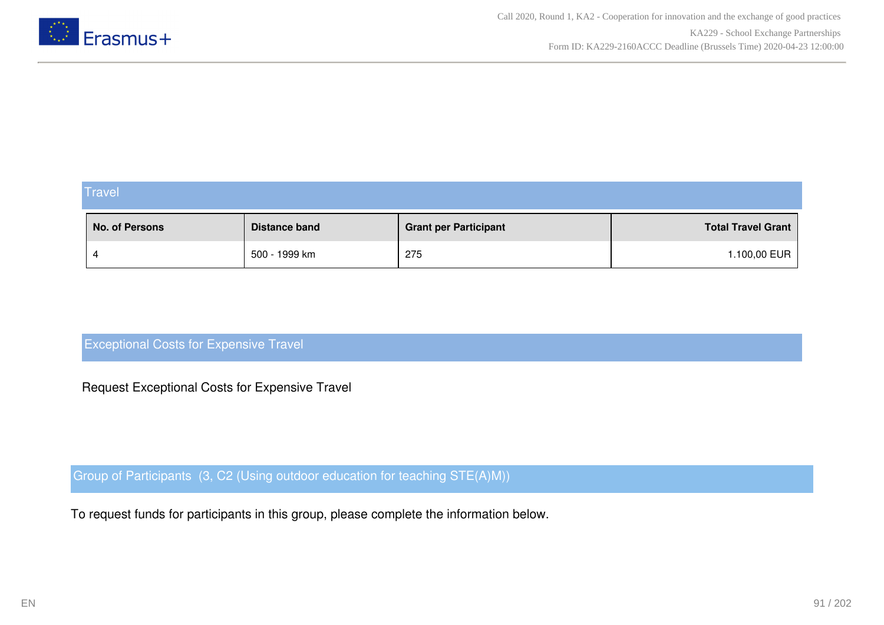

| <b>Travel</b>         |                      |                              |                           |  |  |
|-----------------------|----------------------|------------------------------|---------------------------|--|--|
| <b>No. of Persons</b> | <b>Distance band</b> | <b>Grant per Participant</b> | <b>Total Travel Grant</b> |  |  |
| 4                     | 500 - 1999 km        | 275                          | 1.100,00 EUR              |  |  |

Request Exceptional Costs for Expensive Travel

Group of Participants (3, C2 (Using outdoor education for teaching STE(A)M))

To request funds for participants in this group, please complete the information below.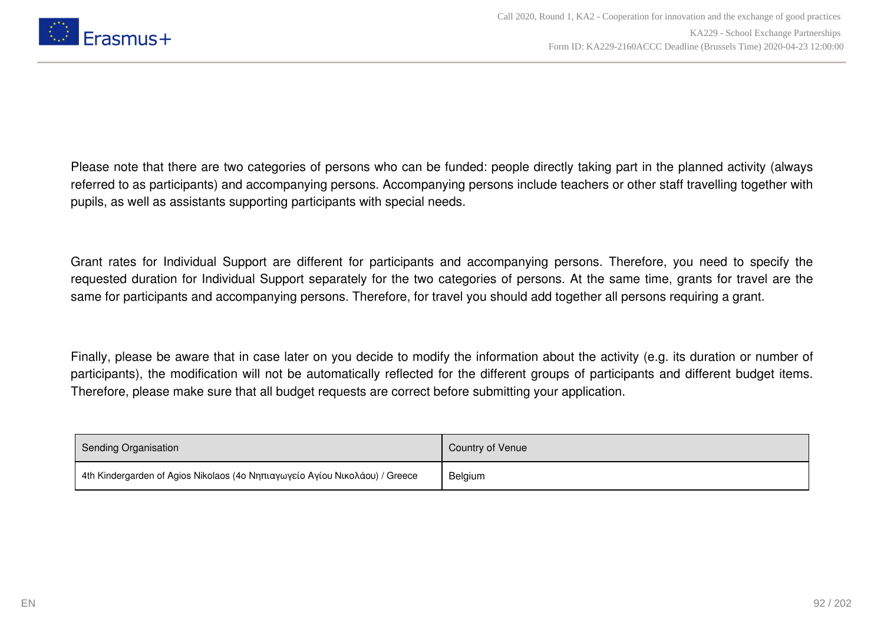

Please note that there are two categories of persons who can be funded: people directly taking part in the planned activity (always referred to as participants) and accompanying persons. Accompanying persons include teachers or other staff travelling together with pupils, as well as assistants supporting participants with special needs.

Grant rates for Individual Support are different for participants and accompanying persons. Therefore, you need to specify the requested duration for Individual Support separately for the two categories of persons. At the same time, grants for travel are the same for participants and accompanying persons. Therefore, for travel you should add together all persons requiring a grant.

| Sending Organisation                                                          | Country of Venue |
|-------------------------------------------------------------------------------|------------------|
| ' 4th Kindergarden of Agios Nikolaos (4ο Νηπιαγωγείο Αγίου Νικολάου) / Greece | Belgium          |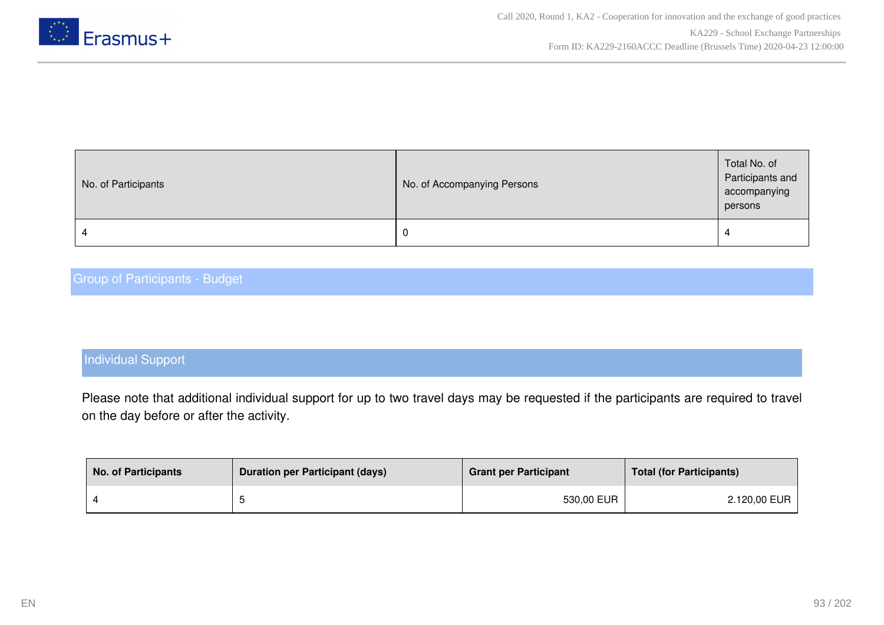

| No. of Participants | No. of Accompanying Persons | Total No. of<br>Participants and<br>accompanying<br>persons |
|---------------------|-----------------------------|-------------------------------------------------------------|
| 4                   | 0                           |                                                             |

Group of Participants - Budget

## Individual Support

| <b>No. of Participants</b> | <b>Duration per Participant (days)</b> | <b>Grant per Participant</b> | Total (for Participants) |
|----------------------------|----------------------------------------|------------------------------|--------------------------|
|                            |                                        | 530,00 EUR                   | 2.120,00 EUR             |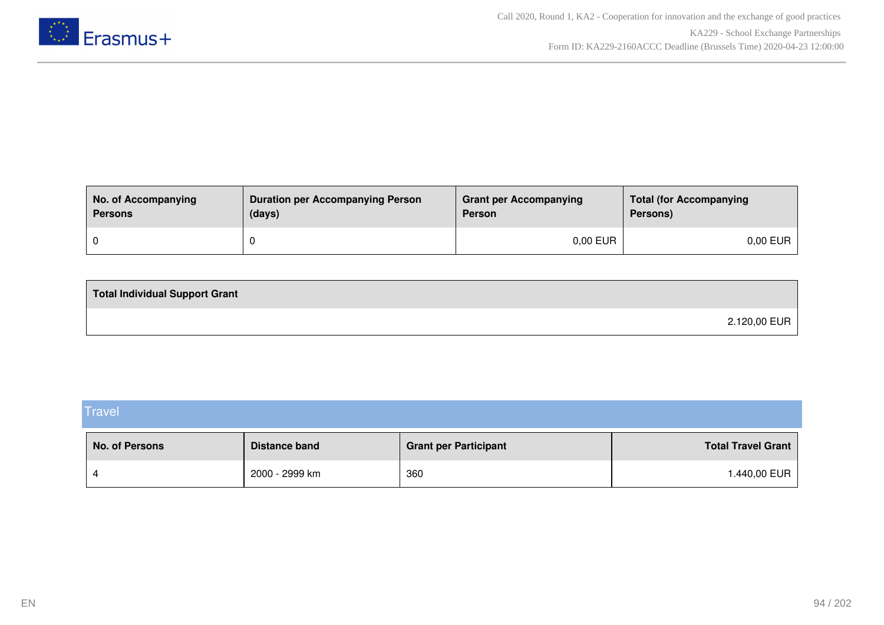

| No. of Accompanying | Duration per Accompanying Person | <b>Grant per Accompanying</b> | <b>Total (for Accompanying</b> |
|---------------------|----------------------------------|-------------------------------|--------------------------------|
| <b>Persons</b>      | (days)                           | <b>Person</b>                 | Persons)                       |
|                     |                                  | 0,00 EUR                      | $0,00$ EUR $\vert$             |

| <b>Total Individual Support Grant</b> |              |
|---------------------------------------|--------------|
|                                       | 2.120,00 EUR |

| <b>Travel</b>         |                      |                              |                           |  |  |
|-----------------------|----------------------|------------------------------|---------------------------|--|--|
| <b>No. of Persons</b> | <b>Distance band</b> | <b>Grant per Participant</b> | <b>Total Travel Grant</b> |  |  |
|                       | 2000 - 2999 km       | 360                          | 1.440,00 EUR              |  |  |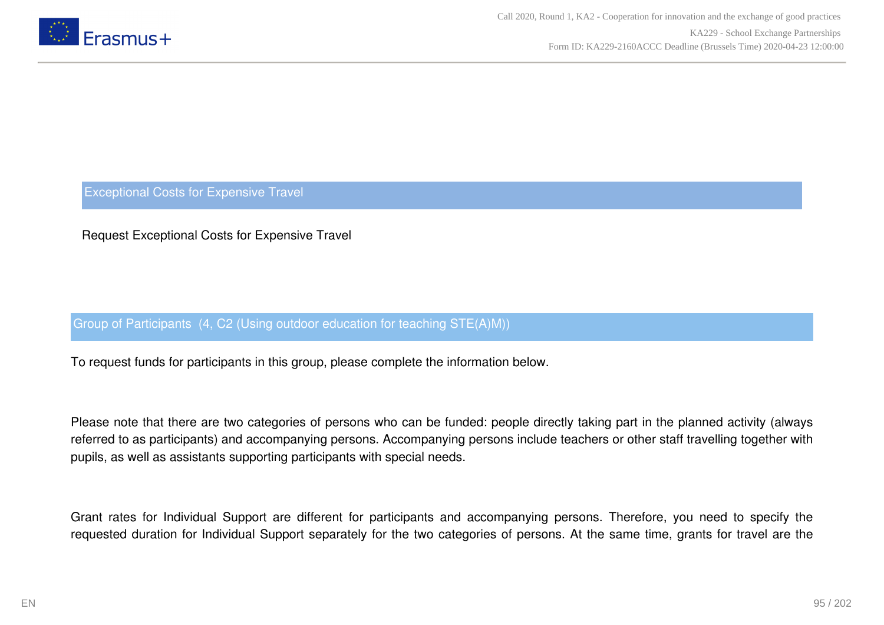

Request Exceptional Costs for Expensive Travel

### Group of Participants (4, C2 (Using outdoor education for teaching STE(A)M))

To request funds for participants in this group, please complete the information below.

Please note that there are two categories of persons who can be funded: people directly taking part in the planned activity (always referred to as participants) and accompanying persons. Accompanying persons include teachers or other staff travelling together with pupils, as well as assistants supporting participants with special needs.

Grant rates for Individual Support are different for participants and accompanying persons. Therefore, you need to specify the requested duration for Individual Support separately for the two categories of persons. At the same time, grants for travel are the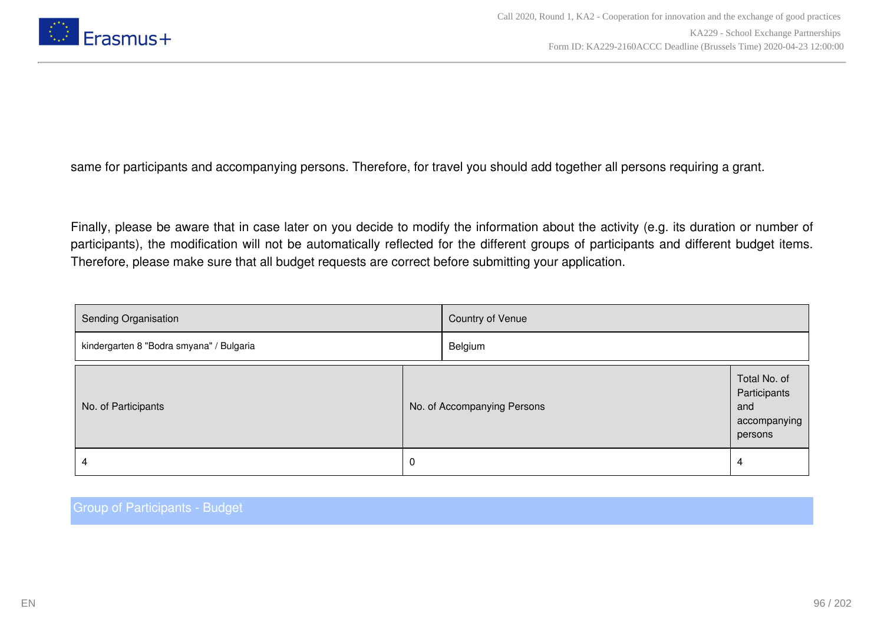

same for participants and accompanying persons. Therefore, for travel you should add together all persons requiring a grant.

| <b>Sending Organisation</b>              |   | Country of Venue            |                                                                |
|------------------------------------------|---|-----------------------------|----------------------------------------------------------------|
| kindergarten 8 "Bodra smyana" / Bulgaria |   | Belgium                     |                                                                |
| No. of Participants                      |   | No. of Accompanying Persons | Total No. of<br>Participants<br>and<br>accompanying<br>persons |
| 4                                        | 0 |                             | 4                                                              |

| <b>Group of Participants - Budget</b> |  |  |
|---------------------------------------|--|--|
|                                       |  |  |
|                                       |  |  |
|                                       |  |  |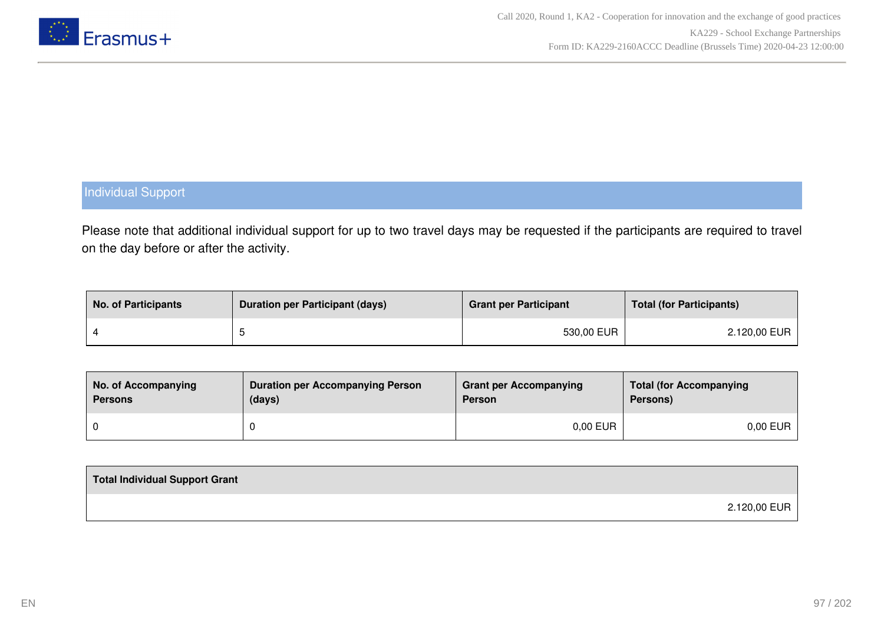

## Individual Support

| <b>No. of Participants</b> | <b>Duration per Participant (days)</b> | <b>Grant per Participant</b> | Total (for Participants) |
|----------------------------|----------------------------------------|------------------------------|--------------------------|
|                            |                                        | 530.00 EUR                   | 2.120,00 EUR             |

| No. of Accompanying | Duration per Accompanying Person | <b>Grant per Accompanying</b> | Total (for Accompanying |  |
|---------------------|----------------------------------|-------------------------------|-------------------------|--|
| <b>Persons</b>      | (days)                           | <b>Person</b>                 | Persons)                |  |
|                     |                                  | 0,00 EUR                      | $0,00$ EUR              |  |

| Total Individual Support Grant |              |
|--------------------------------|--------------|
|                                | 2.120,00 EUR |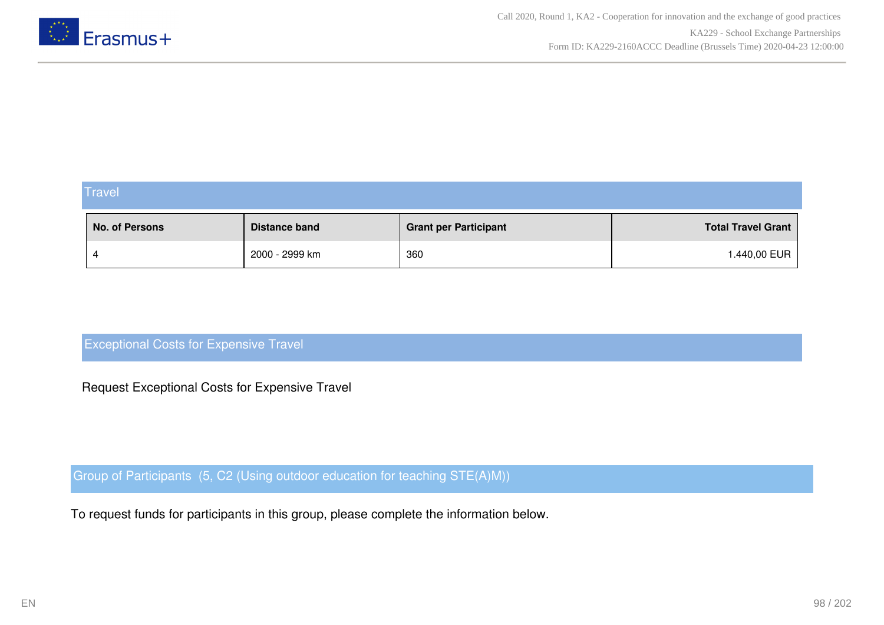

| <b>Travel</b>         |                      |                              |                           |
|-----------------------|----------------------|------------------------------|---------------------------|
| <b>No. of Persons</b> | <b>Distance band</b> | <b>Grant per Participant</b> | <b>Total Travel Grant</b> |
| 4                     | 2000 - 2999 km       | 360                          | 1.440,00 EUR              |

Request Exceptional Costs for Expensive Travel

Group of Participants (5, C2 (Using outdoor education for teaching STE(A)M))

To request funds for participants in this group, please complete the information below.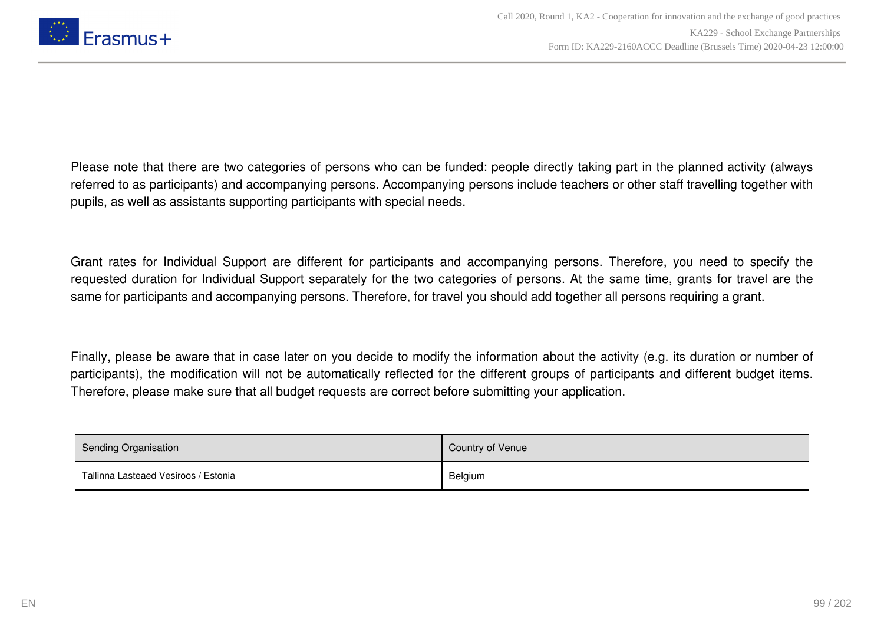

Please note that there are two categories of persons who can be funded: people directly taking part in the planned activity (always referred to as participants) and accompanying persons. Accompanying persons include teachers or other staff travelling together with pupils, as well as assistants supporting participants with special needs.

Grant rates for Individual Support are different for participants and accompanying persons. Therefore, you need to specify the requested duration for Individual Support separately for the two categories of persons. At the same time, grants for travel are the same for participants and accompanying persons. Therefore, for travel you should add together all persons requiring a grant.

| <b>Sending Organisation</b>          | Country of Venue |
|--------------------------------------|------------------|
| Tallinna Lasteaed Vesiroos / Estonia | Belgium          |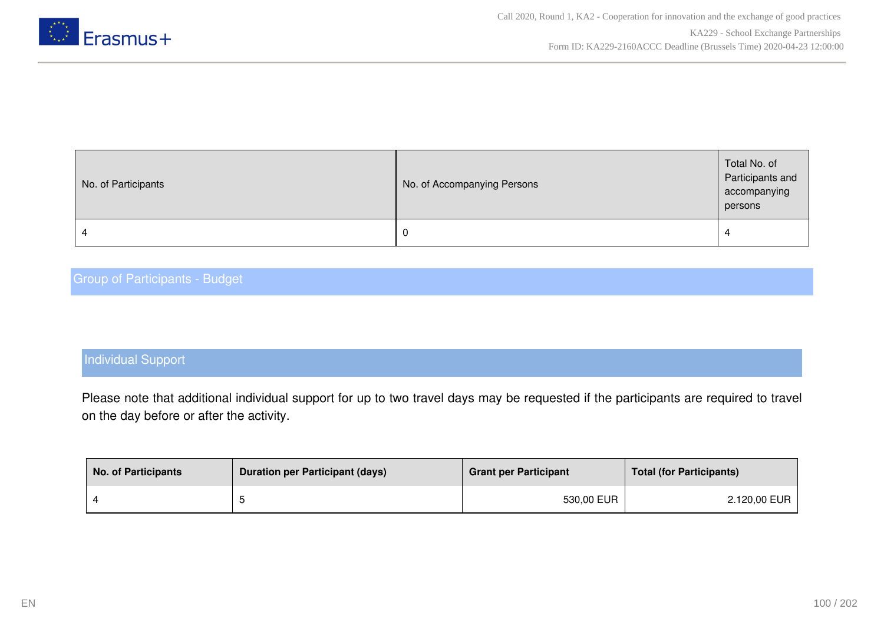

| No. of Participants | No. of Accompanying Persons | Total No. of<br>Participants and<br>accompanying<br>persons |
|---------------------|-----------------------------|-------------------------------------------------------------|
|                     | c<br>U                      |                                                             |

Group of Participants - Budget

## Individual Support

| <b>No. of Participants</b> | Duration per Participant (days) | <b>Grant per Participant</b> | <b>Total (for Participants)</b> |  |
|----------------------------|---------------------------------|------------------------------|---------------------------------|--|
|                            |                                 | 530,00 EUR                   | 2.120,00 EUR                    |  |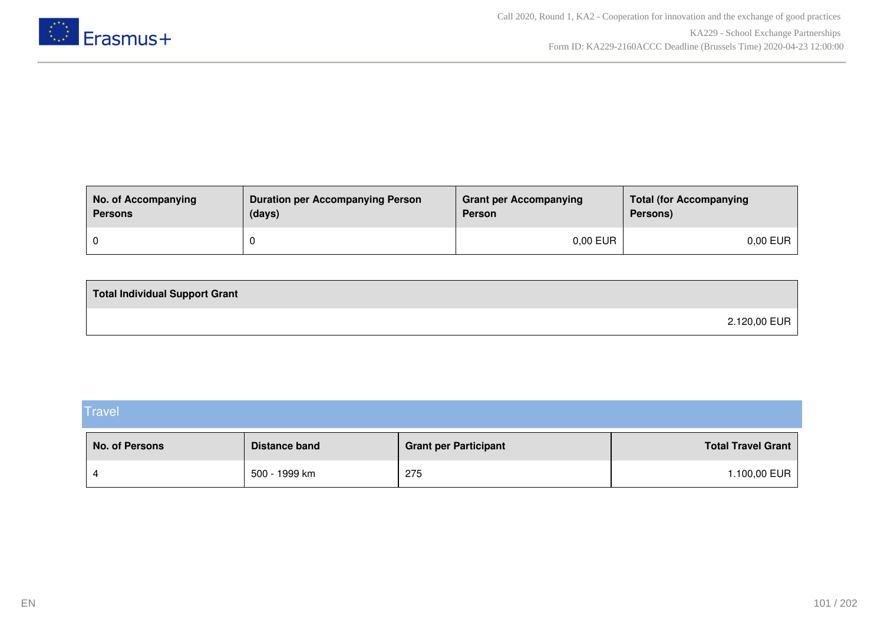

| No. of Accompanying | Duration per Accompanying Person | <b>Grant per Accompanying</b> | <b>Total (for Accompanying</b> |  |
|---------------------|----------------------------------|-------------------------------|--------------------------------|--|
| <b>Persons</b>      | (days)                           | <b>Person</b>                 | Persons)                       |  |
|                     |                                  | 0,00 EUR                      | 0.00 EUR                       |  |

| <b>Total Individual Support Grant</b> |              |
|---------------------------------------|--------------|
|                                       | 2.120,00 EUR |

| <b>Travel</b>         |               |                              |                           |  |
|-----------------------|---------------|------------------------------|---------------------------|--|
| <b>No. of Persons</b> | Distance band | <b>Grant per Participant</b> | <b>Total Travel Grant</b> |  |
|                       | 500 - 1999 km | 275                          | 1.100,00 EUR              |  |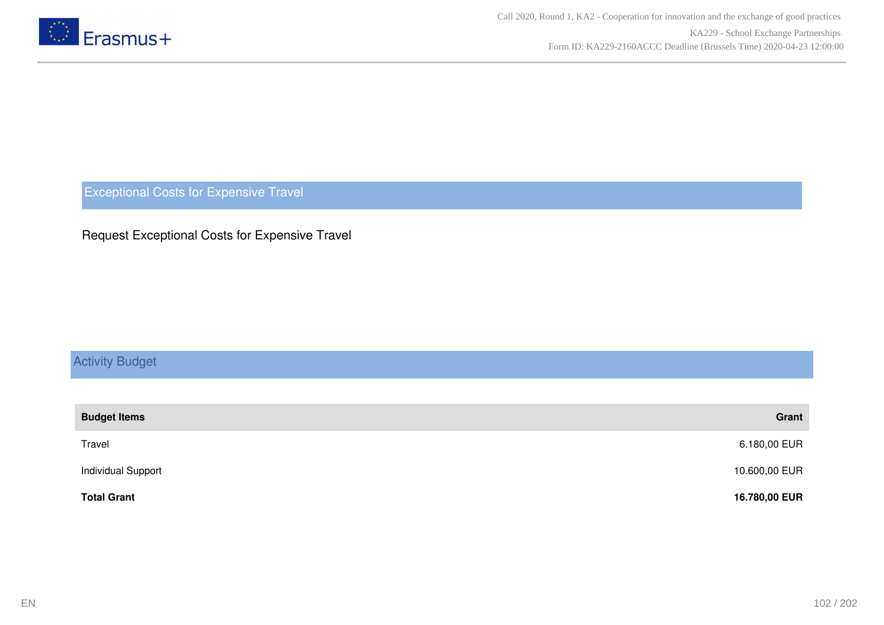

Request Exceptional Costs for Expensive Travel

# Activity Budget

| <b>Budget Items</b>       | Grant         |
|---------------------------|---------------|
| Travel                    | 6.180,00 EUR  |
| <b>Individual Support</b> | 10.600,00 EUR |
| <b>Total Grant</b>        | 16.780,00 EUR |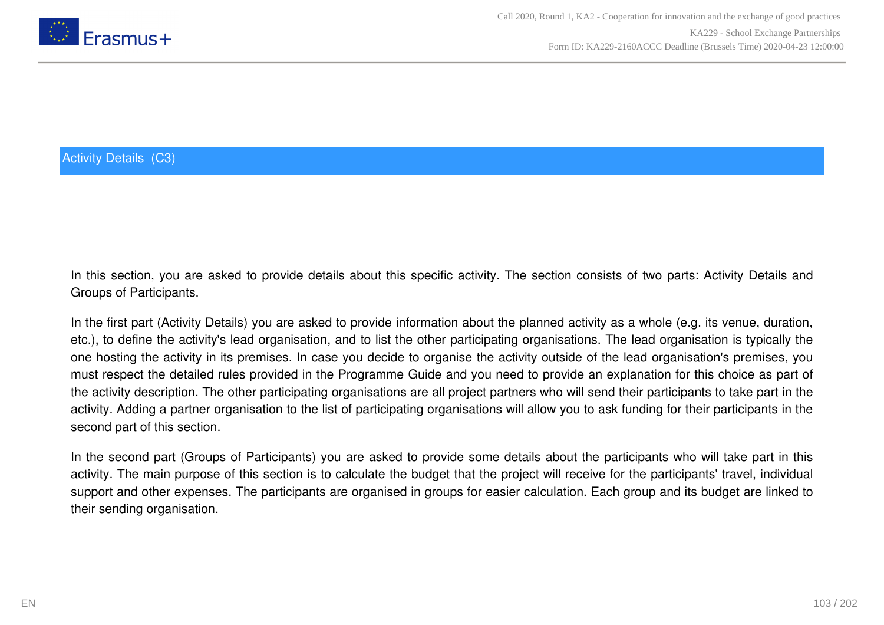

### Activity Details (C3)

In this section, you are asked to provide details about this specific activity. The section consists of two parts: Activity Details and Groups of Participants.

In the first part (Activity Details) you are asked to provide information about the planned activity as a whole (e.g. its venue, duration, etc.), to define the activity's lead organisation, and to list the other participating organisations. The lead organisation is typically the one hosting the activity in its premises. In case you decide to organise the activity outside of the lead organisation's premises, you must respect the detailed rules provided in the Programme Guide and you need to provide an explanation for this choice as part of the activity description. The other participating organisations are all project partners who will send their participants to take part in the activity. Adding a partner organisation to the list of participating organisations will allow you to ask funding for their participants in the second part of this section.

In the second part (Groups of Participants) you are asked to provide some details about the participants who will take part in this activity. The main purpose of this section is to calculate the budget that the project will receive for the participants' travel, individual support and other expenses. The participants are organised in groups for easier calculation. Each group and its budget are linked to their sending organisation.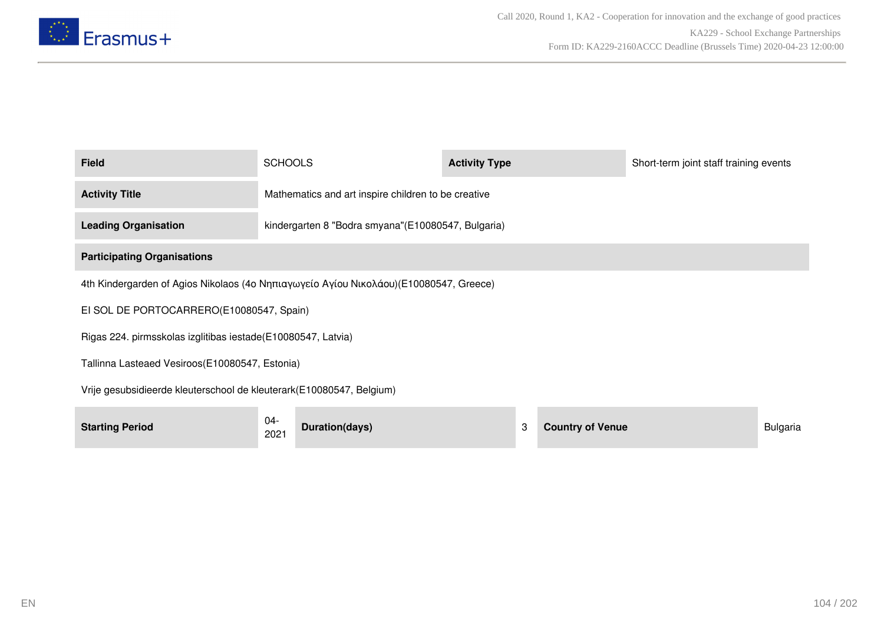

| <b>Field</b>                                                                          | <b>SCHOOLS</b> |                                                     | <b>Activity Type</b> |   |                         | Short-term joint staff training events |          |
|---------------------------------------------------------------------------------------|----------------|-----------------------------------------------------|----------------------|---|-------------------------|----------------------------------------|----------|
| <b>Activity Title</b>                                                                 |                | Mathematics and art inspire children to be creative |                      |   |                         |                                        |          |
| <b>Leading Organisation</b>                                                           |                | kindergarten 8 "Bodra smyana" (E10080547, Bulgaria) |                      |   |                         |                                        |          |
| <b>Participating Organisations</b>                                                    |                |                                                     |                      |   |                         |                                        |          |
| 4th Kindergarden of Agios Nikolaos (4ο Νηπιαγωγείο Αγίου Νικολάου)(Ε10080547, Greece) |                |                                                     |                      |   |                         |                                        |          |
| EI SOL DE PORTOCARRERO(E10080547, Spain)                                              |                |                                                     |                      |   |                         |                                        |          |
| Rigas 224. pirmsskolas izglitibas iestade(E10080547, Latvia)                          |                |                                                     |                      |   |                         |                                        |          |
| Tallinna Lasteaed Vesiroos (E10080547, Estonia)                                       |                |                                                     |                      |   |                         |                                        |          |
| Vrije gesubsidieerde kleuterschool de kleuterark(E10080547, Belgium)                  |                |                                                     |                      |   |                         |                                        |          |
| <b>Starting Period</b>                                                                | 04-<br>2021    | Duration(days)                                      |                      | 3 | <b>Country of Venue</b> |                                        | Bulgaria |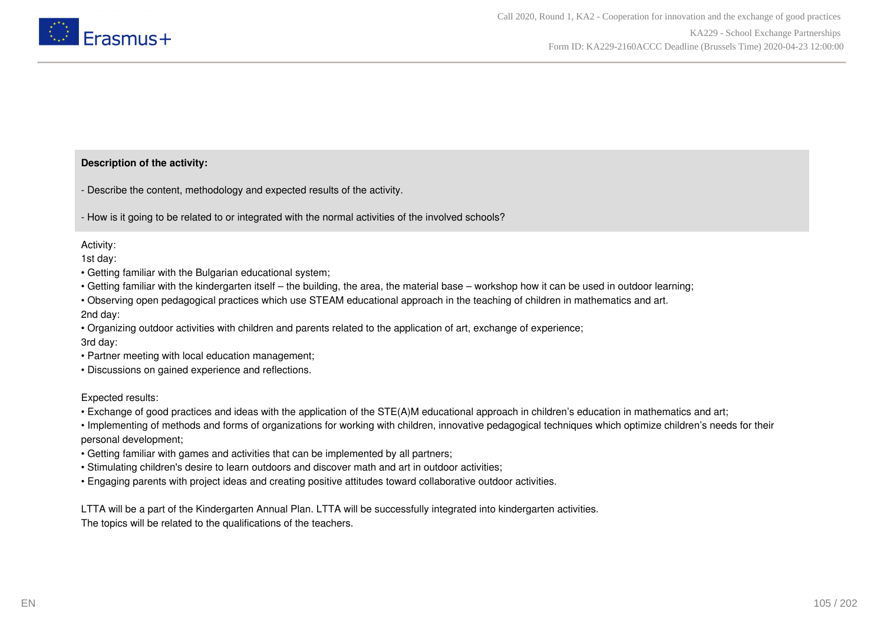

#### **Description of the activity:**

- Describe the content, methodology and expected results of the activity.

- How is it going to be related to or integrated with the normal activities of the involved schools?

#### Activity:

1st day:

- Getting familiar with the Bulgarian educational system;
- Getting familiar with the kindergarten itself the building, the area, the material base workshop how it can be used in outdoor learning;
- Observing open pedagogical practices which use STEAM educational approach in the teaching of children in mathematics and art.

2nd day:

• Organizing outdoor activities with children and parents related to the application of art, exchange of experience;

3rd day:

- Partner meeting with local education management;
- Discussions on gained experience and reflections.

#### Expected results:

- Exchange of good practices and ideas with the application of the STE(A)M educational approach in children's education in mathematics and art;
- Implementing of methods and forms of organizations for working with children, innovative pedagogical techniques which optimize children's needs for their personal development;
- Getting familiar with games and activities that can be implemented by all partners;
- Stimulating children's desire to learn outdoors and discover math and art in outdoor activities;
- Engaging parents with project ideas and creating positive attitudes toward collaborative outdoor activities.

LTTA will be a part of the Kindergarten Annual Plan. LTTA will be successfully integrated into kindergarten activities. The topics will be related to the qualifications of the teachers.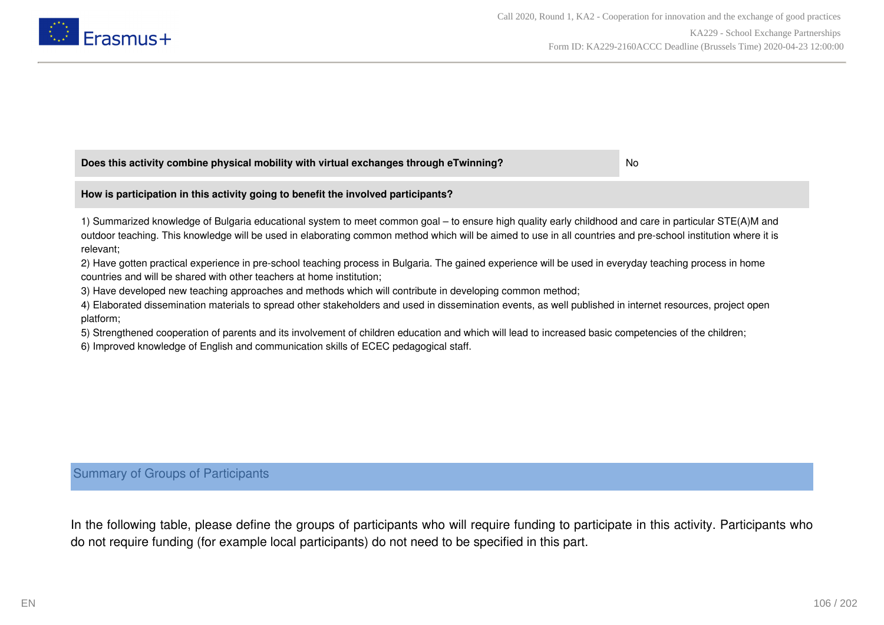

| Does this activity combine physical mobility with virtual exchanges through eTwinning? | No |
|----------------------------------------------------------------------------------------|----|
|----------------------------------------------------------------------------------------|----|

**How is participation in this activity going to benefit the involved participants?**

1) Summarized knowledge of Bulgaria educational system to meet common goal – to ensure high quality early childhood and care in particular STE(A)M and outdoor teaching. This knowledge will be used in elaborating common method which will be aimed to use in all countries and pre-school institution where it is relevant;

2) Have gotten practical experience in pre-school teaching process in Bulgaria. The gained experience will be used in everyday teaching process in home countries and will be shared with other teachers at home institution;

3) Have developed new teaching approaches and methods which will contribute in developing common method;

4) Elaborated dissemination materials to spread other stakeholders and used in dissemination events, as well published in internet resources, project open platform;

5) Strengthened cooperation of parents and its involvement of children education and which will lead to increased basic competencies of the children;

6) Improved knowledge of English and communication skills of ECEC pedagogical staff.

### Summary of Groups of Participants

In the following table, please define the groups of participants who will require funding to participate in this activity. Participants who do not require funding (for example local participants) do not need to be specified in this part.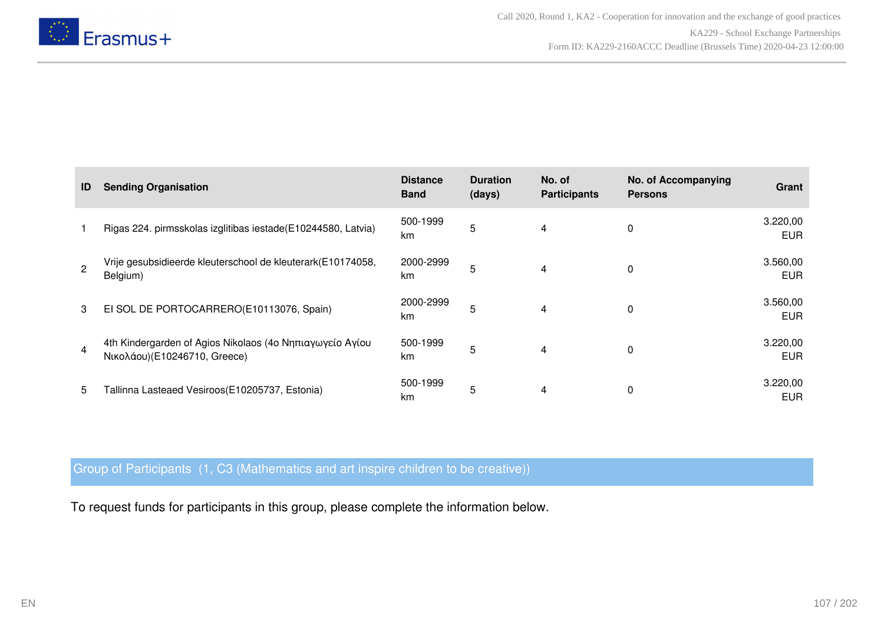

| ID             | <b>Sending Organisation</b>                                                               | <b>Distance</b><br><b>Band</b> | <b>Duration</b><br>(days) | No. of<br><b>Participants</b> | No. of Accompanying<br><b>Persons</b> | Grant                  |
|----------------|-------------------------------------------------------------------------------------------|--------------------------------|---------------------------|-------------------------------|---------------------------------------|------------------------|
|                | Rigas 224. pirmsskolas izglitibas iestade(E10244580, Latvia)                              | 500-1999<br>km                 | 5                         | 4                             | 0                                     | 3.220,00<br><b>EUR</b> |
| $\overline{2}$ | Vrije gesubsidieerde kleuterschool de kleuterark(E10174058,<br>Belgium)                   | 2000-2999<br>km                | 5                         | 4                             | 0                                     | 3.560,00<br><b>EUR</b> |
| 3              | EI SOL DE PORTOCARRERO(E10113076, Spain)                                                  | 2000-2999<br>km                | 5                         | 4                             | $\mathbf 0$                           | 3.560,00<br><b>EUR</b> |
| 4              | 4th Kindergarden of Agios Nikolaos (4ο Νηπιαγωγείο Αγίου<br>Νικολάου) (Ε10246710, Greece) | 500-1999<br>km                 | 5                         | 4                             | 0                                     | 3.220,00<br>EUR.       |
| 5              | Tallinna Lasteaed Vesiroos(E10205737, Estonia)                                            | 500-1999<br>km                 | 5                         | 4                             | $\mathbf 0$                           | 3.220,00<br><b>EUR</b> |

# Group of Participants (1, C3 (Mathematics and art inspire children to be creative))

To request funds for participants in this group, please complete the information below.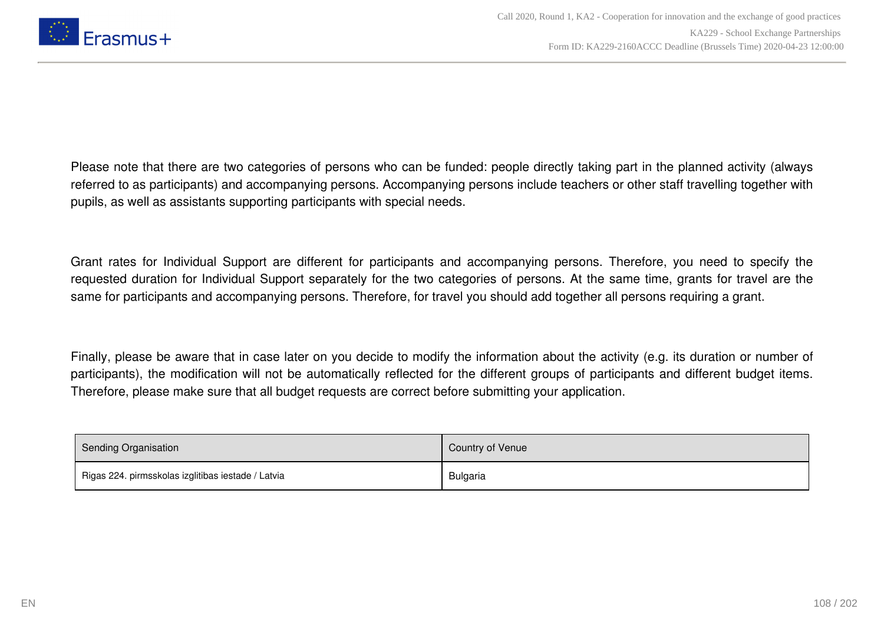

Please note that there are two categories of persons who can be funded: people directly taking part in the planned activity (always referred to as participants) and accompanying persons. Accompanying persons include teachers or other staff travelling together with pupils, as well as assistants supporting participants with special needs.

Grant rates for Individual Support are different for participants and accompanying persons. Therefore, you need to specify the requested duration for Individual Support separately for the two categories of persons. At the same time, grants for travel are the same for participants and accompanying persons. Therefore, for travel you should add together all persons requiring a grant.

| <b>Sending Organisation</b>                        | <b>Country of Venue</b> |
|----------------------------------------------------|-------------------------|
| Rigas 224. pirmsskolas izglitibas iestade / Latvia | <b>Bulgaria</b>         |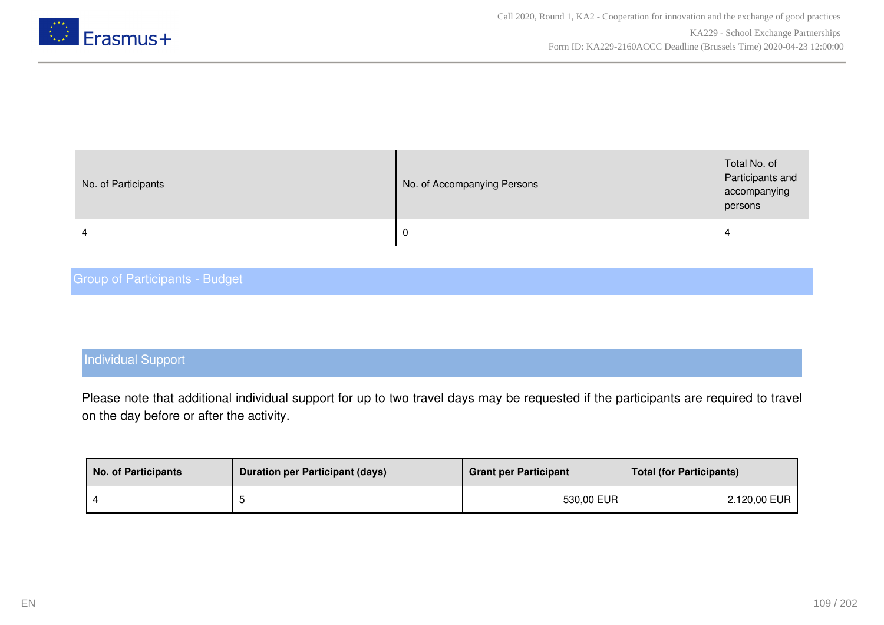

| No. of Participants | No. of Accompanying Persons | Total No. of<br>Participants and<br>accompanying<br>persons |
|---------------------|-----------------------------|-------------------------------------------------------------|
|                     | c<br>U                      |                                                             |

Group of Participants - Budget

## Individual Support

| <b>No. of Participants</b> | Duration per Participant (days) | <b>Grant per Participant</b> | <b>Total (for Participants)</b> |
|----------------------------|---------------------------------|------------------------------|---------------------------------|
|                            |                                 | 530,00 EUR                   | 2.120,00 EUR                    |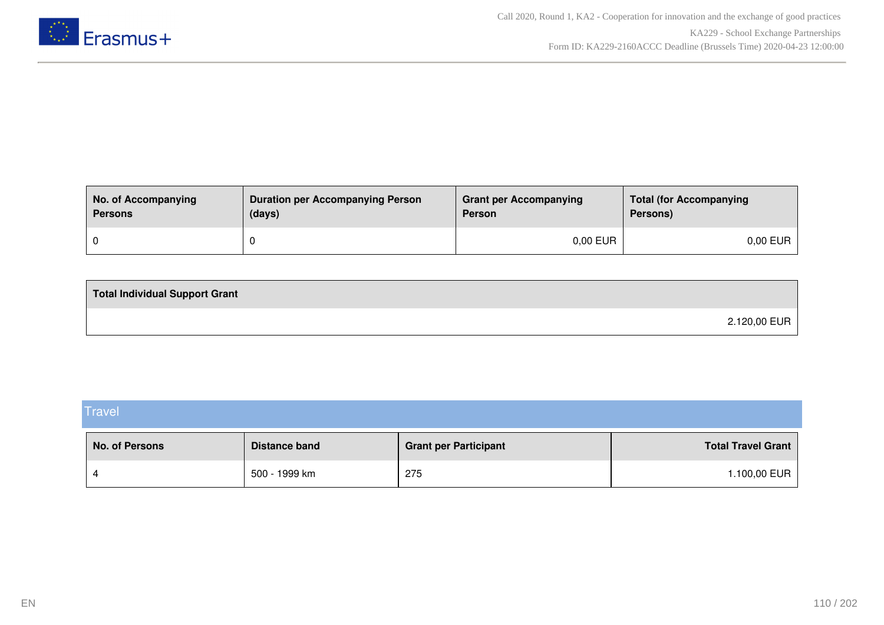

| No. of Accompanying | Duration per Accompanying Person | <b>Grant per Accompanying</b> | <b>Total (for Accompanying</b> |
|---------------------|----------------------------------|-------------------------------|--------------------------------|
| <b>Persons</b>      | (days)                           | <b>Person</b>                 | Persons)                       |
|                     |                                  | 0,00 EUR                      | 0.00 EUR                       |

| <b>Total Individual Support Grant</b> |              |
|---------------------------------------|--------------|
|                                       | 2.120,00 EUR |

| <b>Travel</b>         |               |                              |                           |
|-----------------------|---------------|------------------------------|---------------------------|
| <b>No. of Persons</b> | Distance band | <b>Grant per Participant</b> | <b>Total Travel Grant</b> |
|                       | 500 - 1999 km | 275                          | 1.100,00 EUR              |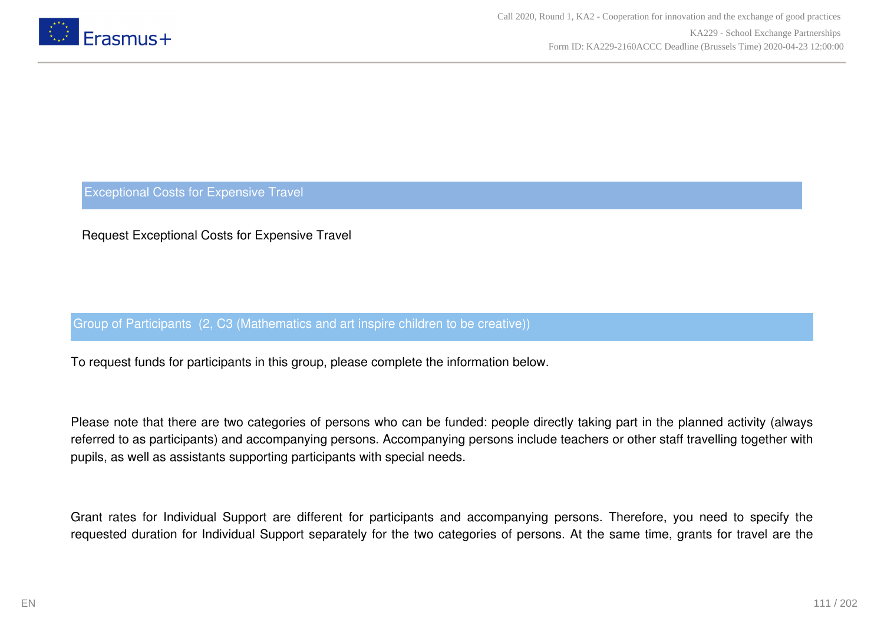

Request Exceptional Costs for Expensive Travel

### Group of Participants (2, C3 (Mathematics and art inspire children to be creative))

To request funds for participants in this group, please complete the information below.

Please note that there are two categories of persons who can be funded: people directly taking part in the planned activity (always referred to as participants) and accompanying persons. Accompanying persons include teachers or other staff travelling together with pupils, as well as assistants supporting participants with special needs.

Grant rates for Individual Support are different for participants and accompanying persons. Therefore, you need to specify the requested duration for Individual Support separately for the two categories of persons. At the same time, grants for travel are the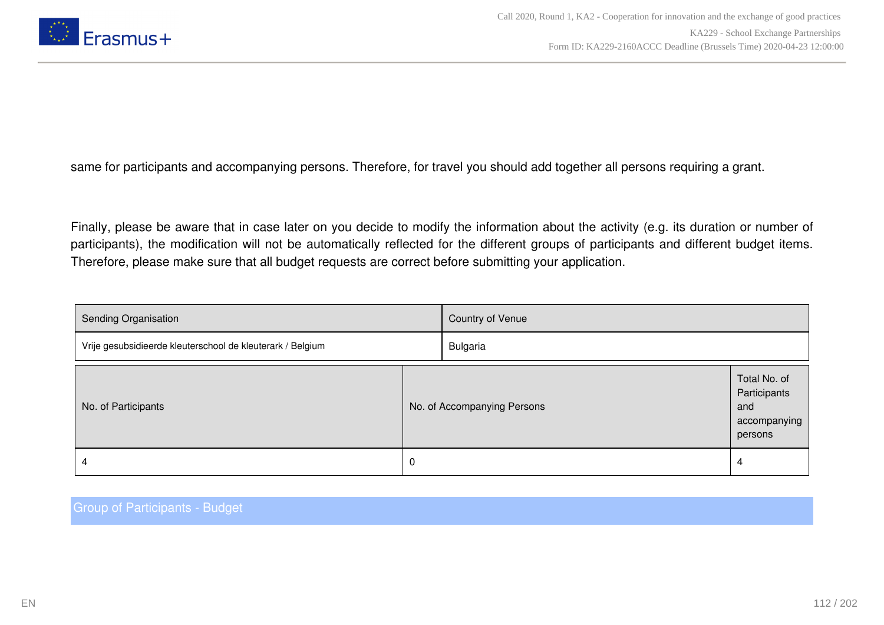

same for participants and accompanying persons. Therefore, for travel you should add together all persons requiring a grant.

| Sending Organisation                                       |   | Country of Venue            |                                                                |
|------------------------------------------------------------|---|-----------------------------|----------------------------------------------------------------|
| Vrije gesubsidieerde kleuterschool de kleuterark / Belgium |   | <b>Bulgaria</b>             |                                                                |
| No. of Participants                                        |   | No. of Accompanying Persons | Total No. of<br>Participants<br>and<br>accompanying<br>persons |
| 4                                                          | 0 |                             | 4                                                              |

| <b>Group of Participants - Budget</b> |  |  |  |
|---------------------------------------|--|--|--|
|                                       |  |  |  |
|                                       |  |  |  |
|                                       |  |  |  |
|                                       |  |  |  |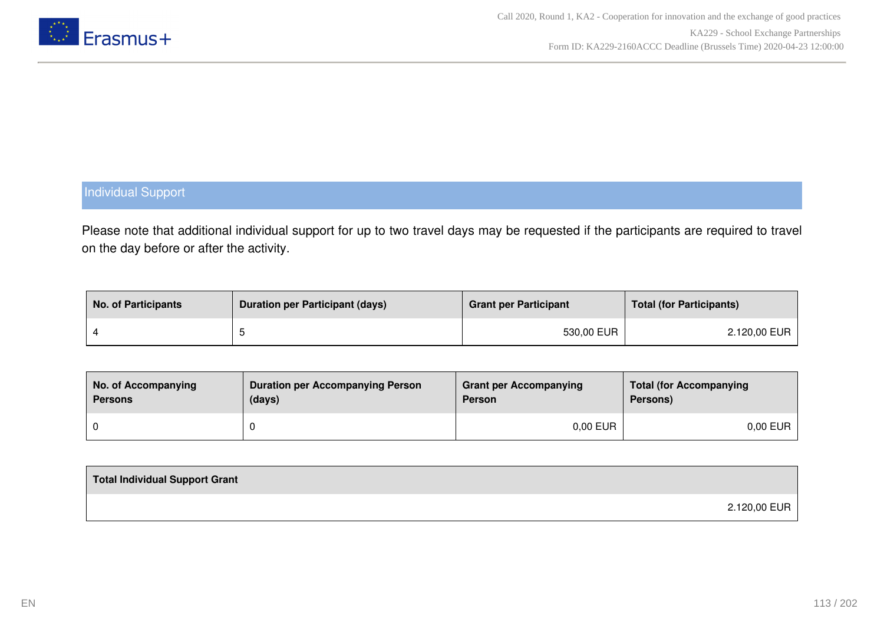

## Individual Support

| <b>No. of Participants</b> | <b>Duration per Participant (days)</b> | <b>Grant per Participant</b> | Total (for Participants) |
|----------------------------|----------------------------------------|------------------------------|--------------------------|
|                            |                                        | 530.00 EUR                   | 2.120,00 EUR             |

| No. of Accompanying | Duration per Accompanying Person | <b>Grant per Accompanying</b> | <b>Total (for Accompanying</b> |
|---------------------|----------------------------------|-------------------------------|--------------------------------|
| <b>Persons</b>      | (days)                           | <b>Person</b>                 | Persons)                       |
|                     |                                  | 0,00 EUR                      | $0,00$ EUR                     |

| Total Individual Support Grant |              |
|--------------------------------|--------------|
|                                | 2.120,00 EUR |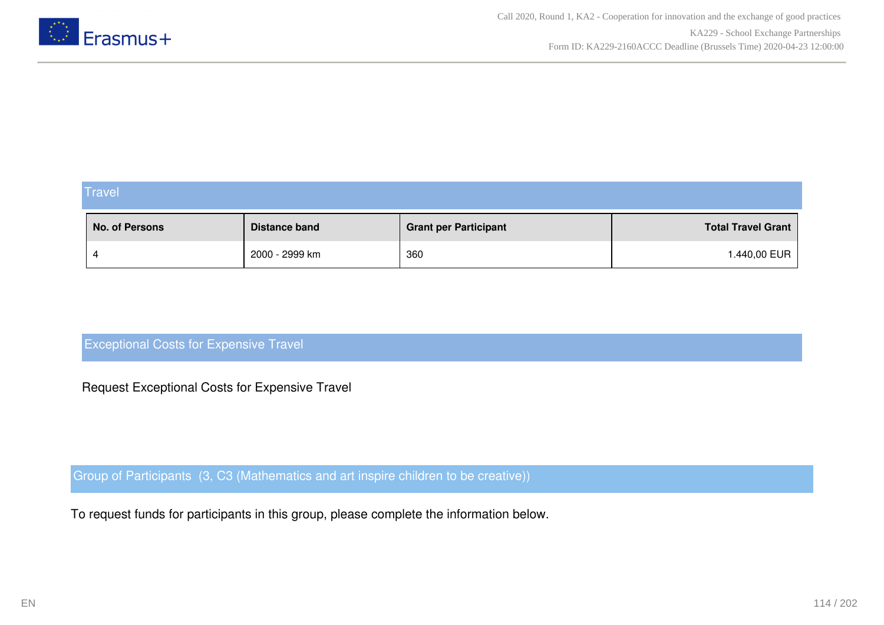

| <b>Travel</b>         |                      |                              |                           |
|-----------------------|----------------------|------------------------------|---------------------------|
| <b>No. of Persons</b> | <b>Distance band</b> | <b>Grant per Participant</b> | <b>Total Travel Grant</b> |
| 4                     | 2000 - 2999 km       | 360                          | 1.440,00 EUR              |

Request Exceptional Costs for Expensive Travel

Group of Participants (3, C3 (Mathematics and art inspire children to be creative))

To request funds for participants in this group, please complete the information below.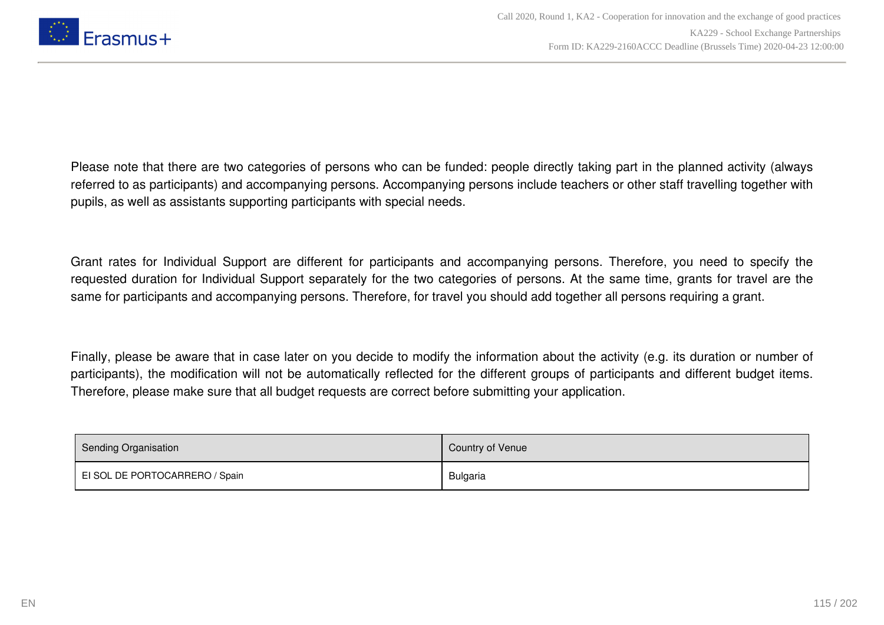

Please note that there are two categories of persons who can be funded: people directly taking part in the planned activity (always referred to as participants) and accompanying persons. Accompanying persons include teachers or other staff travelling together with pupils, as well as assistants supporting participants with special needs.

Grant rates for Individual Support are different for participants and accompanying persons. Therefore, you need to specify the requested duration for Individual Support separately for the two categories of persons. At the same time, grants for travel are the same for participants and accompanying persons. Therefore, for travel you should add together all persons requiring a grant.

| Sending Organisation           | Country of Venue |
|--------------------------------|------------------|
| EI SOL DE PORTOCARRERO / Spain | Bulgaria         |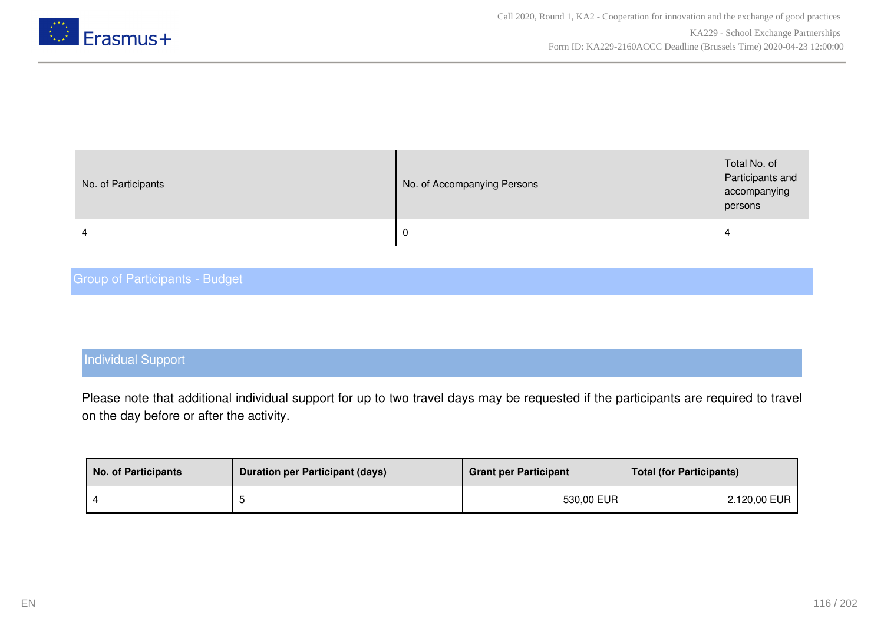

| No. of Participants | No. of Accompanying Persons | Total No. of<br>Participants and<br>accompanying<br>persons |
|---------------------|-----------------------------|-------------------------------------------------------------|
|                     | c<br>U                      |                                                             |

Group of Participants - Budget

## Individual Support

| <b>No. of Participants</b> | <b>Duration per Participant (days)</b> | <b>Grant per Participant</b> | <b>Total (for Participants)</b> |
|----------------------------|----------------------------------------|------------------------------|---------------------------------|
|                            |                                        | 530,00 EUR                   | 2.120,00 EUR                    |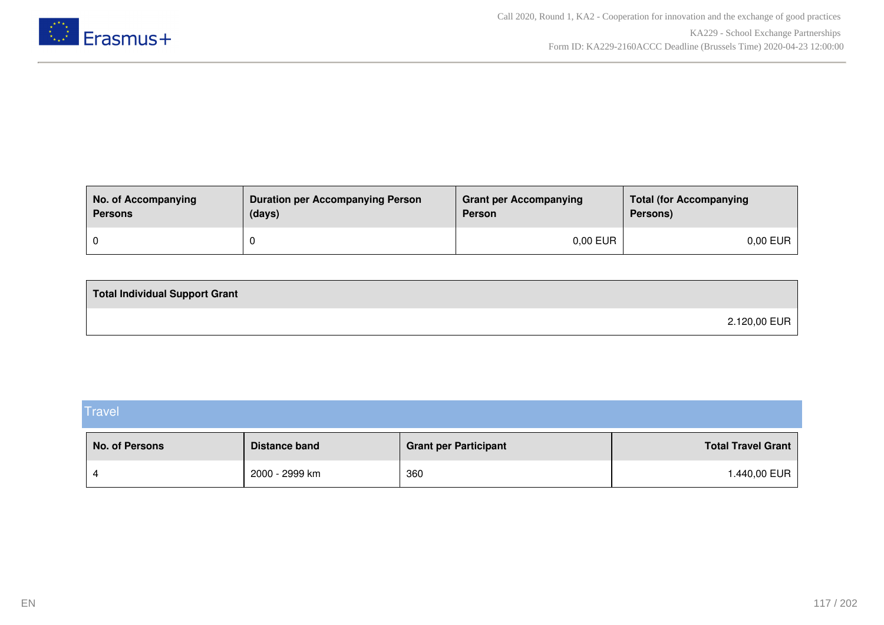

| No. of Accompanying | Duration per Accompanying Person | <b>Grant per Accompanying</b> | <b>Total (for Accompanying</b> |
|---------------------|----------------------------------|-------------------------------|--------------------------------|
| <b>Persons</b>      | (days)                           | <b>Person</b>                 | Persons)                       |
|                     |                                  | 0,00 EUR                      | $0,00$ EUR $\vert$             |

| Total Individual Support Grant |              |
|--------------------------------|--------------|
|                                | 2.120,00 EUR |

| <b>Travel</b>         |                      |                              |                           |
|-----------------------|----------------------|------------------------------|---------------------------|
| <b>No. of Persons</b> | <b>Distance band</b> | <b>Grant per Participant</b> | <b>Total Travel Grant</b> |
|                       | 2000 - 2999 km       | 360                          | 1.440,00 EUR              |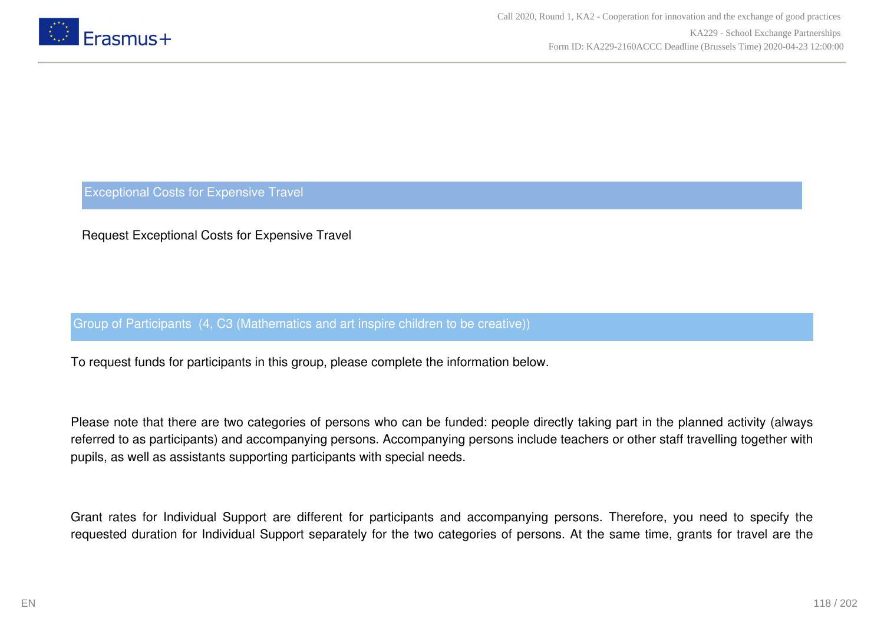

Request Exceptional Costs for Expensive Travel

### Group of Participants (4, C3 (Mathematics and art inspire children to be creative))

To request funds for participants in this group, please complete the information below.

Please note that there are two categories of persons who can be funded: people directly taking part in the planned activity (always referred to as participants) and accompanying persons. Accompanying persons include teachers or other staff travelling together with pupils, as well as assistants supporting participants with special needs.

Grant rates for Individual Support are different for participants and accompanying persons. Therefore, you need to specify the requested duration for Individual Support separately for the two categories of persons. At the same time, grants for travel are the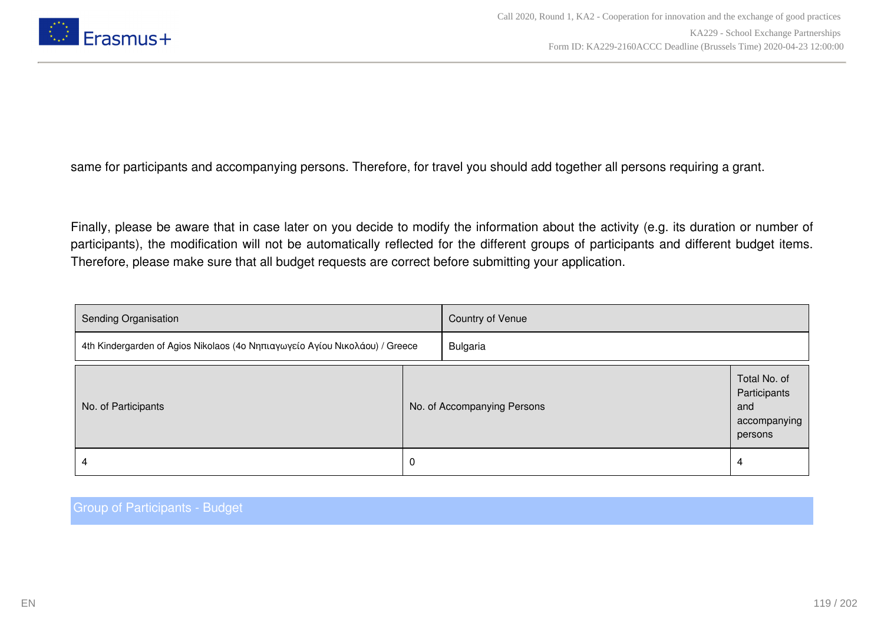

same for participants and accompanying persons. Therefore, for travel you should add together all persons requiring a grant.

| <b>Sending Organisation</b>                                                 |   | Country of Venue            |                                                                |
|-----------------------------------------------------------------------------|---|-----------------------------|----------------------------------------------------------------|
| 4th Kindergarden of Agios Nikolaos (4ο Νηπιαγωγείο Αγίου Νικολάου) / Greece |   | Bulgaria                    |                                                                |
| No. of Participants                                                         |   | No. of Accompanying Persons | Total No. of<br>Participants<br>and<br>accompanying<br>persons |
| 4                                                                           | 0 |                             | 4                                                              |

| <b>Group of Participants - Budget</b> |  |  |  |
|---------------------------------------|--|--|--|
|                                       |  |  |  |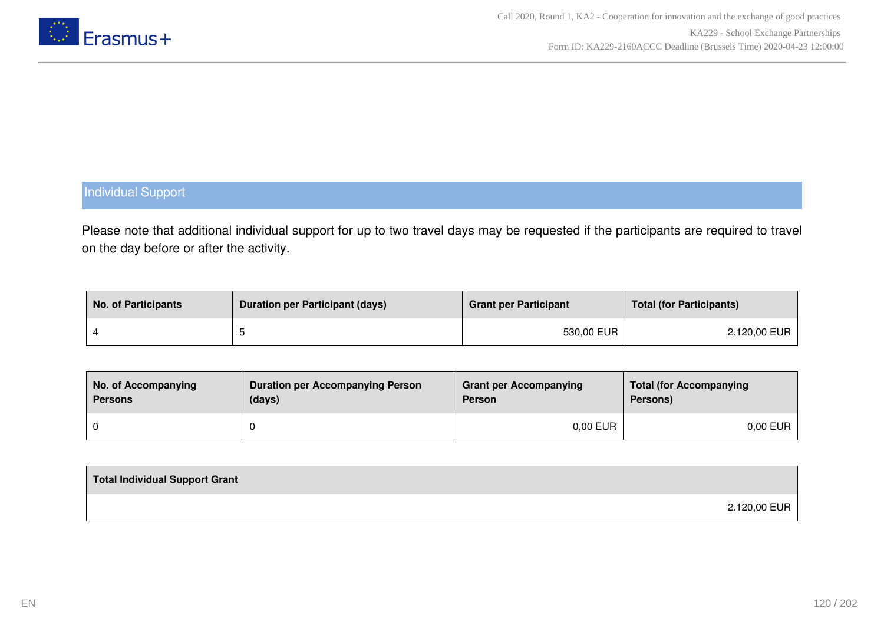

## Individual Support

| <b>No. of Participants</b> | <b>Duration per Participant (days)</b> | <b>Grant per Participant</b> | Total (for Participants) |
|----------------------------|----------------------------------------|------------------------------|--------------------------|
|                            |                                        | 530.00 EUR                   | 2.120,00 EUR             |

| No. of Accompanying | Duration per Accompanying Person | <b>Grant per Accompanying</b> | Total (for Accompanying |
|---------------------|----------------------------------|-------------------------------|-------------------------|
| <b>Persons</b>      | (days)                           | <b>Person</b>                 | Persons)                |
|                     |                                  | 0,00 EUR                      | $0,00$ EUR              |

| Total Individual Support Grant |              |
|--------------------------------|--------------|
|                                | 2.120,00 EUR |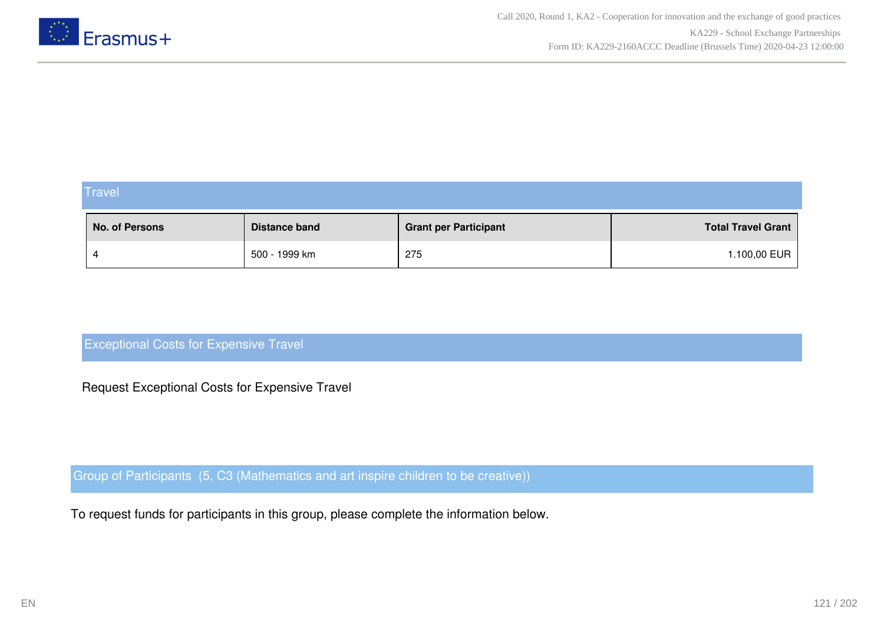

| <b>Travel</b>         |                      |                              |                           |
|-----------------------|----------------------|------------------------------|---------------------------|
| <b>No. of Persons</b> | <b>Distance band</b> | <b>Grant per Participant</b> | <b>Total Travel Grant</b> |
| 4                     | 500 - 1999 km        | 275                          | 1.100,00 EUR              |

Request Exceptional Costs for Expensive Travel

Group of Participants (5, C3 (Mathematics and art inspire children to be creative))

To request funds for participants in this group, please complete the information below.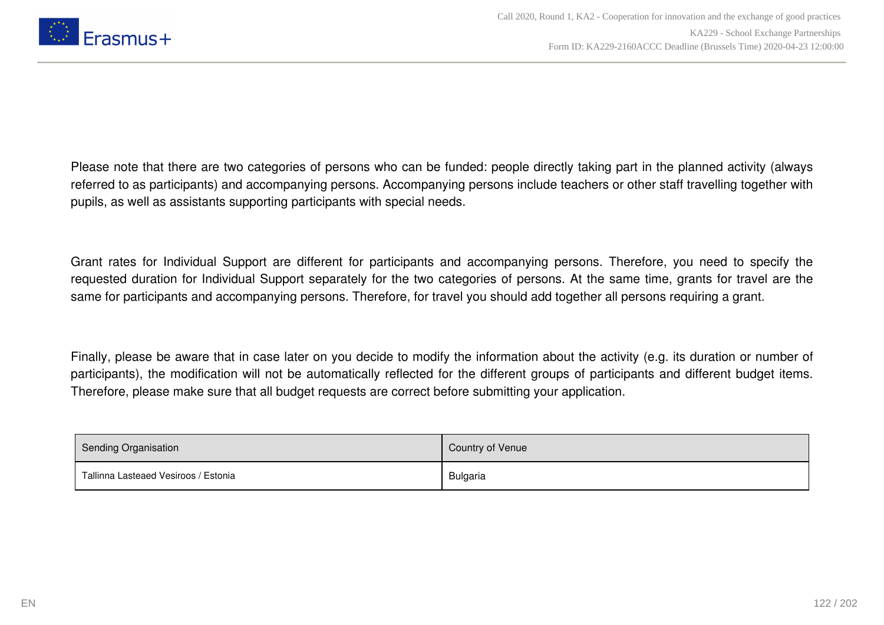

Please note that there are two categories of persons who can be funded: people directly taking part in the planned activity (always referred to as participants) and accompanying persons. Accompanying persons include teachers or other staff travelling together with pupils, as well as assistants supporting participants with special needs.

Grant rates for Individual Support are different for participants and accompanying persons. Therefore, you need to specify the requested duration for Individual Support separately for the two categories of persons. At the same time, grants for travel are the same for participants and accompanying persons. Therefore, for travel you should add together all persons requiring a grant.

| <b>Sending Organisation</b>          | Country of Venue |
|--------------------------------------|------------------|
| Tallinna Lasteaed Vesiroos / Estonia | Bulgaria         |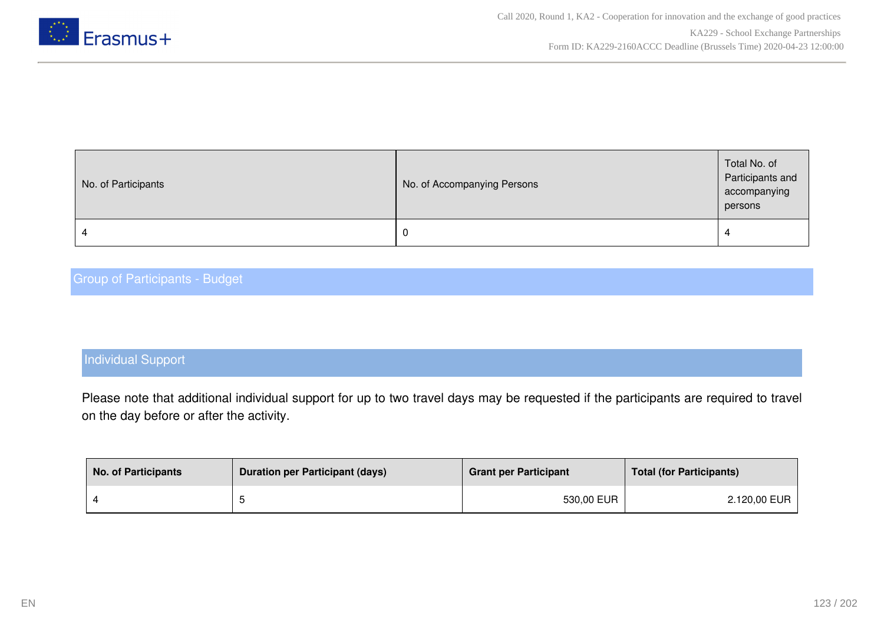

| No. of Participants | No. of Accompanying Persons | Total No. of<br>Participants and<br>accompanying<br>persons |
|---------------------|-----------------------------|-------------------------------------------------------------|
| 4                   | 0                           |                                                             |

Group of Participants - Budget

## Individual Support

| <b>No. of Participants</b> | <b>Duration per Participant (days)</b> | <b>Grant per Participant</b> | Total (for Participants) |
|----------------------------|----------------------------------------|------------------------------|--------------------------|
|                            |                                        | 530,00 EUR                   | 2.120,00 EUR             |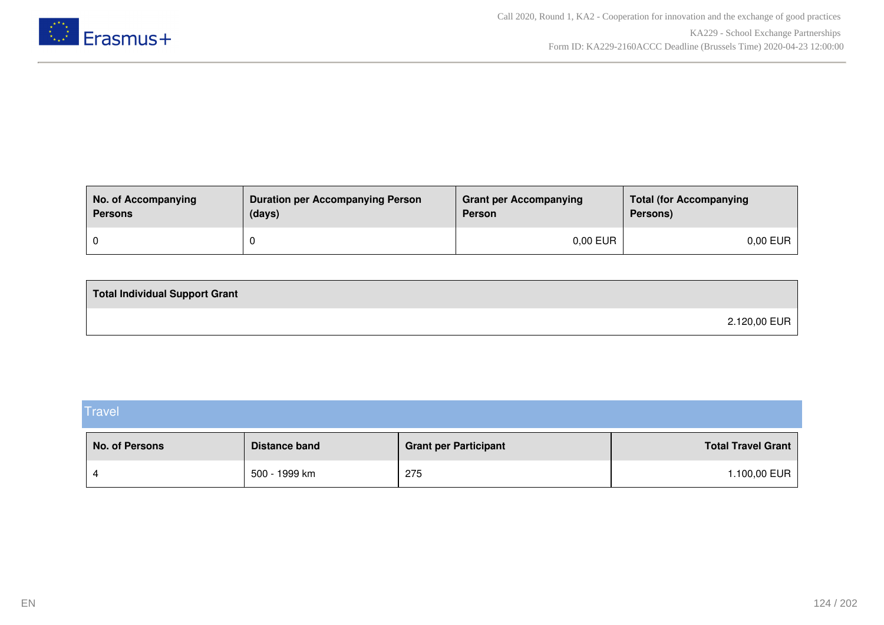

| No. of Accompanying | Duration per Accompanying Person | <b>Grant per Accompanying</b> | <b>Total (for Accompanying</b> |
|---------------------|----------------------------------|-------------------------------|--------------------------------|
| <b>Persons</b>      | (days)                           | <b>Person</b>                 | Persons)                       |
|                     |                                  | 0,00 EUR                      | 0.00 EUR                       |

| <b>Total Individual Support Grant</b> |              |
|---------------------------------------|--------------|
|                                       | 2.120,00 EUR |

| <b>Travel</b>         |               |                              |                           |
|-----------------------|---------------|------------------------------|---------------------------|
| <b>No. of Persons</b> | Distance band | <b>Grant per Participant</b> | <b>Total Travel Grant</b> |
|                       | 500 - 1999 km | 275                          | 1.100,00 EUR              |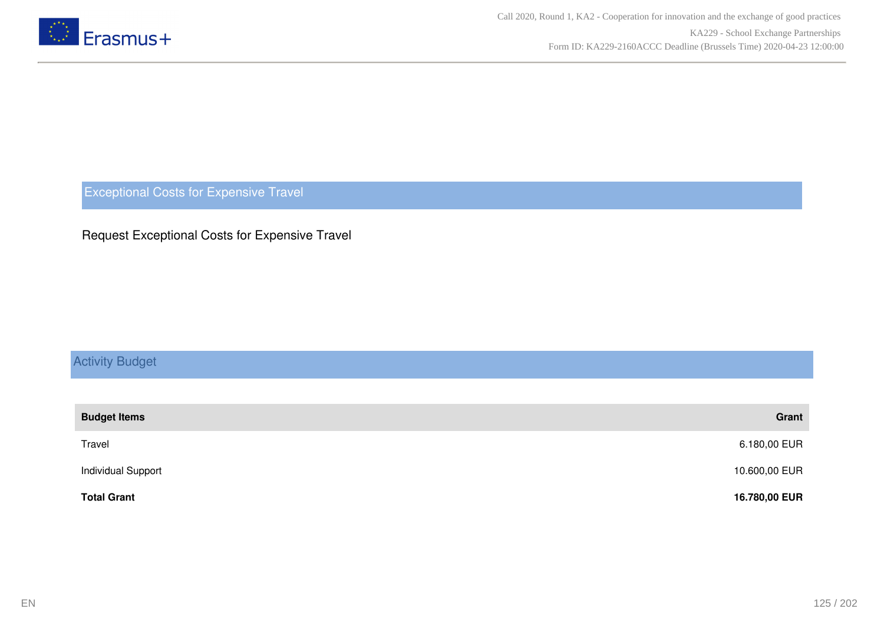

Request Exceptional Costs for Expensive Travel

# Activity Budget

| <b>Budget Items</b>       | Grant         |
|---------------------------|---------------|
| Travel                    | 6.180,00 EUR  |
| <b>Individual Support</b> | 10.600,00 EUR |
| <b>Total Grant</b>        | 16.780,00 EUR |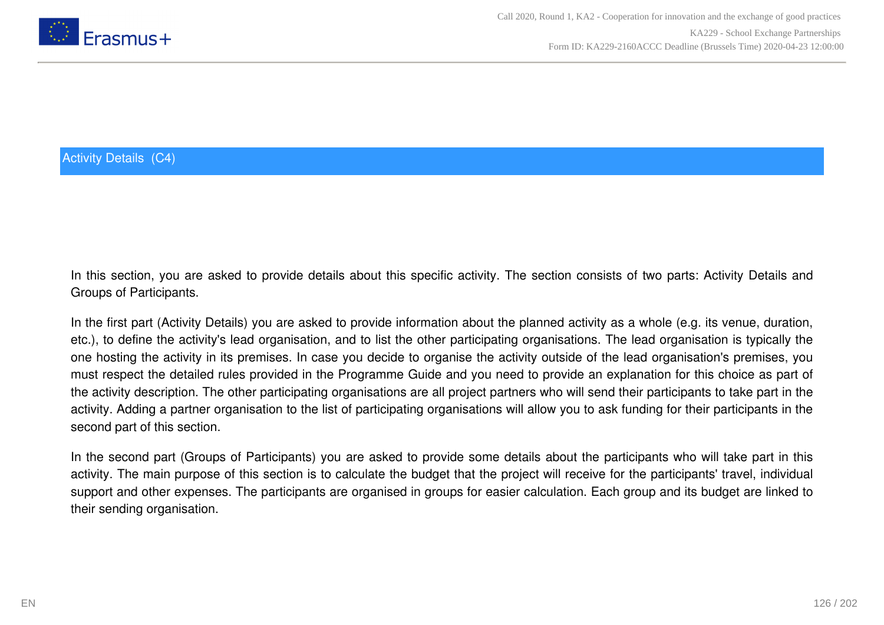

### Activity Details (C4)

In this section, you are asked to provide details about this specific activity. The section consists of two parts: Activity Details and Groups of Participants.

In the first part (Activity Details) you are asked to provide information about the planned activity as a whole (e.g. its venue, duration, etc.), to define the activity's lead organisation, and to list the other participating organisations. The lead organisation is typically the one hosting the activity in its premises. In case you decide to organise the activity outside of the lead organisation's premises, you must respect the detailed rules provided in the Programme Guide and you need to provide an explanation for this choice as part of the activity description. The other participating organisations are all project partners who will send their participants to take part in the activity. Adding a partner organisation to the list of participating organisations will allow you to ask funding for their participants in the second part of this section.

In the second part (Groups of Participants) you are asked to provide some details about the participants who will take part in this activity. The main purpose of this section is to calculate the budget that the project will receive for the participants' travel, individual support and other expenses. The participants are organised in groups for easier calculation. Each group and its budget are linked to their sending organisation.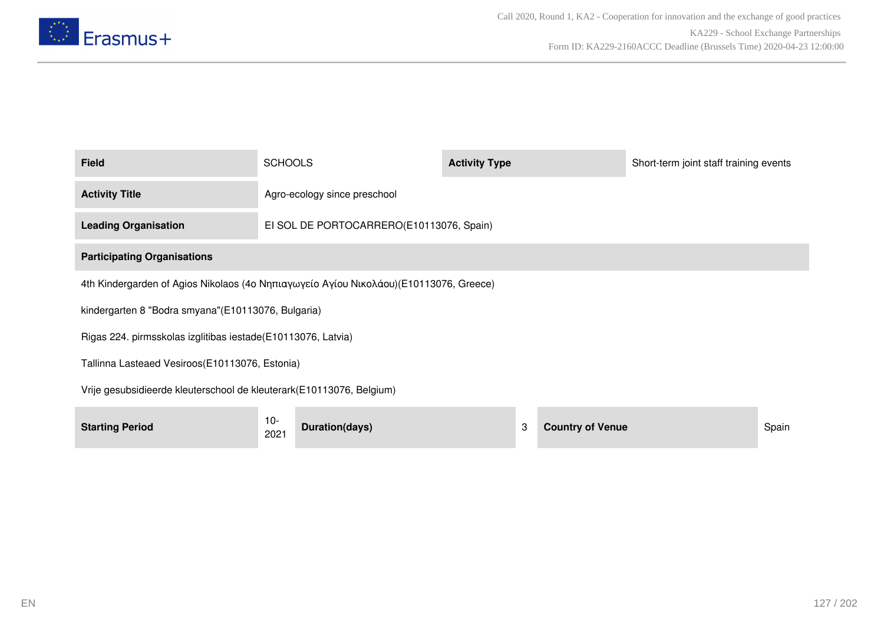

| <b>Field</b>                                                                           | <b>SCHOOLS</b> |                                          | <b>Activity Type</b> |   |                         | Short-term joint staff training events |       |
|----------------------------------------------------------------------------------------|----------------|------------------------------------------|----------------------|---|-------------------------|----------------------------------------|-------|
| <b>Activity Title</b>                                                                  |                | Agro-ecology since preschool             |                      |   |                         |                                        |       |
| <b>Leading Organisation</b>                                                            |                | EI SOL DE PORTOCARRERO(E10113076, Spain) |                      |   |                         |                                        |       |
| <b>Participating Organisations</b>                                                     |                |                                          |                      |   |                         |                                        |       |
| 4th Kindergarden of Agios Nikolaos (4ο Νηπιαγωγείο Αγίου Νικολάου) (Ε10113076, Greece) |                |                                          |                      |   |                         |                                        |       |
| kindergarten 8 "Bodra smyana" (E10113076, Bulgaria)                                    |                |                                          |                      |   |                         |                                        |       |
| Rigas 224. pirmsskolas izglitibas iestade(E10113076, Latvia)                           |                |                                          |                      |   |                         |                                        |       |
| Tallinna Lasteaed Vesiroos (E10113076, Estonia)                                        |                |                                          |                      |   |                         |                                        |       |
| Vrije gesubsidieerde kleuterschool de kleuterark(E10113076, Belgium)                   |                |                                          |                      |   |                         |                                        |       |
| <b>Starting Period</b>                                                                 | $10 -$<br>2021 | Duration(days)                           |                      | 3 | <b>Country of Venue</b> |                                        | Spain |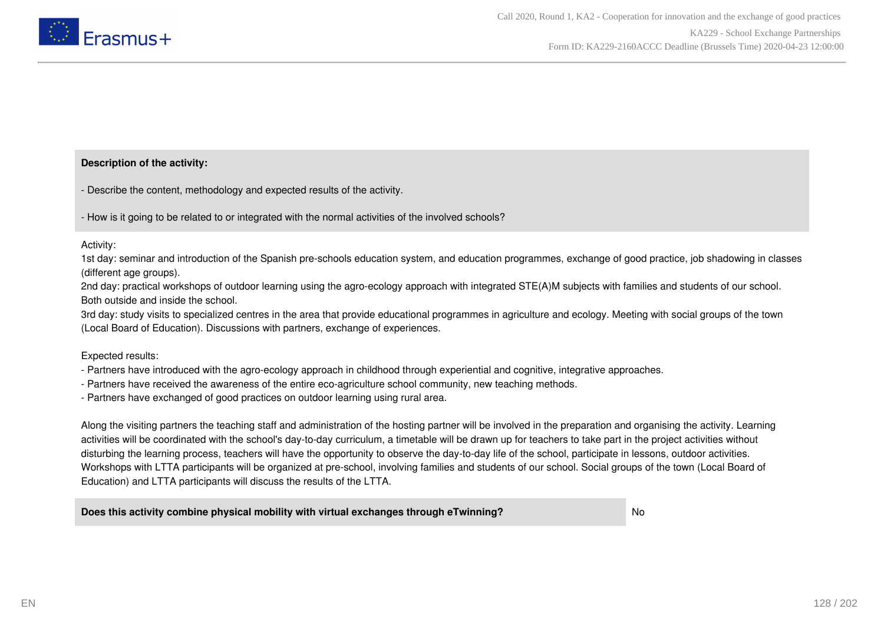

#### **Description of the activity:**

- Describe the content, methodology and expected results of the activity.

- How is it going to be related to or integrated with the normal activities of the involved schools?

#### Activity:

1st day: seminar and introduction of the Spanish pre-schools education system, and education programmes, exchange of good practice, job shadowing in classes (different age groups).

2nd day: practical workshops of outdoor learning using the agro-ecology approach with integrated STE(A)M subjects with families and students of our school. Both outside and inside the school.

3rd day: study visits to specialized centres in the area that provide educational programmes in agriculture and ecology. Meeting with social groups of the town (Local Board of Education). Discussions with partners, exchange of experiences.

#### Expected results:

- Partners have introduced with the agro-ecology approach in childhood through experiential and cognitive, integrative approaches.

- Partners have received the awareness of the entire eco-agriculture school community, new teaching methods.
- Partners have exchanged of good practices on outdoor learning using rural area.

Along the visiting partners the teaching staff and administration of the hosting partner will be involved in the preparation and organising the activity. Learning activities will be coordinated with the school's day-to-day curriculum, a timetable will be drawn up for teachers to take part in the project activities without disturbing the learning process, teachers will have the opportunity to observe the day-to-day life of the school, participate in lessons, outdoor activities. Workshops with LTTA participants will be organized at pre-school, involving families and students of our school. Social groups of the town (Local Board of Education) and LTTA participants will discuss the results of the LTTA.

**Does this activity combine physical mobility with virtual exchanges through eTwinning?** No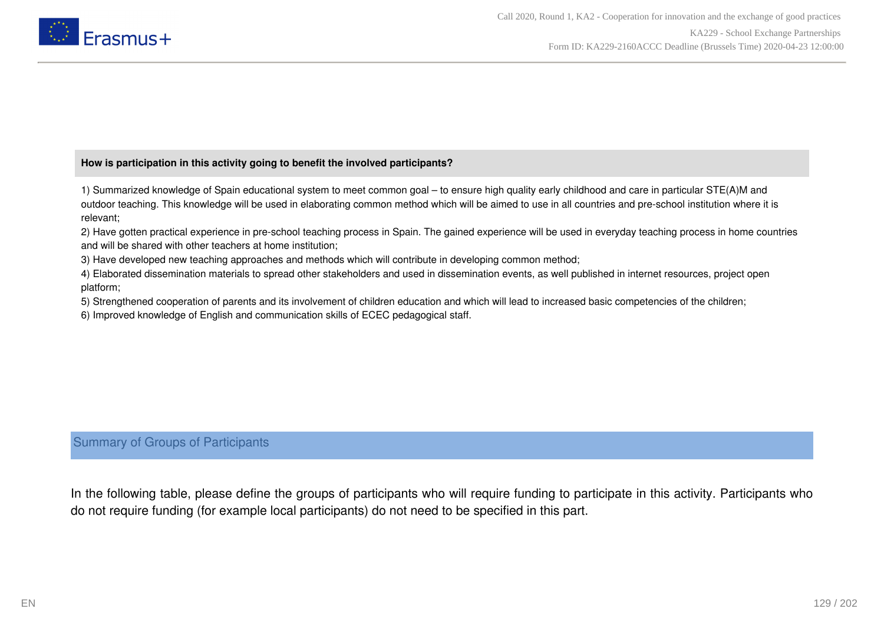

#### **How is participation in this activity going to benefit the involved participants?**

1) Summarized knowledge of Spain educational system to meet common goal – to ensure high quality early childhood and care in particular STE(A)M and outdoor teaching. This knowledge will be used in elaborating common method which will be aimed to use in all countries and pre-school institution where it is relevant;

2) Have gotten practical experience in pre-school teaching process in Spain. The gained experience will be used in everyday teaching process in home countries and will be shared with other teachers at home institution;

3) Have developed new teaching approaches and methods which will contribute in developing common method;

4) Elaborated dissemination materials to spread other stakeholders and used in dissemination events, as well published in internet resources, project open platform;

5) Strengthened cooperation of parents and its involvement of children education and which will lead to increased basic competencies of the children;

6) Improved knowledge of English and communication skills of ECEC pedagogical staff.

### Summary of Groups of Participants

In the following table, please define the groups of participants who will require funding to participate in this activity. Participants who do not require funding (for example local participants) do not need to be specified in this part.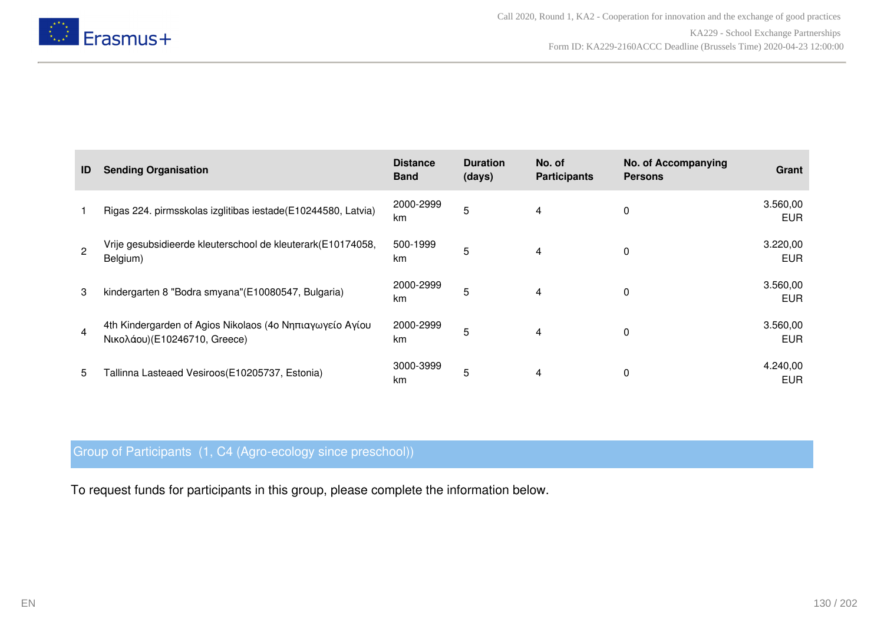

| ID             | <b>Sending Organisation</b>                                                               | <b>Distance</b><br><b>Band</b> | <b>Duration</b><br>(days) | No. of<br><b>Participants</b> | No. of Accompanying<br><b>Persons</b> | Grant                  |
|----------------|-------------------------------------------------------------------------------------------|--------------------------------|---------------------------|-------------------------------|---------------------------------------|------------------------|
|                | Rigas 224. pirmsskolas izglitibas iestade(E10244580, Latvia)                              | 2000-2999<br>km                | 5                         | 4                             | 0                                     | 3.560,00<br><b>EUR</b> |
| $\overline{2}$ | Vrije gesubsidieerde kleuterschool de kleuterark(E10174058,<br>Belgium)                   | 500-1999<br>km                 | 5                         | 4                             | 0                                     | 3.220,00<br>EUR.       |
| 3              | kindergarten 8 "Bodra smyana" (E10080547, Bulgaria)                                       | 2000-2999<br>km                | 5                         | 4                             | 0                                     | 3.560,00<br><b>EUR</b> |
| $\overline{4}$ | 4th Kindergarden of Agios Nikolaos (4ο Νηπιαγωγείο Αγίου<br>Νικολάου) (Ε10246710, Greece) | 2000-2999<br>km                | 5                         | 4                             | 0                                     | 3.560,00<br><b>EUR</b> |
| 5              | Tallinna Lasteaed Vesiroos (E10205737, Estonia)                                           | 3000-3999<br>km                | 5                         | $\overline{4}$                | 0                                     | 4.240,00<br><b>EUR</b> |

## Group of Participants (1, C4 (Agro-ecology since preschool))

To request funds for participants in this group, please complete the information below.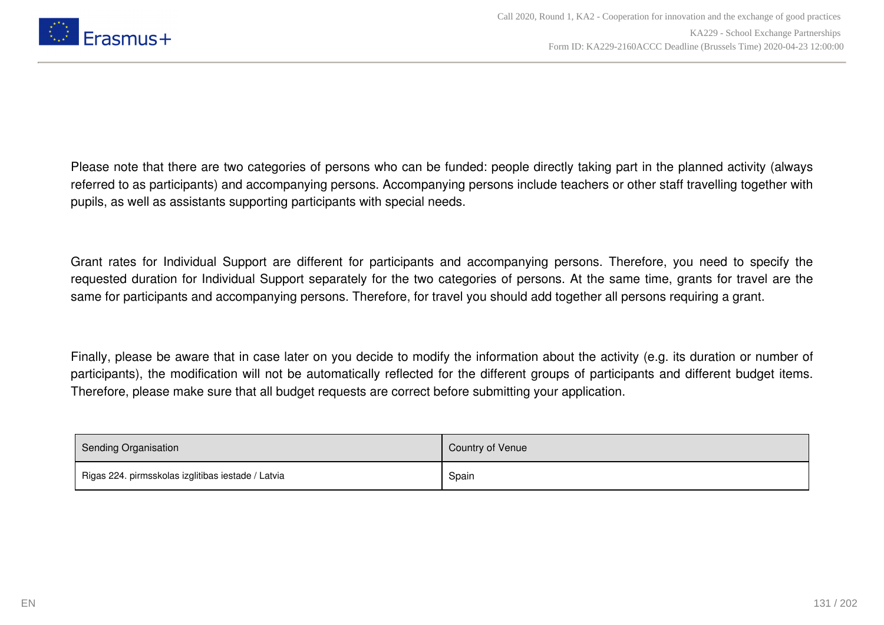

Please note that there are two categories of persons who can be funded: people directly taking part in the planned activity (always referred to as participants) and accompanying persons. Accompanying persons include teachers or other staff travelling together with pupils, as well as assistants supporting participants with special needs.

Grant rates for Individual Support are different for participants and accompanying persons. Therefore, you need to specify the requested duration for Individual Support separately for the two categories of persons. At the same time, grants for travel are the same for participants and accompanying persons. Therefore, for travel you should add together all persons requiring a grant.

| <b>Sending Organisation</b>                        | <b>Country of Venue</b> |
|----------------------------------------------------|-------------------------|
| Rigas 224. pirmsskolas izglitibas iestade / Latvia | Spain                   |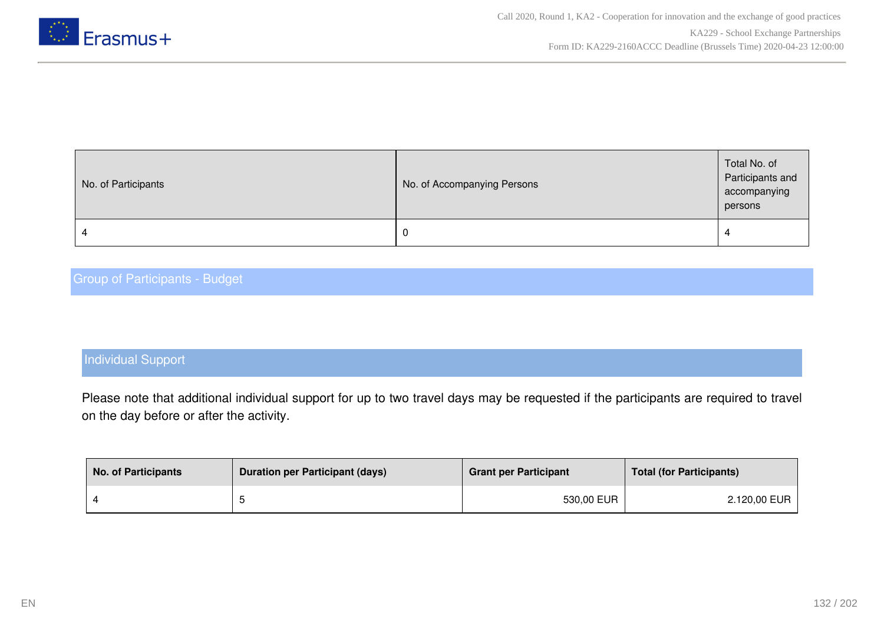

| No. of Participants | No. of Accompanying Persons | Total No. of<br>Participants and<br>accompanying<br>persons |
|---------------------|-----------------------------|-------------------------------------------------------------|
|                     | c<br>U                      |                                                             |

Group of Participants - Budget

## Individual Support

| <b>No. of Participants</b> | <b>Duration per Participant (days)</b> | <b>Grant per Participant</b> | <b>Total (for Participants)</b> |
|----------------------------|----------------------------------------|------------------------------|---------------------------------|
|                            |                                        | 530,00 EUR                   | 2.120,00 EUR                    |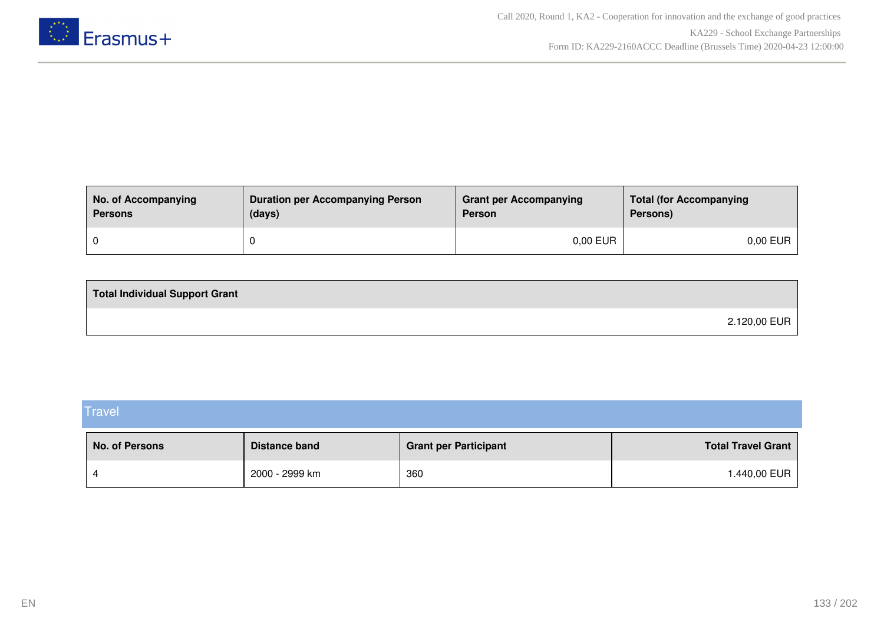

| No. of Accompanying | Duration per Accompanying Person | <b>Grant per Accompanying</b> | <b>Total (for Accompanying</b> |
|---------------------|----------------------------------|-------------------------------|--------------------------------|
| <b>Persons</b>      | (days)                           | <b>Person</b>                 | Persons)                       |
|                     |                                  | 0,00 EUR                      | 0.00 EUR                       |

| <b>Total Individual Support Grant</b> |              |
|---------------------------------------|--------------|
|                                       | 2.120,00 EUR |

| <b>Travel</b>         |                |                              |                           |
|-----------------------|----------------|------------------------------|---------------------------|
| <b>No. of Persons</b> | Distance band  | <b>Grant per Participant</b> | <b>Total Travel Grant</b> |
|                       | 2000 - 2999 km | 360                          | 1.440,00 EUR              |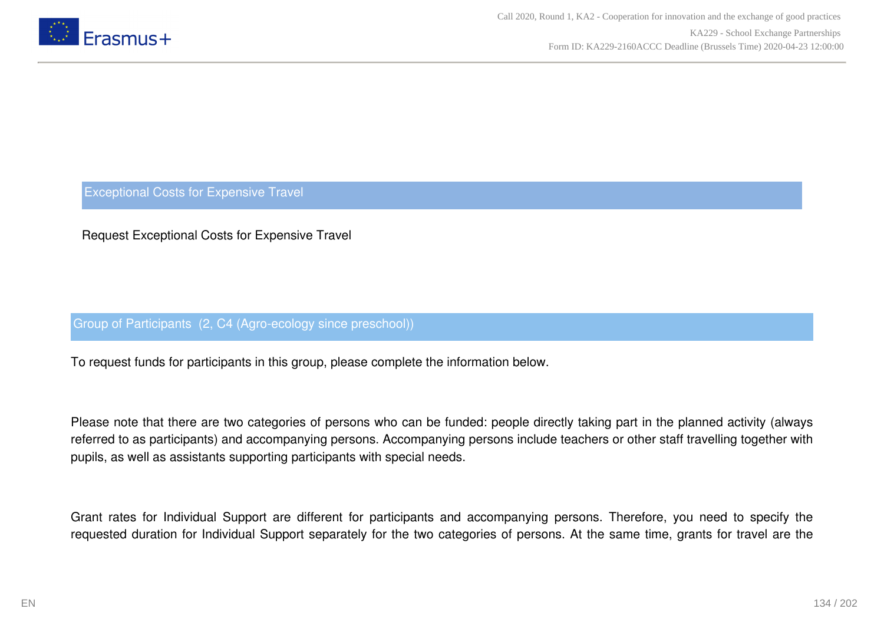

Request Exceptional Costs for Expensive Travel

### Group of Participants (2, C4 (Agro-ecology since preschool))

To request funds for participants in this group, please complete the information below.

Please note that there are two categories of persons who can be funded: people directly taking part in the planned activity (always referred to as participants) and accompanying persons. Accompanying persons include teachers or other staff travelling together with pupils, as well as assistants supporting participants with special needs.

Grant rates for Individual Support are different for participants and accompanying persons. Therefore, you need to specify the requested duration for Individual Support separately for the two categories of persons. At the same time, grants for travel are the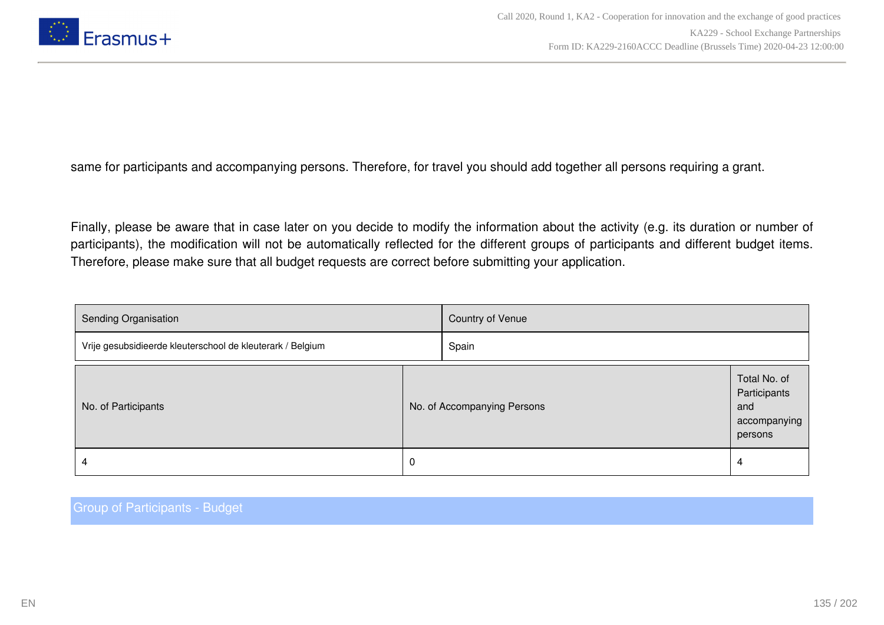

same for participants and accompanying persons. Therefore, for travel you should add together all persons requiring a grant.

| Sending Organisation                                       |   | Country of Venue            |                                                                |
|------------------------------------------------------------|---|-----------------------------|----------------------------------------------------------------|
| Vrije gesubsidieerde kleuterschool de kleuterark / Belgium |   | Spain                       |                                                                |
| No. of Participants                                        |   | No. of Accompanying Persons | Total No. of<br>Participants<br>and<br>accompanying<br>persons |
| 4                                                          | 0 |                             | 4                                                              |

| <b>Group of Participants - Budget</b> |  |  |
|---------------------------------------|--|--|
|                                       |  |  |
|                                       |  |  |
|                                       |  |  |
|                                       |  |  |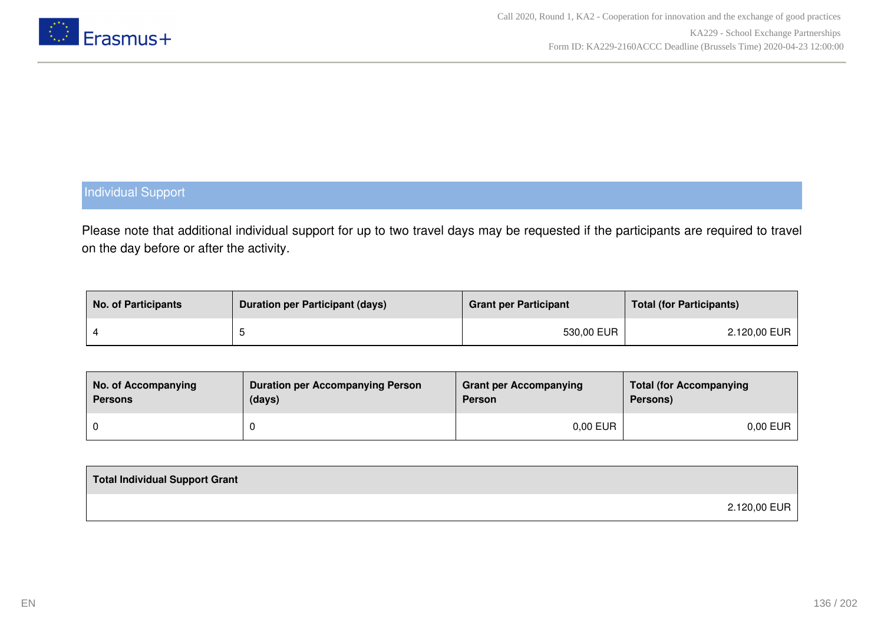

## Individual Support

| <b>No. of Participants</b> | <b>Duration per Participant (days)</b> | <b>Grant per Participant</b> | Total (for Participants) |
|----------------------------|----------------------------------------|------------------------------|--------------------------|
|                            |                                        | 530.00 EUR                   | 2.120,00 EUR             |

| No. of Accompanying | Duration per Accompanying Person | <b>Grant per Accompanying</b> | <b>Total (for Accompanying</b> |
|---------------------|----------------------------------|-------------------------------|--------------------------------|
| <b>Persons</b>      | (days)                           | <b>Person</b>                 | Persons)                       |
|                     |                                  | 0,00 EUR                      | $0,00$ EUR                     |

| Total Individual Support Grant |              |
|--------------------------------|--------------|
|                                | 2.120,00 EUR |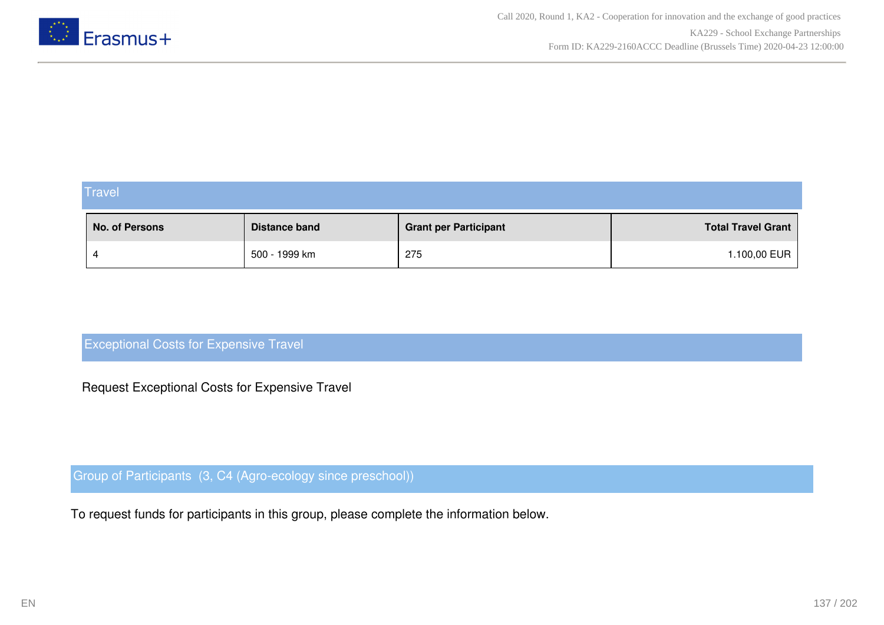

| <b>Travel</b>         |                      |                              |                           |
|-----------------------|----------------------|------------------------------|---------------------------|
| <b>No. of Persons</b> | <b>Distance band</b> | <b>Grant per Participant</b> | <b>Total Travel Grant</b> |
| 4                     | 500 - 1999 km        | 275                          | 1.100,00 EUR              |

Request Exceptional Costs for Expensive Travel

Group of Participants (3, C4 (Agro-ecology since preschool))

To request funds for participants in this group, please complete the information below.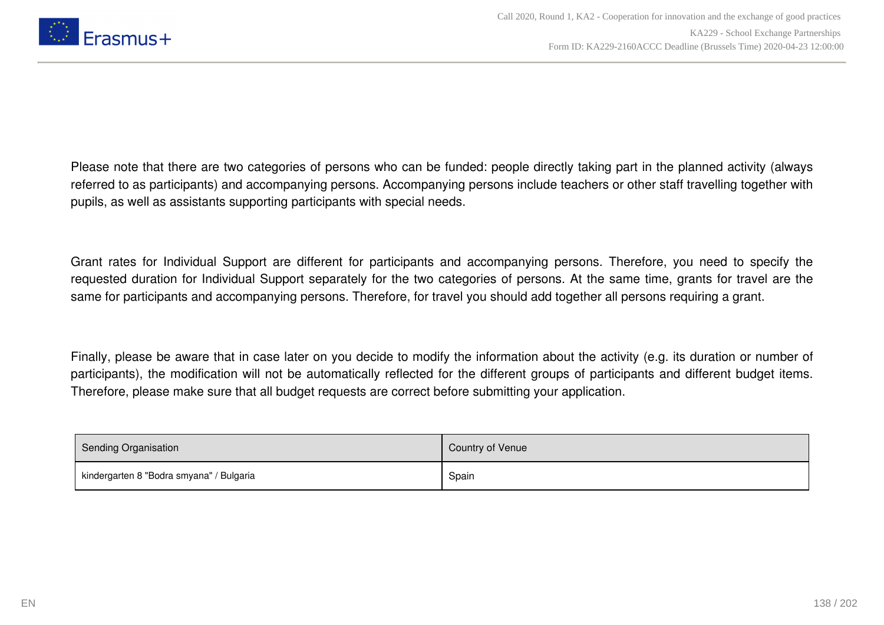

Please note that there are two categories of persons who can be funded: people directly taking part in the planned activity (always referred to as participants) and accompanying persons. Accompanying persons include teachers or other staff travelling together with pupils, as well as assistants supporting participants with special needs.

Grant rates for Individual Support are different for participants and accompanying persons. Therefore, you need to specify the requested duration for Individual Support separately for the two categories of persons. At the same time, grants for travel are the same for participants and accompanying persons. Therefore, for travel you should add together all persons requiring a grant.

| <b>Sending Organisation</b>              | Country of Venue |
|------------------------------------------|------------------|
| kindergarten 8 "Bodra smyana" / Bulgaria | Spain            |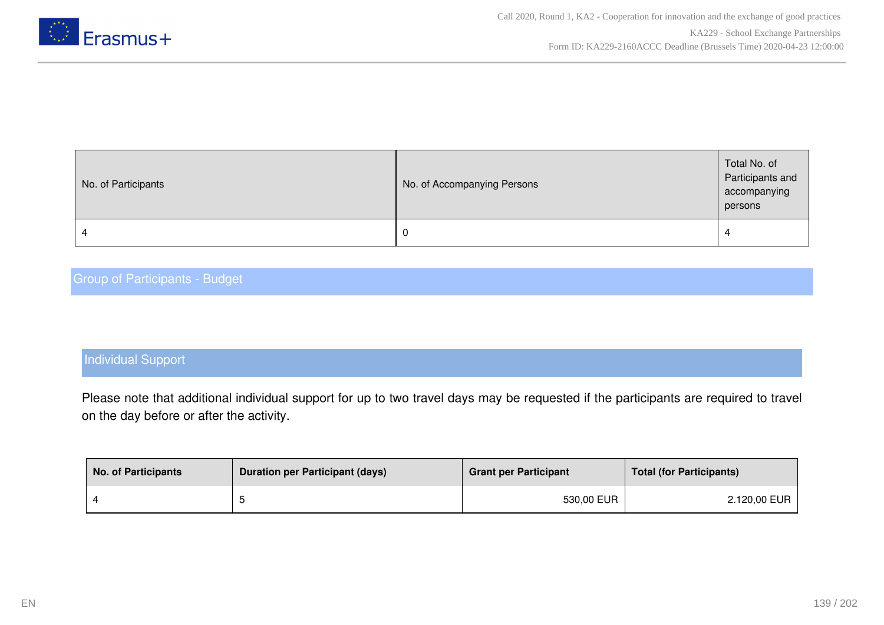

| No. of Participants | No. of Accompanying Persons | Total No. of<br>Participants and<br>accompanying<br>persons |
|---------------------|-----------------------------|-------------------------------------------------------------|
|                     | c<br>U                      |                                                             |

Group of Participants - Budget

## Individual Support

| <b>No. of Participants</b> | <b>Duration per Participant (days)</b> | <b>Grant per Participant</b> | <b>Total (for Participants)</b> |
|----------------------------|----------------------------------------|------------------------------|---------------------------------|
|                            |                                        | 530,00 EUR                   | $2.120,00$ EUR $\parallel$      |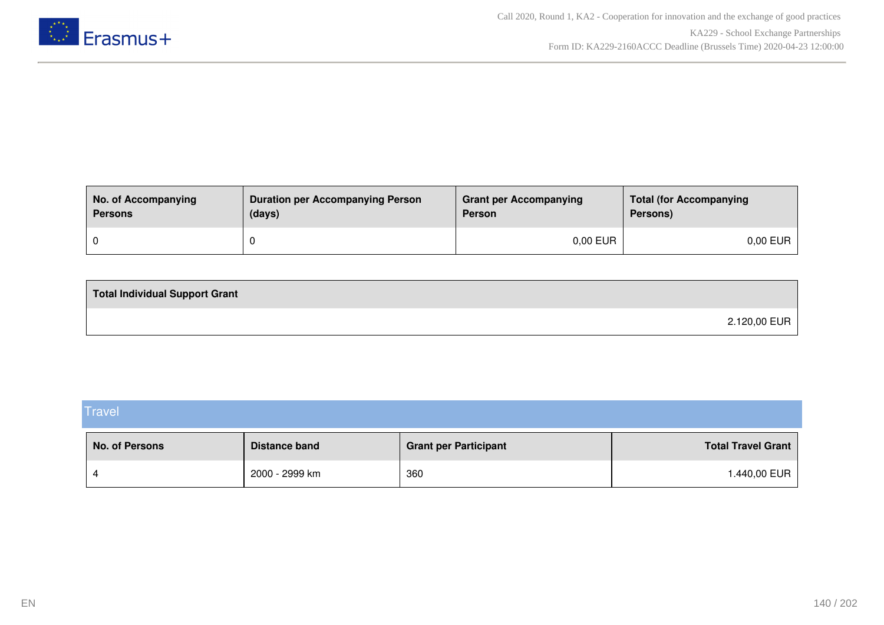

| No. of Accompanying | Duration per Accompanying Person | <b>Grant per Accompanying</b> | <b>Total (for Accompanying</b> |
|---------------------|----------------------------------|-------------------------------|--------------------------------|
| <b>Persons</b>      | (days)                           | <b>Person</b>                 | Persons)                       |
|                     |                                  | 0,00 EUR                      | 0.00 EUR                       |

| <b>Total Individual Support Grant</b> |              |
|---------------------------------------|--------------|
|                                       | 2.120,00 EUR |

| <b>Travel</b>         |                      |                              |                           |  |  |
|-----------------------|----------------------|------------------------------|---------------------------|--|--|
| <b>No. of Persons</b> | <b>Distance band</b> | <b>Grant per Participant</b> | <b>Total Travel Grant</b> |  |  |
|                       | 2000 - 2999 km       | 360                          | 1.440,00 EUR              |  |  |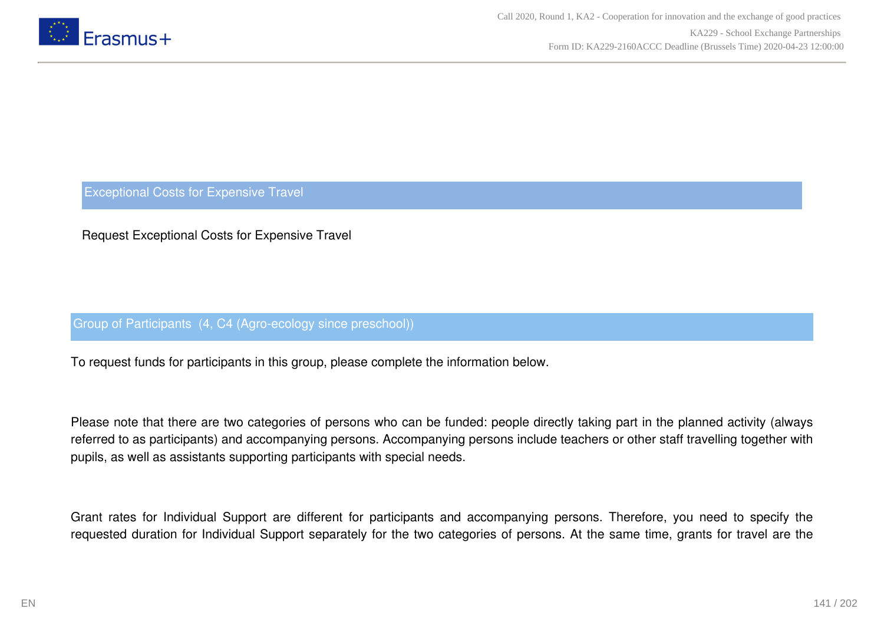

Request Exceptional Costs for Expensive Travel

### Group of Participants (4, C4 (Agro-ecology since preschool))

To request funds for participants in this group, please complete the information below.

Please note that there are two categories of persons who can be funded: people directly taking part in the planned activity (always referred to as participants) and accompanying persons. Accompanying persons include teachers or other staff travelling together with pupils, as well as assistants supporting participants with special needs.

Grant rates for Individual Support are different for participants and accompanying persons. Therefore, you need to specify the requested duration for Individual Support separately for the two categories of persons. At the same time, grants for travel are the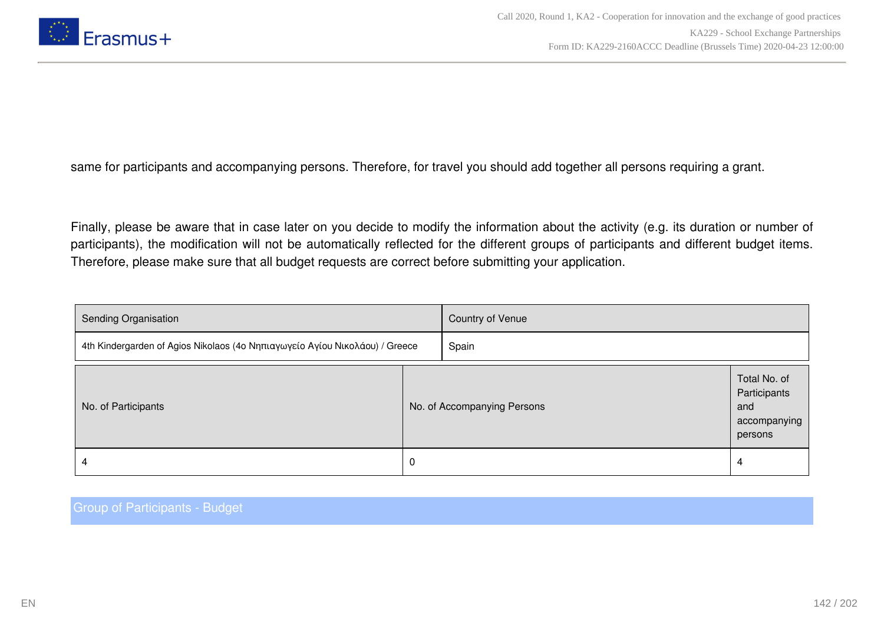

same for participants and accompanying persons. Therefore, for travel you should add together all persons requiring a grant.

| <b>Sending Organisation</b>                                                 |   | Country of Venue            |                                                                |
|-----------------------------------------------------------------------------|---|-----------------------------|----------------------------------------------------------------|
| 4th Kindergarden of Agios Nikolaos (4ο Νηπιαγωγείο Αγίου Νικολάου) / Greece |   | Spain                       |                                                                |
| No. of Participants                                                         |   | No. of Accompanying Persons | Total No. of<br>Participants<br>and<br>accompanying<br>persons |
| 4                                                                           | 0 |                             | 4                                                              |

| <b>Group of Participants - Budget</b> |  |  |  |
|---------------------------------------|--|--|--|
|                                       |  |  |  |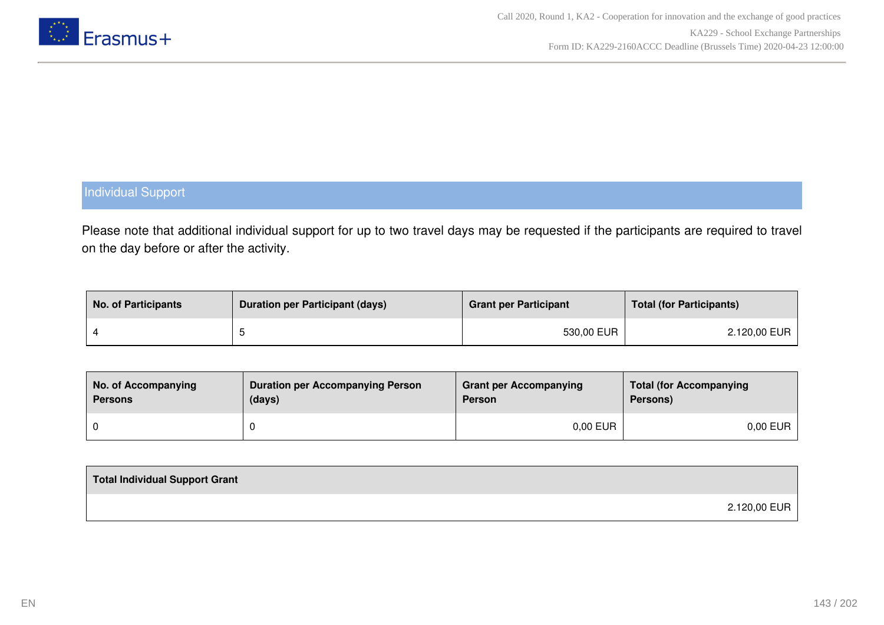

## Individual Support

| <b>No. of Participants</b> | <b>Duration per Participant (days)</b> | <b>Grant per Participant</b> | Total (for Participants) |
|----------------------------|----------------------------------------|------------------------------|--------------------------|
|                            |                                        | 530.00 EUR                   | 2.120,00 EUR             |

| No. of Accompanying | Duration per Accompanying Person | <b>Grant per Accompanying</b> | ↑ Total (for Accompanying |
|---------------------|----------------------------------|-------------------------------|---------------------------|
| <b>Persons</b>      | (days)                           | <b>Person</b>                 | Persons)                  |
|                     |                                  | 0,00 EUR                      | $0,00$ EUR                |

| Total Individual Support Grant |              |
|--------------------------------|--------------|
|                                | 2.120,00 EUR |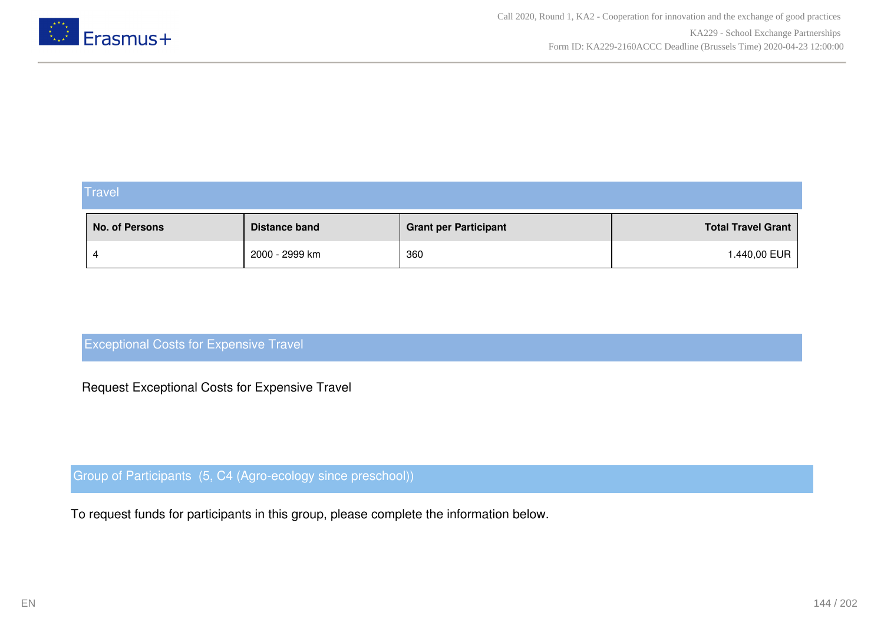

| <b>Travel</b>         |                      |                              |                           |  |  |
|-----------------------|----------------------|------------------------------|---------------------------|--|--|
| <b>No. of Persons</b> | <b>Distance band</b> | <b>Grant per Participant</b> | <b>Total Travel Grant</b> |  |  |
| 4                     | 2000 - 2999 km       | 360                          | 1.440,00 EUR              |  |  |

Request Exceptional Costs for Expensive Travel

Group of Participants (5, C4 (Agro-ecology since preschool))

To request funds for participants in this group, please complete the information below.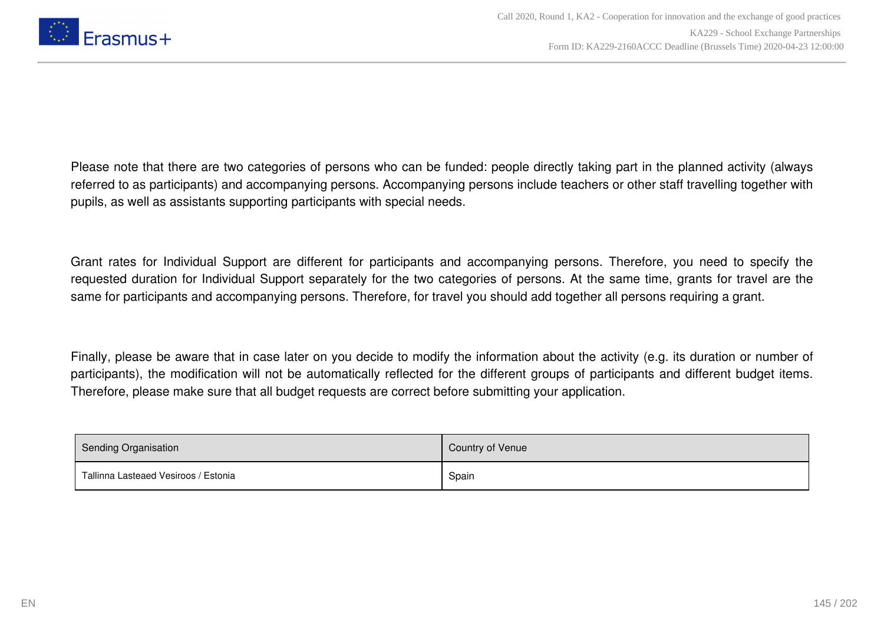

Please note that there are two categories of persons who can be funded: people directly taking part in the planned activity (always referred to as participants) and accompanying persons. Accompanying persons include teachers or other staff travelling together with pupils, as well as assistants supporting participants with special needs.

Grant rates for Individual Support are different for participants and accompanying persons. Therefore, you need to specify the requested duration for Individual Support separately for the two categories of persons. At the same time, grants for travel are the same for participants and accompanying persons. Therefore, for travel you should add together all persons requiring a grant.

| <b>Sending Organisation</b>          | <b>Country of Venue</b> |
|--------------------------------------|-------------------------|
| Tallinna Lasteaed Vesiroos / Estonia | Spain                   |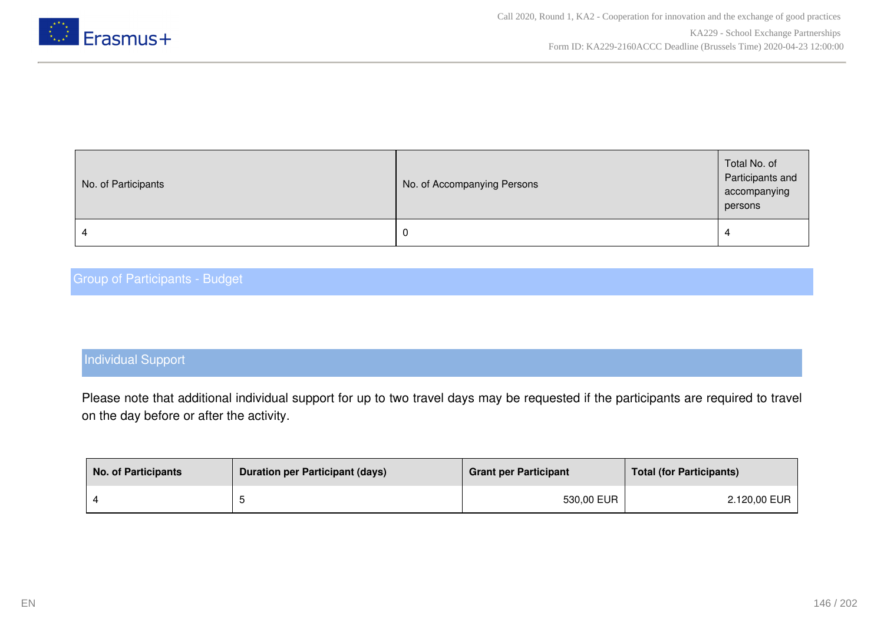

| No. of Participants | No. of Accompanying Persons | Total No. of<br>Participants and<br>accompanying<br>persons |
|---------------------|-----------------------------|-------------------------------------------------------------|
|                     | c<br>U                      |                                                             |

Group of Participants - Budget

## Individual Support

| <b>No. of Participants</b> | <b>Duration per Participant (days)</b> | <b>Grant per Participant</b> | <b>Total (for Participants)</b> |
|----------------------------|----------------------------------------|------------------------------|---------------------------------|
|                            |                                        | 530,00 EUR                   | $2.120,00$ EUR $\parallel$      |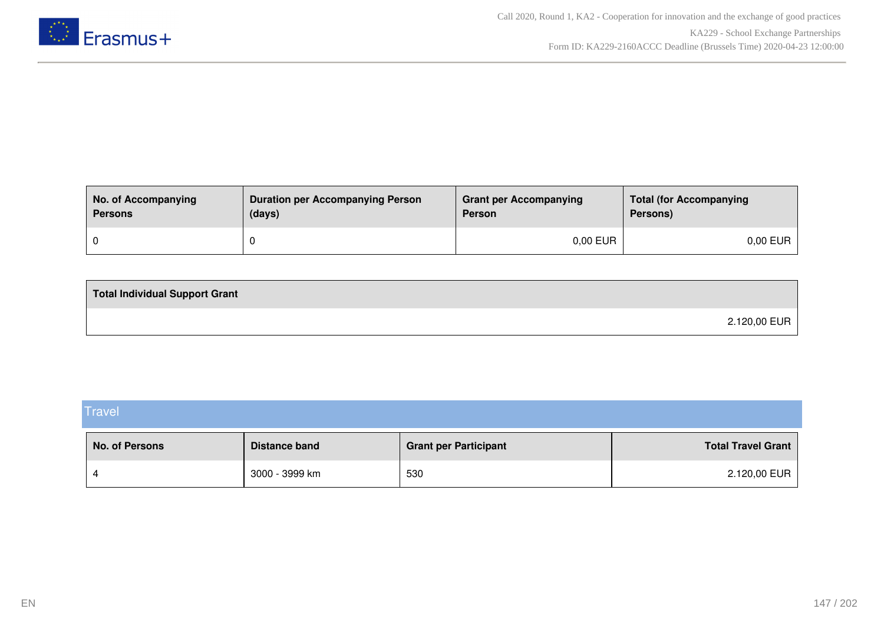

| No. of Accompanying | Duration per Accompanying Person | <b>Grant per Accompanying</b> | <b>Total (for Accompanying</b> |
|---------------------|----------------------------------|-------------------------------|--------------------------------|
| <b>Persons</b>      | (days)                           | <b>Person</b>                 | Persons)                       |
|                     |                                  | 0,00 EUR                      | 0.00 EUR                       |

| <b>Total Individual Support Grant</b> |              |
|---------------------------------------|--------------|
|                                       | 2.120,00 EUR |

| <b>Travel</b>         |                      |                              |                           |
|-----------------------|----------------------|------------------------------|---------------------------|
| <b>No. of Persons</b> | <b>Distance band</b> | <b>Grant per Participant</b> | <b>Total Travel Grant</b> |
|                       | 3000 - 3999 km       | 530                          | 2.120,00 EUR              |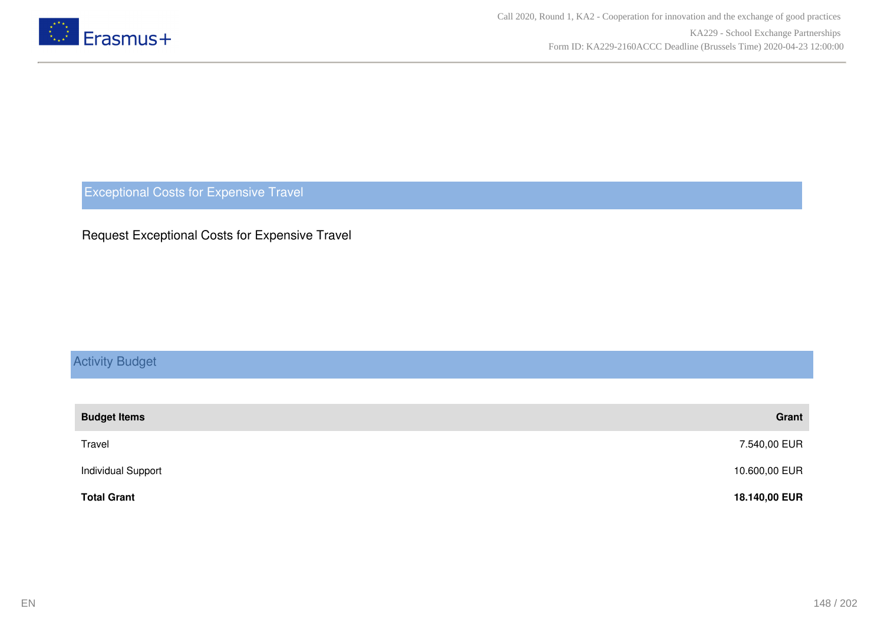

Request Exceptional Costs for Expensive Travel

# Activity Budget

| <b>Budget Items</b>       | Grant         |
|---------------------------|---------------|
| Travel                    | 7.540,00 EUR  |
| <b>Individual Support</b> | 10.600,00 EUR |
| <b>Total Grant</b>        | 18.140,00 EUR |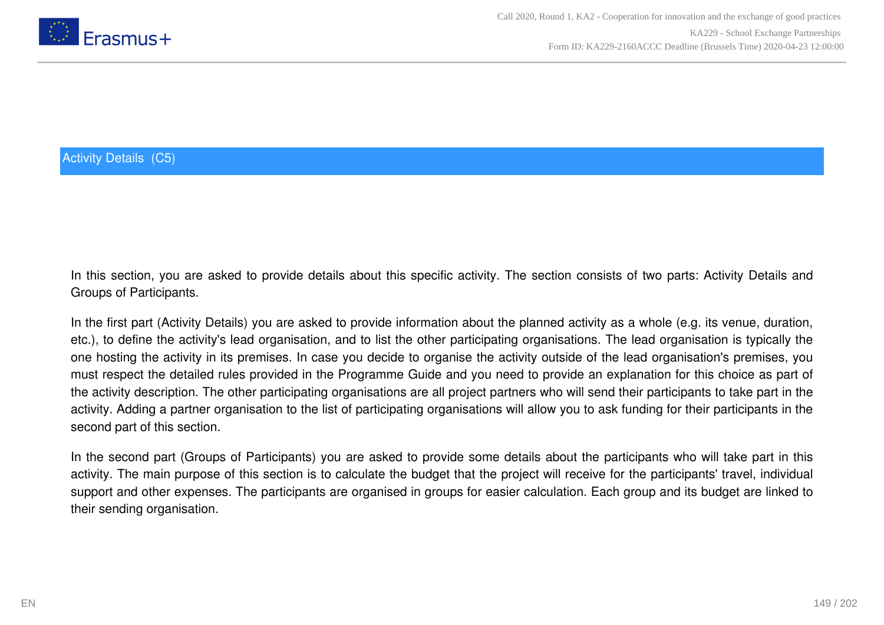

#### Activity Details (C5)

In this section, you are asked to provide details about this specific activity. The section consists of two parts: Activity Details and Groups of Participants.

In the first part (Activity Details) you are asked to provide information about the planned activity as a whole (e.g. its venue, duration, etc.), to define the activity's lead organisation, and to list the other participating organisations. The lead organisation is typically the one hosting the activity in its premises. In case you decide to organise the activity outside of the lead organisation's premises, you must respect the detailed rules provided in the Programme Guide and you need to provide an explanation for this choice as part of the activity description. The other participating organisations are all project partners who will send their participants to take part in the activity. Adding a partner organisation to the list of participating organisations will allow you to ask funding for their participants in the second part of this section.

In the second part (Groups of Participants) you are asked to provide some details about the participants who will take part in this activity. The main purpose of this section is to calculate the budget that the project will receive for the participants' travel, individual support and other expenses. The participants are organised in groups for easier calculation. Each group and its budget are linked to their sending organisation.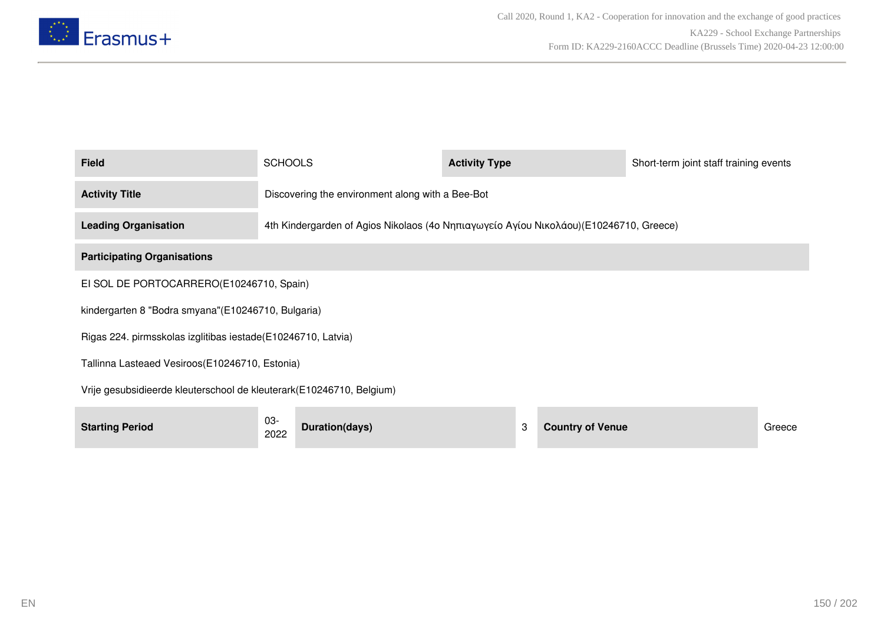

| <b>Field</b>                                                         | <b>SCHOOLS</b>                                                   |                                                                                       | <b>Activity Type</b> |  |        | Short-term joint staff training events |  |
|----------------------------------------------------------------------|------------------------------------------------------------------|---------------------------------------------------------------------------------------|----------------------|--|--------|----------------------------------------|--|
| <b>Activity Title</b>                                                |                                                                  | Discovering the environment along with a Bee-Bot                                      |                      |  |        |                                        |  |
| <b>Leading Organisation</b>                                          |                                                                  | 4th Kindergarden of Agios Nikolaos (4ο Νηπιαγωγείο Αγίου Νικολάου)(Ε10246710, Greece) |                      |  |        |                                        |  |
| <b>Participating Organisations</b>                                   |                                                                  |                                                                                       |                      |  |        |                                        |  |
| EI SOL DE PORTOCARRERO(E10246710, Spain)                             |                                                                  |                                                                                       |                      |  |        |                                        |  |
| kindergarten 8 "Bodra smyana" (E10246710, Bulgaria)                  |                                                                  |                                                                                       |                      |  |        |                                        |  |
| Rigas 224. pirmsskolas izglitibas iestade(E10246710, Latvia)         |                                                                  |                                                                                       |                      |  |        |                                        |  |
| Tallinna Lasteaed Vesiroos(E10246710, Estonia)                       |                                                                  |                                                                                       |                      |  |        |                                        |  |
| Vrije gesubsidieerde kleuterschool de kleuterark(E10246710, Belgium) |                                                                  |                                                                                       |                      |  |        |                                        |  |
| <b>Starting Period</b>                                               | $03 -$<br>Duration(days)<br>3<br><b>Country of Venue</b><br>2022 |                                                                                       |                      |  | Greece |                                        |  |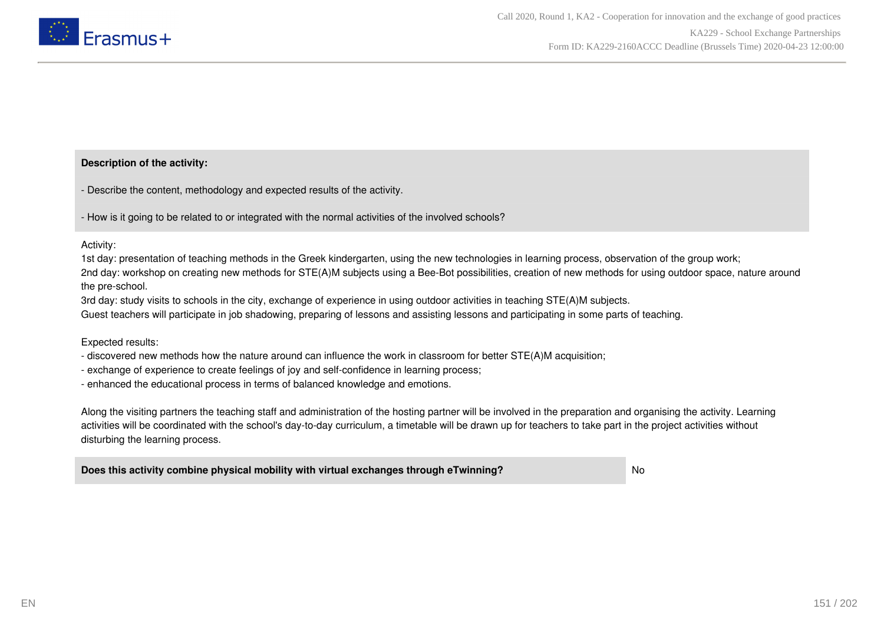

#### **Description of the activity:**

- Describe the content, methodology and expected results of the activity.

- How is it going to be related to or integrated with the normal activities of the involved schools?

#### Activity:

1st day: presentation of teaching methods in the Greek kindergarten, using the new technologies in learning process, observation of the group work;

2nd day: workshop on creating new methods for STE(A)M subjects using a Bee-Bot possibilities, creation of new methods for using outdoor space, nature around the pre-school.

3rd day: study visits to schools in the city, exchange of experience in using outdoor activities in teaching STE(A)M subjects.

Guest teachers will participate in job shadowing, preparing of lessons and assisting lessons and participating in some parts of teaching.

#### Expected results:

- discovered new methods how the nature around can influence the work in classroom for better STE(A)M acquisition;

- exchange of experience to create feelings of joy and self-confidence in learning process;
- enhanced the educational process in terms of balanced knowledge and emotions.

Along the visiting partners the teaching staff and administration of the hosting partner will be involved in the preparation and organising the activity. Learning activities will be coordinated with the school's day-to-day curriculum, a timetable will be drawn up for teachers to take part in the project activities without disturbing the learning process.

**Does this activity combine physical mobility with virtual exchanges through eTwinning?** No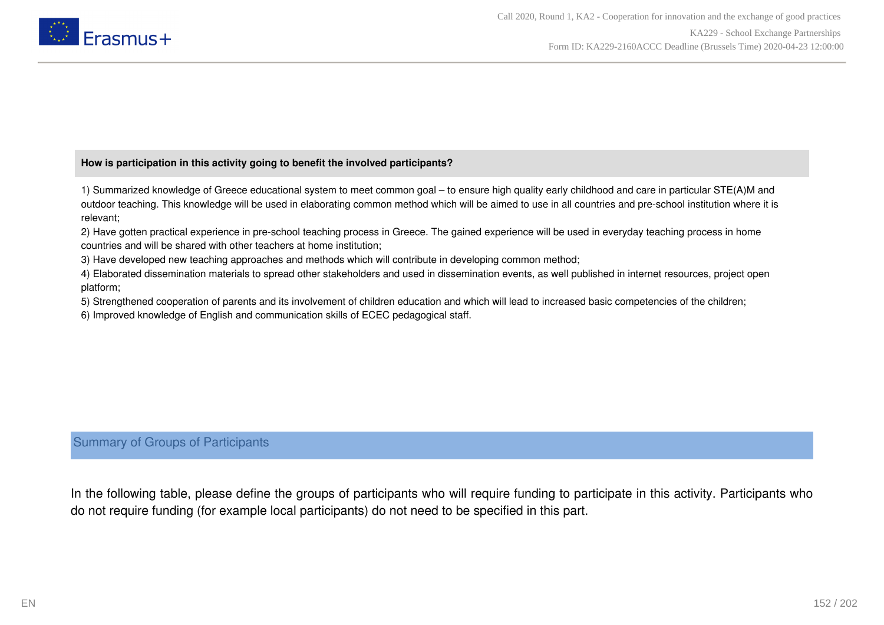

#### **How is participation in this activity going to benefit the involved participants?**

1) Summarized knowledge of Greece educational system to meet common goal – to ensure high quality early childhood and care in particular STE(A)M and outdoor teaching. This knowledge will be used in elaborating common method which will be aimed to use in all countries and pre-school institution where it is relevant;

2) Have gotten practical experience in pre-school teaching process in Greece. The gained experience will be used in everyday teaching process in home countries and will be shared with other teachers at home institution;

3) Have developed new teaching approaches and methods which will contribute in developing common method;

4) Elaborated dissemination materials to spread other stakeholders and used in dissemination events, as well published in internet resources, project open platform;

5) Strengthened cooperation of parents and its involvement of children education and which will lead to increased basic competencies of the children;

6) Improved knowledge of English and communication skills of ECEC pedagogical staff.

### Summary of Groups of Participants

In the following table, please define the groups of participants who will require funding to participate in this activity. Participants who do not require funding (for example local participants) do not need to be specified in this part.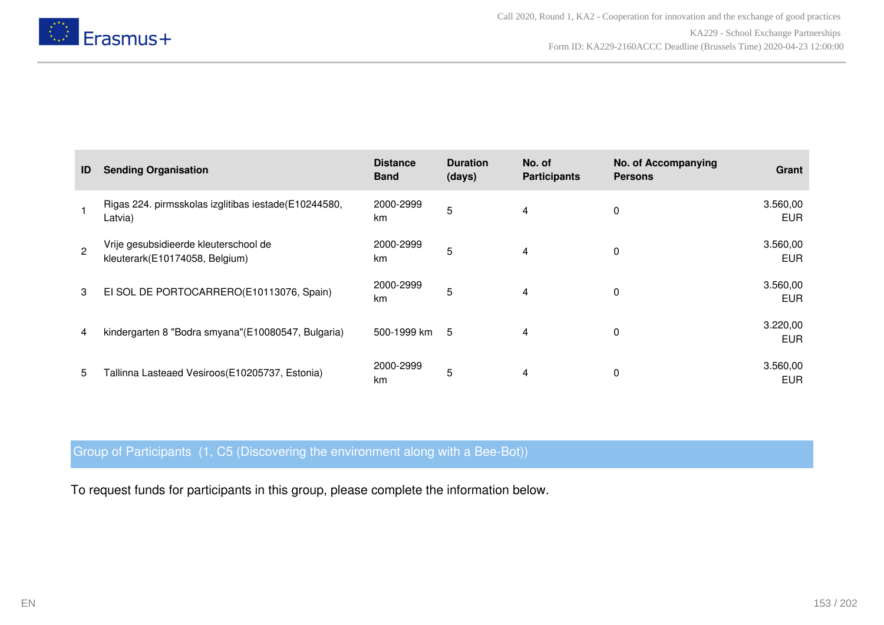

| ID             | <b>Sending Organisation</b>                                             | <b>Distance</b><br><b>Band</b> | <b>Duration</b><br>(days) | No. of<br><b>Participants</b> | No. of Accompanying<br><b>Persons</b> | Grant                  |
|----------------|-------------------------------------------------------------------------|--------------------------------|---------------------------|-------------------------------|---------------------------------------|------------------------|
|                | Rigas 224. pirmsskolas izglitibas iestade(E10244580,<br>Latvia)         | 2000-2999<br>km                | 5                         | 4                             | 0                                     | 3.560,00<br><b>EUR</b> |
| $\overline{2}$ | Vrije gesubsidieerde kleuterschool de<br>kleuterark(E10174058, Belgium) | 2000-2999<br>km                | 5                         | 4                             | 0                                     | 3.560,00<br><b>EUR</b> |
| 3              | EI SOL DE PORTOCARRERO(E10113076, Spain)                                | 2000-2999<br>km                | 5                         | 4                             | 0                                     | 3.560,00<br><b>EUR</b> |
| 4              | kindergarten 8 "Bodra smyana" (E10080547, Bulgaria)                     | 500-1999 km                    | 5                         | 4                             | 0                                     | 3.220,00<br><b>EUR</b> |
| 5.             | Tallinna Lasteaed Vesiroos(E10205737, Estonia)                          | 2000-2999<br>km                | 5                         | 4                             | 0                                     | 3.560,00<br><b>EUR</b> |

## Group of Participants (1, C5 (Discovering the environment along with a Bee-Bot))

To request funds for participants in this group, please complete the information below.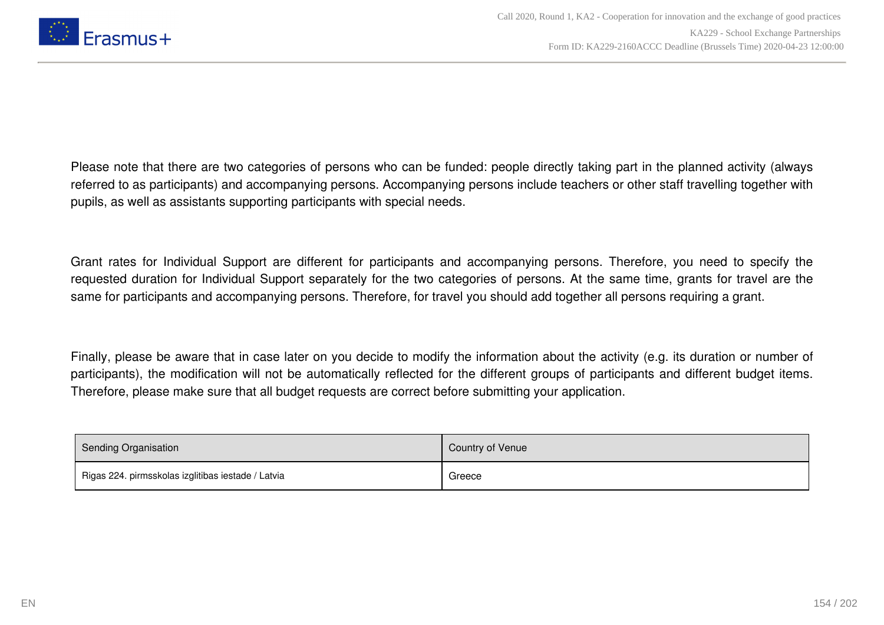

Please note that there are two categories of persons who can be funded: people directly taking part in the planned activity (always referred to as participants) and accompanying persons. Accompanying persons include teachers or other staff travelling together with pupils, as well as assistants supporting participants with special needs.

Grant rates for Individual Support are different for participants and accompanying persons. Therefore, you need to specify the requested duration for Individual Support separately for the two categories of persons. At the same time, grants for travel are the same for participants and accompanying persons. Therefore, for travel you should add together all persons requiring a grant.

| <b>Sending Organisation</b>                        | <b>Country of Venue</b> |
|----------------------------------------------------|-------------------------|
| Rigas 224. pirmsskolas izglitibas iestade / Latvia | Greece                  |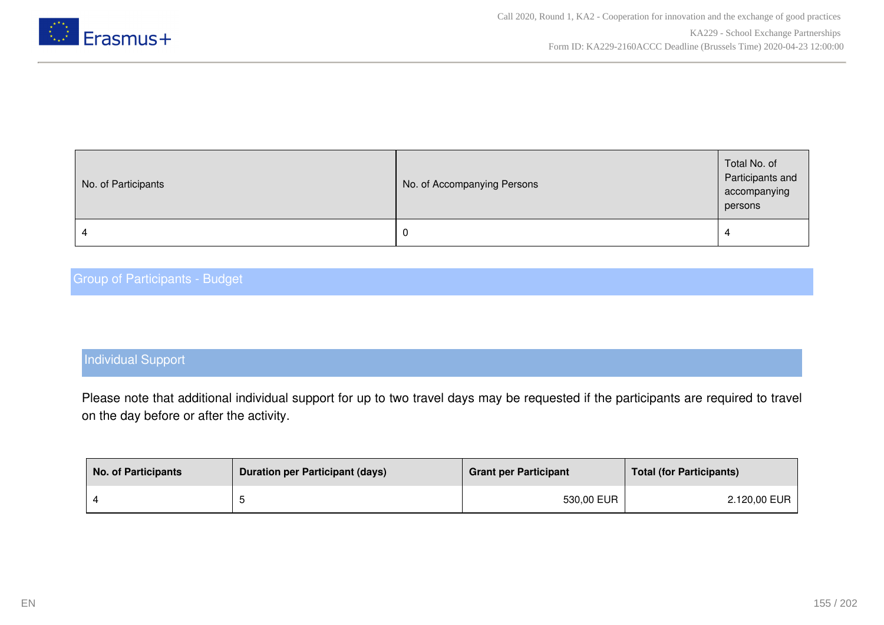

| No. of Participants | No. of Accompanying Persons | Total No. of<br>Participants and<br>accompanying<br>persons |
|---------------------|-----------------------------|-------------------------------------------------------------|
|                     | c<br>U                      |                                                             |

Group of Participants - Budget

## Individual Support

| <b>No. of Participants</b> | Duration per Participant (days) | <b>Grant per Participant</b> | <b>Total (for Participants)</b> |
|----------------------------|---------------------------------|------------------------------|---------------------------------|
|                            |                                 | 530,00 EUR                   | 2.120,00 EUR                    |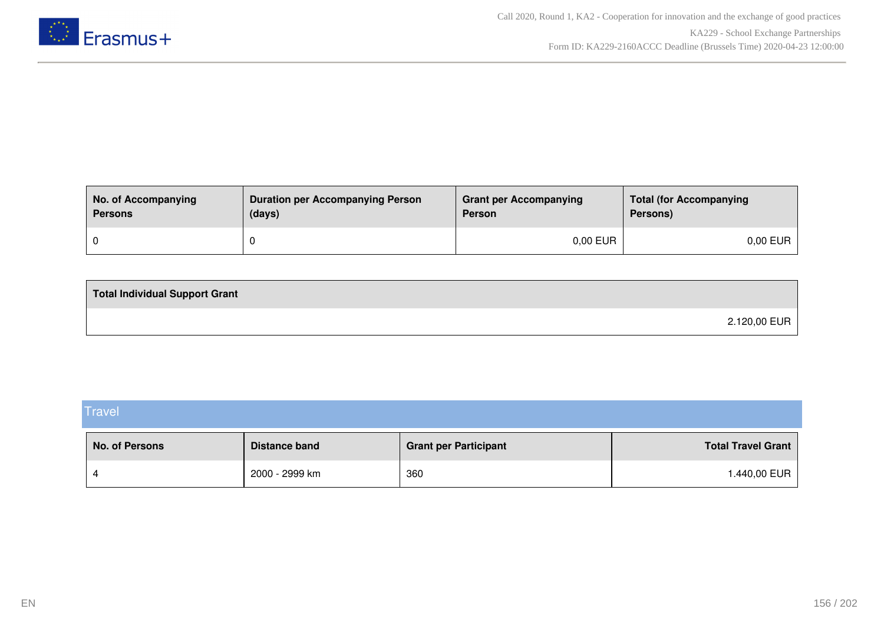

| No. of Accompanying | Duration per Accompanying Person | <b>Grant per Accompanying</b> | <b>Total (for Accompanying</b> |
|---------------------|----------------------------------|-------------------------------|--------------------------------|
| <b>Persons</b>      | (days)                           | <b>Person</b>                 | Persons)                       |
|                     |                                  | 0,00 EUR                      | 0.00 EUR                       |

| <b>Total Individual Support Grant</b> |              |
|---------------------------------------|--------------|
|                                       | 2.120,00 EUR |

| <b>Travel</b>         |                |                              |                           |
|-----------------------|----------------|------------------------------|---------------------------|
| <b>No. of Persons</b> | Distance band  | <b>Grant per Participant</b> | <b>Total Travel Grant</b> |
|                       | 2000 - 2999 km | 360                          | 1.440,00 EUR              |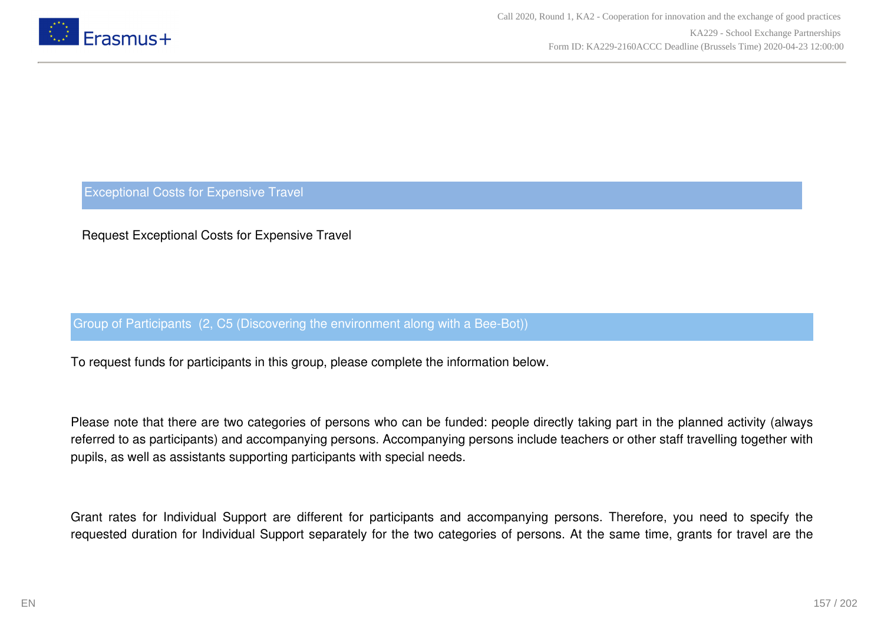

Request Exceptional Costs for Expensive Travel

### Group of Participants (2, C5 (Discovering the environment along with a Bee-Bot))

To request funds for participants in this group, please complete the information below.

Please note that there are two categories of persons who can be funded: people directly taking part in the planned activity (always referred to as participants) and accompanying persons. Accompanying persons include teachers or other staff travelling together with pupils, as well as assistants supporting participants with special needs.

Grant rates for Individual Support are different for participants and accompanying persons. Therefore, you need to specify the requested duration for Individual Support separately for the two categories of persons. At the same time, grants for travel are the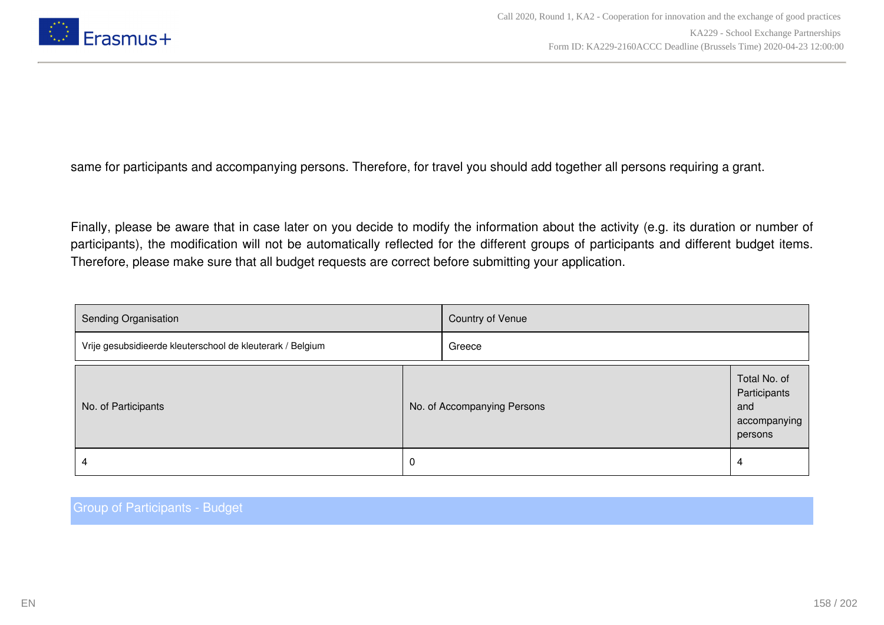

same for participants and accompanying persons. Therefore, for travel you should add together all persons requiring a grant.

| Sending Organisation                                       |   | Country of Venue            |                                                                |
|------------------------------------------------------------|---|-----------------------------|----------------------------------------------------------------|
| Vrije gesubsidieerde kleuterschool de kleuterark / Belgium |   | Greece                      |                                                                |
| No. of Participants                                        |   | No. of Accompanying Persons | Total No. of<br>Participants<br>and<br>accompanying<br>persons |
| 4                                                          | 0 |                             | 4                                                              |

| <b>Group of Participants - Budget</b> |  |  |  |
|---------------------------------------|--|--|--|
|                                       |  |  |  |
|                                       |  |  |  |
|                                       |  |  |  |
|                                       |  |  |  |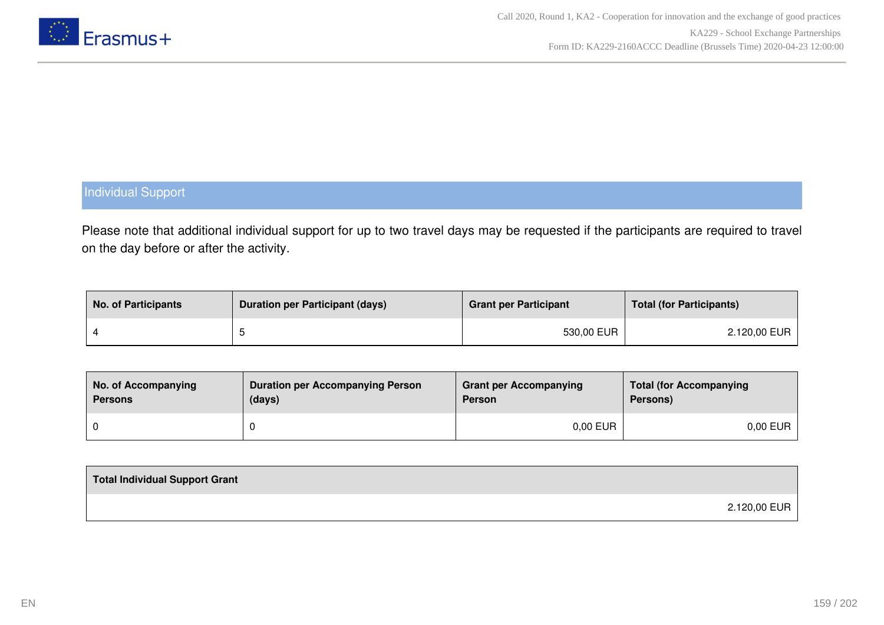

## Individual Support

| <b>No. of Participants</b> | <b>Duration per Participant (days)</b> | <b>Grant per Participant</b> | Total (for Participants) |
|----------------------------|----------------------------------------|------------------------------|--------------------------|
|                            |                                        | 530.00 EUR                   | 2.120,00 EUR             |

| No. of Accompanying | Duration per Accompanying Person | <b>Grant per Accompanying</b> | <b>Total (for Accompanying</b> |
|---------------------|----------------------------------|-------------------------------|--------------------------------|
| <b>Persons</b>      | (days)                           | <b>Person</b>                 | Persons)                       |
|                     |                                  | 0,00 EUR                      | $0,00$ EUR                     |

| Total Individual Support Grant |              |
|--------------------------------|--------------|
|                                | 2.120,00 EUR |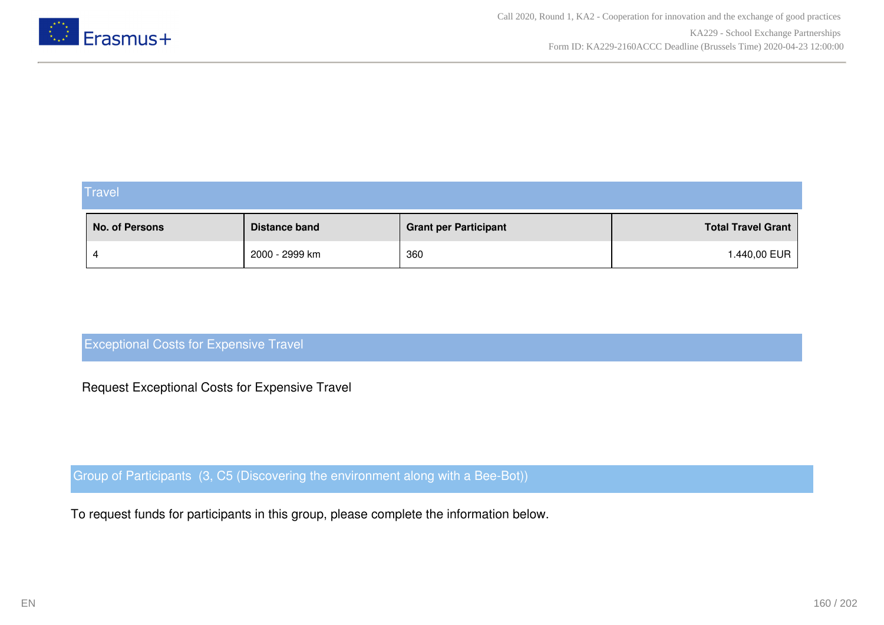

| <b>Travel</b>         |                      |                              |                           |
|-----------------------|----------------------|------------------------------|---------------------------|
| <b>No. of Persons</b> | <b>Distance band</b> | <b>Grant per Participant</b> | <b>Total Travel Grant</b> |
| 4                     | 2000 - 2999 km       | 360                          | 1.440,00 EUR              |

Request Exceptional Costs for Expensive Travel

Group of Participants (3, C5 (Discovering the environment along with a Bee-Bot))

To request funds for participants in this group, please complete the information below.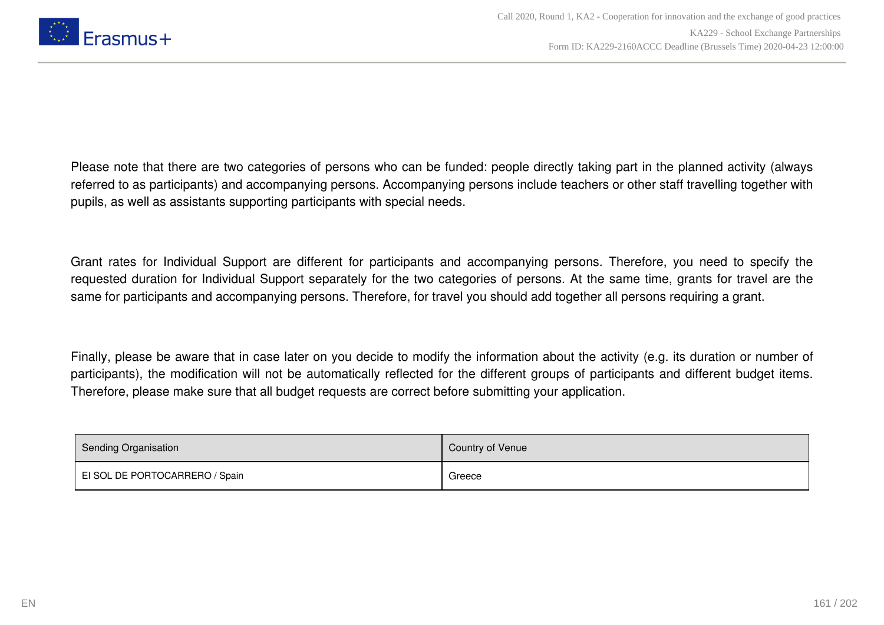

Please note that there are two categories of persons who can be funded: people directly taking part in the planned activity (always referred to as participants) and accompanying persons. Accompanying persons include teachers or other staff travelling together with pupils, as well as assistants supporting participants with special needs.

Grant rates for Individual Support are different for participants and accompanying persons. Therefore, you need to specify the requested duration for Individual Support separately for the two categories of persons. At the same time, grants for travel are the same for participants and accompanying persons. Therefore, for travel you should add together all persons requiring a grant.

| <b>Sending Organisation</b>    | Country of Venue |
|--------------------------------|------------------|
| EI SOL DE PORTOCARRERO / Spain | Greece           |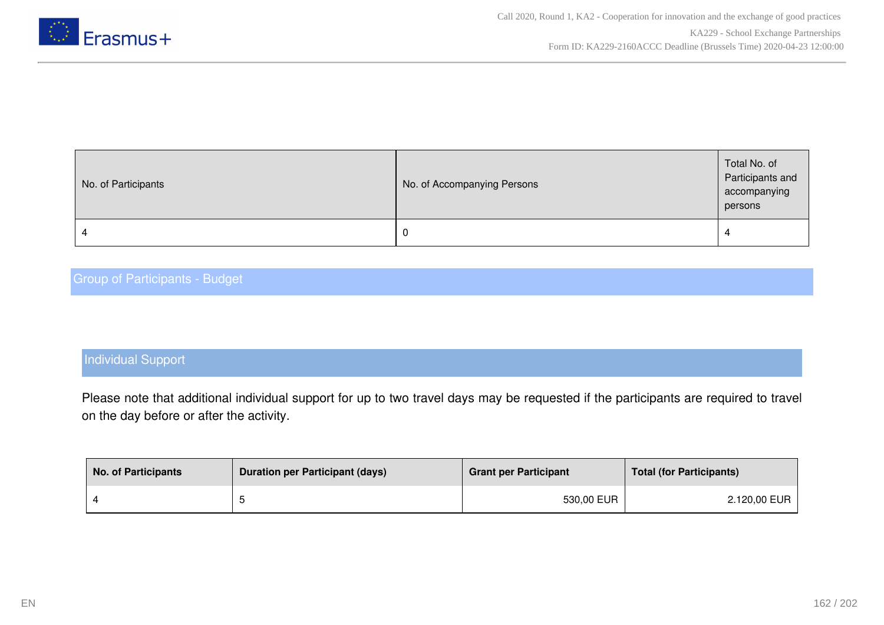

| No. of Participants | No. of Accompanying Persons | Total No. of<br>Participants and<br>accompanying<br>persons |
|---------------------|-----------------------------|-------------------------------------------------------------|
|                     | c<br>U                      |                                                             |

Group of Participants - Budget

## Individual Support

| <b>No. of Participants</b> | Duration per Participant (days) | <b>Grant per Participant</b> | <b>Total (for Participants)</b> |
|----------------------------|---------------------------------|------------------------------|---------------------------------|
|                            |                                 | 530,00 EUR                   | 2.120,00 EUR                    |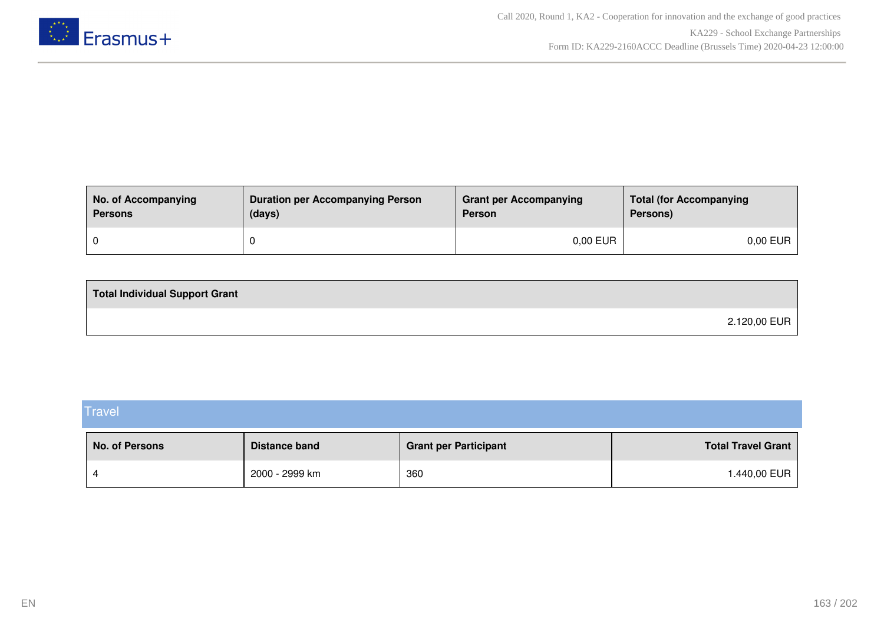

| No. of Accompanying | Duration per Accompanying Person | <b>Grant per Accompanying</b> | <b>Total (for Accompanying</b> |
|---------------------|----------------------------------|-------------------------------|--------------------------------|
| <b>Persons</b>      | (days)                           | <b>Person</b>                 | Persons)                       |
|                     |                                  | 0,00 EUR                      | $0,00$ EUR $\vert$             |

| Total Individual Support Grant |              |
|--------------------------------|--------------|
|                                | 2.120,00 EUR |

| <b>Travel</b>         |                      |                              |                           |
|-----------------------|----------------------|------------------------------|---------------------------|
| <b>No. of Persons</b> | <b>Distance band</b> | <b>Grant per Participant</b> | <b>Total Travel Grant</b> |
| -4                    | 2000 - 2999 km       | 360                          | 1.440,00 EUR              |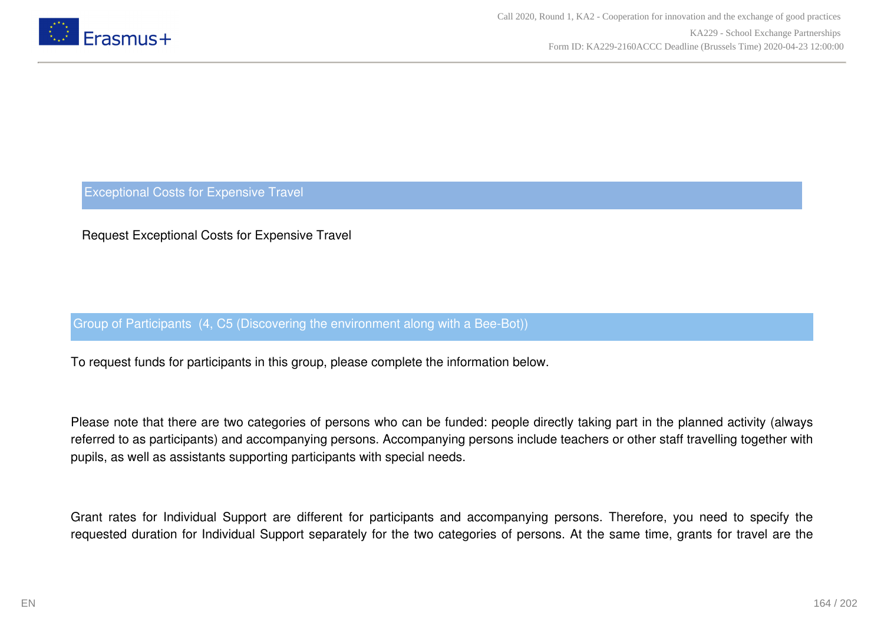

Request Exceptional Costs for Expensive Travel

### Group of Participants (4, C5 (Discovering the environment along with a Bee-Bot))

To request funds for participants in this group, please complete the information below.

Please note that there are two categories of persons who can be funded: people directly taking part in the planned activity (always referred to as participants) and accompanying persons. Accompanying persons include teachers or other staff travelling together with pupils, as well as assistants supporting participants with special needs.

Grant rates for Individual Support are different for participants and accompanying persons. Therefore, you need to specify the requested duration for Individual Support separately for the two categories of persons. At the same time, grants for travel are the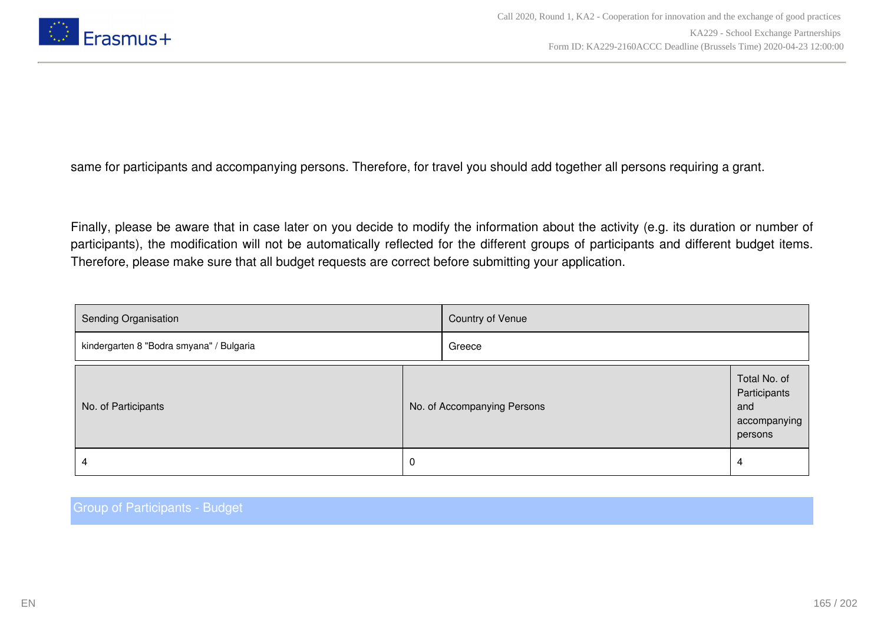

same for participants and accompanying persons. Therefore, for travel you should add together all persons requiring a grant.

| <b>Sending Organisation</b>              |   | Country of Venue            |                                                                |
|------------------------------------------|---|-----------------------------|----------------------------------------------------------------|
| kindergarten 8 "Bodra smyana" / Bulgaria |   | Greece                      |                                                                |
| No. of Participants                      |   | No. of Accompanying Persons | Total No. of<br>Participants<br>and<br>accompanying<br>persons |
| 4                                        | 0 |                             | 4                                                              |

| <b>Group of Participants - Budget</b> |  |  |
|---------------------------------------|--|--|
|                                       |  |  |
|                                       |  |  |
|                                       |  |  |
|                                       |  |  |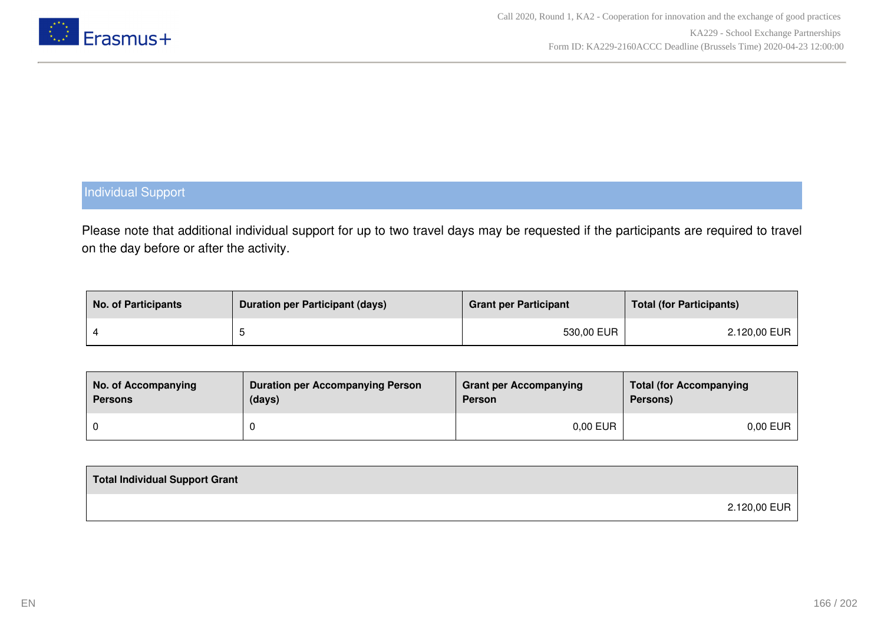

## Individual Support

| <b>No. of Participants</b> | <b>Duration per Participant (days)</b> | <b>Grant per Participant</b> | Total (for Participants) |
|----------------------------|----------------------------------------|------------------------------|--------------------------|
|                            |                                        | 530.00 EUR                   | 2.120,00 EUR             |

| No. of Accompanying | Duration per Accompanying Person | <b>Grant per Accompanying</b> | Total (for Accompanying |
|---------------------|----------------------------------|-------------------------------|-------------------------|
| <b>Persons</b>      | (days)                           | <b>Person</b>                 | Persons)                |
|                     |                                  | 0,00 EUR                      | $0,00$ EUR              |

| Total Individual Support Grant |              |
|--------------------------------|--------------|
|                                | 2.120,00 EUR |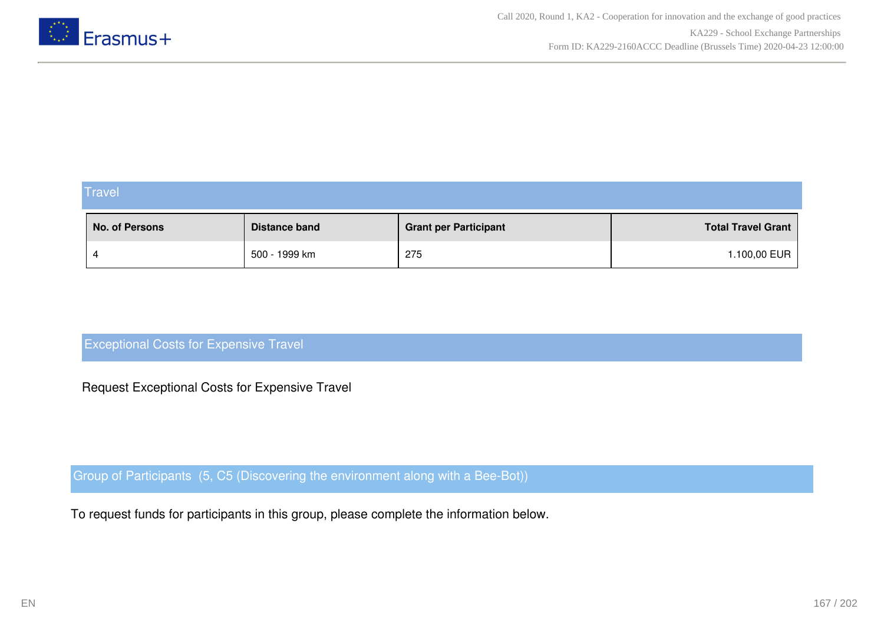

| <b>Travel</b>         |                      |                              |                           |
|-----------------------|----------------------|------------------------------|---------------------------|
| <b>No. of Persons</b> | <b>Distance band</b> | <b>Grant per Participant</b> | <b>Total Travel Grant</b> |
| 4                     | 500 - 1999 km        | 275                          | 1.100,00 EUR              |

Request Exceptional Costs for Expensive Travel

Group of Participants (5, C5 (Discovering the environment along with a Bee-Bot))

To request funds for participants in this group, please complete the information below.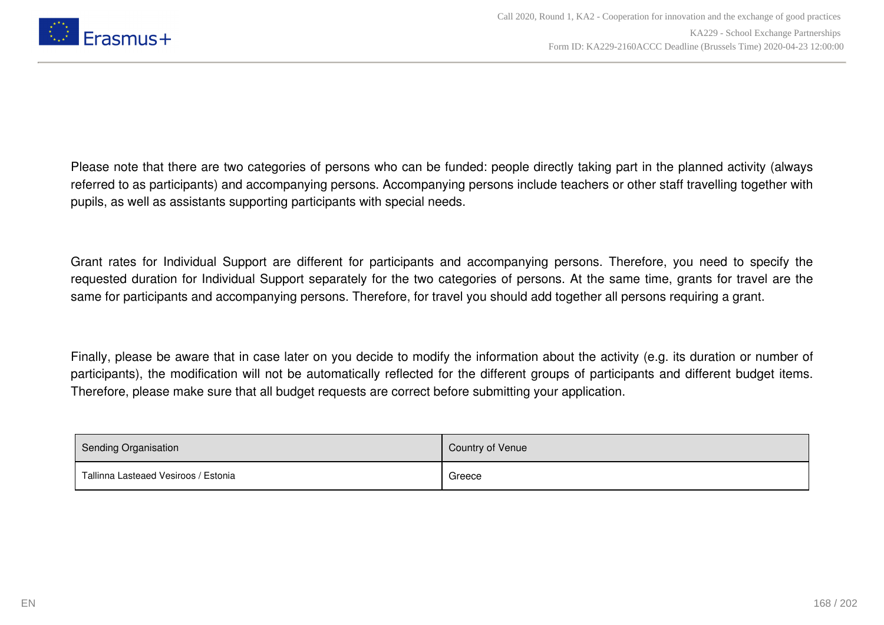

Please note that there are two categories of persons who can be funded: people directly taking part in the planned activity (always referred to as participants) and accompanying persons. Accompanying persons include teachers or other staff travelling together with pupils, as well as assistants supporting participants with special needs.

Grant rates for Individual Support are different for participants and accompanying persons. Therefore, you need to specify the requested duration for Individual Support separately for the two categories of persons. At the same time, grants for travel are the same for participants and accompanying persons. Therefore, for travel you should add together all persons requiring a grant.

| <b>Sending Organisation</b>          | Country of Venue |
|--------------------------------------|------------------|
| Tallinna Lasteaed Vesiroos / Estonia | Greece           |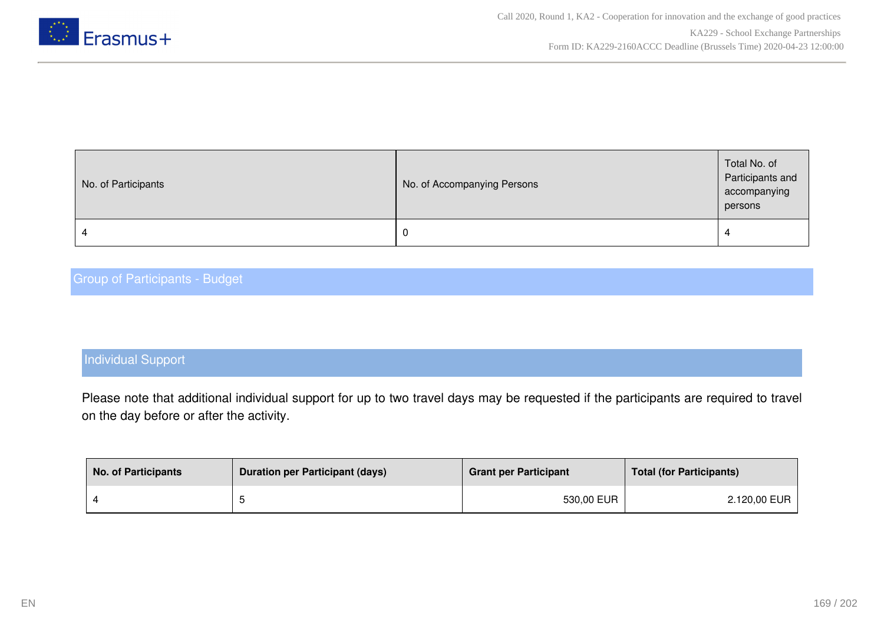

| No. of Participants | No. of Accompanying Persons | Total No. of<br>Participants and<br>accompanying<br>persons |
|---------------------|-----------------------------|-------------------------------------------------------------|
|                     | c<br>U                      |                                                             |

Group of Participants - Budget

## Individual Support

| <b>No. of Participants</b> | <b>Duration per Participant (days)</b> | <b>Grant per Participant</b> | <b>Total (for Participants)</b> |
|----------------------------|----------------------------------------|------------------------------|---------------------------------|
|                            |                                        | 530,00 EUR                   | 2.120,00 EUR                    |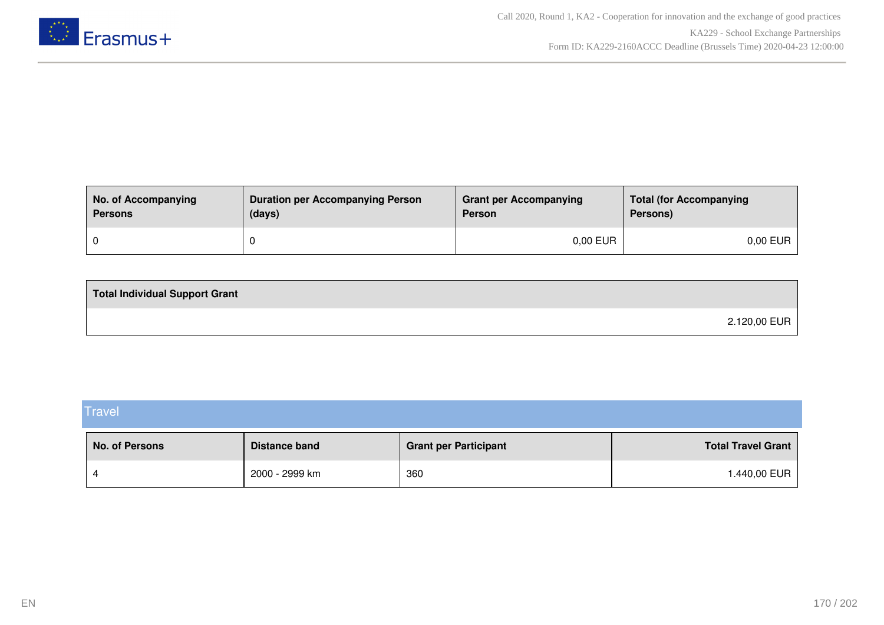

| No. of Accompanying | Duration per Accompanying Person | <b>Grant per Accompanying</b> | <b>Total (for Accompanying</b> |
|---------------------|----------------------------------|-------------------------------|--------------------------------|
| <b>Persons</b>      | (days)                           | <b>Person</b>                 | Persons)                       |
|                     |                                  | 0,00 EUR                      | $0,00$ EUR $\vert$             |

| Total Individual Support Grant |              |
|--------------------------------|--------------|
|                                | 2.120,00 EUR |

| <b>Travel</b>         |                      |                              |                           |
|-----------------------|----------------------|------------------------------|---------------------------|
| <b>No. of Persons</b> | <b>Distance band</b> | <b>Grant per Participant</b> | <b>Total Travel Grant</b> |
|                       | 2000 - 2999 km       | 360                          | 1.440,00 EUR              |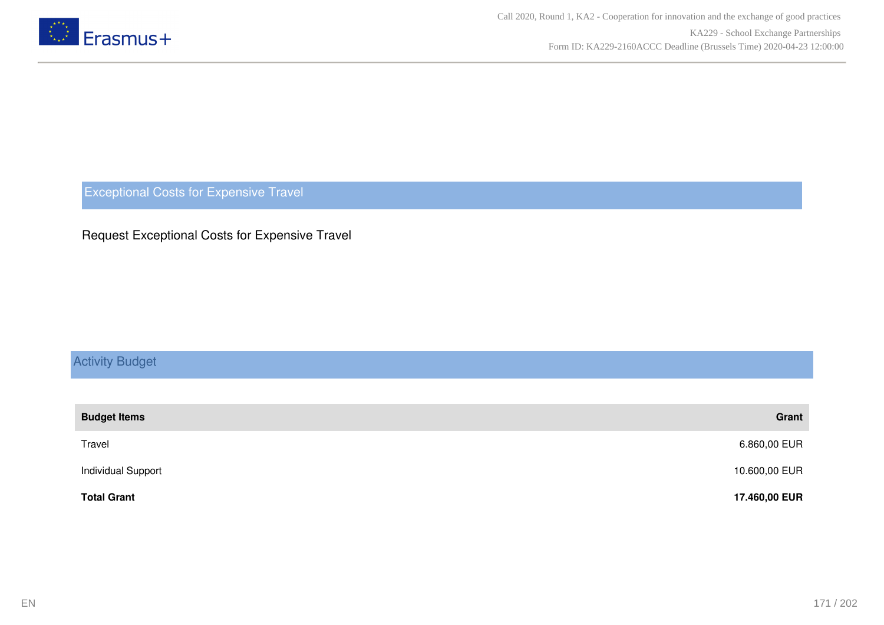

Request Exceptional Costs for Expensive Travel

# Activity Budget

| <b>Budget Items</b>       | Grant         |
|---------------------------|---------------|
| Travel                    | 6.860,00 EUR  |
| <b>Individual Support</b> | 10.600,00 EUR |
| <b>Total Grant</b>        | 17.460,00 EUR |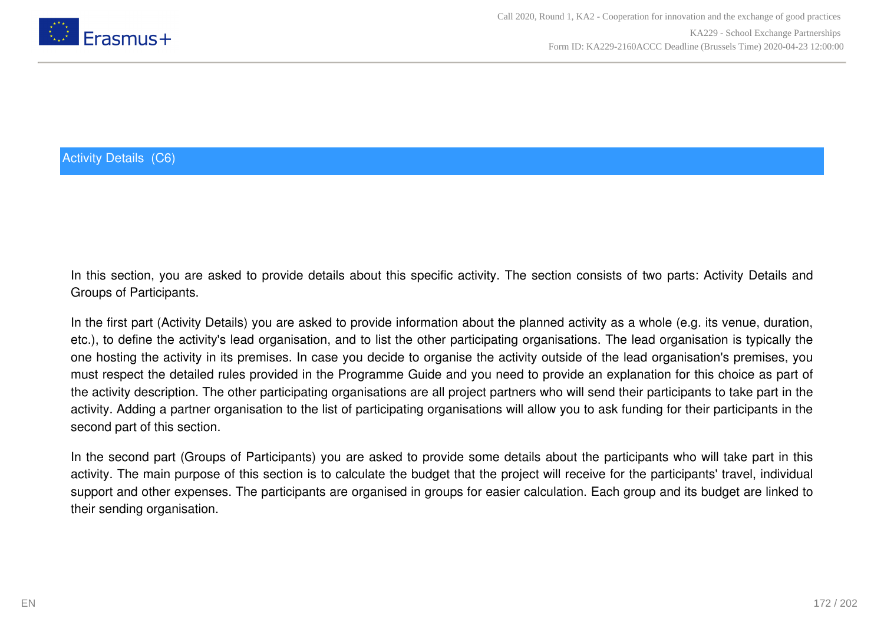

#### Activity Details (C6)

In this section, you are asked to provide details about this specific activity. The section consists of two parts: Activity Details and Groups of Participants.

In the first part (Activity Details) you are asked to provide information about the planned activity as a whole (e.g. its venue, duration, etc.), to define the activity's lead organisation, and to list the other participating organisations. The lead organisation is typically the one hosting the activity in its premises. In case you decide to organise the activity outside of the lead organisation's premises, you must respect the detailed rules provided in the Programme Guide and you need to provide an explanation for this choice as part of the activity description. The other participating organisations are all project partners who will send their participants to take part in the activity. Adding a partner organisation to the list of participating organisations will allow you to ask funding for their participants in the second part of this section.

In the second part (Groups of Participants) you are asked to provide some details about the participants who will take part in this activity. The main purpose of this section is to calculate the budget that the project will receive for the participants' travel, individual support and other expenses. The participants are organised in groups for easier calculation. Each group and its budget are linked to their sending organisation.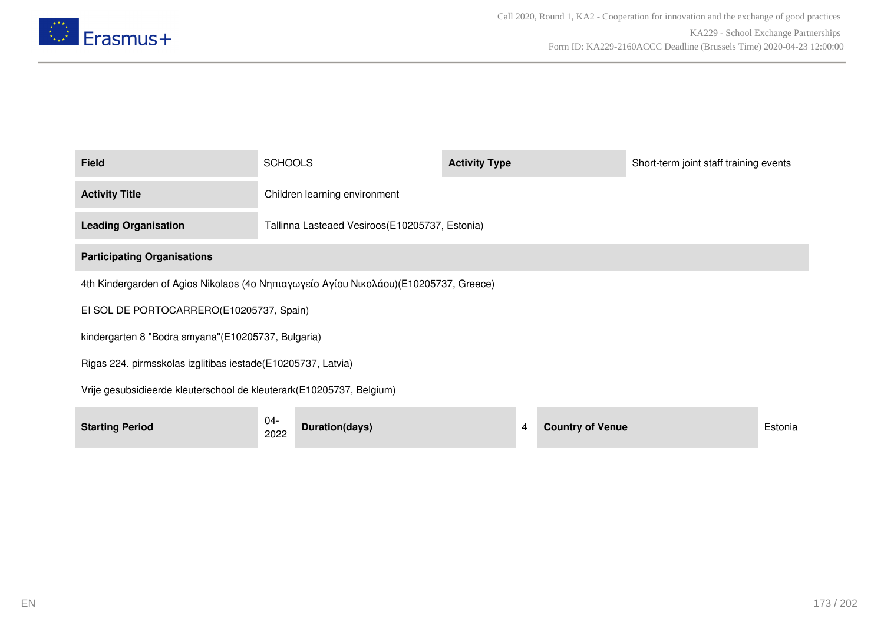

| <b>Field</b>                                                                           | <b>SCHOOLS</b> |                                                 | <b>Activity Type</b> |   |                         | Short-term joint staff training events |         |
|----------------------------------------------------------------------------------------|----------------|-------------------------------------------------|----------------------|---|-------------------------|----------------------------------------|---------|
| <b>Activity Title</b>                                                                  |                | Children learning environment                   |                      |   |                         |                                        |         |
| <b>Leading Organisation</b>                                                            |                | Tallinna Lasteaed Vesiroos (E10205737, Estonia) |                      |   |                         |                                        |         |
| <b>Participating Organisations</b>                                                     |                |                                                 |                      |   |                         |                                        |         |
| 4th Kindergarden of Agios Nikolaos (4ο Νηπιαγωγείο Αγίου Νικολάου) (E10205737, Greece) |                |                                                 |                      |   |                         |                                        |         |
| EI SOL DE PORTOCARRERO(E10205737, Spain)                                               |                |                                                 |                      |   |                         |                                        |         |
| kindergarten 8 "Bodra smyana" (E10205737, Bulgaria)                                    |                |                                                 |                      |   |                         |                                        |         |
| Rigas 224. pirmsskolas izglitibas iestade(E10205737, Latvia)                           |                |                                                 |                      |   |                         |                                        |         |
| Vrije gesubsidieerde kleuterschool de kleuterark(E10205737, Belgium)                   |                |                                                 |                      |   |                         |                                        |         |
| <b>Starting Period</b>                                                                 | $04 -$<br>2022 | Duration(days)                                  |                      | 4 | <b>Country of Venue</b> |                                        | Estonia |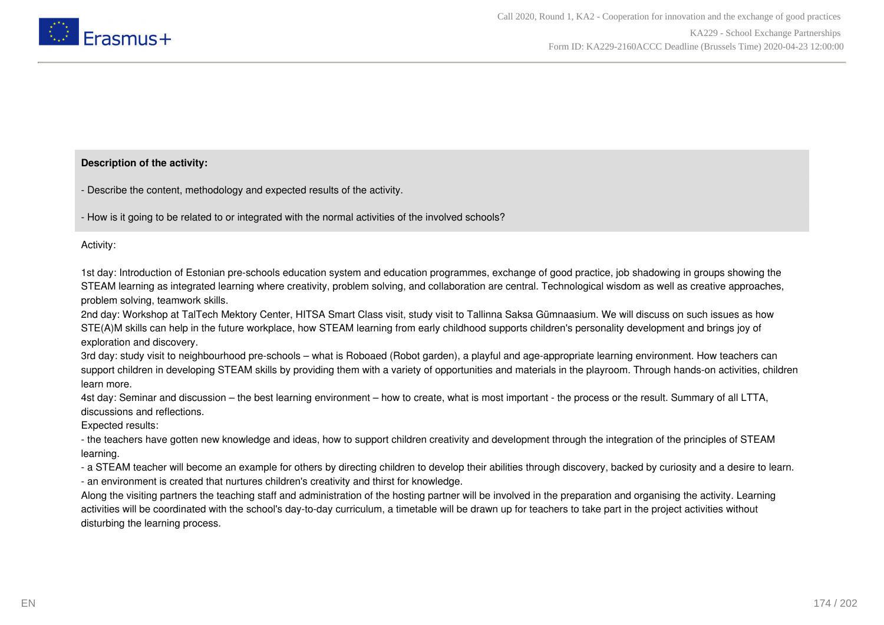

#### **Description of the activity:**

- Describe the content, methodology and expected results of the activity.

- How is it going to be related to or integrated with the normal activities of the involved schools?

Activity:

1st day: Introduction of Estonian pre-schools education system and education programmes, exchange of good practice, job shadowing in groups showing the STEAM learning as integrated learning where creativity, problem solving, and collaboration are central. Technological wisdom as well as creative approaches, problem solving, teamwork skills.

2nd day: Workshop at TalTech Mektory Center, HITSA Smart Class visit, study visit to Tallinna Saksa Gümnaasium. We will discuss on such issues as how STE(A)M skills can help in the future workplace, how STEAM learning from early childhood supports children's personality development and brings joy of exploration and discovery.

3rd day: study visit to neighbourhood pre-schools – what is Roboaed (Robot garden), a playful and age-appropriate learning environment. How teachers can support children in developing STEAM skills by providing them with a variety of opportunities and materials in the playroom. Through hands-on activities, children learn more.

4st day: Seminar and discussion – the best learning environment – how to create, what is most important - the process or the result. Summary of all LTTA, discussions and reflections.

Expected results:

- the teachers have gotten new knowledge and ideas, how to support children creativity and development through the integration of the principles of STEAM learning.

- a STEAM teacher will become an example for others by directing children to develop their abilities through discovery, backed by curiosity and a desire to learn. - an environment is created that nurtures children's creativity and thirst for knowledge.

Along the visiting partners the teaching staff and administration of the hosting partner will be involved in the preparation and organising the activity. Learning activities will be coordinated with the school's day-to-day curriculum, a timetable will be drawn up for teachers to take part in the project activities without disturbing the learning process.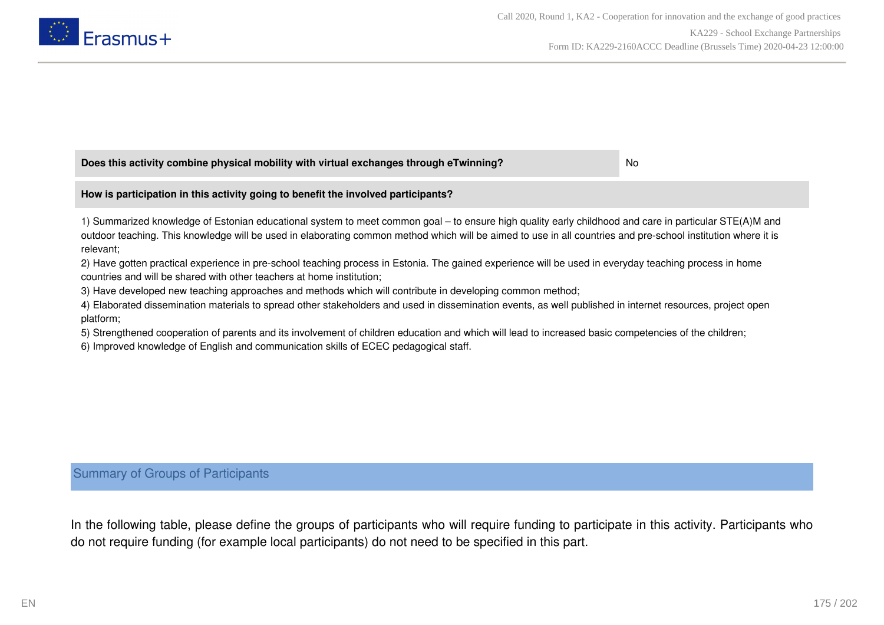

**How is participation in this activity going to benefit the involved participants?**

1) Summarized knowledge of Estonian educational system to meet common goal – to ensure high quality early childhood and care in particular STE(A)M and outdoor teaching. This knowledge will be used in elaborating common method which will be aimed to use in all countries and pre-school institution where it is relevant;

2) Have gotten practical experience in pre-school teaching process in Estonia. The gained experience will be used in everyday teaching process in home countries and will be shared with other teachers at home institution;

3) Have developed new teaching approaches and methods which will contribute in developing common method;

4) Elaborated dissemination materials to spread other stakeholders and used in dissemination events, as well published in internet resources, project open platform;

5) Strengthened cooperation of parents and its involvement of children education and which will lead to increased basic competencies of the children;

6) Improved knowledge of English and communication skills of ECEC pedagogical staff.

#### Summary of Groups of Participants

In the following table, please define the groups of participants who will require funding to participate in this activity. Participants who do not require funding (for example local participants) do not need to be specified in this part.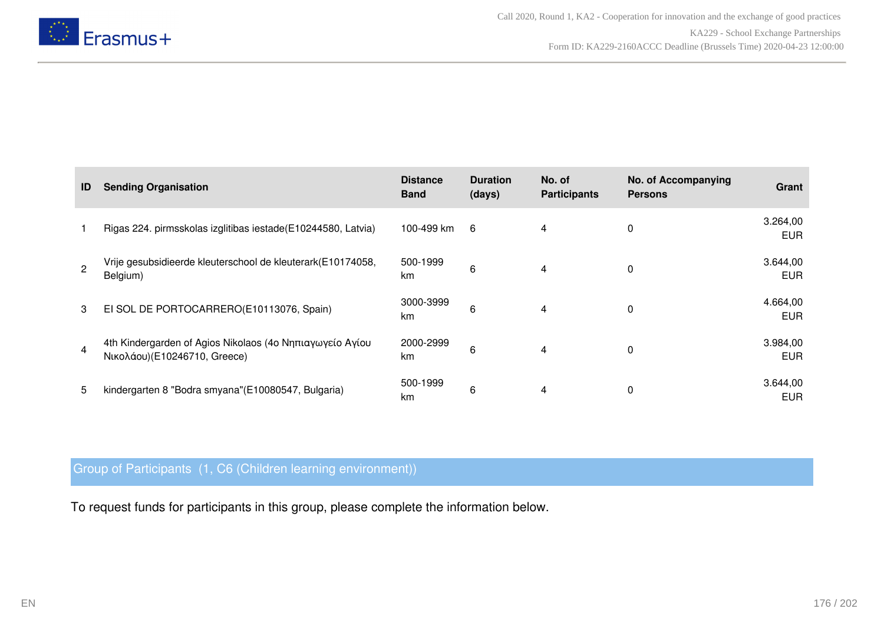

| ID             | <b>Sending Organisation</b>                                                               | <b>Distance</b><br><b>Band</b> | <b>Duration</b><br>(days) | No. of<br><b>Participants</b> | <b>No. of Accompanying</b><br><b>Persons</b> | Grant                  |
|----------------|-------------------------------------------------------------------------------------------|--------------------------------|---------------------------|-------------------------------|----------------------------------------------|------------------------|
|                | Rigas 224. pirmsskolas izglitibas iestade(E10244580, Latvia)                              | 100-499 km                     | 6                         | 4                             | 0                                            | 3.264,00<br><b>EUR</b> |
| $\overline{2}$ | Vrije gesubsidieerde kleuterschool de kleuterark(E10174058,<br>Belgium)                   | 500-1999<br>km                 | 6                         | 4                             | 0                                            | 3.644,00<br><b>EUR</b> |
| 3              | EI SOL DE PORTOCARRERO(E10113076, Spain)                                                  | 3000-3999<br>km                | 6                         | 4                             | 0                                            | 4.664,00<br><b>EUR</b> |
| $\overline{4}$ | 4th Kindergarden of Agios Nikolaos (4ο Νηπιαγωγείο Αγίου<br>Νικολάου) (Ε10246710, Greece) | 2000-2999<br>km                | 6                         | 4                             | 0                                            | 3.984,00<br><b>EUR</b> |
| 5              | kindergarten 8 "Bodra smyana" (E10080547, Bulgaria)                                       | 500-1999<br>km                 | 6                         | 4                             | 0                                            | 3.644,00<br><b>EUR</b> |

# Group of Participants (1, C6 (Children learning environment))

To request funds for participants in this group, please complete the information below.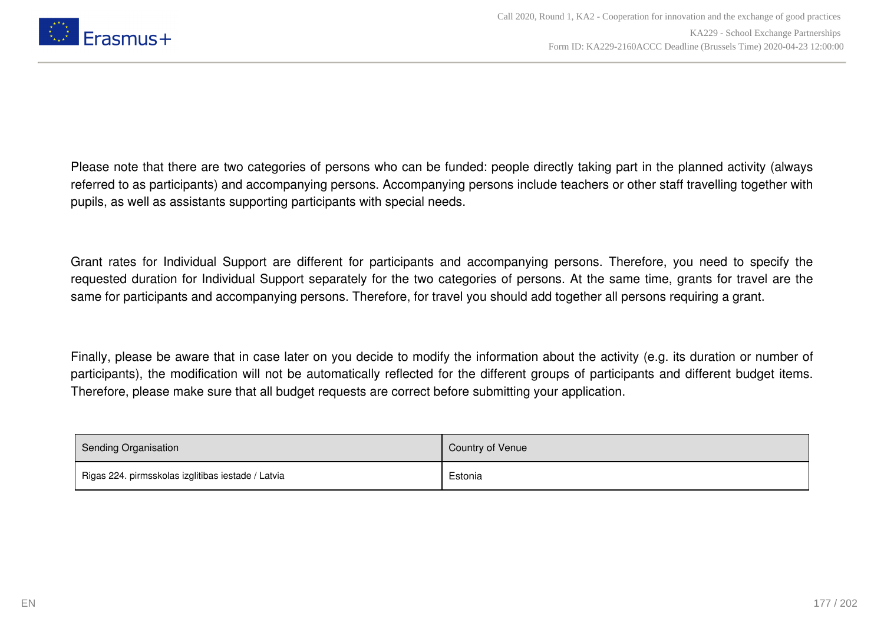

Please note that there are two categories of persons who can be funded: people directly taking part in the planned activity (always referred to as participants) and accompanying persons. Accompanying persons include teachers or other staff travelling together with pupils, as well as assistants supporting participants with special needs.

Grant rates for Individual Support are different for participants and accompanying persons. Therefore, you need to specify the requested duration for Individual Support separately for the two categories of persons. At the same time, grants for travel are the same for participants and accompanying persons. Therefore, for travel you should add together all persons requiring a grant.

| <b>Sending Organisation</b>                        | <b>Country of Venue</b> |
|----------------------------------------------------|-------------------------|
| Rigas 224. pirmsskolas izglitibas iestade / Latvia | Estonia                 |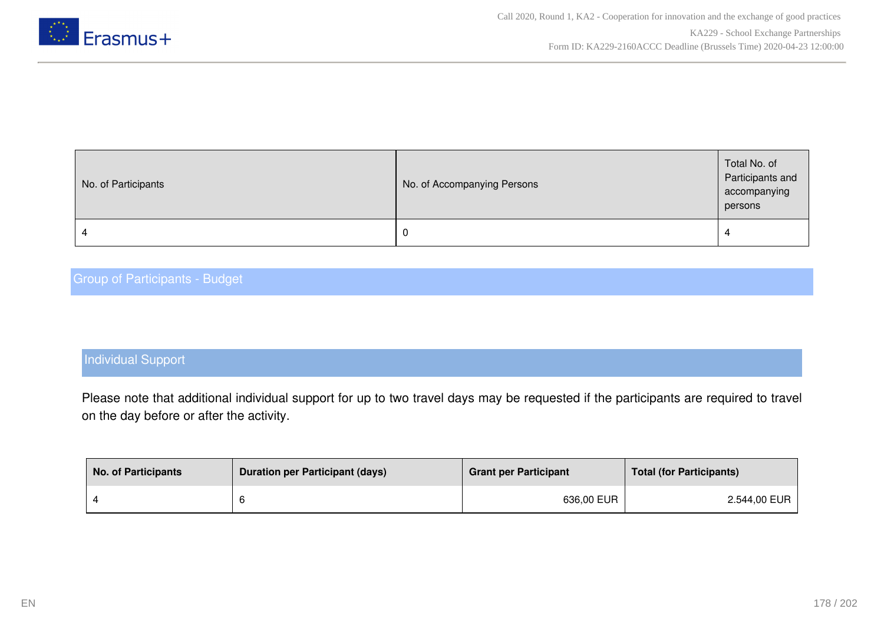

| No. of Participants | No. of Accompanying Persons | Total No. of<br>Participants and<br>accompanying<br>persons |
|---------------------|-----------------------------|-------------------------------------------------------------|
|                     | c<br>U                      |                                                             |

Group of Participants - Budget

## Individual Support

| <b>No. of Participants</b> | <b>Duration per Participant (days)</b> | <b>Grant per Participant</b> | <b>Total (for Participants)</b> |
|----------------------------|----------------------------------------|------------------------------|---------------------------------|
|                            |                                        | 636,00 EUR                   | 2.544,00 EUR                    |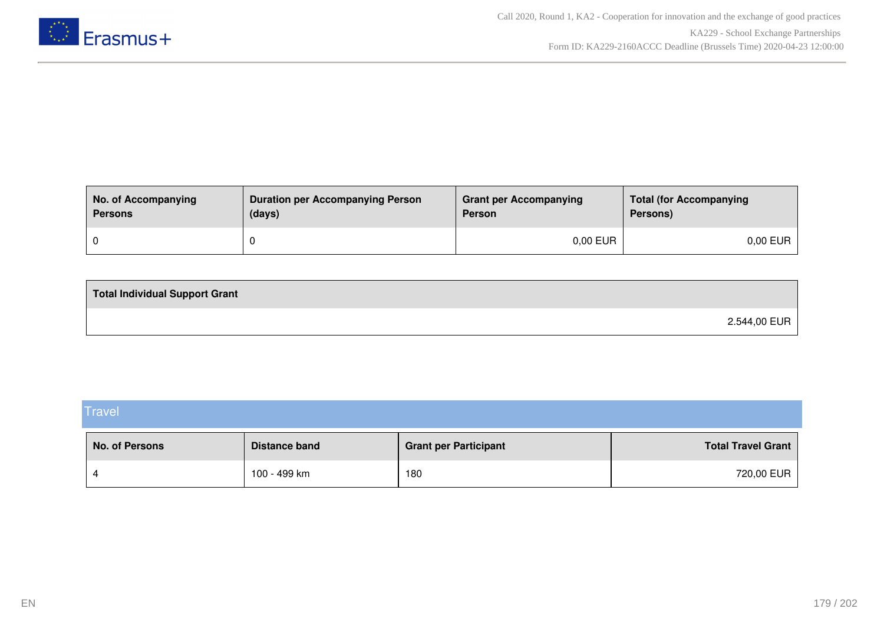

| No. of Accompanying | Duration per Accompanying Person | <b>Grant per Accompanying</b> | <b>Total (for Accompanying</b> |
|---------------------|----------------------------------|-------------------------------|--------------------------------|
| <b>Persons</b>      | (days)                           | <b>Person</b>                 | Persons)                       |
|                     |                                  | 0,00 EUR                      | $0,00$ EUR                     |

| Total Individual Support Grant |              |
|--------------------------------|--------------|
|                                | 2.544,00 EUR |

| <b>Travel</b>         |                      |                              |                           |
|-----------------------|----------------------|------------------------------|---------------------------|
| <b>No. of Persons</b> | <b>Distance band</b> | <b>Grant per Participant</b> | <b>Total Travel Grant</b> |
|                       | 100 - 499 km         | 180                          | 720,00 EUR                |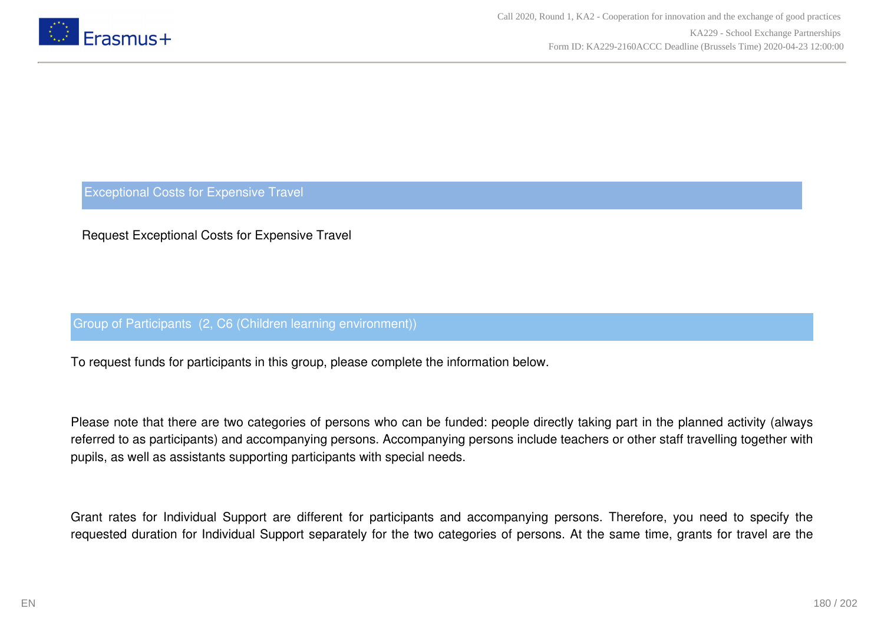

Request Exceptional Costs for Expensive Travel

### Group of Participants (2, C6 (Children learning environment))

To request funds for participants in this group, please complete the information below.

Please note that there are two categories of persons who can be funded: people directly taking part in the planned activity (always referred to as participants) and accompanying persons. Accompanying persons include teachers or other staff travelling together with pupils, as well as assistants supporting participants with special needs.

Grant rates for Individual Support are different for participants and accompanying persons. Therefore, you need to specify the requested duration for Individual Support separately for the two categories of persons. At the same time, grants for travel are the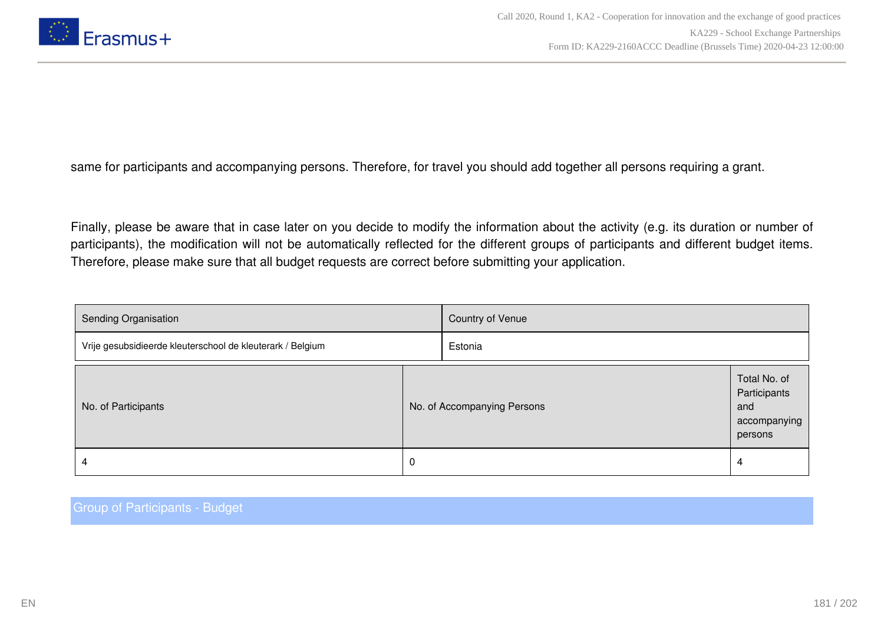

same for participants and accompanying persons. Therefore, for travel you should add together all persons requiring a grant.

| <b>Sending Organisation</b>                                |   | Country of Venue            |                                                                |
|------------------------------------------------------------|---|-----------------------------|----------------------------------------------------------------|
| Vrije gesubsidieerde kleuterschool de kleuterark / Belgium |   | Estonia                     |                                                                |
| No. of Participants                                        |   | No. of Accompanying Persons | Total No. of<br>Participants<br>and<br>accompanying<br>persons |
| 4                                                          | 0 |                             | 4                                                              |

| <b>Group of Participants - Budget</b> |  |  |
|---------------------------------------|--|--|
|                                       |  |  |
|                                       |  |  |
|                                       |  |  |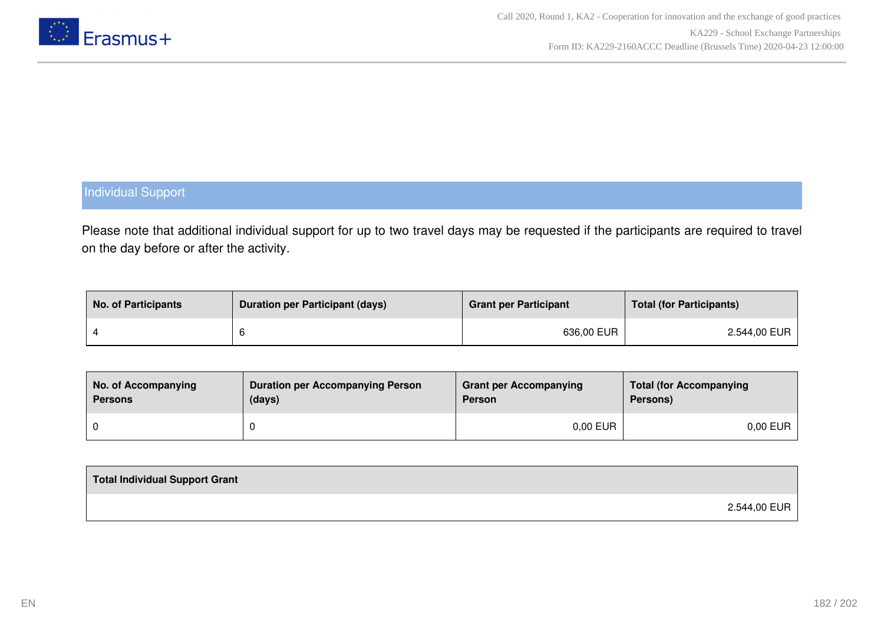

### Individual Support

| <b>No. of Participants</b> | <b>Duration per Participant (days)</b> | <b>Grant per Participant</b> | <b>Total (for Participants)</b> |
|----------------------------|----------------------------------------|------------------------------|---------------------------------|
|                            |                                        | 636,00 EUR                   | 2.544,00 EUR                    |

| No. of Accompanying | Duration per Accompanying Person | <b>Grant per Accompanying</b> | Total (for Accompanying |
|---------------------|----------------------------------|-------------------------------|-------------------------|
| <b>Persons</b>      | (days)                           | <b>Person</b>                 | Persons)                |
|                     |                                  | 0,00 EUR                      | $0,00$ EUR              |

| Total Individual Support Grant |              |
|--------------------------------|--------------|
|                                | 2.544,00 EUR |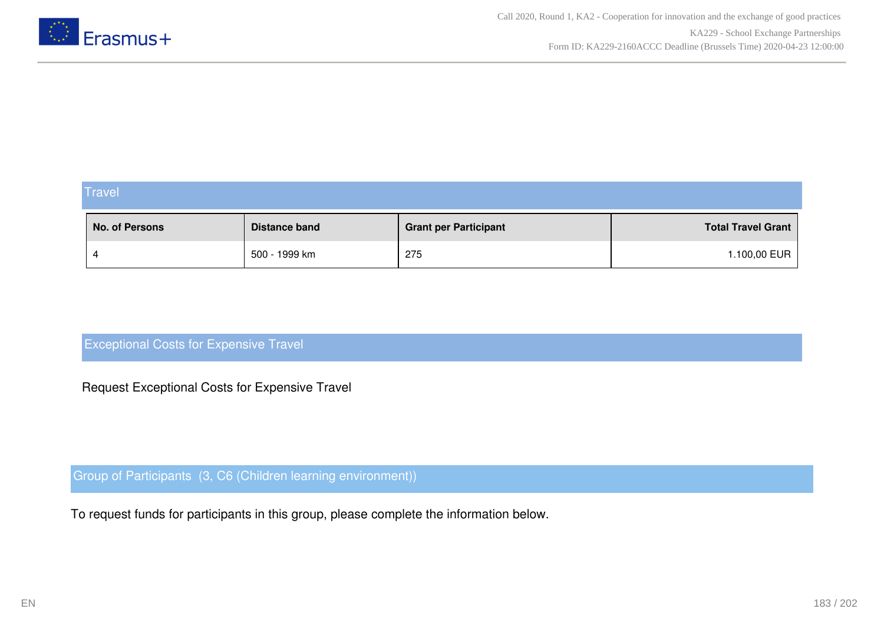

| <b>Travel</b>         |                      |                              |                           |  |
|-----------------------|----------------------|------------------------------|---------------------------|--|
| <b>No. of Persons</b> | <b>Distance band</b> | <b>Grant per Participant</b> | <b>Total Travel Grant</b> |  |
| 4                     | 500 - 1999 km        | 275                          | 1.100,00 EUR              |  |

Request Exceptional Costs for Expensive Travel

Group of Participants (3, C6 (Children learning environment))

To request funds for participants in this group, please complete the information below.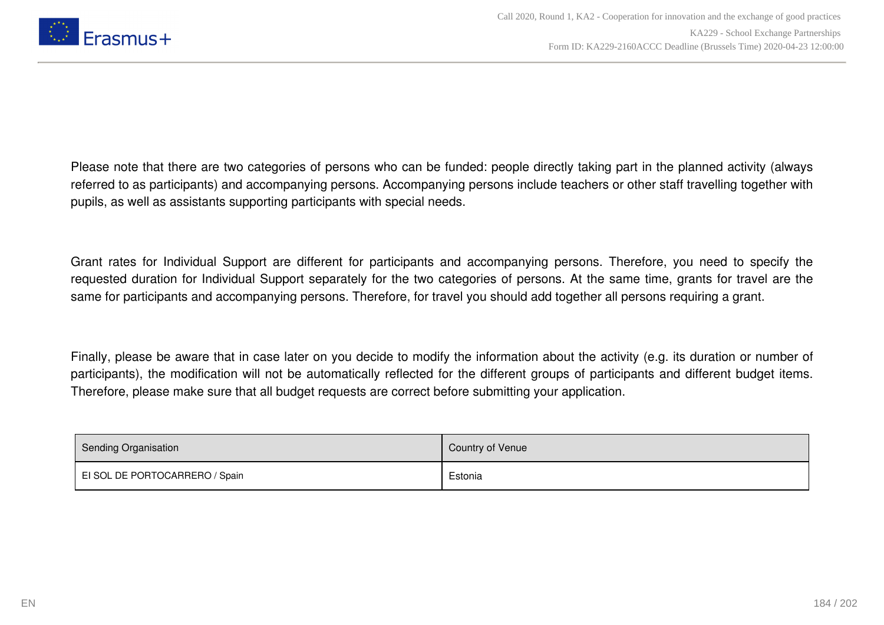

Please note that there are two categories of persons who can be funded: people directly taking part in the planned activity (always referred to as participants) and accompanying persons. Accompanying persons include teachers or other staff travelling together with pupils, as well as assistants supporting participants with special needs.

Grant rates for Individual Support are different for participants and accompanying persons. Therefore, you need to specify the requested duration for Individual Support separately for the two categories of persons. At the same time, grants for travel are the same for participants and accompanying persons. Therefore, for travel you should add together all persons requiring a grant.

| <b>Sending Organisation</b>    | Country of Venue |
|--------------------------------|------------------|
| EI SOL DE PORTOCARRERO / Spain | Estonia          |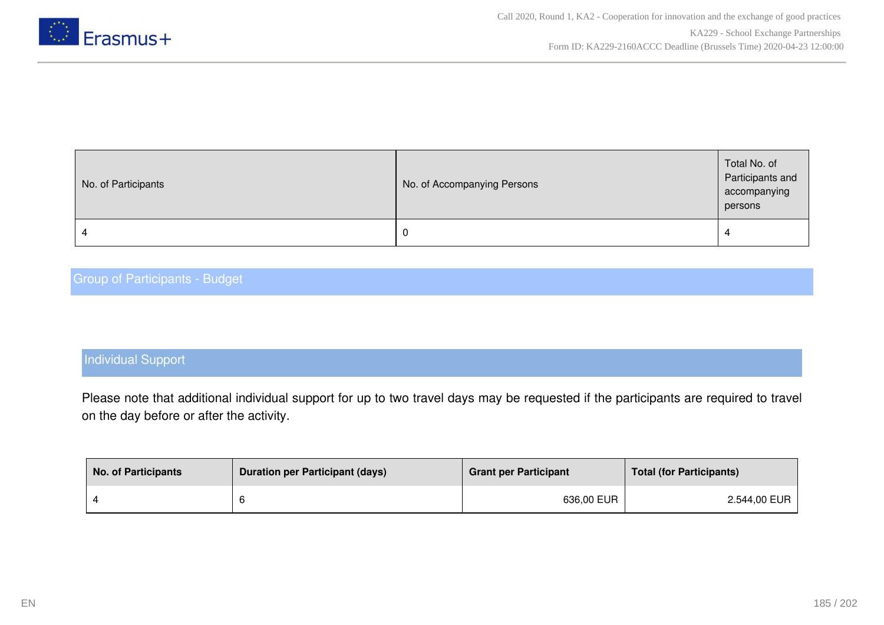

| No. of Participants | No. of Accompanying Persons | Total No. of<br>Participants and<br>accompanying<br>persons |
|---------------------|-----------------------------|-------------------------------------------------------------|
|                     | c<br>U                      |                                                             |

Group of Participants - Budget

### Individual Support

| <b>No. of Participants</b> | <b>Duration per Participant (days)</b> | <b>Grant per Participant</b> | <b>Total (for Participants)</b> |
|----------------------------|----------------------------------------|------------------------------|---------------------------------|
|                            |                                        | 636,00 EUR                   | 2.544,00 EUR                    |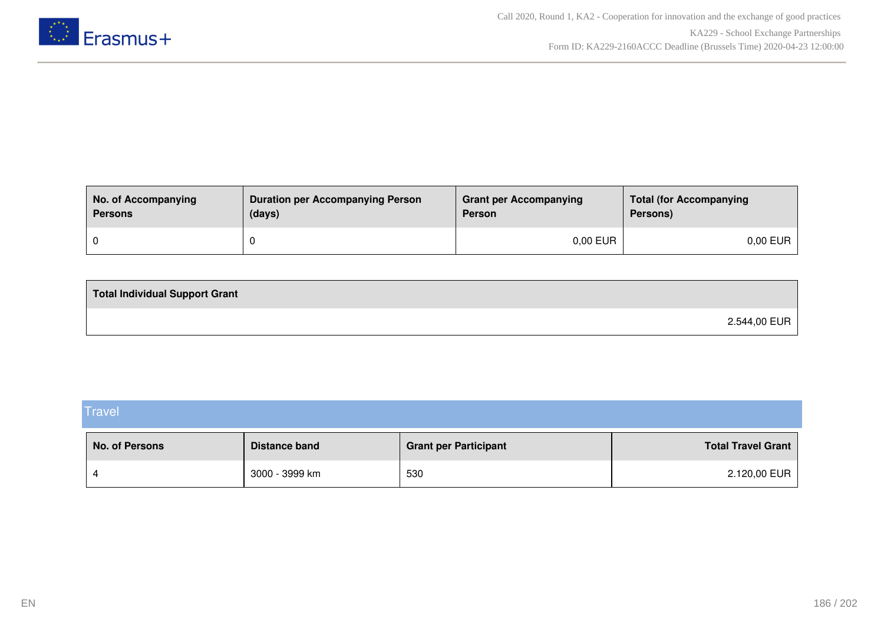

| No. of Accompanying | Duration per Accompanying Person | <b>Grant per Accompanying</b> | Total (for Accompanying |
|---------------------|----------------------------------|-------------------------------|-------------------------|
| <b>Persons</b>      | (days)                           | <b>Person</b>                 | Persons)                |
|                     |                                  | 0,00 EUR                      | $0,00$ EUR $\parallel$  |

| <b>Total Individual Support Grant</b> |              |
|---------------------------------------|--------------|
|                                       | 2.544,00 EUR |

| <b>Travel</b>         |                      |                              |                           |  |
|-----------------------|----------------------|------------------------------|---------------------------|--|
| <b>No. of Persons</b> | <b>Distance band</b> | <b>Grant per Participant</b> | <b>Total Travel Grant</b> |  |
|                       | 3000 - 3999 km       | 530                          | 2.120,00 EUR              |  |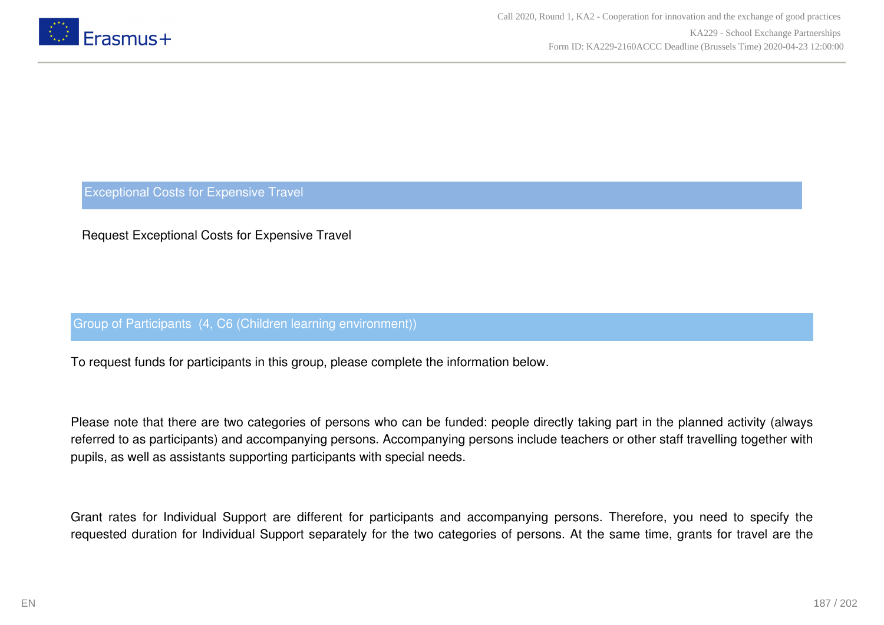

Request Exceptional Costs for Expensive Travel

#### Group of Participants (4, C6 (Children learning environment))

To request funds for participants in this group, please complete the information below.

Please note that there are two categories of persons who can be funded: people directly taking part in the planned activity (always referred to as participants) and accompanying persons. Accompanying persons include teachers or other staff travelling together with pupils, as well as assistants supporting participants with special needs.

Grant rates for Individual Support are different for participants and accompanying persons. Therefore, you need to specify the requested duration for Individual Support separately for the two categories of persons. At the same time, grants for travel are the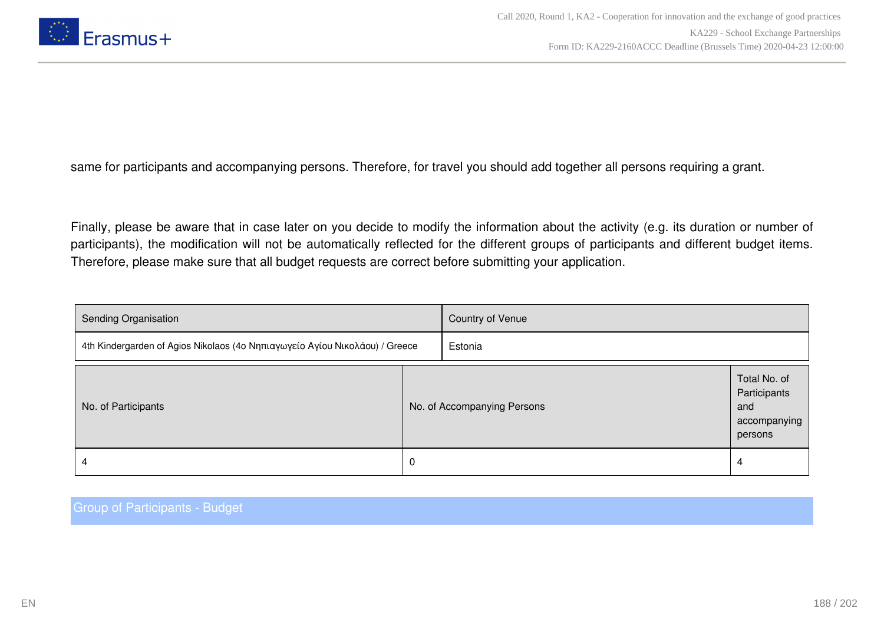

same for participants and accompanying persons. Therefore, for travel you should add together all persons requiring a grant.

| <b>Sending Organisation</b>                                                 |   | Country of Venue            |                                                                |
|-----------------------------------------------------------------------------|---|-----------------------------|----------------------------------------------------------------|
| 4th Kindergarden of Agios Nikolaos (4ο Νηπιαγωγείο Αγίου Νικολάου) / Greece |   | Estonia                     |                                                                |
| No. of Participants                                                         |   | No. of Accompanying Persons | Total No. of<br>Participants<br>and<br>accompanying<br>persons |
| 4                                                                           | 0 |                             | 4                                                              |

| <b>Group of Participants - Budget</b> |  |  |  |
|---------------------------------------|--|--|--|
|                                       |  |  |  |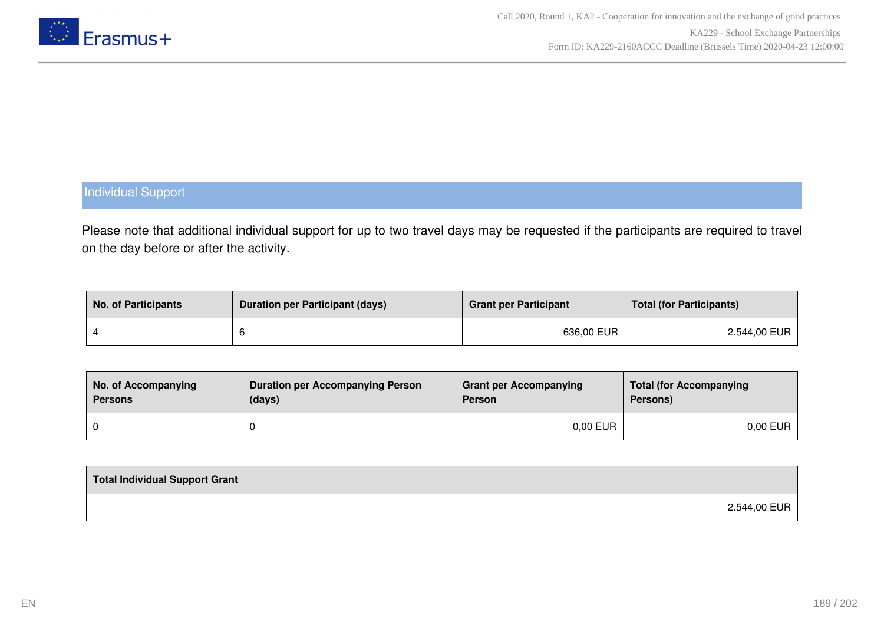

### Individual Support

| <b>No. of Participants</b> | <b>Duration per Participant (days)</b> | <b>Grant per Participant</b> | <b>Total (for Participants)</b> |
|----------------------------|----------------------------------------|------------------------------|---------------------------------|
|                            |                                        | 636,00 EUR                   | 2.544,00 EUR                    |

| No. of Accompanying | Duration per Accompanying Person | <b>Grant per Accompanying</b> | Total (for Accompanying |
|---------------------|----------------------------------|-------------------------------|-------------------------|
| <b>Persons</b>      | (days)                           | <b>Person</b>                 | Persons)                |
|                     |                                  | 0,00 EUR                      | $0,00$ EUR              |

| Total Individual Support Grant |              |
|--------------------------------|--------------|
|                                | 2.544,00 EUR |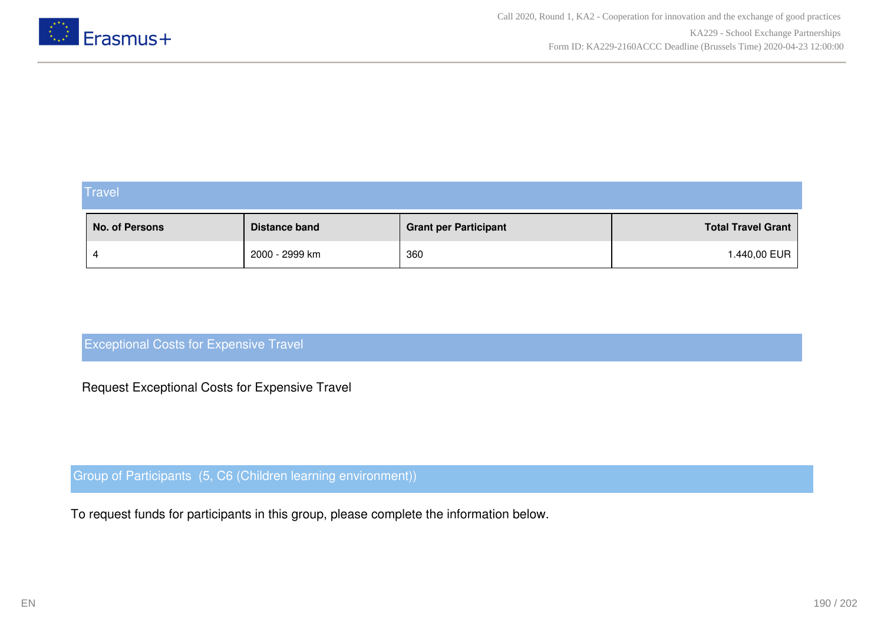

| <b>Travel</b>         |                      |                              |                           |  |
|-----------------------|----------------------|------------------------------|---------------------------|--|
| <b>No. of Persons</b> | <b>Distance band</b> | <b>Grant per Participant</b> | <b>Total Travel Grant</b> |  |
| 4                     | 2000 - 2999 km       | 360                          | 1.440,00 EUR              |  |

Request Exceptional Costs for Expensive Travel

Group of Participants (5, C6 (Children learning environment))

To request funds for participants in this group, please complete the information below.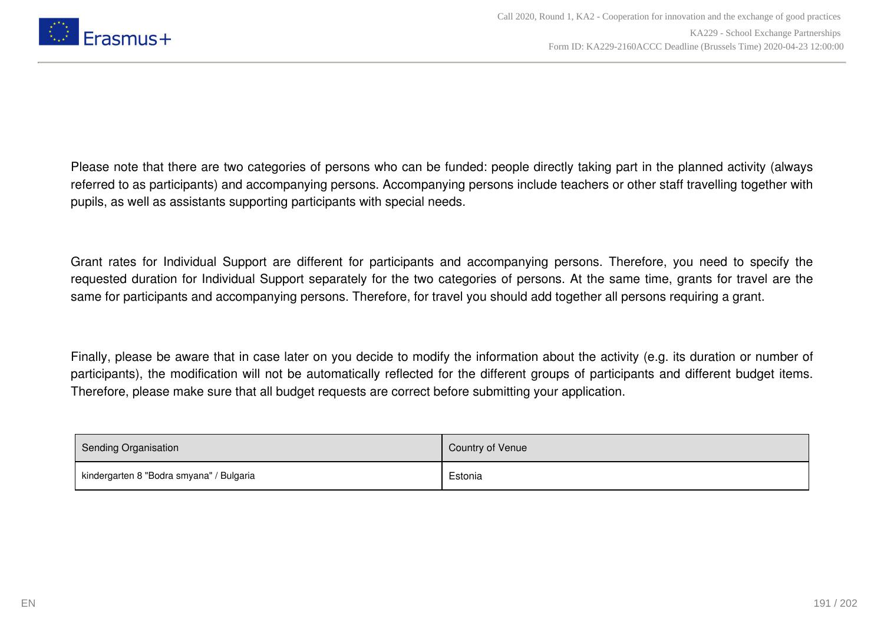

Please note that there are two categories of persons who can be funded: people directly taking part in the planned activity (always referred to as participants) and accompanying persons. Accompanying persons include teachers or other staff travelling together with pupils, as well as assistants supporting participants with special needs.

Grant rates for Individual Support are different for participants and accompanying persons. Therefore, you need to specify the requested duration for Individual Support separately for the two categories of persons. At the same time, grants for travel are the same for participants and accompanying persons. Therefore, for travel you should add together all persons requiring a grant.

| <b>Sending Organisation</b>              | Country of Venue |
|------------------------------------------|------------------|
| kindergarten 8 "Bodra smyana" / Bulgaria | Estonia          |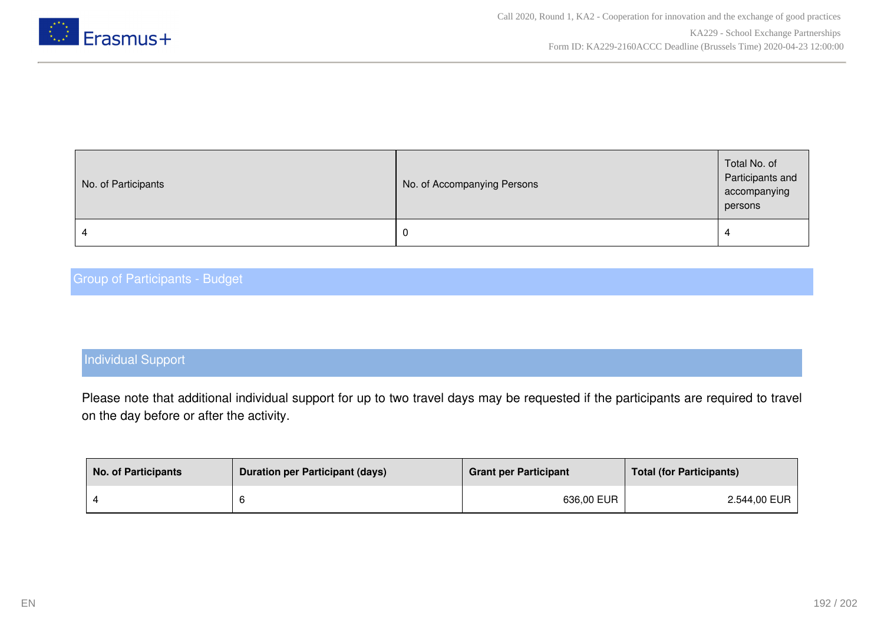

| No. of Participants | No. of Accompanying Persons | Total No. of<br>Participants and<br>accompanying<br>persons |
|---------------------|-----------------------------|-------------------------------------------------------------|
| 4                   | 0                           |                                                             |

Group of Participants - Budget

### Individual Support

| <b>No. of Participants</b> | <b>Duration per Participant (days)</b> | <b>Grant per Participant</b> | <b>Total (for Participants)</b> |
|----------------------------|----------------------------------------|------------------------------|---------------------------------|
|                            |                                        | 636,00 EUR                   | 2.544,00 EUR                    |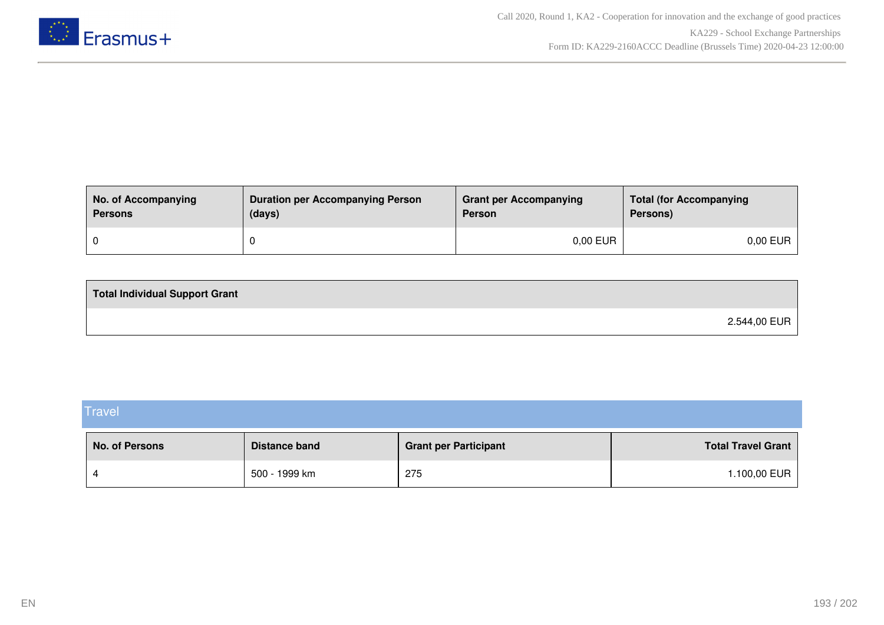

| No. of Accompanying | Duration per Accompanying Person | <b>Grant per Accompanying</b> | <b>Total (for Accompanying</b> |
|---------------------|----------------------------------|-------------------------------|--------------------------------|
| <b>Persons</b>      | (days)                           | <b>Person</b>                 | Persons)                       |
|                     |                                  | 0,00 EUR                      | $0,00$ EUR                     |

| Total Individual Support Grant |              |
|--------------------------------|--------------|
|                                | 2.544,00 EUR |

| <b>Travel</b>         |                      |                              |                           |  |
|-----------------------|----------------------|------------------------------|---------------------------|--|
| <b>No. of Persons</b> | <b>Distance band</b> | <b>Grant per Participant</b> | <b>Total Travel Grant</b> |  |
|                       | 500 - 1999 km        | 275                          | 1.100,00 EUR              |  |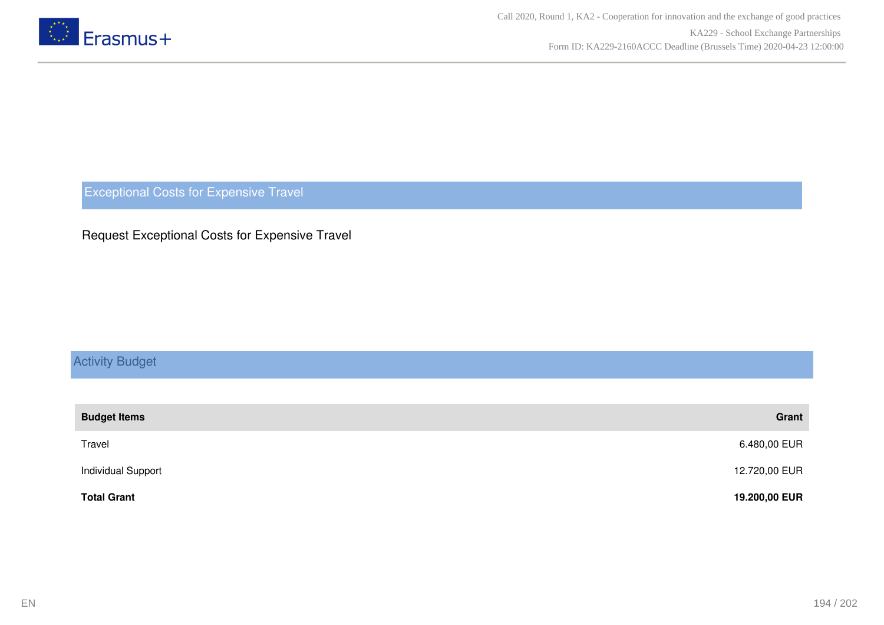

Request Exceptional Costs for Expensive Travel

## Activity Budget

| <b>Budget Items</b> | Grant         |
|---------------------|---------------|
| Travel              | 6.480,00 EUR  |
| Individual Support  | 12.720,00 EUR |
| <b>Total Grant</b>  | 19.200,00 EUR |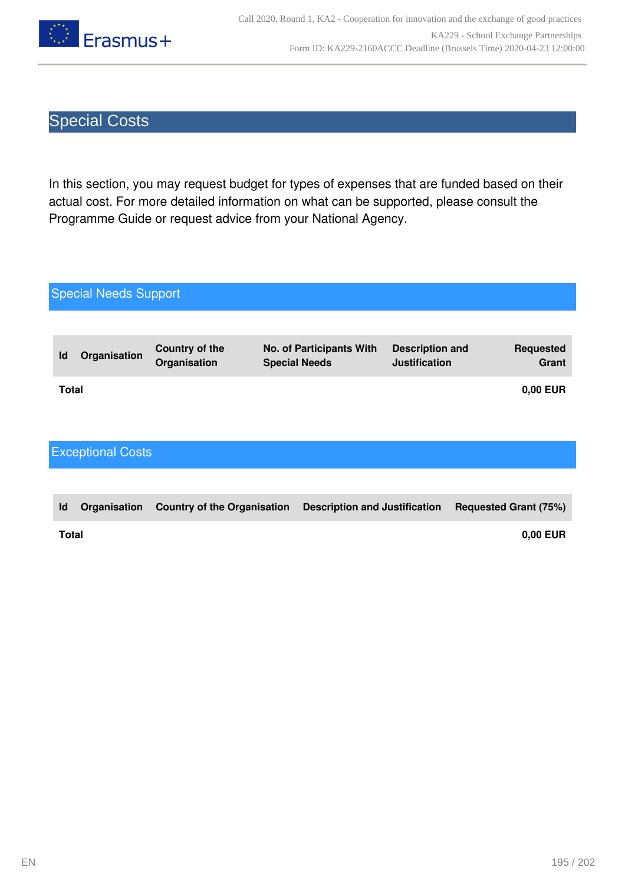

# Special Costs

In this section, you may request budget for types of expenses that are funded based on their actual cost. For more detailed information on what can be supported, please consult the Programme Guide or request advice from your National Agency.

#### Special Needs Support

| ld    | Organisation | Country of the<br>Organisation | <b>No. of Participants With</b><br><b>Special Needs</b> | Description and<br><b>Justification</b> | <b>Requested</b><br>Grant |
|-------|--------------|--------------------------------|---------------------------------------------------------|-----------------------------------------|---------------------------|
| Total |              |                                |                                                         |                                         | $0,00$ EUR                |

#### Exceptional Costs

|              |  | Id Organisation Country of the Organisation Description and Justification Requested Grant (75%) |                 |
|--------------|--|-------------------------------------------------------------------------------------------------|-----------------|
| <b>Total</b> |  |                                                                                                 | <b>0.00 EUR</b> |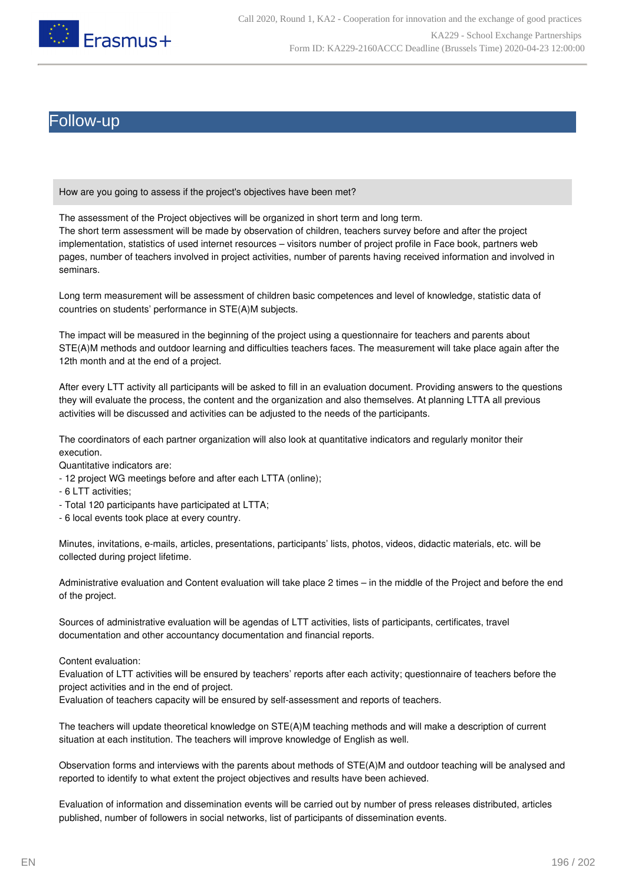

#### Follow-up

How are you going to assess if the project's objectives have been met?

The assessment of the Project objectives will be organized in short term and long term.

The short term assessment will be made by observation of children, teachers survey before and after the project implementation, statistics of used internet resources – visitors number of project profile in Face book, partners web pages, number of teachers involved in project activities, number of parents having received information and involved in seminars.

Long term measurement will be assessment of children basic competences and level of knowledge, statistic data of countries on students' performance in STE(A)M subjects.

The impact will be measured in the beginning of the project using a questionnaire for teachers and parents about STE(A)M methods and outdoor learning and difficulties teachers faces. The measurement will take place again after the 12th month and at the end of a project.

After every LTT activity all participants will be asked to fill in an evaluation document. Providing answers to the questions they will evaluate the process, the content and the organization and also themselves. At planning LTTA all previous activities will be discussed and activities can be adjusted to the needs of the participants.

The coordinators of each partner organization will also look at quantitative indicators and regularly monitor their execution.

Quantitative indicators are:

- 12 project WG meetings before and after each LTTA (online);
- 6 LTT activities;
- Total 120 participants have participated at LTTA;
- 6 local events took place at every country.

Minutes, invitations, e-mails, articles, presentations, participants' lists, photos, videos, didactic materials, etc. will be collected during project lifetime.

Administrative evaluation and Content evaluation will take place 2 times – in the middle of the Project and before the end of the project.

Sources of administrative evaluation will be agendas of LTT activities, lists of participants, certificates, travel documentation and other accountancy documentation and financial reports.

Content evaluation:

Evaluation of LTT activities will be ensured by teachers' reports after each activity; questionnaire of teachers before the project activities and in the end of project.

Evaluation of teachers capacity will be ensured by self-assessment and reports of teachers.

The teachers will update theoretical knowledge on STE(A)M teaching methods and will make a description of current situation at each institution. The teachers will improve knowledge of English as well.

Observation forms and interviews with the parents about methods of STE(A)M and outdoor teaching will be analysed and reported to identify to what extent the project objectives and results have been achieved.

Evaluation of information and dissemination events will be carried out by number of press releases distributed, articles published, number of followers in social networks, list of participants of dissemination events.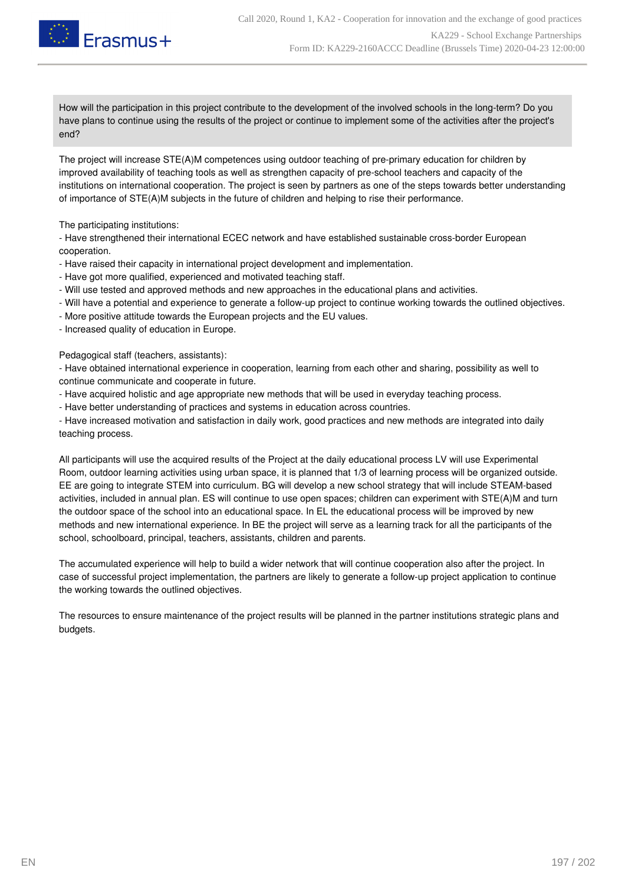

How will the participation in this project contribute to the development of the involved schools in the long-term? Do you have plans to continue using the results of the project or continue to implement some of the activities after the project's end?

The project will increase STE(A)M competences using outdoor teaching of pre-primary education for children by improved availability of teaching tools as well as strengthen capacity of pre-school teachers and capacity of the institutions on international cooperation. The project is seen by partners as one of the steps towards better understanding of importance of STE(A)M subjects in the future of children and helping to rise their performance.

The participating institutions:

- Have strengthened their international ECEC network and have established sustainable cross-border European cooperation.

- Have raised their capacity in international project development and implementation.
- Have got more qualified, experienced and motivated teaching staff.
- Will use tested and approved methods and new approaches in the educational plans and activities.
- Will have a potential and experience to generate a follow-up project to continue working towards the outlined objectives.
- More positive attitude towards the European projects and the EU values.
- Increased quality of education in Europe.

Pedagogical staff (teachers, assistants):

- Have obtained international experience in cooperation, learning from each other and sharing, possibility as well to continue communicate and cooperate in future.

- Have acquired holistic and age appropriate new methods that will be used in everyday teaching process.
- Have better understanding of practices and systems in education across countries.

- Have increased motivation and satisfaction in daily work, good practices and new methods are integrated into daily teaching process.

All participants will use the acquired results of the Project at the daily educational process LV will use Experimental Room, outdoor learning activities using urban space, it is planned that 1/3 of learning process will be organized outside. EE are going to integrate STEM into curriculum. BG will develop a new school strategy that will include STEAM-based activities, included in annual plan. ES will continue to use open spaces; children can experiment with STE(A)M and turn the outdoor space of the school into an educational space. In EL the educational process will be improved by new methods and new international experience. In BE the project will serve as a learning track for all the participants of the school, schoolboard, principal, teachers, assistants, children and parents.

The accumulated experience will help to build a wider network that will continue cooperation also after the project. In case of successful project implementation, the partners are likely to generate a follow-up project application to continue the working towards the outlined objectives.

The resources to ensure maintenance of the project results will be planned in the partner institutions strategic plans and budgets.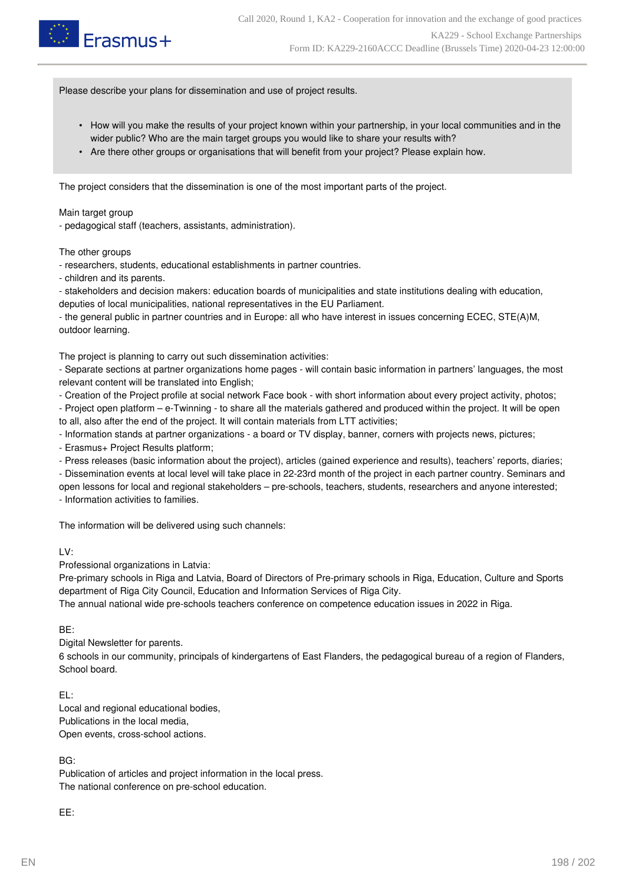

Please describe your plans for dissemination and use of project results.

- How will you make the results of your project known within your partnership, in your local communities and in the wider public? Who are the main target groups you would like to share your results with?
- Are there other groups or organisations that will benefit from your project? Please explain how.

The project considers that the dissemination is one of the most important parts of the project.

Main target group

- pedagogical staff (teachers, assistants, administration).

The other groups

- researchers, students, educational establishments in partner countries.

- children and its parents.

- stakeholders and decision makers: education boards of municipalities and state institutions dealing with education, deputies of local municipalities, national representatives in the EU Parliament.

- the general public in partner countries and in Europe: all who have interest in issues concerning ECEC, STE(A)M, outdoor learning.

The project is planning to carry out such dissemination activities:

- Separate sections at partner organizations home pages - will contain basic information in partners' languages, the most relevant content will be translated into English;

- Creation of the Project profile at social network Face book - with short information about every project activity, photos;

- Project open platform – e-Twinning - to share all the materials gathered and produced within the project. It will be open to all, also after the end of the project. It will contain materials from LTT activities;

- Information stands at partner organizations - a board or TV display, banner, corners with projects news, pictures;

- Erasmus+ Project Results platform;

- Press releases (basic information about the project), articles (gained experience and results), teachers' reports, diaries;

- Dissemination events at local level will take place in 22-23rd month of the project in each partner country. Seminars and open lessons for local and regional stakeholders – pre-schools, teachers, students, researchers and anyone interested; - Information activities to families.

The information will be delivered using such channels:

#### LV:

Professional organizations in Latvia:

Pre-primary schools in Riga and Latvia, Board of Directors of Pre-primary schools in Riga, Education, Culture and Sports department of Riga City Council, Education and Information Services of Riga City.

The annual national wide pre-schools teachers conference on competence education issues in 2022 in Riga.

#### BE:

Digital Newsletter for parents.

6 schools in our community, principals of kindergartens of East Flanders, the pedagogical bureau of a region of Flanders, School board.

EL:

Local and regional educational bodies, Publications in the local media, Open events, cross-school actions.

BG:

Publication of articles and project information in the local press. The national conference on pre-school education.

EE: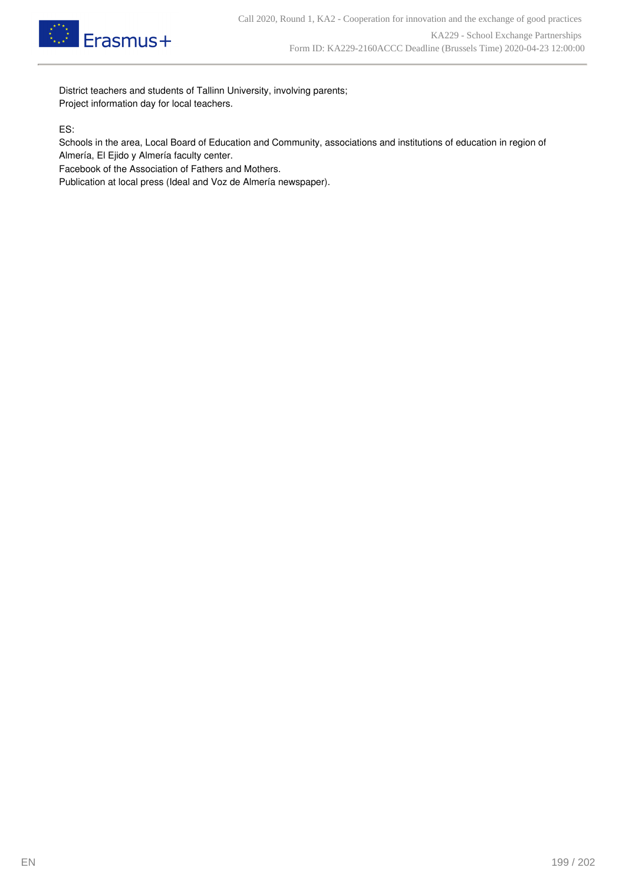

District teachers and students of Tallinn University, involving parents; Project information day for local teachers.

ES:

Schools in the area, Local Board of Education and Community, associations and institutions of education in region of Almería, El Ejido y Almería faculty center.

Facebook of the Association of Fathers and Mothers.

Publication at local press (Ideal and Voz de Almería newspaper).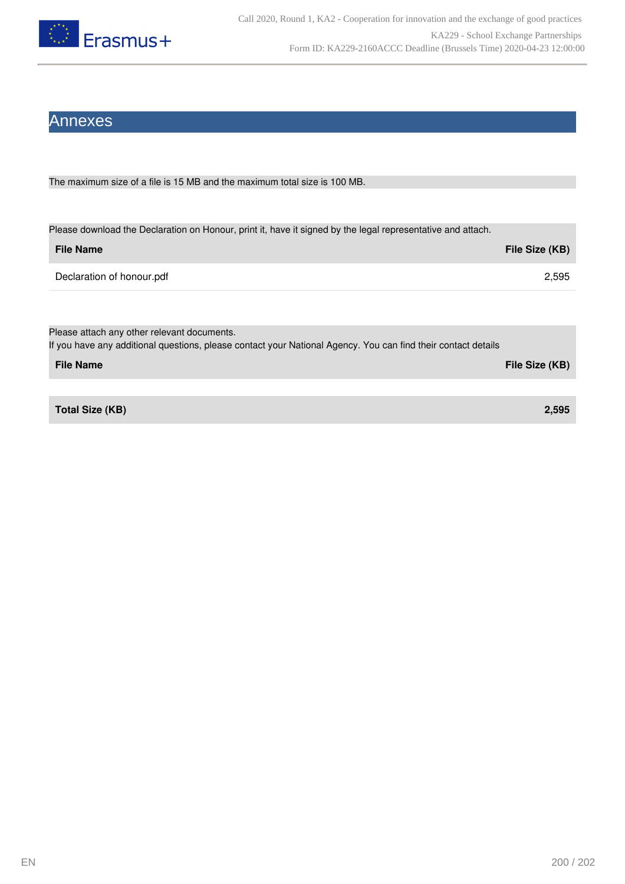

### Annexes

The maximum size of a file is 15 MB and the maximum total size is 100 MB.

Please download the Declaration on Honour, print it, have it signed by the legal representative and attach.

| <b>File Name</b>          | File Size (KB) |
|---------------------------|----------------|
| Declaration of honour.pdf | 2,595          |

Please attach any other relevant documents.

If you have any additional questions, please contact your National Agency. You can find their contact details

| <b>File Name</b> | File Size (KB) |
|------------------|----------------|
|                  |                |

**Total Size (KB) 2,595**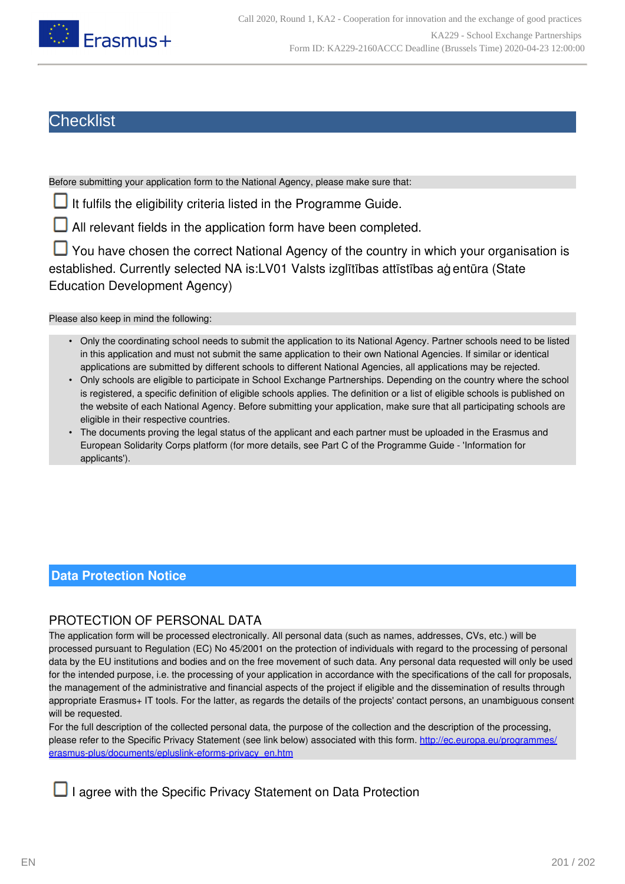

### **Checklist**

Before submitting your application form to the National Agency, please make sure that:

It fulfils the eligibility criteria listed in the Programme Guide.

 $\Box$  All relevant fields in the application form have been completed.

 $\Box$  You have chosen the correct National Agency of the country in which your organisation is established. Currently selected NA is:LV01 Valsts izglītības attīstības aģentūra (State Education Development Agency)

Please also keep in mind the following:

- Only the coordinating school needs to submit the application to its National Agency. Partner schools need to be listed in this application and must not submit the same application to their own National Agencies. If similar or identical applications are submitted by different schools to different National Agencies, all applications may be rejected. •
- Only schools are eligible to participate in School Exchange Partnerships. Depending on the country where the school is registered, a specific definition of eligible schools applies. The definition or a list of eligible schools is published on the website of each National Agency. Before submitting your application, make sure that all participating schools are eligible in their respective countries.
- The documents proving the legal status of the applicant and each partner must be uploaded in the Erasmus and European Solidarity Corps platform (for more details, see Part C of the Programme Guide - 'Information for applicants'). •

#### **Data Protection Notice**

#### PROTECTION OF PERSONAL DATA

The application form will be processed electronically. All personal data (such as names, addresses, CVs, etc.) will be processed pursuant to Regulation (EC) No 45/2001 on the protection of individuals with regard to the processing of personal data by the EU institutions and bodies and on the free movement of such data. Any personal data requested will only be used for the intended purpose, i.e. the processing of your application in accordance with the specifications of the call for proposals. the management of the administrative and financial aspects of the project if eligible and the dissemination of results through appropriate Erasmus+ IT tools. For the latter, as regards the details of the projects' contact persons, an unambiguous consent will be requested.

For the full description of the collected personal data, the purpose of the collection and the description of the processing, please refer to the Specific Privacy Statement (see link below) associated with this form. [http://ec.europa.eu/programmes/](http://ec.europa.eu/programmes/erasmus-plus/documents/epluslink-eforms-privacy_en.htm) [erasmus-plus/documents/epluslink-eforms-privacy\\_en.htm](http://ec.europa.eu/programmes/erasmus-plus/documents/epluslink-eforms-privacy_en.htm)



 $\Box$  I agree with the Specific Privacy Statement on Data Protection